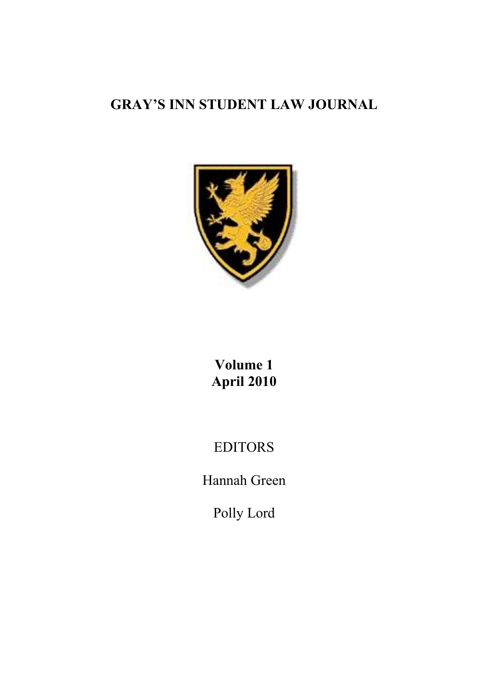# **GRAY'S INN STUDENT LAW JOURNAL**



# **Volume 1 April 2010**

EDITORS

Hannah Green

Polly Lord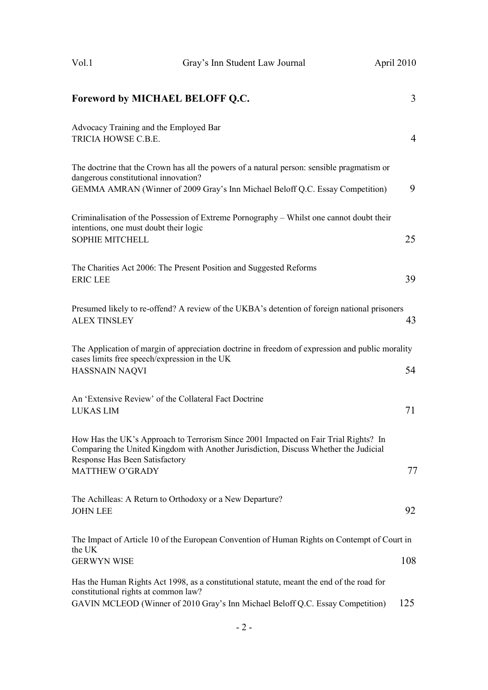| Vol.1                                             | Gray's Inn Student Law Journal                                                                                                                                                                                      | April 2010 |
|---------------------------------------------------|---------------------------------------------------------------------------------------------------------------------------------------------------------------------------------------------------------------------|------------|
|                                                   | Foreword by MICHAEL BELOFF Q.C.                                                                                                                                                                                     | 3          |
| TRICIA HOWSE C.B.E.                               | Advocacy Training and the Employed Bar                                                                                                                                                                              | 4          |
| dangerous constitutional innovation?              | The doctrine that the Crown has all the powers of a natural person: sensible pragmatism or<br>GEMMA AMRAN (Winner of 2009 Gray's Inn Michael Beloff Q.C. Essay Competition)                                         | 9          |
| <b>SOPHIE MITCHELL</b>                            | Criminalisation of the Possession of Extreme Pornography – Whilst one cannot doubt their<br>intentions, one must doubt their logic                                                                                  | 25         |
| <b>ERIC LEE</b>                                   | The Charities Act 2006: The Present Position and Suggested Reforms                                                                                                                                                  | 39         |
| <b>ALEX TINSLEY</b>                               | Presumed likely to re-offend? A review of the UKBA's detention of foreign national prisoners                                                                                                                        | 43         |
| <b>HASSNAIN NAQVI</b>                             | The Application of margin of appreciation doctrine in freedom of expression and public morality<br>cases limits free speech/expression in the UK                                                                    | 54         |
| <b>LUKAS LIM</b>                                  | An 'Extensive Review' of the Collateral Fact Doctrine                                                                                                                                                               | 71         |
| Response Has Been Satisfactory<br>MATTHEW O'GRADY | How Has the UK's Approach to Terrorism Since 2001 Impacted on Fair Trial Rights? In<br>Comparing the United Kingdom with Another Jurisdiction, Discuss Whether the Judicial                                         | 77         |
| <b>JOHN LEE</b>                                   | The Achilleas: A Return to Orthodoxy or a New Departure?                                                                                                                                                            | 92         |
| the UK                                            | The Impact of Article 10 of the European Convention of Human Rights on Contempt of Court in                                                                                                                         |            |
| <b>GERWYN WISE</b>                                |                                                                                                                                                                                                                     | 108        |
|                                                   | Has the Human Rights Act 1998, as a constitutional statute, meant the end of the road for<br>constitutional rights at common law?<br>GAVIN MCLEOD (Winner of 2010 Gray's Inn Michael Beloff Q.C. Essay Competition) | 125        |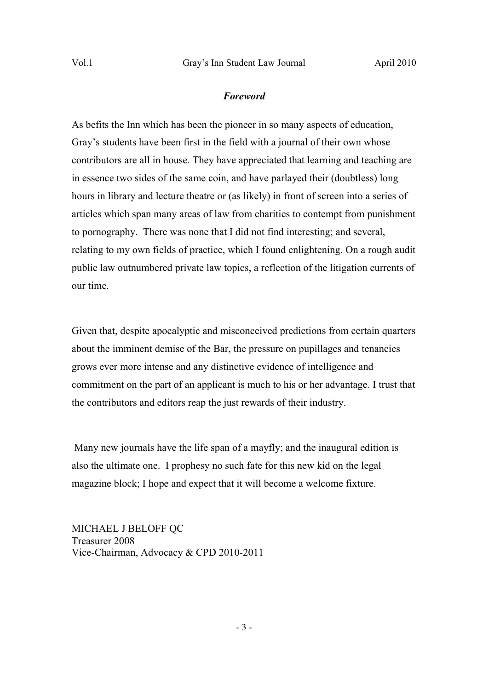# *Foreword*

As befits the Inn which has been the pioneer in so many aspects of education, Gray's students have been first in the field with a journal of their own whose contributors are all in house. They have appreciated that learning and teaching are in essence two sides of the same coin, and have parlayed their (doubtless) long hours in library and lecture theatre or (as likely) in front of screen into a series of articles which span many areas of law from charities to contempt from punishment to pornography. There was none that I did not find interesting; and several, relating to my own fields of practice, which I found enlightening. On a rough audit public law outnumbered private law topics, a reflection of the litigation currents of our time.

Given that, despite apocalyptic and misconceived predictions from certain quarters about the imminent demise of the Bar, the pressure on pupillages and tenancies grows ever more intense and any distinctive evidence of intelligence and commitment on the part of an applicant is much to his or her advantage. I trust that the contributors and editors reap the just rewards of their industry.

 Many new journals have the life span of a mayfly; and the inaugural edition is also the ultimate one. I prophesy no such fate for this new kid on the legal magazine block; I hope and expect that it will become a welcome fixture.

MICHAEL J BELOFF QC Treasurer 2008 Vice-Chairman, Advocacy & CPD 2010-2011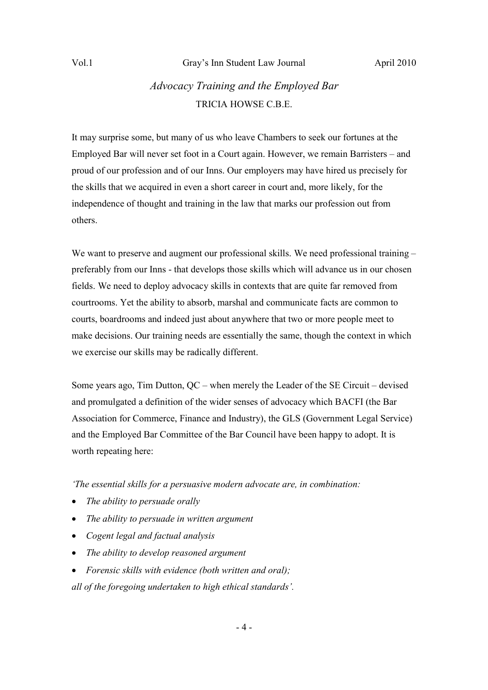# *Advocacy Training and the Employed Bar*  TRICIA HOWSE C.B.E.

It may surprise some, but many of us who leave Chambers to seek our fortunes at the Employed Bar will never set foot in a Court again. However, we remain Barristers – and proud of our profession and of our Inns. Our employers may have hired us precisely for the skills that we acquired in even a short career in court and, more likely, for the independence of thought and training in the law that marks our profession out from others.

We want to preserve and augment our professional skills. We need professional training – preferably from our Inns - that develops those skills which will advance us in our chosen fields. We need to deploy advocacy skills in contexts that are quite far removed from courtrooms. Yet the ability to absorb, marshal and communicate facts are common to courts, boardrooms and indeed just about anywhere that two or more people meet to make decisions. Our training needs are essentially the same, though the context in which we exercise our skills may be radically different.

Some years ago, Tim Dutton, QC – when merely the Leader of the SE Circuit – devised and promulgated a definition of the wider senses of advocacy which BACFI (the Bar Association for Commerce, Finance and Industry), the GLS (Government Legal Service) and the Employed Bar Committee of the Bar Council have been happy to adopt. It is worth repeating here:

*'The essential skills for a persuasive modern advocate are, in combination:* 

- *The ability to persuade orally*
- *The ability to persuade in written argument*
- *Cogent legal and factual analysis*
- *The ability to develop reasoned argument*
- *Forensic skills with evidence (both written and oral);*

*all of the foregoing undertaken to high ethical standards'.*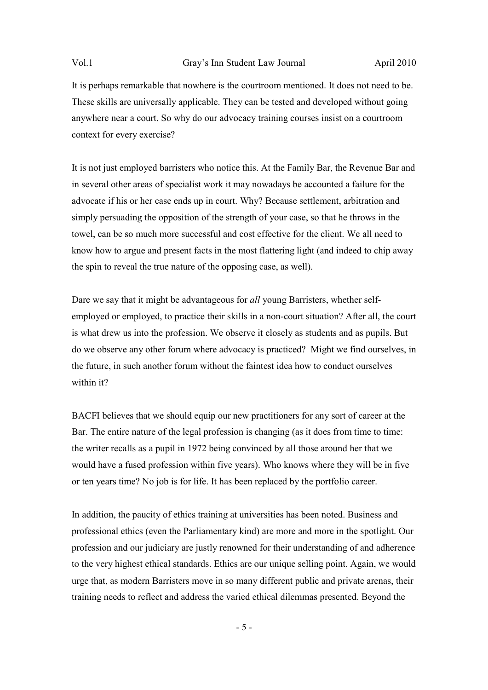It is perhaps remarkable that nowhere is the courtroom mentioned. It does not need to be. These skills are universally applicable. They can be tested and developed without going anywhere near a court. So why do our advocacy training courses insist on a courtroom context for every exercise?

It is not just employed barristers who notice this. At the Family Bar, the Revenue Bar and in several other areas of specialist work it may nowadays be accounted a failure for the advocate if his or her case ends up in court. Why? Because settlement, arbitration and simply persuading the opposition of the strength of your case, so that he throws in the towel, can be so much more successful and cost effective for the client. We all need to know how to argue and present facts in the most flattering light (and indeed to chip away the spin to reveal the true nature of the opposing case, as well).

Dare we say that it might be advantageous for *all* young Barristers, whether selfemployed or employed, to practice their skills in a non-court situation? After all, the court is what drew us into the profession. We observe it closely as students and as pupils. But do we observe any other forum where advocacy is practiced? Might we find ourselves, in the future, in such another forum without the faintest idea how to conduct ourselves within it?

BACFI believes that we should equip our new practitioners for any sort of career at the Bar. The entire nature of the legal profession is changing (as it does from time to time: the writer recalls as a pupil in 1972 being convinced by all those around her that we would have a fused profession within five years). Who knows where they will be in five or ten years time? No job is for life. It has been replaced by the portfolio career.

In addition, the paucity of ethics training at universities has been noted. Business and professional ethics (even the Parliamentary kind) are more and more in the spotlight. Our profession and our judiciary are justly renowned for their understanding of and adherence to the very highest ethical standards. Ethics are our unique selling point. Again, we would urge that, as modern Barristers move in so many different public and private arenas, their training needs to reflect and address the varied ethical dilemmas presented. Beyond the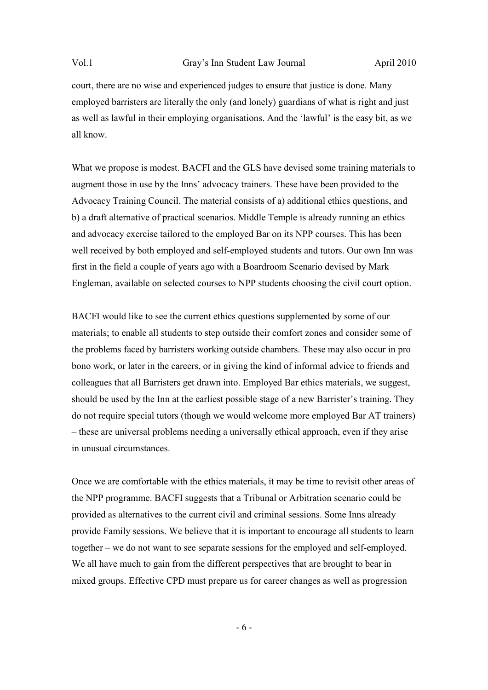court, there are no wise and experienced judges to ensure that justice is done. Many employed barristers are literally the only (and lonely) guardians of what is right and just as well as lawful in their employing organisations. And the 'lawful' is the easy bit, as we all know.

What we propose is modest. BACFI and the GLS have devised some training materials to augment those in use by the Inns' advocacy trainers. These have been provided to the Advocacy Training Council. The material consists of a) additional ethics questions, and b) a draft alternative of practical scenarios. Middle Temple is already running an ethics and advocacy exercise tailored to the employed Bar on its NPP courses. This has been well received by both employed and self-employed students and tutors. Our own Inn was first in the field a couple of years ago with a Boardroom Scenario devised by Mark Engleman, available on selected courses to NPP students choosing the civil court option.

BACFI would like to see the current ethics questions supplemented by some of our materials; to enable all students to step outside their comfort zones and consider some of the problems faced by barristers working outside chambers. These may also occur in pro bono work, or later in the careers, or in giving the kind of informal advice to friends and colleagues that all Barristers get drawn into. Employed Bar ethics materials, we suggest, should be used by the Inn at the earliest possible stage of a new Barrister's training. They do not require special tutors (though we would welcome more employed Bar AT trainers) – these are universal problems needing a universally ethical approach, even if they arise in unusual circumstances.

Once we are comfortable with the ethics materials, it may be time to revisit other areas of the NPP programme. BACFI suggests that a Tribunal or Arbitration scenario could be provided as alternatives to the current civil and criminal sessions. Some Inns already provide Family sessions. We believe that it is important to encourage all students to learn together – we do not want to see separate sessions for the employed and self-employed. We all have much to gain from the different perspectives that are brought to bear in mixed groups. Effective CPD must prepare us for career changes as well as progression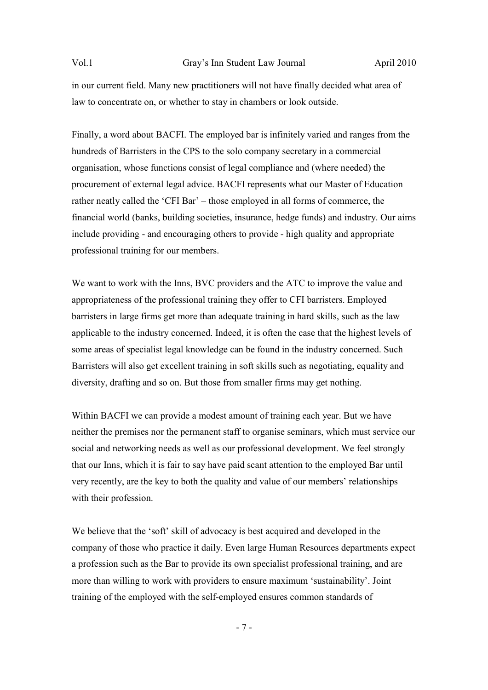in our current field. Many new practitioners will not have finally decided what area of law to concentrate on, or whether to stay in chambers or look outside.

Finally, a word about BACFI. The employed bar is infinitely varied and ranges from the hundreds of Barristers in the CPS to the solo company secretary in a commercial organisation, whose functions consist of legal compliance and (where needed) the procurement of external legal advice. BACFI represents what our Master of Education rather neatly called the 'CFI Bar' – those employed in all forms of commerce, the financial world (banks, building societies, insurance, hedge funds) and industry. Our aims include providing - and encouraging others to provide - high quality and appropriate professional training for our members.

We want to work with the Inns, BVC providers and the ATC to improve the value and appropriateness of the professional training they offer to CFI barristers. Employed barristers in large firms get more than adequate training in hard skills, such as the law applicable to the industry concerned. Indeed, it is often the case that the highest levels of some areas of specialist legal knowledge can be found in the industry concerned. Such Barristers will also get excellent training in soft skills such as negotiating, equality and diversity, drafting and so on. But those from smaller firms may get nothing.

Within BACFI we can provide a modest amount of training each year. But we have neither the premises nor the permanent staff to organise seminars, which must service our social and networking needs as well as our professional development. We feel strongly that our Inns, which it is fair to say have paid scant attention to the employed Bar until very recently, are the key to both the quality and value of our members' relationships with their profession.

We believe that the 'soft' skill of advocacy is best acquired and developed in the company of those who practice it daily. Even large Human Resources departments expect a profession such as the Bar to provide its own specialist professional training, and are more than willing to work with providers to ensure maximum 'sustainability'. Joint training of the employed with the self-employed ensures common standards of

 $-7 -$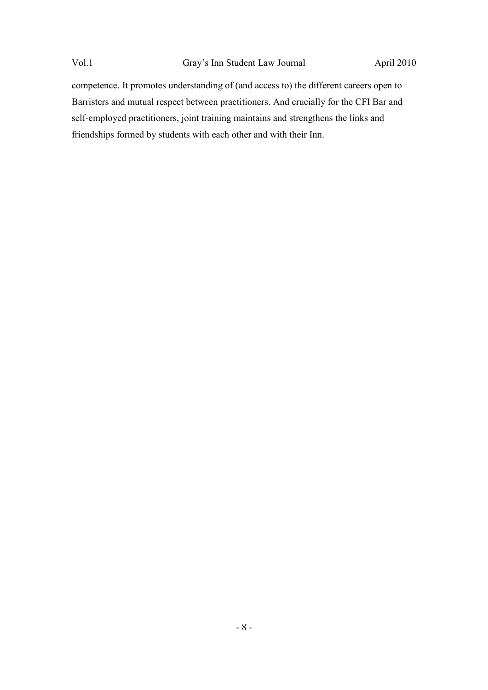competence. It promotes understanding of (and access to) the different careers open to Barristers and mutual respect between practitioners. And crucially for the CFI Bar and self-employed practitioners, joint training maintains and strengthens the links and friendships formed by students with each other and with their Inn.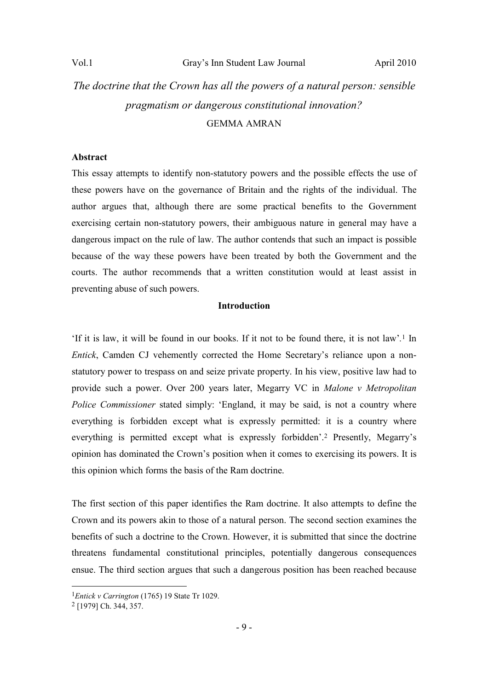# *The doctrine that the Crown has all the powers of a natural person: sensible pragmatism or dangerous constitutional innovation?*  GEMMA AMRAN

## **Abstract**

This essay attempts to identify non-statutory powers and the possible effects the use of these powers have on the governance of Britain and the rights of the individual. The author argues that, although there are some practical benefits to the Government exercising certain non-statutory powers, their ambiguous nature in general may have a dangerous impact on the rule of law. The author contends that such an impact is possible because of the way these powers have been treated by both the Government and the courts. The author recommends that a written constitution would at least assist in preventing abuse of such powers.

## **Introduction**

'If it is law, it will be found in our books. If it not to be found there, it is not law'*.* <sup>1</sup> In *Entick*, Camden CJ vehemently corrected the Home Secretary's reliance upon a nonstatutory power to trespass on and seize private property. In his view, positive law had to provide such a power. Over 200 years later, Megarry VC in *Malone v Metropolitan Police Commissioner* stated simply: 'England, it may be said, is not a country where everything is forbidden except what is expressly permitted: it is a country where everything is permitted except what is expressly forbidden'.<sup>2</sup> Presently, Megarry's opinion has dominated the Crown's position when it comes to exercising its powers. It is this opinion which forms the basis of the Ram doctrine.

The first section of this paper identifies the Ram doctrine. It also attempts to define the Crown and its powers akin to those of a natural person. The second section examines the benefits of such a doctrine to the Crown. However, it is submitted that since the doctrine threatens fundamental constitutional principles, potentially dangerous consequences ensue. The third section argues that such a dangerous position has been reached because

<sup>1</sup>*Entick v Carrington* (1765) 19 State Tr 1029.

<sup>&</sup>lt;sup>2</sup> [1979] Ch. 344, 357.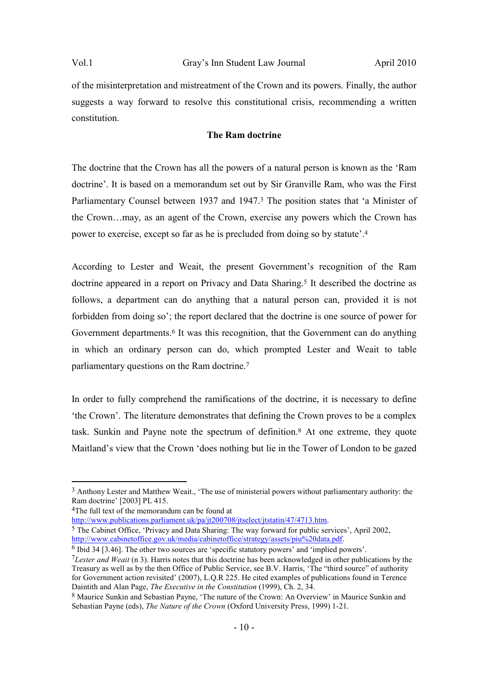of the misinterpretation and mistreatment of the Crown and its powers. Finally, the author suggests a way forward to resolve this constitutional crisis, recommending a written constitution.

# **The Ram doctrine**

The doctrine that the Crown has all the powers of a natural person is known as the 'Ram doctrine'. It is based on a memorandum set out by Sir Granville Ram, who was the First Parliamentary Counsel between 1937 and 1947.<sup>3</sup> The position states that 'a Minister of the Crown…may, as an agent of the Crown, exercise any powers which the Crown has power to exercise, except so far as he is precluded from doing so by statute'.<sup>4</sup>

According to Lester and Weait, the present Government's recognition of the Ram doctrine appeared in a report on Privacy and Data Sharing.<sup>5</sup> It described the doctrine as follows, a department can do anything that a natural person can, provided it is not forbidden from doing so'; the report declared that the doctrine is one source of power for Government departments.<sup>6</sup> It was this recognition, that the Government can do anything in which an ordinary person can do, which prompted Lester and Weait to table parliamentary questions on the Ram doctrine.<sup>7</sup>

In order to fully comprehend the ramifications of the doctrine, it is necessary to define 'the Crown'. The literature demonstrates that defining the Crown proves to be a complex task. Sunkin and Payne note the spectrum of definition.8 At one extreme, they quote Maitland's view that the Crown 'does nothing but lie in the Tower of London to be gazed

 $\overline{a}$ 

http://www.publications.parliament.uk/pa/jt200708/jtselect/jtstatin/47/4713.htm.

<sup>&</sup>lt;sup>3</sup> Anthony Lester and Matthew Weait., 'The use of ministerial powers without parliamentary authority: the Ram doctrine' [2003] PL 415.

<sup>4</sup>The full text of the memorandum can be found at

<sup>5</sup> The Cabinet Office, 'Privacy and Data Sharing: The way forward for public services', April 2002, http://www.cabinetoffice.gov.uk/media/cabinetoffice/strategy/assets/piu%20data.pdf.

<sup>&</sup>lt;sup>6</sup> Ibid 34 [3.46]. The other two sources are 'specific statutory powers' and 'implied powers'.

<sup>7</sup>*Lester and Weait* (n 3). Harris notes that this doctrine has been acknowledged in other publications by the Treasury as well as by the then Office of Public Service, see B.V. Harris, 'The "third source" of authority for Government action revisited' (2007), L.Q.R 225. He cited examples of publications found in Terence Daintith and Alan Page, *The Executive in the Constitution* (1999), Ch. 2, 34.

<sup>8</sup> Maurice Sunkin and Sebastian Payne, 'The nature of the Crown: An Overview' in Maurice Sunkin and Sebastian Payne (eds), *The Nature of the Crown* (Oxford University Press, 1999) 1-21.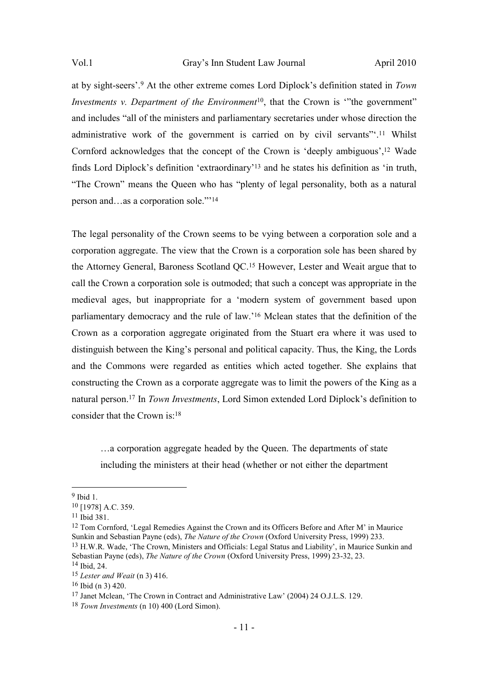at by sight-seers'.<sup>9</sup> At the other extreme comes Lord Diplock's definition stated in *Town Investments v. Department of the Environment*<sup>10</sup>, that the Crown is "the government" and includes "all of the ministers and parliamentary secretaries under whose direction the administrative work of the government is carried on by civil servants"'.11 Whilst Cornford acknowledges that the concept of the Crown is 'deeply ambiguous',12 Wade finds Lord Diplock's definition 'extraordinary'<sup>13</sup> and he states his definition as 'in truth, "The Crown" means the Queen who has "plenty of legal personality, both as a natural person and…as a corporation sole."'<sup>14</sup>

The legal personality of the Crown seems to be vying between a corporation sole and a corporation aggregate. The view that the Crown is a corporation sole has been shared by the Attorney General, Baroness Scotland QC.15 However, Lester and Weait argue that to call the Crown a corporation sole is outmoded; that such a concept was appropriate in the medieval ages, but inappropriate for a 'modern system of government based upon parliamentary democracy and the rule of law.'16 Mclean states that the definition of the Crown as a corporation aggregate originated from the Stuart era where it was used to distinguish between the King's personal and political capacity. Thus, the King, the Lords and the Commons were regarded as entities which acted together. She explains that constructing the Crown as a corporate aggregate was to limit the powers of the King as a natural person.17 In *Town Investments*, Lord Simon extended Lord Diplock's definition to consider that the Crown is:<sup>18</sup>

…a corporation aggregate headed by the Queen. The departments of state including the ministers at their head (whether or not either the department

<sup>9</sup> Ibid 1.

<sup>10</sup> [1978] A.C. 359.

<sup>11</sup> Ibid 381.

<sup>&</sup>lt;sup>12</sup> Tom Cornford, 'Legal Remedies Against the Crown and its Officers Before and After M' in Maurice Sunkin and Sebastian Payne (eds), *The Nature of the Crown* (Oxford University Press, 1999) 233. 13 H.W.R. Wade, 'The Crown, Ministers and Officials: Legal Status and Liability', in Maurice Sunkin and Sebastian Payne (eds), *The Nature of the Crown* (Oxford University Press, 1999) 23-32, 23. 14 Ibid, 24.

<sup>15</sup> *Lester and Weait* (n 3) 416.

<sup>16</sup> Ibid (n 3) 420.

<sup>17</sup> Janet Mclean, 'The Crown in Contract and Administrative Law' (2004) 24 O.J.L.S. 129.

<sup>18</sup> *Town Investments* (n 10) 400 (Lord Simon).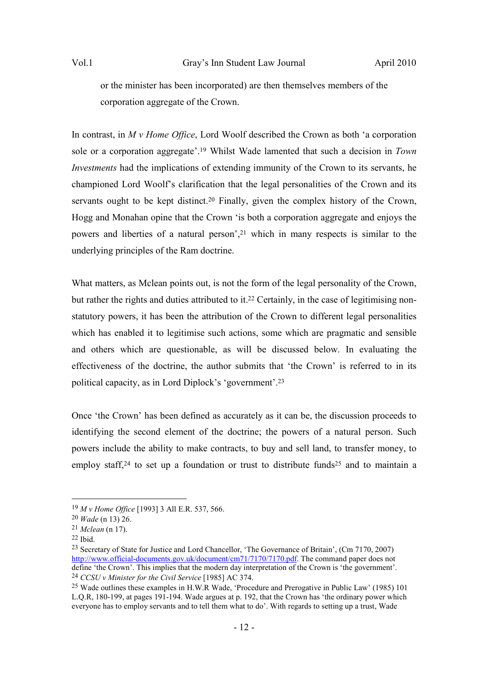or the minister has been incorporated) are then themselves members of the corporation aggregate of the Crown.

In contrast, in *M v Home Office*, Lord Woolf described the Crown as both 'a corporation sole or a corporation aggregate'.19 Whilst Wade lamented that such a decision in *Town Investments* had the implications of extending immunity of the Crown to its servants, he championed Lord Woolf's clarification that the legal personalities of the Crown and its servants ought to be kept distinct.<sup>20</sup> Finally, given the complex history of the Crown, Hogg and Monahan opine that the Crown 'is both a corporation aggregate and enjoys the powers and liberties of a natural person',21 which in many respects is similar to the underlying principles of the Ram doctrine.

What matters, as Mclean points out, is not the form of the legal personality of the Crown, but rather the rights and duties attributed to it.22 Certainly, in the case of legitimising nonstatutory powers, it has been the attribution of the Crown to different legal personalities which has enabled it to legitimise such actions, some which are pragmatic and sensible and others which are questionable, as will be discussed below. In evaluating the effectiveness of the doctrine, the author submits that 'the Crown' is referred to in its political capacity, as in Lord Diplock's 'government'.<sup>23</sup>

Once 'the Crown' has been defined as accurately as it can be, the discussion proceeds to identifying the second element of the doctrine; the powers of a natural person. Such powers include the ability to make contracts, to buy and sell land, to transfer money, to employ staff,<sup>24</sup> to set up a foundation or trust to distribute funds<sup>25</sup> and to maintain a

<sup>19</sup> *M v Home Office* [1993] 3 All E.R. 537, 566.

<sup>20</sup> *Wade* (n 13) 26.

<sup>21</sup> *Mclean* (n 17).

<sup>22</sup> Ibid.

<sup>23</sup> Secretary of State for Justice and Lord Chancellor, 'The Governance of Britain', (Cm 7170, 2007) http://www.official-documents.gov.uk/document/cm71/7170/7170.pdf. The command paper does not define 'the Crown'. This implies that the modern day interpretation of the Crown is 'the government'.

<sup>24</sup> *CCSU v Minister for the Civil Service* [1985] AC 374.

<sup>25</sup> Wade outlines these examples in H.W.R Wade, 'Procedure and Prerogative in Public Law' (1985) 101 L.Q.R, 180-199, at pages 191-194. Wade argues at p. 192, that the Crown has 'the ordinary power which everyone has to employ servants and to tell them what to do'. With regards to setting up a trust, Wade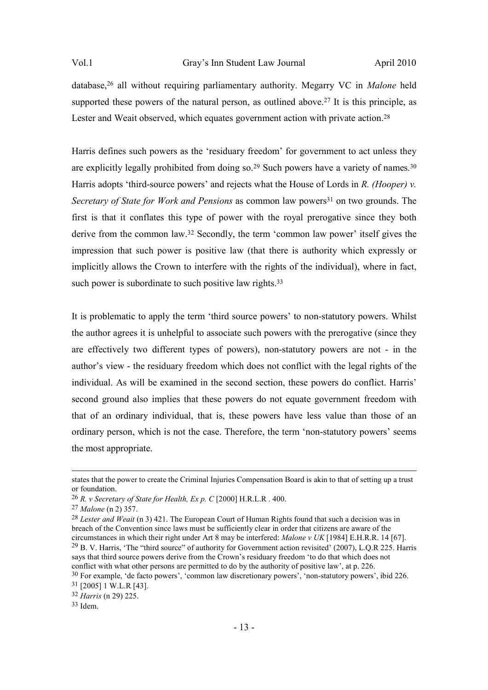database,<sup>26</sup> all without requiring parliamentary authority. Megarry VC in *Malone* held supported these powers of the natural person, as outlined above.<sup>27</sup> It is this principle, as Lester and Weait observed, which equates government action with private action.<sup>28</sup>

Harris defines such powers as the 'residuary freedom' for government to act unless they are explicitly legally prohibited from doing so.<sup>29</sup> Such powers have a variety of names.<sup>30</sup> Harris adopts 'third-source powers' and rejects what the House of Lords in *R. (Hooper) v. Secretary of State for Work and Pensions* as common law powers<sup>31</sup> on two grounds. The first is that it conflates this type of power with the royal prerogative since they both derive from the common law.32 Secondly, the term 'common law power' itself gives the impression that such power is positive law (that there is authority which expressly or implicitly allows the Crown to interfere with the rights of the individual), where in fact, such power is subordinate to such positive law rights.<sup>33</sup>

It is problematic to apply the term 'third source powers' to non-statutory powers. Whilst the author agrees it is unhelpful to associate such powers with the prerogative (since they are effectively two different types of powers), non-statutory powers are not - in the author's view - the residuary freedom which does not conflict with the legal rights of the individual. As will be examined in the second section, these powers do conflict. Harris' second ground also implies that these powers do not equate government freedom with that of an ordinary individual, that is, these powers have less value than those of an ordinary person, which is not the case. Therefore, the term 'non-statutory powers' seems the most appropriate.

states that the power to create the Criminal Injuries Compensation Board is akin to that of setting up a trust or foundation.

<sup>26</sup> *R. v Secretary of State for Health, Ex p. C* [2000] H.R.L.R . 400.

<sup>27</sup> *Malone* (n 2) 357.

<sup>28</sup> *Lester and Weait* (n 3) 421. The European Court of Human Rights found that such a decision was in breach of the Convention since laws must be sufficiently clear in order that citizens are aware of the circumstances in which their right under Art 8 may be interfered: *Malone v UK* [1984] E.H.R.R. 14 [67]. 29 B. V. Harris, 'The "third source" of authority for Government action revisited' (2007), L.Q.R 225. Harris says that third source powers derive from the Crown's residuary freedom 'to do that which does not conflict with what other persons are permitted to do by the authority of positive law', at p. 226.

<sup>30</sup> For example, 'de facto powers', 'common law discretionary powers', 'non-statutory powers', ibid 226.

<sup>31</sup> [2005] 1 W.L.R [43].

<sup>32</sup> *Harris* (n 29) 225.

<sup>33</sup> Idem.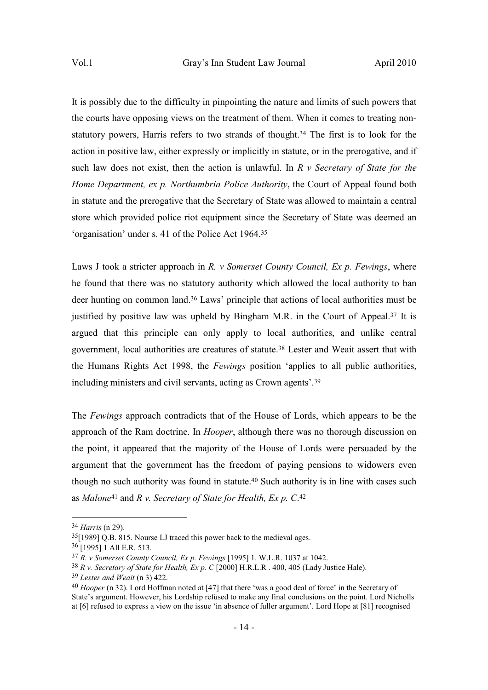It is possibly due to the difficulty in pinpointing the nature and limits of such powers that the courts have opposing views on the treatment of them. When it comes to treating nonstatutory powers, Harris refers to two strands of thought.<sup>34</sup> The first is to look for the action in positive law, either expressly or implicitly in statute, or in the prerogative, and if such law does not exist, then the action is unlawful. In *R v Secretary of State for the Home Department, ex p. Northumbria Police Authority*, the Court of Appeal found both in statute and the prerogative that the Secretary of State was allowed to maintain a central store which provided police riot equipment since the Secretary of State was deemed an 'organisation' under s. 41 of the Police Act 1964.<sup>35</sup>

Laws J took a stricter approach in *R. v Somerset County Council, Ex p. Fewings*, where he found that there was no statutory authority which allowed the local authority to ban deer hunting on common land.36 Laws' principle that actions of local authorities must be justified by positive law was upheld by Bingham M.R. in the Court of Appeal.<sup>37</sup> It is argued that this principle can only apply to local authorities, and unlike central government, local authorities are creatures of statute.38 Lester and Weait assert that with the Humans Rights Act 1998, the *Fewings* position 'applies to all public authorities, including ministers and civil servants, acting as Crown agents'.<sup>39</sup>

The *Fewings* approach contradicts that of the House of Lords, which appears to be the approach of the Ram doctrine. In *Hooper*, although there was no thorough discussion on the point, it appeared that the majority of the House of Lords were persuaded by the argument that the government has the freedom of paying pensions to widowers even though no such authority was found in statute.40 Such authority is in line with cases such as *Malone*<sup>41</sup> and *R v. Secretary of State for Health, Ex p. C*. 42

<sup>34</sup> *Harris* (n 29).

<sup>35</sup>[1989] Q.B. 815. Nourse LJ traced this power back to the medieval ages.

<sup>36</sup> [1995] 1 All E.R. 513.

<sup>37</sup> *R. v Somerset County Council, Ex p. Fewings* [1995] 1. W.L.R. 1037 at 1042.

<sup>38</sup> *R v. Secretary of State for Health, Ex p. C* [2000] H.R.L.R . 400, 405 (Lady Justice Hale).

<sup>39</sup> *Lester and Weait* (n 3) 422.

<sup>40</sup> *Hooper* (n 32). Lord Hoffman noted at [47] that there 'was a good deal of force' in the Secretary of State's argument. However, his Lordship refused to make any final conclusions on the point. Lord Nicholls at [6] refused to express a view on the issue 'in absence of fuller argument'. Lord Hope at [81] recognised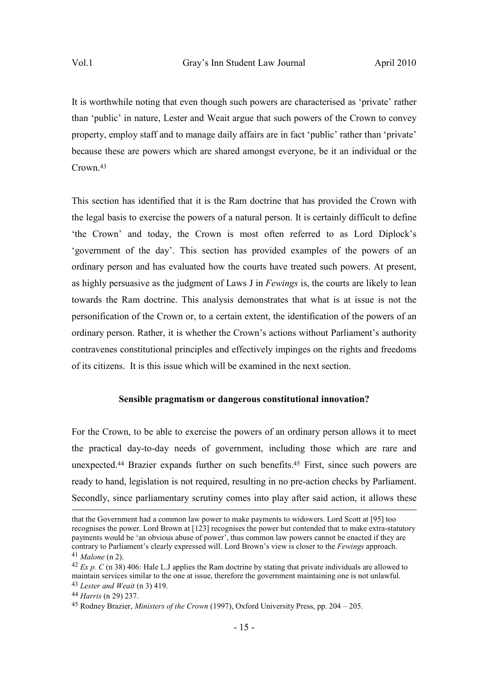It is worthwhile noting that even though such powers are characterised as 'private' rather than 'public' in nature, Lester and Weait argue that such powers of the Crown to convey property, employ staff and to manage daily affairs are in fact 'public' rather than 'private' because these are powers which are shared amongst everyone, be it an individual or the Crown<sup>43</sup>

This section has identified that it is the Ram doctrine that has provided the Crown with the legal basis to exercise the powers of a natural person. It is certainly difficult to define 'the Crown' and today, the Crown is most often referred to as Lord Diplock's 'government of the day'. This section has provided examples of the powers of an ordinary person and has evaluated how the courts have treated such powers. At present, as highly persuasive as the judgment of Laws J in *Fewings* is, the courts are likely to lean towards the Ram doctrine. This analysis demonstrates that what is at issue is not the personification of the Crown or, to a certain extent, the identification of the powers of an ordinary person. Rather, it is whether the Crown's actions without Parliament's authority contravenes constitutional principles and effectively impinges on the rights and freedoms of its citizens. It is this issue which will be examined in the next section.

# **Sensible pragmatism or dangerous constitutional innovation?**

For the Crown, to be able to exercise the powers of an ordinary person allows it to meet the practical day-to-day needs of government, including those which are rare and unexpected.44 Brazier expands further on such benefits.45 First, since such powers are ready to hand, legislation is not required, resulting in no pre-action checks by Parliament. Secondly, since parliamentary scrutiny comes into play after said action, it allows these

that the Government had a common law power to make payments to widowers. Lord Scott at [95] too recognises the power. Lord Brown at [123] recognises the power but contended that to make extra-statutory payments would be 'an obvious abuse of power', thus common law powers cannot be enacted if they are contrary to Parliament's clearly expressed will. Lord Brown's view is closer to the *Fewings* approach. <sup>41</sup> *Malone* (n 2).

<sup>42</sup> *Ex p. C* (n 38) 406: Hale L.J applies the Ram doctrine by stating that private individuals are allowed to maintain services similar to the one at issue, therefore the government maintaining one is not unlawful. <sup>43</sup> *Lester and Weait* (n 3) 419.

<sup>44</sup> *Harris* (n 29) 237.

<sup>45</sup> Rodney Brazier, *Ministers of the Crown* (1997), Oxford University Press, pp. 204 – 205.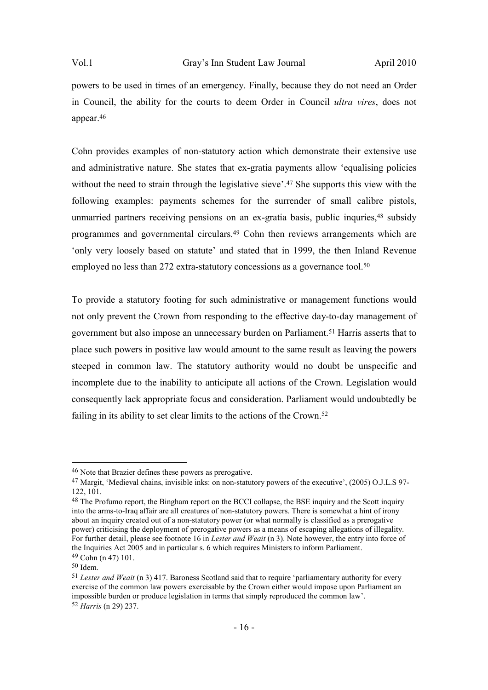powers to be used in times of an emergency. Finally, because they do not need an Order in Council, the ability for the courts to deem Order in Council *ultra vires*, does not appear.<sup>46</sup>

Cohn provides examples of non-statutory action which demonstrate their extensive use and administrative nature. She states that ex-gratia payments allow 'equalising policies without the need to strain through the legislative sieve'.<sup>47</sup> She supports this view with the following examples: payments schemes for the surrender of small calibre pistols, unmarried partners receiving pensions on an ex-gratia basis, public inquries,<sup>48</sup> subsidy programmes and governmental circulars.49 Cohn then reviews arrangements which are 'only very loosely based on statute' and stated that in 1999, the then Inland Revenue employed no less than 272 extra-statutory concessions as a governance tool.<sup>50</sup>

To provide a statutory footing for such administrative or management functions would not only prevent the Crown from responding to the effective day-to-day management of government but also impose an unnecessary burden on Parliament.<sup>51</sup> Harris asserts that to place such powers in positive law would amount to the same result as leaving the powers steeped in common law. The statutory authority would no doubt be unspecific and incomplete due to the inability to anticipate all actions of the Crown. Legislation would consequently lack appropriate focus and consideration. Parliament would undoubtedly be failing in its ability to set clear limits to the actions of the Crown.<sup>52</sup>

<sup>46</sup> Note that Brazier defines these powers as prerogative.

<sup>47</sup> Margit, 'Medieval chains, invisible inks: on non-statutory powers of the executive', (2005) O.J.L.S 97- 122, 101.

<sup>48</sup> The Profumo report, the Bingham report on the BCCI collapse, the BSE inquiry and the Scott inquiry into the arms-to-Iraq affair are all creatures of non-statutory powers. There is somewhat a hint of irony about an inquiry created out of a non-statutory power (or what normally is classified as a prerogative power) criticising the deployment of prerogative powers as a means of escaping allegations of illegality. For further detail, please see footnote 16 in *Lester and Weait* (n 3). Note however, the entry into force of the Inquiries Act 2005 and in particular s. 6 which requires Ministers to inform Parliament. 49 Cohn (n 47) 101.

<sup>50</sup> Idem.

<sup>51</sup> *Lester and Weait* (n 3) 417. Baroness Scotland said that to require 'parliamentary authority for every exercise of the common law powers exercisable by the Crown either would impose upon Parliament an impossible burden or produce legislation in terms that simply reproduced the common law'. <sup>52</sup> *Harris* (n 29) 237.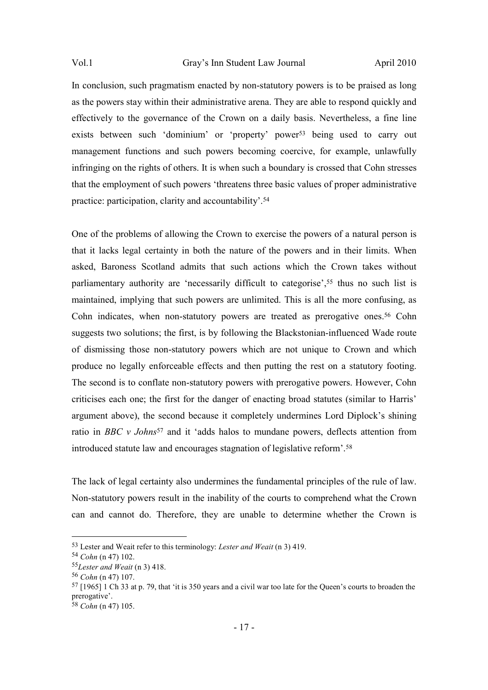In conclusion, such pragmatism enacted by non-statutory powers is to be praised as long as the powers stay within their administrative arena. They are able to respond quickly and effectively to the governance of the Crown on a daily basis. Nevertheless, a fine line exists between such 'dominium' or 'property' power<sup>53</sup> being used to carry out management functions and such powers becoming coercive, for example, unlawfully infringing on the rights of others. It is when such a boundary is crossed that Cohn stresses that the employment of such powers 'threatens three basic values of proper administrative practice: participation, clarity and accountability'.<sup>54</sup>

One of the problems of allowing the Crown to exercise the powers of a natural person is that it lacks legal certainty in both the nature of the powers and in their limits. When asked, Baroness Scotland admits that such actions which the Crown takes without parliamentary authority are 'necessarily difficult to categorise',<sup>55</sup> thus no such list is maintained, implying that such powers are unlimited. This is all the more confusing, as Cohn indicates, when non-statutory powers are treated as prerogative ones.<sup>56</sup> Cohn suggests two solutions; the first, is by following the Blackstonian-influenced Wade route of dismissing those non-statutory powers which are not unique to Crown and which produce no legally enforceable effects and then putting the rest on a statutory footing. The second is to conflate non-statutory powers with prerogative powers. However, Cohn criticises each one; the first for the danger of enacting broad statutes (similar to Harris' argument above), the second because it completely undermines Lord Diplock's shining ratio in *BBC v Johns*57 and it 'adds halos to mundane powers, deflects attention from introduced statute law and encourages stagnation of legislative reform'.<sup>58</sup>

The lack of legal certainty also undermines the fundamental principles of the rule of law. Non-statutory powers result in the inability of the courts to comprehend what the Crown can and cannot do. Therefore, they are unable to determine whether the Crown is

<sup>53</sup> Lester and Weait refer to this terminology: *Lester and Weait* (n 3) 419.

<sup>54</sup> *Cohn* (n 47) 102.

<sup>55</sup>*Lester and Weait* (n 3) 418.

<sup>56</sup> *Cohn* (n 47) 107.

<sup>57</sup> [1965] 1 Ch 33 at p. 79, that 'it is 350 years and a civil war too late for the Queen's courts to broaden the prerogative'.

<sup>58</sup> *Cohn* (n 47) 105.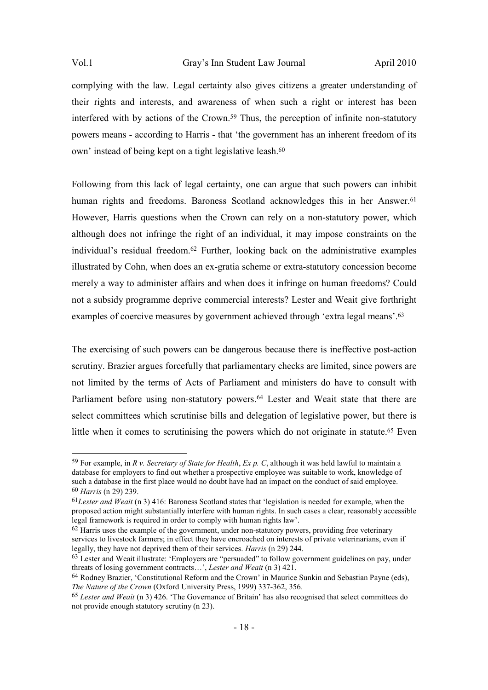complying with the law. Legal certainty also gives citizens a greater understanding of their rights and interests, and awareness of when such a right or interest has been interfered with by actions of the Crown.<sup>59</sup> Thus, the perception of infinite non-statutory powers means - according to Harris - that 'the government has an inherent freedom of its own' instead of being kept on a tight legislative leash.<sup>60</sup>

Following from this lack of legal certainty, one can argue that such powers can inhibit human rights and freedoms. Baroness Scotland acknowledges this in her Answer.<sup>61</sup> However, Harris questions when the Crown can rely on a non-statutory power, which although does not infringe the right of an individual, it may impose constraints on the individual's residual freedom.<sup>62</sup> Further, looking back on the administrative examples illustrated by Cohn, when does an ex-gratia scheme or extra-statutory concession become merely a way to administer affairs and when does it infringe on human freedoms? Could not a subsidy programme deprive commercial interests? Lester and Weait give forthright examples of coercive measures by government achieved through 'extra legal means'.<sup>63</sup>

The exercising of such powers can be dangerous because there is ineffective post-action scrutiny. Brazier argues forcefully that parliamentary checks are limited, since powers are not limited by the terms of Acts of Parliament and ministers do have to consult with Parliament before using non-statutory powers.<sup>64</sup> Lester and Weait state that there are select committees which scrutinise bills and delegation of legislative power, but there is little when it comes to scrutinising the powers which do not originate in statute.<sup>65</sup> Even

 $\overline{a}$ 

62 Harris uses the example of the government, under non-statutory powers, providing free veterinary services to livestock farmers; in effect they have encroached on interests of private veterinarians, even if legally, they have not deprived them of their services. *Harris* (n 29) 244.

<sup>59</sup> For example, in *R v. Secretary of State for Health*, *Ex p. C*, although it was held lawful to maintain a database for employers to find out whether a prospective employee was suitable to work, knowledge of such a database in the first place would no doubt have had an impact on the conduct of said employee. <sup>60</sup> *Harris* (n 29) 239.

<sup>61</sup>*Lester and Weait* (n 3) 416: Baroness Scotland states that 'legislation is needed for example, when the proposed action might substantially interfere with human rights. In such cases a clear, reasonably accessible legal framework is required in order to comply with human rights law'.

<sup>&</sup>lt;sup>63</sup> Lester and Weait illustrate: 'Employers are "persuaded" to follow government guidelines on pay, under threats of losing government contracts…', *Lester and Weait* (n 3) 421.

<sup>64</sup> Rodney Brazier, 'Constitutional Reform and the Crown' in Maurice Sunkin and Sebastian Payne (eds), *The Nature of the Crown* (Oxford University Press, 1999) 337-362, 356.

<sup>65</sup> *Lester and Weait* (n 3) 426. 'The Governance of Britain' has also recognised that select committees do not provide enough statutory scrutiny (n 23).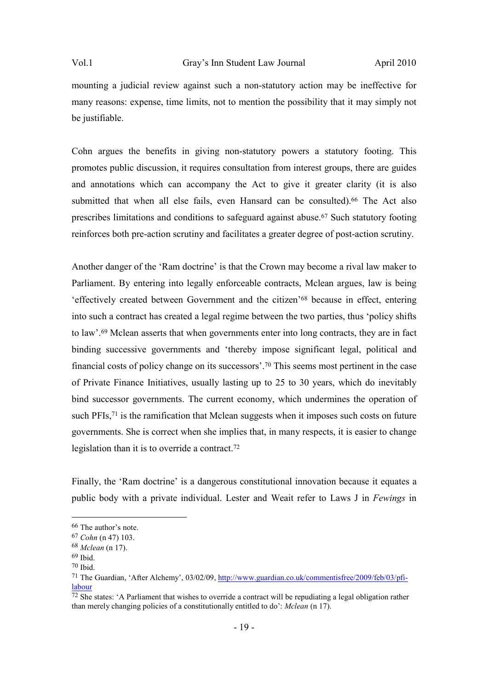mounting a judicial review against such a non-statutory action may be ineffective for many reasons: expense, time limits, not to mention the possibility that it may simply not be justifiable.

Cohn argues the benefits in giving non-statutory powers a statutory footing. This promotes public discussion, it requires consultation from interest groups, there are guides and annotations which can accompany the Act to give it greater clarity (it is also submitted that when all else fails, even Hansard can be consulted).<sup>66</sup> The Act also prescribes limitations and conditions to safeguard against abuse.67 Such statutory footing reinforces both pre-action scrutiny and facilitates a greater degree of post-action scrutiny.

Another danger of the 'Ram doctrine' is that the Crown may become a rival law maker to Parliament. By entering into legally enforceable contracts, Mclean argues, law is being 'effectively created between Government and the citizen'68 because in effect, entering into such a contract has created a legal regime between the two parties, thus 'policy shifts to law'.<sup>69</sup> Mclean asserts that when governments enter into long contracts, they are in fact binding successive governments and 'thereby impose significant legal, political and financial costs of policy change on its successors'. <sup>70</sup> This seems most pertinent in the case of Private Finance Initiatives, usually lasting up to 25 to 30 years, which do inevitably bind successor governments. The current economy, which undermines the operation of such PFIs,<sup>71</sup> is the ramification that Mclean suggests when it imposes such costs on future governments. She is correct when she implies that, in many respects, it is easier to change legislation than it is to override a contract.<sup>72</sup>

Finally, the 'Ram doctrine' is a dangerous constitutional innovation because it equates a public body with a private individual. Lester and Weait refer to Laws J in *Fewings* in

<sup>66</sup> The author's note.

<sup>67</sup> *Cohn* (n 47) 103.

<sup>68</sup> *Mclean* (n 17).

<sup>69</sup> Ibid.

<sup>70</sup> Ibid.

<sup>71</sup> The Guardian, 'After Alchemy', 03/02/09, http://www.guardian.co.uk/commentisfree/2009/feb/03/pfilabour

 $\frac{72 \text{ She}}{2}$  states: 'A Parliament that wishes to override a contract will be repudiating a legal obligation rather than merely changing policies of a constitutionally entitled to do': *Mclean* (n 17).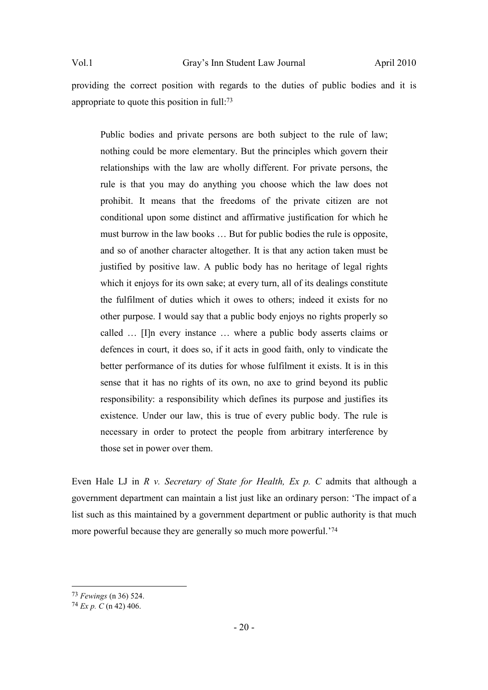providing the correct position with regards to the duties of public bodies and it is appropriate to quote this position in full:<sup>73</sup>

Public bodies and private persons are both subject to the rule of law; nothing could be more elementary. But the principles which govern their relationships with the law are wholly different. For private persons, the rule is that you may do anything you choose which the law does not prohibit. It means that the freedoms of the private citizen are not conditional upon some distinct and affirmative justification for which he must burrow in the law books … But for public bodies the rule is opposite, and so of another character altogether. It is that any action taken must be justified by positive law. A public body has no heritage of legal rights which it enjoys for its own sake; at every turn, all of its dealings constitute the fulfilment of duties which it owes to others; indeed it exists for no other purpose. I would say that a public body enjoys no rights properly so called … [I]n every instance … where a public body asserts claims or defences in court, it does so, if it acts in good faith, only to vindicate the better performance of its duties for whose fulfilment it exists. It is in this sense that it has no rights of its own, no axe to grind beyond its public responsibility: a responsibility which defines its purpose and justifies its existence. Under our law, this is true of every public body. The rule is necessary in order to protect the people from arbitrary interference by those set in power over them.

Even Hale LJ in *R v. Secretary of State for Health, Ex p. C* admits that although a government department can maintain a list just like an ordinary person: 'The impact of a list such as this maintained by a government department or public authority is that much more powerful because they are generally so much more powerful.'<sup>74</sup>

<sup>73</sup> *Fewings* (n 36) 524.

 $74$  *Ex p.*  $\overline{C}$  (n 42) 406.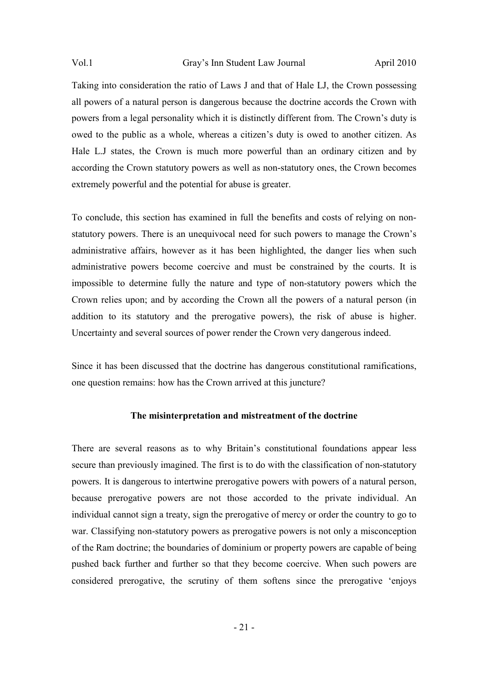Taking into consideration the ratio of Laws J and that of Hale LJ, the Crown possessing all powers of a natural person is dangerous because the doctrine accords the Crown with powers from a legal personality which it is distinctly different from. The Crown's duty is owed to the public as a whole, whereas a citizen's duty is owed to another citizen. As Hale L.J states, the Crown is much more powerful than an ordinary citizen and by according the Crown statutory powers as well as non-statutory ones, the Crown becomes extremely powerful and the potential for abuse is greater.

To conclude, this section has examined in full the benefits and costs of relying on nonstatutory powers. There is an unequivocal need for such powers to manage the Crown's administrative affairs, however as it has been highlighted, the danger lies when such administrative powers become coercive and must be constrained by the courts. It is impossible to determine fully the nature and type of non-statutory powers which the Crown relies upon; and by according the Crown all the powers of a natural person (in addition to its statutory and the prerogative powers), the risk of abuse is higher. Uncertainty and several sources of power render the Crown very dangerous indeed.

Since it has been discussed that the doctrine has dangerous constitutional ramifications, one question remains: how has the Crown arrived at this juncture?

# **The misinterpretation and mistreatment of the doctrine**

There are several reasons as to why Britain's constitutional foundations appear less secure than previously imagined. The first is to do with the classification of non-statutory powers. It is dangerous to intertwine prerogative powers with powers of a natural person, because prerogative powers are not those accorded to the private individual. An individual cannot sign a treaty, sign the prerogative of mercy or order the country to go to war. Classifying non-statutory powers as prerogative powers is not only a misconception of the Ram doctrine; the boundaries of dominium or property powers are capable of being pushed back further and further so that they become coercive. When such powers are considered prerogative, the scrutiny of them softens since the prerogative 'enjoys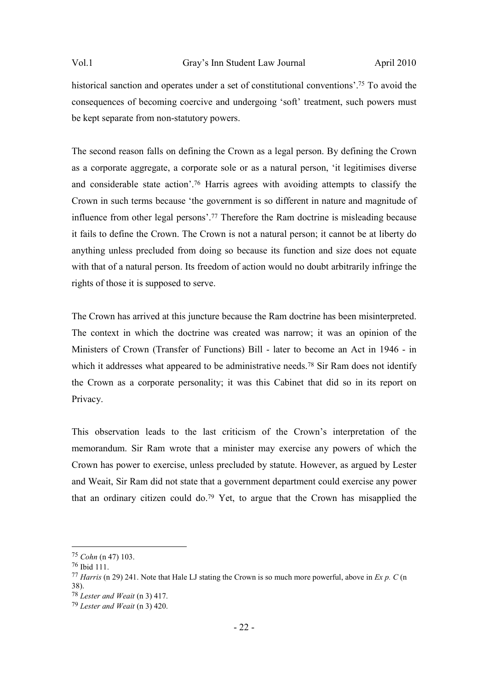historical sanction and operates under a set of constitutional conventions'.<sup>75</sup> To avoid the consequences of becoming coercive and undergoing 'soft' treatment, such powers must be kept separate from non-statutory powers.

The second reason falls on defining the Crown as a legal person. By defining the Crown as a corporate aggregate, a corporate sole or as a natural person, 'it legitimises diverse and considerable state action'.76 Harris agrees with avoiding attempts to classify the Crown in such terms because 'the government is so different in nature and magnitude of influence from other legal persons'.77 Therefore the Ram doctrine is misleading because it fails to define the Crown. The Crown is not a natural person; it cannot be at liberty do anything unless precluded from doing so because its function and size does not equate with that of a natural person. Its freedom of action would no doubt arbitrarily infringe the rights of those it is supposed to serve.

The Crown has arrived at this juncture because the Ram doctrine has been misinterpreted. The context in which the doctrine was created was narrow; it was an opinion of the Ministers of Crown (Transfer of Functions) Bill - later to become an Act in 1946 - in which it addresses what appeared to be administrative needs.<sup>78</sup> Sir Ram does not identify the Crown as a corporate personality; it was this Cabinet that did so in its report on Privacy.

This observation leads to the last criticism of the Crown's interpretation of the memorandum. Sir Ram wrote that a minister may exercise any powers of which the Crown has power to exercise, unless precluded by statute. However, as argued by Lester and Weait, Sir Ram did not state that a government department could exercise any power that an ordinary citizen could do.<sup>79</sup> Yet, to argue that the Crown has misapplied the

<sup>75</sup> *Cohn* (n 47) 103.

<sup>76</sup> Ibid 111.

<sup>77</sup> *Harris* (n 29) 241. Note that Hale LJ stating the Crown is so much more powerful, above in *Ex p. C* (n 38).

<sup>78</sup> *Lester and Weait* (n 3) 417.

<sup>79</sup> *Lester and Weait* (n 3) 420.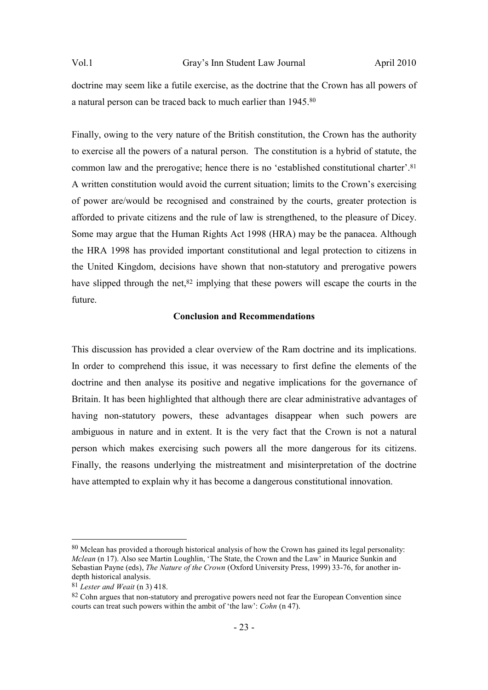doctrine may seem like a futile exercise, as the doctrine that the Crown has all powers of a natural person can be traced back to much earlier than 1945.<sup>80</sup>

Finally, owing to the very nature of the British constitution, the Crown has the authority to exercise all the powers of a natural person. The constitution is a hybrid of statute, the common law and the prerogative; hence there is no 'established constitutional charter'.<sup>81</sup> A written constitution would avoid the current situation; limits to the Crown's exercising of power are/would be recognised and constrained by the courts, greater protection is afforded to private citizens and the rule of law is strengthened, to the pleasure of Dicey. Some may argue that the Human Rights Act 1998 (HRA) may be the panacea. Although the HRA 1998 has provided important constitutional and legal protection to citizens in the United Kingdom, decisions have shown that non-statutory and prerogative powers have slipped through the net,<sup>82</sup> implying that these powers will escape the courts in the future.

## **Conclusion and Recommendations**

This discussion has provided a clear overview of the Ram doctrine and its implications. In order to comprehend this issue, it was necessary to first define the elements of the doctrine and then analyse its positive and negative implications for the governance of Britain. It has been highlighted that although there are clear administrative advantages of having non-statutory powers, these advantages disappear when such powers are ambiguous in nature and in extent. It is the very fact that the Crown is not a natural person which makes exercising such powers all the more dangerous for its citizens. Finally, the reasons underlying the mistreatment and misinterpretation of the doctrine have attempted to explain why it has become a dangerous constitutional innovation.

<sup>80</sup> Mclean has provided a thorough historical analysis of how the Crown has gained its legal personality: *Mclean* (n 17). Also see Martin Loughlin, 'The State, the Crown and the Law' in Maurice Sunkin and Sebastian Payne (eds), *The Nature of the Crown* (Oxford University Press, 1999) 33-76, for another indepth historical analysis.

<sup>81</sup> *Lester and Weait* (n 3) 418.

<sup>&</sup>lt;sup>82</sup> Cohn argues that non-statutory and prerogative powers need not fear the European Convention since courts can treat such powers within the ambit of 'the law': *Cohn* (n 47).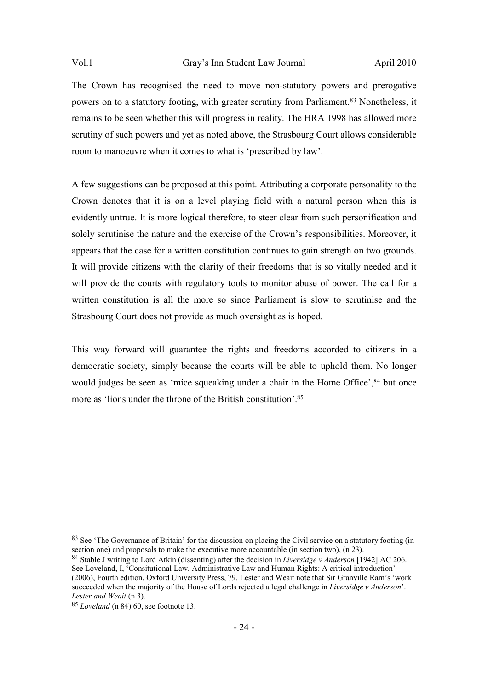The Crown has recognised the need to move non-statutory powers and prerogative powers on to a statutory footing, with greater scrutiny from Parliament.83 Nonetheless, it remains to be seen whether this will progress in reality. The HRA 1998 has allowed more scrutiny of such powers and yet as noted above, the Strasbourg Court allows considerable room to manoeuvre when it comes to what is 'prescribed by law'.

A few suggestions can be proposed at this point. Attributing a corporate personality to the Crown denotes that it is on a level playing field with a natural person when this is evidently untrue. It is more logical therefore, to steer clear from such personification and solely scrutinise the nature and the exercise of the Crown's responsibilities. Moreover, it appears that the case for a written constitution continues to gain strength on two grounds. It will provide citizens with the clarity of their freedoms that is so vitally needed and it will provide the courts with regulatory tools to monitor abuse of power. The call for a written constitution is all the more so since Parliament is slow to scrutinise and the Strasbourg Court does not provide as much oversight as is hoped.

This way forward will guarantee the rights and freedoms accorded to citizens in a democratic society, simply because the courts will be able to uphold them. No longer would judges be seen as 'mice squeaking under a chair in the Home Office',  $84$  but once more as 'lions under the throne of the British constitution'.<sup>85</sup>

<sup>&</sup>lt;sup>83</sup> See 'The Governance of Britain' for the discussion on placing the Civil service on a statutory footing (in section one) and proposals to make the executive more accountable (in section two), (n 23).

<sup>84</sup> Stable J writing to Lord Atkin (dissenting) after the decision in *Liversidge v Anderson* [1942] AC 206. See Loveland, I, 'Consitutional Law, Administrative Law and Human Rights: A critical introduction' (2006), Fourth edition, Oxford University Press, 79. Lester and Weait note that Sir Granville Ram's 'work succeeded when the majority of the House of Lords rejected a legal challenge in *Liversidge v Anderson*'. *Lester and Weait* (n 3).

<sup>85</sup> *Loveland* (n 84) 60, see footnote 13.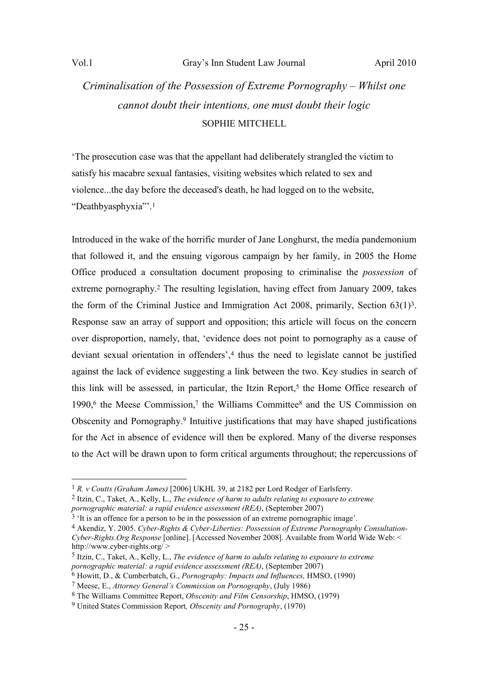$\overline{a}$ 

# *Criminalisation of the Possession of Extreme Pornography – Whilst one cannot doubt their intentions, one must doubt their logic*  SOPHIE MITCHELL

'The prosecution case was that the appellant had deliberately strangled the victim to satisfy his macabre sexual fantasies, visiting websites which related to sex and violence...the day before the deceased's death, he had logged on to the website, "Deathbyasphyxia"'.<sup>1</sup>

Introduced in the wake of the horrific murder of Jane Longhurst, the media pandemonium that followed it, and the ensuing vigorous campaign by her family, in 2005 the Home Office produced a consultation document proposing to criminalise the *possession* of extreme pornography.<sup>2</sup> The resulting legislation, having effect from January 2009, takes the form of the Criminal Justice and Immigration Act 2008, primarily, Section 63(1)3. Response saw an array of support and opposition; this article will focus on the concern over disproportion, namely, that, 'evidence does not point to pornography as a cause of deviant sexual orientation in offenders',<sup>4</sup> thus the need to legislate cannot be justified against the lack of evidence suggesting a link between the two. Key studies in search of this link will be assessed, in particular, the Itzin Report,<sup>5</sup> the Home Office research of 1990,6 the Meese Commission,7 the Williams Committee8 and the US Commission on Obscenity and Pornography.9 Intuitive justifications that may have shaped justifications for the Act in absence of evidence will then be explored. Many of the diverse responses to the Act will be drawn upon to form critical arguments throughout; the repercussions of

<sup>&</sup>lt;sup>1</sup> *R. v Coutts (Graham James)* [2006] UKHL 39, at 2182 per Lord Rodger of Earlsferry.

<sup>2</sup> Itzin, C., Taket, A., Kelly, L., *The evidence of harm to adults relating to exposure to extreme pornographic material: a rapid evidence assessment (REA)*, (September 2007)

<sup>&</sup>lt;sup>3</sup> 'It is an offence for a person to be in the possession of an extreme pornographic image'.

<sup>4</sup> Akendiz, Y. 2005. *Cyber-Rights & Cyber-Liberties: Possession of Extreme Pornography Consultation-Cyber-Rights.Org Response* [online]. [Accessed November 2008]. Available from World Wide Web: < http://www.cyber-rights.org/ >

<sup>5</sup> Itzin, C., Taket, A., Kelly, L., *The evidence of harm to adults relating to exposure to extreme pornographic material: a rapid evidence assessment (REA)*, (September 2007)

<sup>6</sup> Howitt, D., & Cumberbatch, G., *Pornography: Impacts and Influences,* HMSO, (1990)

<sup>7</sup> Meese, E., *Attorney General's Commission on Pornography*, (July 1986)

<sup>8</sup> The Williams Committee Report, *Obscenity and Film Censorship*, HMSO, (1979)

<sup>9</sup> United States Commission Report*, Obscenity and Pornography*, (1970)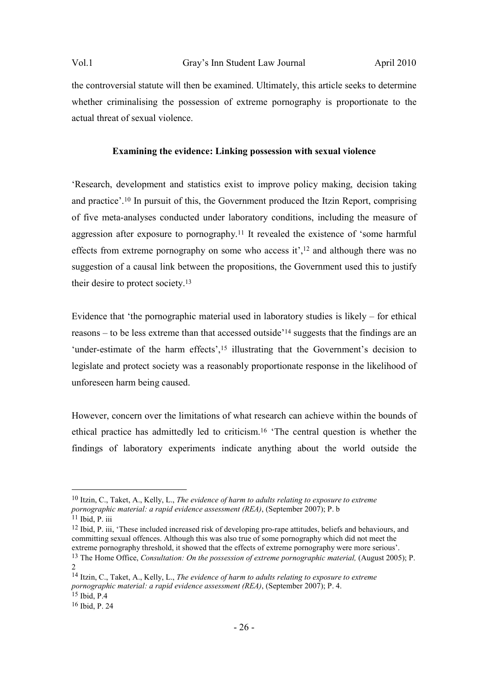the controversial statute will then be examined. Ultimately, this article seeks to determine whether criminalising the possession of extreme pornography is proportionate to the actual threat of sexual violence.

## **Examining the evidence: Linking possession with sexual violence**

'Research, development and statistics exist to improve policy making, decision taking and practice'.<sup>10</sup> In pursuit of this, the Government produced the Itzin Report, comprising of five meta-analyses conducted under laboratory conditions, including the measure of aggression after exposure to pornography.11 It revealed the existence of 'some harmful effects from extreme pornography on some who access it',<sup>12</sup> and although there was no suggestion of a causal link between the propositions, the Government used this to justify their desire to protect society.<sup>13</sup>

Evidence that 'the pornographic material used in laboratory studies is likely – for ethical reasons – to be less extreme than that accessed outside'<sup>14</sup> suggests that the findings are an 'under-estimate of the harm effects',<sup>15</sup> illustrating that the Government's decision to legislate and protect society was a reasonably proportionate response in the likelihood of unforeseen harm being caused.

However, concern over the limitations of what research can achieve within the bounds of ethical practice has admittedly led to criticism.16 'The central question is whether the findings of laboratory experiments indicate anything about the world outside the

 $\overline{a}$ 

2

12 Ibid, P. iii, 'These included increased risk of developing pro-rape attitudes, beliefs and behaviours, and committing sexual offences. Although this was also true of some pornography which did not meet the extreme pornography threshold, it showed that the effects of extreme pornography were more serious'. <sup>13</sup> The Home Office, *Consultation: On the possession of extreme pornographic material,* (August 2005); P.

<sup>10</sup> Itzin, C., Taket, A., Kelly, L., *The evidence of harm to adults relating to exposure to extreme pornographic material: a rapid evidence assessment (REA)*, (September 2007); P. b  $11$  Ibid, P. iii.

<sup>14</sup> Itzin, C., Taket, A., Kelly, L., *The evidence of harm to adults relating to exposure to extreme pornographic material: a rapid evidence assessment (REA)*, (September 2007); P. 4.

<sup>15</sup> Ibid, P.4

<sup>16</sup> Ibid, P. 24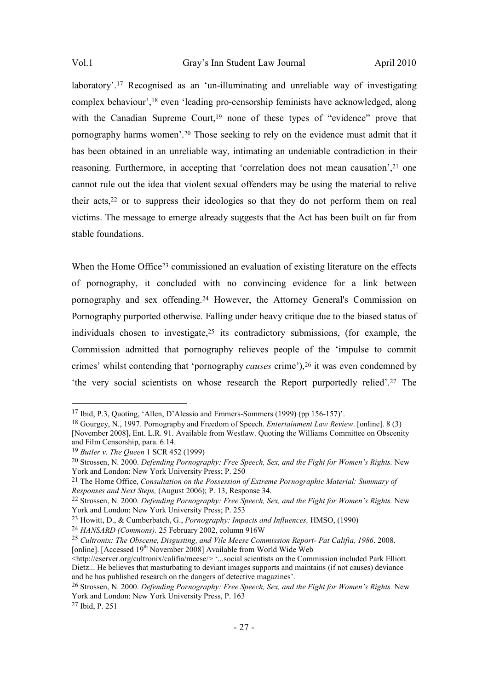laboratory'.<sup>17</sup> Recognised as an 'un-illuminating and unreliable way of investigating complex behaviour',18 even 'leading pro-censorship feminists have acknowledged, along with the Canadian Supreme Court,<sup>19</sup> none of these types of "evidence" prove that pornography harms women'.20 Those seeking to rely on the evidence must admit that it has been obtained in an unreliable way, intimating an undeniable contradiction in their reasoning. Furthermore, in accepting that 'correlation does not mean causation'.<sup>21</sup> one cannot rule out the idea that violent sexual offenders may be using the material to relive their acts,<sup>22</sup> or to suppress their ideologies so that they do not perform them on real victims. The message to emerge already suggests that the Act has been built on far from stable foundations.

When the Home Office<sup>23</sup> commissioned an evaluation of existing literature on the effects of pornography, it concluded with no convincing evidence for a link between pornography and sex offending.24 However, the Attorney General's Commission on Pornography purported otherwise. Falling under heavy critique due to the biased status of individuals chosen to investigate,<sup>25</sup> its contradictory submissions, (for example, the Commission admitted that pornography relieves people of the 'impulse to commit crimes' whilst contending that 'pornography *causes* crime'),<sup>26</sup> it was even condemned by 'the very social scientists on whose research the Report purportedly relied'.27 The

<sup>17</sup> Ibid, P.3, Quoting, 'Allen, D'Alessio and Emmers-Sommers (1999) (pp 156-157)'.

<sup>18</sup> Gourgey, N., 1997. Pornography and Freedom of Speech. *Entertainment Law Review*. [online]. 8 (3)

<sup>[</sup>November 2008], Ent. L.R. 91. Available from Westlaw. Quoting the Williams Committee on Obscenity and Film Censorship, para. 6.14.

<sup>19</sup> *Butler v. The Queen* 1 SCR 452 (1999)

<sup>20</sup> Strossen, N. 2000. *Defending Pornography: Free Speech, Sex, and the Fight for Women's Rights.* New York and London: New York University Press; P. 250

<sup>21</sup> The Home Office, *Consultation on the Possession of Extreme Pornographic Material: Summary of Responses and Next Steps,* (August 2006); P. 13, Response 34.

<sup>22</sup> Strossen, N. 2000. *Defending Pornography: Free Speech, Sex, and the Fight for Women's Rights.* New York and London: New York University Press; P. 253

<sup>23</sup> Howitt, D., & Cumberbatch, G., *Pornography: Impacts and Influences,* HMSO, (1990)

<sup>24</sup> *HANSARD (Commons).* 25 February 2002, column 916W

<sup>25</sup> *Cultronix: The Obscene, Disgusting, and Vile Meese Commission Report- Pat Califia, 1986*. 2008. [online]. [Accessed 19<sup>th</sup> November 2008] Available from World Wide Web

 $\langle$ http://eserver.org/cultronix/califia/meese/> '...social scientists on the Commission included Park Elliott Dietz... He believes that masturbating to deviant images supports and maintains (if not causes) deviance and he has published research on the dangers of detective magazines'.

<sup>26</sup> Strossen, N. 2000. *Defending Pornography: Free Speech, Sex, and the Fight for Women's Rights.* New York and London: New York University Press, P. 163

<sup>27</sup> Ibid, P. 251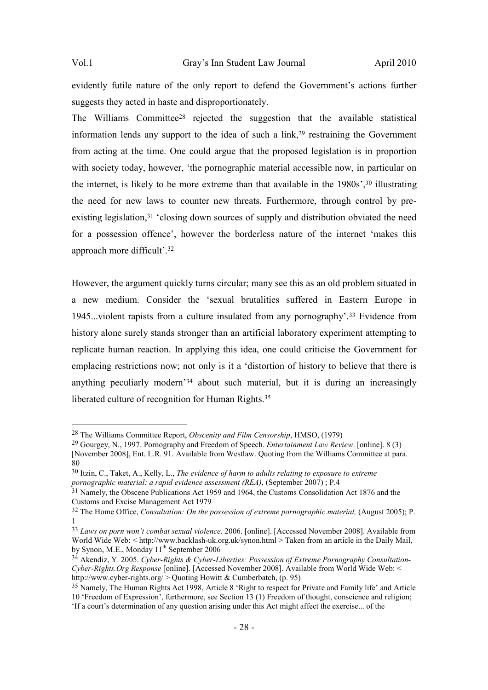evidently futile nature of the only report to defend the Government's actions further suggests they acted in haste and disproportionately.

The Williams Committee<sup>28</sup> rejected the suggestion that the available statistical information lends any support to the idea of such a link, $29$  restraining the Government from acting at the time. One could argue that the proposed legislation is in proportion with society today, however, 'the pornographic material accessible now, in particular on the internet, is likely to be more extreme than that available in the 1980s',30 illustrating the need for new laws to counter new threats. Furthermore, through control by preexisting legislation,<sup>31</sup> 'closing down sources of supply and distribution obviated the need for a possession offence', however the borderless nature of the internet 'makes this approach more difficult'.<sup>32</sup>

However, the argument quickly turns circular; many see this as an old problem situated in a new medium. Consider the 'sexual brutalities suffered in Eastern Europe in 1945...violent rapists from a culture insulated from any pornography'.33 Evidence from history alone surely stands stronger than an artificial laboratory experiment attempting to replicate human reaction. In applying this idea, one could criticise the Government for emplacing restrictions now; not only is it a 'distortion of history to believe that there is anything peculiarly modern'34 about such material, but it is during an increasingly liberated culture of recognition for Human Rights.<sup>35</sup>

<sup>28</sup> The Williams Committee Report, *Obscenity and Film Censorship*, HMSO, (1979)

<sup>29</sup> Gourgey, N., 1997. Pornography and Freedom of Speech. *Entertainment Law Review*. [online]. 8 (3) [November 2008], Ent. L.R. 91. Available from Westlaw. Quoting from the Williams Committee at para. 80

<sup>30</sup> Itzin, C., Taket, A., Kelly, L., *The evidence of harm to adults relating to exposure to extreme pornographic material: a rapid evidence assessment (REA)*, (September 2007) ; P.4

<sup>&</sup>lt;sup>31</sup> Namely, the Obscene Publications Act 1959 and 1964, the Customs Consolidation Act 1876 and the Customs and Excise Management Act 1979

<sup>32</sup> The Home Office, *Consultation: On the possession of extreme pornographic material,* (August 2005); P. 1

<sup>33</sup> *Laws on porn won't combat sexual violence*. 2006. [online]. [Accessed November 2008]. Available from World Wide Web: < http://www.backlash-uk.org.uk/synon.html > Taken from an article in the Daily Mail, by Synon, M.E., Monday  $11<sup>th</sup>$  September 2006

<sup>34</sup> Akendiz, Y. 2005. *Cyber-Rights & Cyber-Liberties: Possession of Extreme Pornography Consultation-Cyber-Rights.Org Response* [online]. [Accessed November 2008]. Available from World Wide Web: < http://www.cyber-rights.org/ > Quoting Howitt & Cumberbatch, (p. 95)

<sup>&</sup>lt;sup>35</sup> Namely, The Human Rights Act 1998, Article 8 'Right to respect for Private and Family life' and Article 10 'Freedom of Expression', furthermore, see Section 13 (1) Freedom of thought, conscience and religion; 'If a court's determination of any question arising under this Act might affect the exercise... of the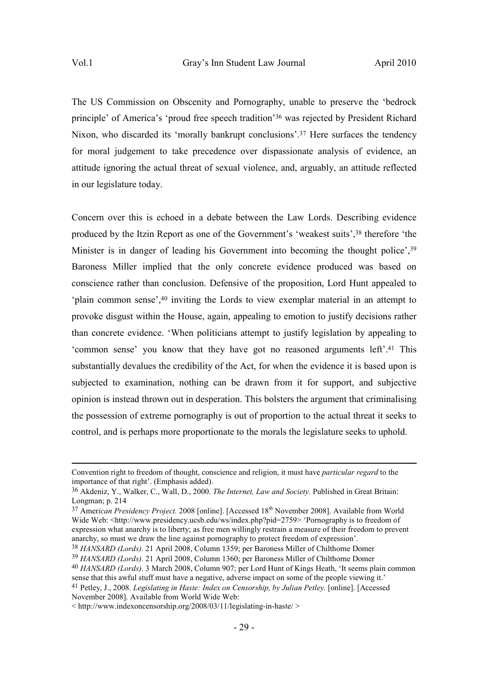$\overline{a}$ 

The US Commission on Obscenity and Pornography, unable to preserve the 'bedrock principle' of America's 'proud free speech tradition'<sup>36</sup> was rejected by President Richard Nixon, who discarded its 'morally bankrupt conclusions'.<sup>37</sup> Here surfaces the tendency for moral judgement to take precedence over dispassionate analysis of evidence, an attitude ignoring the actual threat of sexual violence, and, arguably, an attitude reflected in our legislature today.

Concern over this is echoed in a debate between the Law Lords. Describing evidence produced by the Itzin Report as one of the Government's 'weakest suits',38 therefore 'the Minister is in danger of leading his Government into becoming the thought police',<sup>39</sup> Baroness Miller implied that the only concrete evidence produced was based on conscience rather than conclusion. Defensive of the proposition, Lord Hunt appealed to 'plain common sense',40 inviting the Lords to view exemplar material in an attempt to provoke disgust within the House, again, appealing to emotion to justify decisions rather than concrete evidence. 'When politicians attempt to justify legislation by appealing to 'common sense' you know that they have got no reasoned arguments left'.41 This substantially devalues the credibility of the Act, for when the evidence it is based upon is subjected to examination, nothing can be drawn from it for support, and subjective opinion is instead thrown out in desperation. This bolsters the argument that criminalising the possession of extreme pornography is out of proportion to the actual threat it seeks to control, and is perhaps more proportionate to the morals the legislature seeks to uphold.

Convention right to freedom of thought, conscience and religion, it must have *particular regard* to the importance of that right'. (Emphasis added).

<sup>36</sup> Akdeniz, Y., Walker, C., Wall, D., 2000. *The Internet, Law and Society.* Published in Great Britain: Longman;  $p. 214$ 

<sup>37</sup> Amer*ican Presidency Project.* 2008 [online]. [Accessed 18th November 2008]. Available from World Wide Web: <http://www.presidency.ucsb.edu/ws/index.php?pid=2759> 'Pornography is to freedom of expression what anarchy is to liberty; as free men willingly restrain a measure of their freedom to prevent anarchy, so must we draw the line against pornography to protect freedom of expression'.

<sup>38</sup> *HANSARD (Lords).* 21 April 2008, Column 1359; per Baroness Miller of Chilthorne Domer

<sup>39</sup> *HANSARD (Lords).* 21 April 2008, Column 1360; per Baroness Miller of Chilthorne Domer

<sup>40</sup> *HANSARD (Lords).* 3 March 2008, Column 907; per Lord Hunt of Kings Heath, 'It seems plain common sense that this awful stuff must have a negative, adverse impact on some of the people viewing it.'

<sup>41</sup> Petley, J., 2008. *Legislating in Haste: Index on Censorship, by Julian Petley.* [online]. [Accessed November 2008]. Available from World Wide Web:

 $\langle$  http://www.indexoncensorship.org/2008/03/11/legislating-in-haste/ $>$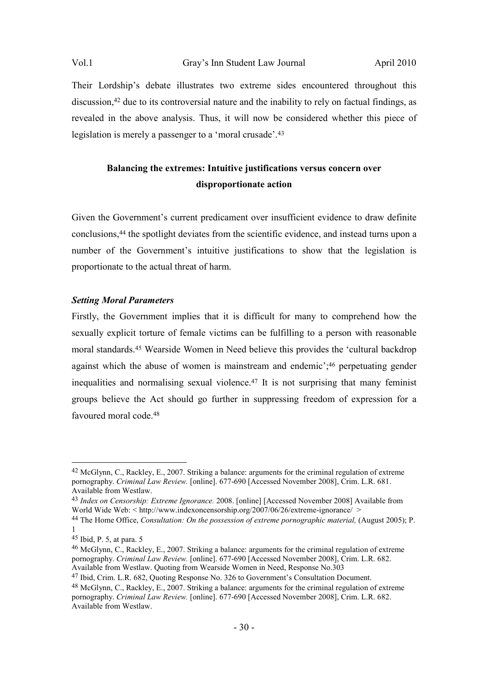Their Lordship's debate illustrates two extreme sides encountered throughout this discussion,<sup>42</sup> due to its controversial nature and the inability to rely on factual findings, as revealed in the above analysis. Thus, it will now be considered whether this piece of legislation is merely a passenger to a 'moral crusade'.<sup>43</sup>

# **Balancing the extremes: Intuitive justifications versus concern over disproportionate action**

Given the Government's current predicament over insufficient evidence to draw definite conclusions,44 the spotlight deviates from the scientific evidence, and instead turns upon a number of the Government's intuitive justifications to show that the legislation is proportionate to the actual threat of harm.

# *Setting Moral Parameters*

Firstly, the Government implies that it is difficult for many to comprehend how the sexually explicit torture of female victims can be fulfilling to a person with reasonable moral standards.45 Wearside Women in Need believe this provides the 'cultural backdrop against which the abuse of women is mainstream and endemic';<sup>46</sup> perpetuating gender inequalities and normalising sexual violence.47 It is not surprising that many feminist groups believe the Act should go further in suppressing freedom of expression for a favoured moral code.<sup>48</sup>

<sup>42</sup> McGlynn, C., Rackley, E., 2007. Striking a balance: arguments for the criminal regulation of extreme pornography. *Criminal Law Review.* [online]. 677-690 [Accessed November 2008], Crim. L.R. 681. Available from Westlaw.

<sup>43</sup> *Index on Censorship: Extreme Ignorance.* 2008. [online] [Accessed November 2008] Available from World Wide Web: < http://www.indexoncensorship.org/2007/06/26/extreme-ignorance/ >

<sup>44</sup> The Home Office, *Consultation: On the possession of extreme pornographic material,* (August 2005); P.

<sup>1</sup> 

<sup>45</sup> Ibid, P. 5, at para. 5

<sup>46</sup> McGlynn, C., Rackley, E., 2007. Striking a balance: arguments for the criminal regulation of extreme pornography. *Criminal Law Review.* [online]. 677-690 [Accessed November 2008], Crim. L.R. 682. Available from Westlaw. Quoting from Wearside Women in Need, Response No.303

<sup>47</sup> Ibid, Crim. L.R. 682, Quoting Response No. 326 to Government's Consultation Document.

<sup>48</sup> McGlynn, C., Rackley, E., 2007. Striking a balance: arguments for the criminal regulation of extreme pornography. *Criminal Law Review.* [online]. 677-690 [Accessed November 2008], Crim. L.R. 682. Available from Westlaw.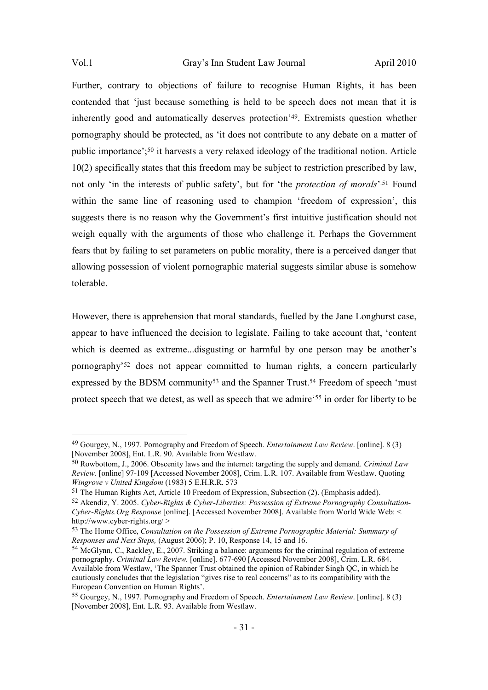Further, contrary to objections of failure to recognise Human Rights, it has been contended that 'just because something is held to be speech does not mean that it is inherently good and automatically deserves protection'<sup>49</sup>. Extremists question whether pornography should be protected, as 'it does not contribute to any debate on a matter of public importance';50 it harvests a very relaxed ideology of the traditional notion. Article 10(2) specifically states that this freedom may be subject to restriction prescribed by law, not only 'in the interests of public safety', but for 'the *protection of morals*'.<sup>51</sup> Found within the same line of reasoning used to champion 'freedom of expression', this suggests there is no reason why the Government's first intuitive justification should not weigh equally with the arguments of those who challenge it. Perhaps the Government fears that by failing to set parameters on public morality, there is a perceived danger that allowing possession of violent pornographic material suggests similar abuse is somehow tolerable.

However, there is apprehension that moral standards, fuelled by the Jane Longhurst case, appear to have influenced the decision to legislate. Failing to take account that, 'content which is deemed as extreme...disgusting or harmful by one person may be another's pornography'<sup>52</sup> does not appear committed to human rights, a concern particularly expressed by the BDSM community<sup>53</sup> and the Spanner Trust.<sup>54</sup> Freedom of speech 'must protect speech that we detest, as well as speech that we admire'55 in order for liberty to be

<sup>49</sup> Gourgey, N., 1997. Pornography and Freedom of Speech. *Entertainment Law Review*. [online]. 8 (3) [November 2008], Ent. L.R. 90. Available from Westlaw.

<sup>50</sup> Rowbottom, J., 2006. Obscenity laws and the internet: targeting the supply and demand. *Criminal Law Review.* [online] 97-109 [Accessed November 2008], Crim. L.R. 107. Available from Westlaw. Quoting *Wingrove v United Kingdom* (1983) 5 E.H.R.R. 573

<sup>51</sup> The Human Rights Act, Article 10 Freedom of Expression, Subsection (2). (Emphasis added).

<sup>52</sup> Akendiz, Y. 2005. *Cyber-Rights & Cyber-Liberties: Possession of Extreme Pornography Consultation-Cyber-Rights.Org Response* [online]. [Accessed November 2008]. Available from World Wide Web: < http://www.cyber-rights.org/ >

<sup>53</sup> The Home Office, *Consultation on the Possession of Extreme Pornographic Material: Summary of Responses and Next Steps,* (August 2006); P. 10, Response 14, 15 and 16.

<sup>54</sup> McGlynn, C., Rackley, E., 2007. Striking a balance: arguments for the criminal regulation of extreme pornography. *Criminal Law Review.* [online]. 677-690 [Accessed November 2008], Crim. L.R. 684. Available from Westlaw, 'The Spanner Trust obtained the opinion of Rabinder Singh QC, in which he cautiously concludes that the legislation "gives rise to real concerns" as to its compatibility with the European Convention on Human Rights'.

<sup>55</sup> Gourgey, N., 1997. Pornography and Freedom of Speech. *Entertainment Law Review*. [online]. 8 (3) [November 2008], Ent. L.R. 93. Available from Westlaw.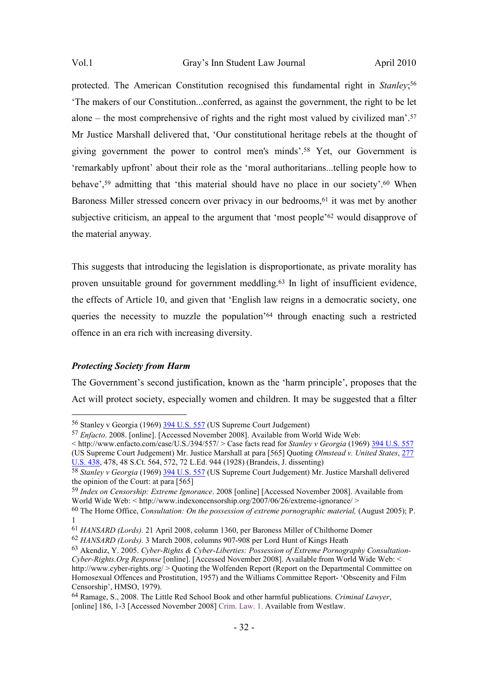protected. The American Constitution recognised this fundamental right in *Stanley*; 56 'The makers of our Constitution...conferred, as against the government, the right to be let alone – the most comprehensive of rights and the right most valued by civilized man'.<sup>57</sup> Mr Justice Marshall delivered that, 'Our constitutional heritage rebels at the thought of giving government the power to control men's minds'. <sup>58</sup> Yet, our Government is 'remarkably upfront' about their role as the 'moral authoritarians...telling people how to behave',59 admitting that 'this material should have no place in our society'.60 When Baroness Miller stressed concern over privacy in our bedrooms,<sup>61</sup> it was met by another subjective criticism, an appeal to the argument that 'most people'<sup>62</sup> would disapprove of the material anyway.

This suggests that introducing the legislation is disproportionate, as private morality has proven unsuitable ground for government meddling.<sup>63</sup> In light of insufficient evidence, the effects of Article 10, and given that 'English law reigns in a democratic society, one queries the necessity to muzzle the population'64 through enacting such a restricted offence in an era rich with increasing diversity.

## *Protecting Society from Harm*

 $\overline{a}$ 

The Government's second justification, known as the 'harm principle', proposes that the Act will protect society, especially women and children. It may be suggested that a filter

<sup>56</sup> Stanley v Georgia (1969) 394 U.S. 557 (US Supreme Court Judgement)

<sup>57</sup> *Enfacto*. 2008. [online]. [Accessed November 2008]. Available from World Wide Web:

<sup>&</sup>lt; http://www.enfacto.com/case/U.S./394/557/ > Case facts read for *Stanley v Georgia* (1969) 394 U.S. 557 (US Supreme Court Judgement) Mr. Justice Marshall at para [565] Quoting *Olmstead v. United States*, 277 U.S. 438, 478, 48 S.Ct. 564, 572, 72 L.Ed. 944 (1928) (Brandeis, J. dissenting)

<sup>58</sup> *Stanley v Georgia* (1969) 394 U.S. 557 (US Supreme Court Judgement) Mr. Justice Marshall delivered the opinion of the Court: at para [565]

<sup>59</sup> *Index on Censorship: Extreme Ignorance*. 2008 [online] [Accessed November 2008]. Available from World Wide Web: < http://www.indexoncensorship.org/2007/06/26/extreme-ignorance/ >

<sup>60</sup> The Home Office, *Consultation: On the possession of extreme pornographic material,* (August 2005); P. 1

<sup>61</sup> *HANSARD (Lords).* 21 April 2008, column 1360, per Baroness Miller of Chilthorne Domer

<sup>62</sup> *HANSARD (Lords).* 3 March 2008, columns 907-908 per Lord Hunt of Kings Heath

<sup>63</sup> Akendiz, Y. 2005. *Cyber-Rights & Cyber-Liberties: Possession of Extreme Pornography Consultation-Cyber-Rights.Org Response* [online]. [Accessed November 2008]. Available from World Wide Web: < http://www.cyber-rights.org/ > Quoting the Wolfenden Report (Report on the Departmental Committee on Homosexual Offences and Prostitution, 1957) and the Williams Committee Report- 'Obscenity and Film Censorship', HMSO, 1979).

<sup>64</sup> Ramage, S., 2008. The Little Red School Book and other harmful publications. *Criminal Lawyer*, [online] 186, 1-3 [Accessed November 2008] Crim. Law. 1. Available from Westlaw.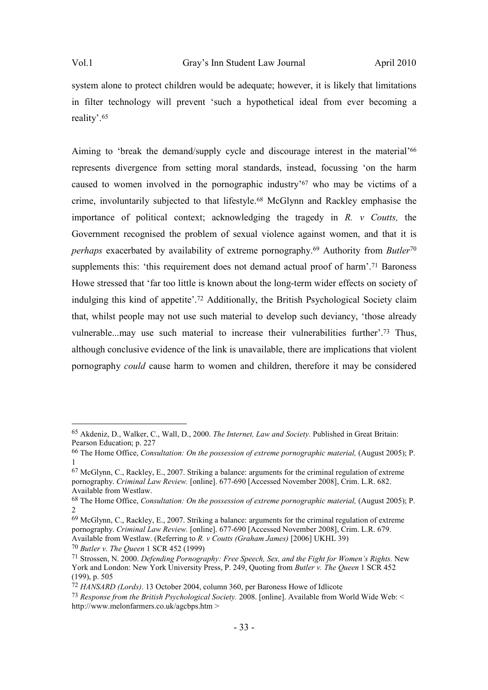$\overline{a}$ 

system alone to protect children would be adequate; however, it is likely that limitations in filter technology will prevent 'such a hypothetical ideal from ever becoming a reality'.<sup>65</sup>

Aiming to 'break the demand/supply cycle and discourage interest in the material'<sup>66</sup> represents divergence from setting moral standards, instead, focussing 'on the harm caused to women involved in the pornographic industry'67 who may be victims of a crime, involuntarily subjected to that lifestyle.<sup>68</sup> McGlynn and Rackley emphasise the importance of political context; acknowledging the tragedy in *R. v Coutts,* the Government recognised the problem of sexual violence against women, and that it is *perhaps* exacerbated by availability of extreme pornography. <sup>69</sup> Authority from *Butler*<sup>70</sup> supplements this: 'this requirement does not demand actual proof of harm'.<sup>71</sup> Baroness Howe stressed that 'far too little is known about the long-term wider effects on society of indulging this kind of appetite'.72 Additionally, the British Psychological Society claim that, whilst people may not use such material to develop such deviancy, 'those already vulnerable...may use such material to increase their vulnerabilities further'.<sup>73</sup> Thus, although conclusive evidence of the link is unavailable, there are implications that violent pornography *could* cause harm to women and children, therefore it may be considered

<sup>65</sup> Akdeniz, D., Walker, C., Wall, D., 2000. *The Internet, Law and Society.* Published in Great Britain: Pearson Education; p. 227

<sup>66</sup> The Home Office, *Consultation: On the possession of extreme pornographic material,* (August 2005); P. 1

<sup>67</sup> McGlynn, C., Rackley, E., 2007. Striking a balance: arguments for the criminal regulation of extreme pornography. *Criminal Law Review.* [online]. 677-690 [Accessed November 2008], Crim. L.R. 682. Available from Westlaw.

<sup>68</sup> The Home Office, *Consultation: On the possession of extreme pornographic material,* (August 2005); P. 2

 $69$  McGlynn, C., Rackley, E., 2007. Striking a balance: arguments for the criminal regulation of extreme pornography. *Criminal Law Review.* [online]. 677-690 [Accessed November 2008], Crim. L.R. 679. Available from Westlaw. (Referring to *R. v Coutts (Graham James)* [2006] UKHL 39)

<sup>70</sup> *Butler v. The Queen* 1 SCR 452 (1999)

<sup>71</sup> Strossen, N. 2000. *Defending Pornography: Free Speech, Sex, and the Fight for Women's Rights.* New York and London: New York University Press, P. 249, Quoting from *Butler v. The Queen* 1 SCR 452 (199), p. 505

<sup>72</sup> *HANSARD (Lords)*. 13 October 2004, column 360, per Baroness Howe of Idlicote

<sup>73</sup> *Response from the British Psychological Society.* 2008. [online]. Available from World Wide Web: < http://www.melonfarmers.co.uk/agcbps.htm >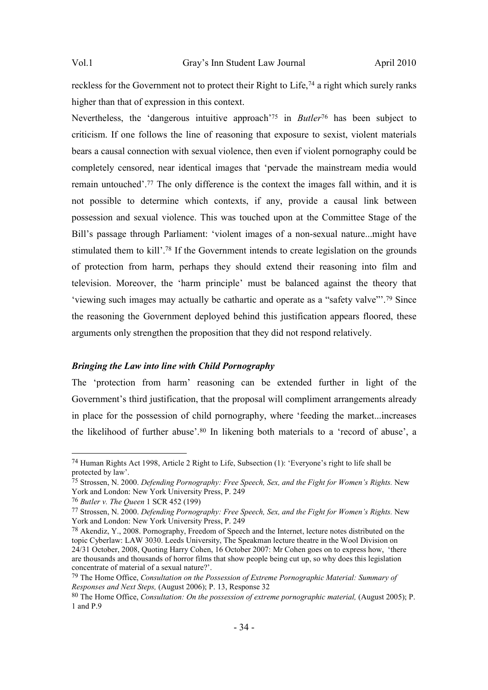reckless for the Government not to protect their Right to Life,<sup>74</sup> a right which surely ranks higher than that of expression in this context.

Nevertheless, the 'dangerous intuitive approach'<sup>75</sup> in *Butler*<sup>76</sup> has been subject to criticism. If one follows the line of reasoning that exposure to sexist, violent materials bears a causal connection with sexual violence, then even if violent pornography could be completely censored, near identical images that 'pervade the mainstream media would remain untouched'.77 The only difference is the context the images fall within, and it is not possible to determine which contexts, if any, provide a causal link between possession and sexual violence. This was touched upon at the Committee Stage of the Bill's passage through Parliament: 'violent images of a non-sexual nature...might have stimulated them to kill'.<sup>78</sup> If the Government intends to create legislation on the grounds of protection from harm, perhaps they should extend their reasoning into film and television. Moreover, the 'harm principle' must be balanced against the theory that 'viewing such images may actually be cathartic and operate as a "safety valve"'.79 Since the reasoning the Government deployed behind this justification appears floored, these arguments only strengthen the proposition that they did not respond relatively.

### *Bringing the Law into line with Child Pornography*

The 'protection from harm' reasoning can be extended further in light of the Government's third justification, that the proposal will compliment arrangements already in place for the possession of child pornography, where 'feeding the market...increases the likelihood of further abuse'.80 In likening both materials to a 'record of abuse', a

<sup>74</sup> Human Rights Act 1998, Article 2 Right to Life, Subsection (1): 'Everyone's right to life shall be protected by law'.

<sup>75</sup> Strossen, N. 2000. *Defending Pornography: Free Speech, Sex, and the Fight for Women's Rights.* New York and London: New York University Press, P. 249

<sup>76</sup> *Butler v. The Queen* 1 SCR 452 (199)

<sup>77</sup> Strossen, N. 2000. *Defending Pornography: Free Speech, Sex, and the Fight for Women's Rights.* New York and London: New York University Press, P. 249

<sup>78</sup> Akendiz, Y., 2008. Pornography, Freedom of Speech and the Internet, lecture notes distributed on the topic Cyberlaw: LAW 3030. Leeds University, The Speakman lecture theatre in the Wool Division on 24/31 October, 2008, Quoting Harry Cohen, 16 October 2007: Mr Cohen goes on to express how, 'there are thousands and thousands of horror films that show people being cut up, so why does this legislation concentrate of material of a sexual nature?'.

<sup>79</sup> The Home Office, *Consultation on the Possession of Extreme Pornographic Material: Summary of Responses and Next Steps,* (August 2006); P. 13, Response 32

<sup>80</sup> The Home Office, *Consultation: On the possession of extreme pornographic material,* (August 2005); P. 1 and P.9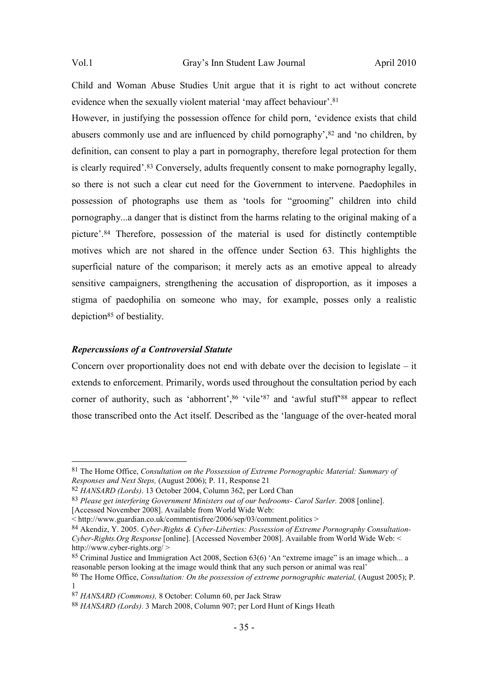Child and Woman Abuse Studies Unit argue that it is right to act without concrete evidence when the sexually violent material 'may affect behaviour'.<sup>81</sup>

However, in justifying the possession offence for child porn, 'evidence exists that child abusers commonly use and are influenced by child pornography',<sup>82</sup> and 'no children, by definition, can consent to play a part in pornography, therefore legal protection for them is clearly required'.<sup>83</sup> Conversely, adults frequently consent to make pornography legally, so there is not such a clear cut need for the Government to intervene. Paedophiles in possession of photographs use them as 'tools for "grooming" children into child pornography...a danger that is distinct from the harms relating to the original making of a picture'.84 Therefore, possession of the material is used for distinctly contemptible motives which are not shared in the offence under Section 63. This highlights the superficial nature of the comparison; it merely acts as an emotive appeal to already sensitive campaigners, strengthening the accusation of disproportion, as it imposes a stigma of paedophilia on someone who may, for example, posses only a realistic depiction85 of bestiality.

## *Repercussions of a Controversial Statute*

 $\overline{a}$ 

Concern over proportionality does not end with debate over the decision to legislate – it extends to enforcement. Primarily, words used throughout the consultation period by each corner of authority, such as 'abhorrent', $86$  'vile' $87$  and 'awful stuff' $88$  appear to reflect those transcribed onto the Act itself. Described as the 'language of the over-heated moral

<sup>81</sup> The Home Office, *Consultation on the Possession of Extreme Pornographic Material: Summary of Responses and Next Steps,* (August 2006); P. 11, Response 21

<sup>82</sup> *HANSARD (Lords)*. 13 October 2004, Column 362, per Lord Chan

<sup>83</sup> *Please get interfering Government Ministers out of our bedrooms- Carol Sarler.* 2008 [online]. [Accessed November 2008]. Available from World Wide Web:

 $\approx$  http://www.guardian.co.uk/commentisfree/2006/sep/03/comment.politics  $>$ 

<sup>84</sup> Akendiz, Y. 2005. *Cyber-Rights & Cyber-Liberties: Possession of Extreme Pornography Consultation-Cyber-Rights.Org Response* [online]. [Accessed November 2008]. Available from World Wide Web: < http://www.cyber-rights.org/ >

<sup>85</sup> Criminal Justice and Immigration Act 2008, Section 63(6) 'An "extreme image" is an image which... a reasonable person looking at the image would think that any such person or animal was real' <sup>86</sup> The Home Office, *Consultation: On the possession of extreme pornographic material,* (August 2005); P.

<sup>1</sup> 

<sup>87</sup> *HANSARD (Commons),* 8 October: Column 60, per Jack Straw

<sup>88</sup> *HANSARD (Lords).* 3 March 2008, Column 907; per Lord Hunt of Kings Heath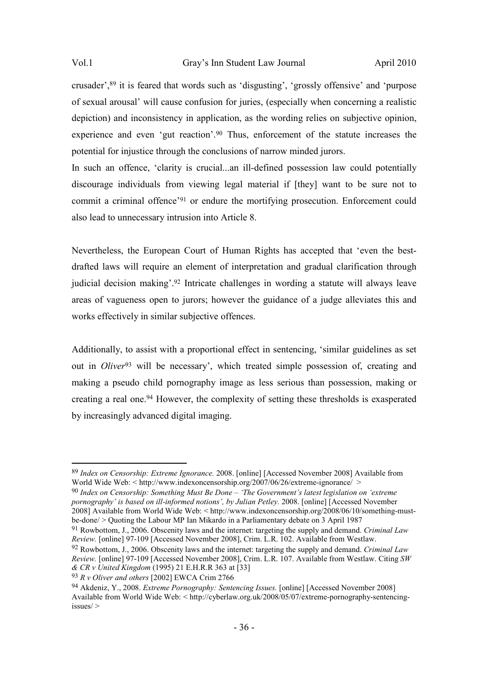crusader',<sup>89</sup> it is feared that words such as 'disgusting', 'grossly offensive' and 'purpose of sexual arousal' will cause confusion for juries, (especially when concerning a realistic depiction) and inconsistency in application, as the wording relies on subjective opinion, experience and even 'gut reaction'.90 Thus, enforcement of the statute increases the potential for injustice through the conclusions of narrow minded jurors.

In such an offence, 'clarity is crucial...an ill-defined possession law could potentially discourage individuals from viewing legal material if [they] want to be sure not to commit a criminal offence'<sup>91</sup> or endure the mortifying prosecution. Enforcement could also lead to unnecessary intrusion into Article 8.

Nevertheless, the European Court of Human Rights has accepted that 'even the bestdrafted laws will require an element of interpretation and gradual clarification through judicial decision making'.<sup>92</sup> Intricate challenges in wording a statute will always leave areas of vagueness open to jurors; however the guidance of a judge alleviates this and works effectively in similar subjective offences.

Additionally, to assist with a proportional effect in sentencing, 'similar guidelines as set out in *Oliver*<sup>93</sup> will be necessary', which treated simple possession of, creating and making a pseudo child pornography image as less serious than possession, making or creating a real one.94 However, the complexity of setting these thresholds is exasperated by increasingly advanced digital imaging.

<sup>90</sup> *Index on Censorship: Something Must Be Done – 'The Government's latest legislation on 'extreme pornography' is based on ill-informed notions', by Julian Petley.* 2008. [online] [Accessed November 2008] Available from World Wide Web: < http://www.indexoncensorship.org/2008/06/10/something-mustbe-done/ > Quoting the Labour MP Ian Mikardo in a Parliamentary debate on 3 April 1987

<sup>91</sup> Rowbottom, J., 2006. Obscenity laws and the internet: targeting the supply and demand. *Criminal Law Review.* [online] 97-109 [Accessed November 2008], Crim. L.R. 102. Available from Westlaw.

<sup>89</sup> *Index on Censorship: Extreme Ignorance.* 2008. [online] [Accessed November 2008] Available from World Wide Web: < http://www.indexoncensorship.org/2007/06/26/extreme-ignorance/ >

<sup>92</sup> Rowbottom, J., 2006. Obscenity laws and the internet: targeting the supply and demand. *Criminal Law Review.* [online] 97-109 [Accessed November 2008], Crim. L.R. 107. Available from Westlaw. Citing *SW & CR v United Kingdom* (1995) 21 E.H.R.R 363 at [33]

<sup>93</sup> *R v Oliver and others* [2002] EWCA Crim 2766

<sup>94</sup> Akdeniz, Y., 2008. *Extreme Pornography: Sentencing Issues.* [online] [Accessed November 2008] Available from World Wide Web: < http://cyberlaw.org.uk/2008/05/07/extreme-pornography-sentencingissues/ >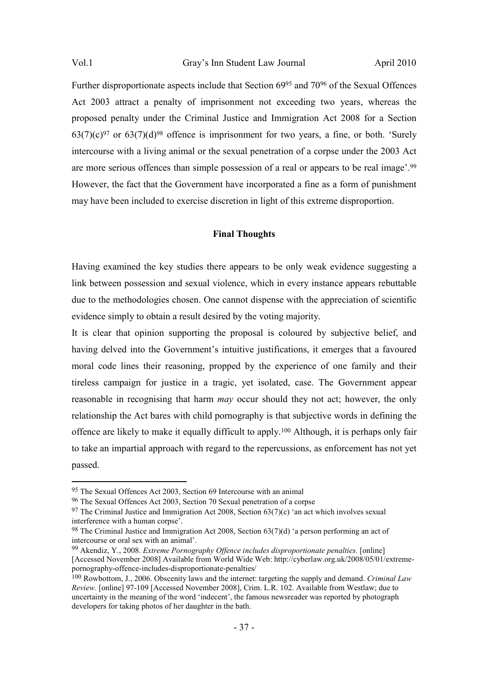Further disproportionate aspects include that Section 69<sup>95</sup> and 70<sup>96</sup> of the Sexual Offences Act 2003 attract a penalty of imprisonment not exceeding two years, whereas the proposed penalty under the Criminal Justice and Immigration Act 2008 for a Section  $63(7)(c)^{97}$  or  $63(7)(d)^{98}$  offence is imprisonment for two years, a fine, or both. 'Surely intercourse with a living animal or the sexual penetration of a corpse under the 2003 Act are more serious offences than simple possession of a real or appears to be real image'.<sup>99</sup> However, the fact that the Government have incorporated a fine as a form of punishment may have been included to exercise discretion in light of this extreme disproportion.

# **Final Thoughts**

Having examined the key studies there appears to be only weak evidence suggesting a link between possession and sexual violence, which in every instance appears rebuttable due to the methodologies chosen. One cannot dispense with the appreciation of scientific evidence simply to obtain a result desired by the voting majority.

It is clear that opinion supporting the proposal is coloured by subjective belief, and having delved into the Government's intuitive justifications, it emerges that a favoured moral code lines their reasoning, propped by the experience of one family and their tireless campaign for justice in a tragic, yet isolated, case. The Government appear reasonable in recognising that harm *may* occur should they not act; however, the only relationship the Act bares with child pornography is that subjective words in defining the offence are likely to make it equally difficult to apply.100 Although, it is perhaps only fair to take an impartial approach with regard to the repercussions, as enforcement has not yet passed.

<sup>95</sup> The Sexual Offences Act 2003, Section 69 Intercourse with an animal

<sup>96</sup> The Sexual Offences Act 2003, Section 70 Sexual penetration of a corpse

<sup>&</sup>lt;sup>97</sup> The Criminal Justice and Immigration Act 2008, Section  $63(7)(c)$  'an act which involves sexual interference with a human corpse'.

<sup>98</sup> The Criminal Justice and Immigration Act 2008, Section 63(7)(d) 'a person performing an act of intercourse or oral sex with an animal'.

<sup>99</sup> Akendiz, Y., 2008. *Extreme Pornography Offence includes disproportionate penalties.* [online] [Accessed November 2008] Available from World Wide Web: http://cyberlaw.org.uk/2008/05/01/extremepornography-offence-includes-disproportionate-penalties/

<sup>100</sup> Rowbottom, J., 2006. Obscenity laws and the internet: targeting the supply and demand. *Criminal Law Review.* [online] 97-109 [Accessed November 2008], Crim. L.R. 102. Available from Westlaw; due to uncertainty in the meaning of the word 'indecent', the famous newsreader was reported by photograph developers for taking photos of her daughter in the bath.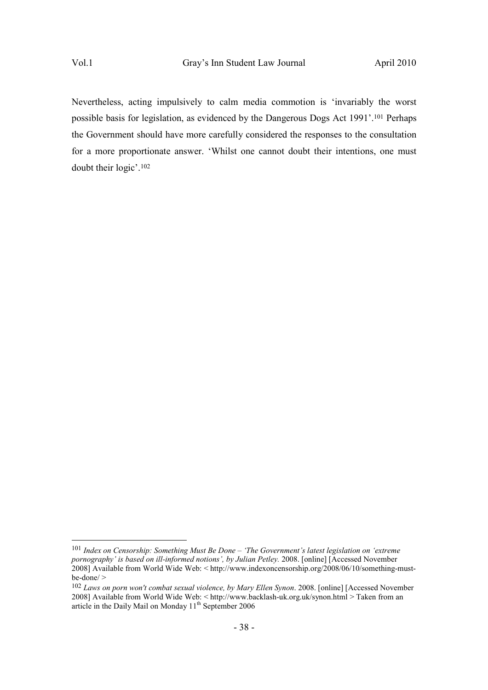$\overline{a}$ 

Nevertheless, acting impulsively to calm media commotion is 'invariably the worst possible basis for legislation, as evidenced by the Dangerous Dogs Act 1991'.<sup>101</sup> Perhaps the Government should have more carefully considered the responses to the consultation for a more proportionate answer. 'Whilst one cannot doubt their intentions, one must doubt their logic'.<sup>102</sup>

<sup>101</sup> *Index on Censorship: Something Must Be Done – 'The Government's latest legislation on 'extreme pornography' is based on ill-informed notions', by Julian Petley.* 2008. [online] [Accessed November 2008] Available from World Wide Web: < http://www.indexoncensorship.org/2008/06/10/something-mustbe-done/ >

<sup>102</sup> *Laws on porn won't combat sexual violence, by Mary Ellen Synon*. 2008. [online] [Accessed November 2008] Available from World Wide Web: < http://www.backlash-uk.org.uk/synon.html > Taken from an article in the Daily Mail on Monday 11th September 2006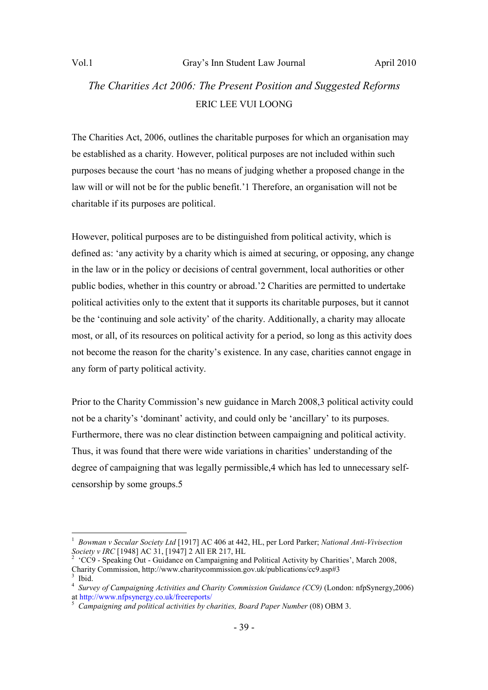# *The Charities Act 2006: The Present Position and Suggested Reforms*  ERIC LEE VUI LOONG

The Charities Act, 2006, outlines the charitable purposes for which an organisation may be established as a charity. However, political purposes are not included within such purposes because the court 'has no means of judging whether a proposed change in the law will or will not be for the public benefit.'1 Therefore, an organisation will not be charitable if its purposes are political.

However, political purposes are to be distinguished from political activity, which is defined as: 'any activity by a charity which is aimed at securing, or opposing, any change in the law or in the policy or decisions of central government, local authorities or other public bodies, whether in this country or abroad.'2 Charities are permitted to undertake political activities only to the extent that it supports its charitable purposes, but it cannot be the 'continuing and sole activity' of the charity. Additionally, a charity may allocate most, or all, of its resources on political activity for a period, so long as this activity does not become the reason for the charity's existence. In any case, charities cannot engage in any form of party political activity.

Prior to the Charity Commission's new guidance in March 2008,3 political activity could not be a charity's 'dominant' activity, and could only be 'ancillary' to its purposes. Furthermore, there was no clear distinction between campaigning and political activity. Thus, it was found that there were wide variations in charities' understanding of the degree of campaigning that was legally permissible,4 which has led to unnecessary selfcensorship by some groups.5

<sup>1</sup> *Bowman v Secular Society Ltd* [1917] AC 406 at 442, HL, per Lord Parker; *National Anti-Vivisection*  Society v IRC [1948] AC 31, [1947] 2 All ER 217, HL<br><sup>2</sup> 'CC9 - Speaking Out - Guidance on Campaigning and Political Activity by Charities', March 2008,

Charity Commission, http://www.charitycommission.gov.uk/publications/cc9.asp#3 3

Ibid.

<sup>&</sup>lt;sup>4</sup> Survey of Campaigning Activities and Charity Commission Guidance (CC9) (London: nfpSynergy,2006) at http://www.nfpsynergy.co.uk/freereports/

<sup>5</sup> *Campaigning and political activities by charities, Board Paper Number* (08) OBM 3.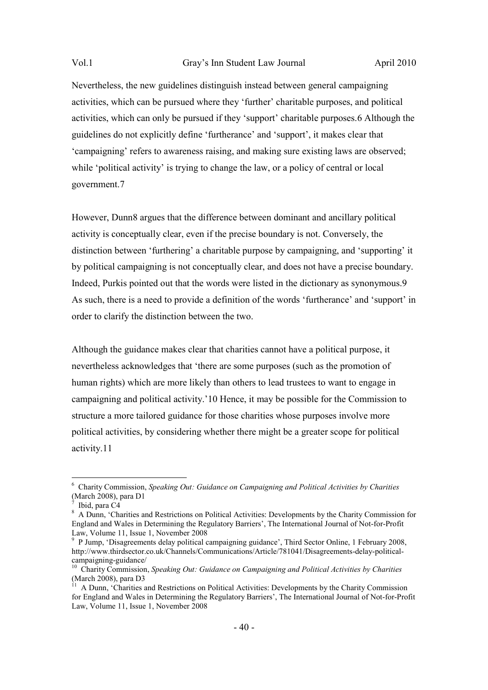Nevertheless, the new guidelines distinguish instead between general campaigning activities, which can be pursued where they 'further' charitable purposes, and political activities, which can only be pursued if they 'support' charitable purposes.6 Although the guidelines do not explicitly define 'furtherance' and 'support', it makes clear that 'campaigning' refers to awareness raising, and making sure existing laws are observed; while 'political activity' is trying to change the law, or a policy of central or local government.7

However, Dunn8 argues that the difference between dominant and ancillary political activity is conceptually clear, even if the precise boundary is not. Conversely, the distinction between 'furthering' a charitable purpose by campaigning, and 'supporting' it by political campaigning is not conceptually clear, and does not have a precise boundary. Indeed, Purkis pointed out that the words were listed in the dictionary as synonymous.9 As such, there is a need to provide a definition of the words 'furtherance' and 'support' in order to clarify the distinction between the two.

Although the guidance makes clear that charities cannot have a political purpose, it nevertheless acknowledges that 'there are some purposes (such as the promotion of human rights) which are more likely than others to lead trustees to want to engage in campaigning and political activity.'10 Hence, it may be possible for the Commission to structure a more tailored guidance for those charities whose purposes involve more political activities, by considering whether there might be a greater scope for political activity.11

<sup>&</sup>lt;sup>6</sup> Charity Commission, *Speaking Out: Guidance on Campaigning and Political Activities by Charities* (March 2008), para D1

<sup>7</sup> Ibid, para C4

<sup>&</sup>lt;sup>8</sup> A Dunn, 'Charities and Restrictions on Political Activities: Developments by the Charity Commission for England and Wales in Determining the Regulatory Barriers', The International Journal of Not-for-Profit Law, Volume 11, Issue 1, November 2008

<sup>&</sup>lt;sup>9</sup> P Jump, 'Disagreements delay political campaigning guidance', Third Sector Online, 1 February 2008, http://www.thirdsector.co.uk/Channels/Communications/Article/781041/Disagreements-delay-politicalcampaigning-guidance/

<sup>10</sup> Charity Commission, *Speaking Out: Guidance on Campaigning and Political Activities by Charities*  (March 2008), para D3

<sup>11</sup> A Dunn, 'Charities and Restrictions on Political Activities: Developments by the Charity Commission for England and Wales in Determining the Regulatory Barriers', The International Journal of Not-for-Profit Law, Volume 11, Issue 1, November 2008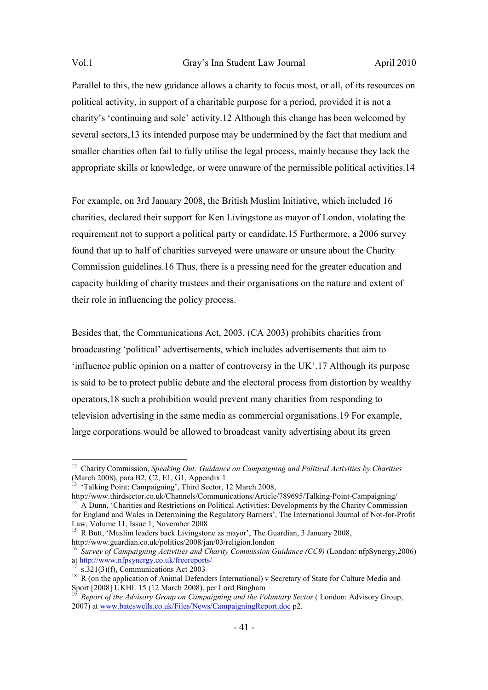Parallel to this, the new guidance allows a charity to focus most, or all, of its resources on political activity, in support of a charitable purpose for a period, provided it is not a charity's 'continuing and sole' activity.12 Although this change has been welcomed by several sectors,13 its intended purpose may be undermined by the fact that medium and smaller charities often fail to fully utilise the legal process, mainly because they lack the appropriate skills or knowledge, or were unaware of the permissible political activities.14

For example, on 3rd January 2008, the British Muslim Initiative, which included 16 charities, declared their support for Ken Livingstone as mayor of London, violating the requirement not to support a political party or candidate.15 Furthermore, a 2006 survey found that up to half of charities surveyed were unaware or unsure about the Charity Commission guidelines.16 Thus, there is a pressing need for the greater education and capacity building of charity trustees and their organisations on the nature and extent of their role in influencing the policy process.

Besides that, the Communications Act, 2003, (CA 2003) prohibits charities from broadcasting 'political' advertisements, which includes advertisements that aim to 'influence public opinion on a matter of controversy in the UK'.17 Although its purpose is said to be to protect public debate and the electoral process from distortion by wealthy operators,18 such a prohibition would prevent many charities from responding to television advertising in the same media as commercial organisations.19 For example, large corporations would be allowed to broadcast vanity advertising about its green

<sup>&</sup>lt;sup>12</sup> Charity Commission, *Speaking Out: Guidance on Campaigning and Political Activities by Charities* (March 2008), para B2, C2, E1, G1, Appendix 1

<sup>&#</sup>x27;Talking Point: Campaigning', Third Sector, 12 March 2008,

http://www.thirdsector.co.uk/Channels/Communications/Article/789695/Talking-Point-Campaigning/ <sup>14</sup> A Dunn, 'Charities and Restrictions on Political Activities: Developments by the Charity Commission for England and Wales in Determining the Regulatory Barriers', The International Journal of Not-for-Profit Law, Volume 11, Issue 1, November 2008

<sup>&</sup>lt;sup>15</sup> R Butt, 'Muslim leaders back Livingstone as mayor', The Guardian, 3 January 2008, http://www.guardian.co.uk/politics/2008/jan/03/religion.london

<sup>&</sup>lt;sup>16</sup> Survey of Campaigning Activities and Charity Commission Guidance (CC9) (London: nfpSynergy,2006) at http://www.nfpsynergy.co.uk/freereports/

 $17$  s.321(3)(f), Communications Act 2003

<sup>&</sup>lt;sup>18</sup> R (on the application of Animal Defenders International) v Secretary of State for Culture Media and Sport [2008] UKHL 15 (12 March 2008), per Lord Bingham

<sup>19</sup> *Report of the Advisory Group on Campaigning and the Voluntary Sector* ( London: Advisory Group, 2007) at www.bateswells.co.uk/Files/News/CampaigningReport.doc p2.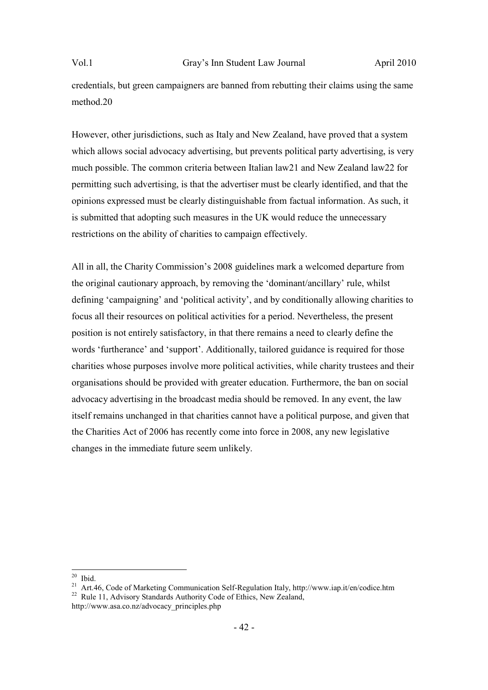credentials, but green campaigners are banned from rebutting their claims using the same method.20

However, other jurisdictions, such as Italy and New Zealand, have proved that a system which allows social advocacy advertising, but prevents political party advertising, is very much possible. The common criteria between Italian law21 and New Zealand law22 for permitting such advertising, is that the advertiser must be clearly identified, and that the opinions expressed must be clearly distinguishable from factual information. As such, it is submitted that adopting such measures in the UK would reduce the unnecessary restrictions on the ability of charities to campaign effectively.

All in all, the Charity Commission's 2008 guidelines mark a welcomed departure from the original cautionary approach, by removing the 'dominant/ancillary' rule, whilst defining 'campaigning' and 'political activity', and by conditionally allowing charities to focus all their resources on political activities for a period. Nevertheless, the present position is not entirely satisfactory, in that there remains a need to clearly define the words 'furtherance' and 'support'. Additionally, tailored guidance is required for those charities whose purposes involve more political activities, while charity trustees and their organisations should be provided with greater education. Furthermore, the ban on social advocacy advertising in the broadcast media should be removed. In any event, the law itself remains unchanged in that charities cannot have a political purpose, and given that the Charities Act of 2006 has recently come into force in 2008, any new legislative changes in the immediate future seem unlikely.

 $20$  Ibid.

<sup>21</sup> Art.46, Code of Marketing Communication Self-Regulation Italy, http://www.iap.it/en/codice.htm <sup>22</sup> Rule 11, Advisory Standards Authority Code of Ethics, New Zealand,

http://www.asa.co.nz/advocacy\_principles.php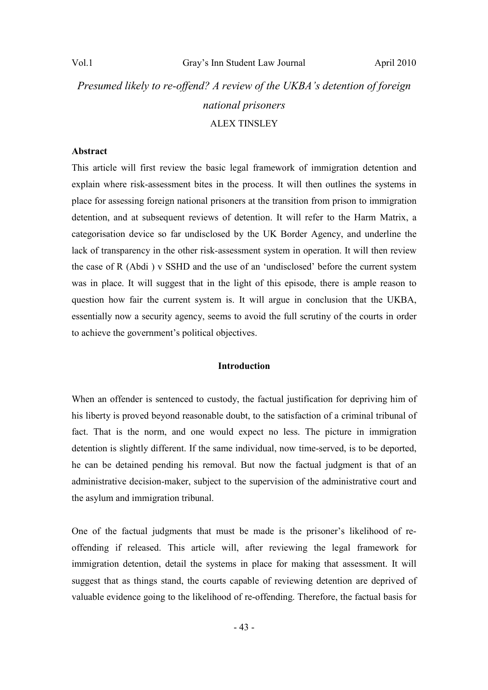# *Presumed likely to re-offend? A review of the UKBA's detention of foreign national prisoners*  ALEX TINSLEY

# **Abstract**

This article will first review the basic legal framework of immigration detention and explain where risk-assessment bites in the process. It will then outlines the systems in place for assessing foreign national prisoners at the transition from prison to immigration detention, and at subsequent reviews of detention. It will refer to the Harm Matrix, a categorisation device so far undisclosed by the UK Border Agency, and underline the lack of transparency in the other risk-assessment system in operation. It will then review the case of R (Abdi ) v SSHD and the use of an 'undisclosed' before the current system was in place. It will suggest that in the light of this episode, there is ample reason to question how fair the current system is. It will argue in conclusion that the UKBA, essentially now a security agency, seems to avoid the full scrutiny of the courts in order to achieve the government's political objectives.

#### **Introduction**

When an offender is sentenced to custody, the factual justification for depriving him of his liberty is proved beyond reasonable doubt, to the satisfaction of a criminal tribunal of fact. That is the norm, and one would expect no less. The picture in immigration detention is slightly different. If the same individual, now time-served, is to be deported, he can be detained pending his removal. But now the factual judgment is that of an administrative decision-maker, subject to the supervision of the administrative court and the asylum and immigration tribunal.

One of the factual judgments that must be made is the prisoner's likelihood of reoffending if released. This article will, after reviewing the legal framework for immigration detention, detail the systems in place for making that assessment. It will suggest that as things stand, the courts capable of reviewing detention are deprived of valuable evidence going to the likelihood of re-offending. Therefore, the factual basis for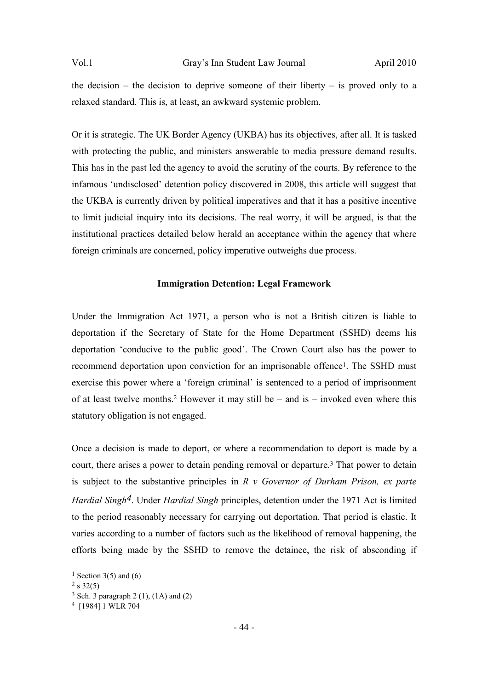the decision – the decision to deprive someone of their liberty – is proved only to a relaxed standard. This is, at least, an awkward systemic problem.

Or it is strategic. The UK Border Agency (UKBA) has its objectives, after all. It is tasked with protecting the public, and ministers answerable to media pressure demand results. This has in the past led the agency to avoid the scrutiny of the courts. By reference to the infamous 'undisclosed' detention policy discovered in 2008, this article will suggest that the UKBA is currently driven by political imperatives and that it has a positive incentive to limit judicial inquiry into its decisions. The real worry, it will be argued, is that the institutional practices detailed below herald an acceptance within the agency that where foreign criminals are concerned, policy imperative outweighs due process.

# **Immigration Detention: Legal Framework**

Under the Immigration Act 1971, a person who is not a British citizen is liable to deportation if the Secretary of State for the Home Department (SSHD) deems his deportation 'conducive to the public good'. The Crown Court also has the power to recommend deportation upon conviction for an imprisonable offence<sup>1</sup>. The SSHD must exercise this power where a 'foreign criminal' is sentenced to a period of imprisonment of at least twelve months.<sup>2</sup> However it may still be – and is – invoked even where this statutory obligation is not engaged.

Once a decision is made to deport, or where a recommendation to deport is made by a court, there arises a power to detain pending removal or departure.3 That power to detain is subject to the substantive principles in *R v Governor of Durham Prison, ex parte Hardial Singh4*. Under *Hardial Singh* principles, detention under the 1971 Act is limited to the period reasonably necessary for carrying out deportation. That period is elastic. It varies according to a number of factors such as the likelihood of removal happening, the efforts being made by the SSHD to remove the detainee, the risk of absconding if

<sup>&</sup>lt;sup>1</sup> Section 3(5) and (6)

 $2 s 32(5)$ 

<sup>3</sup> Sch. 3 paragraph 2 (1), (1A) and (2)

<sup>4</sup> [1984] 1 WLR 704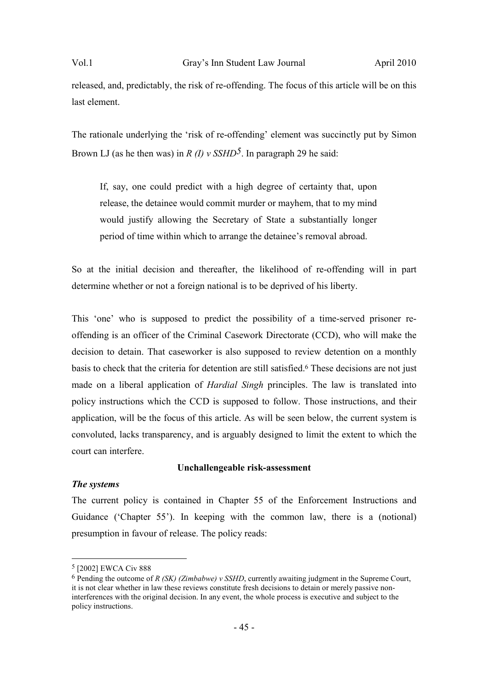released, and, predictably, the risk of re-offending. The focus of this article will be on this last element.

The rationale underlying the 'risk of re-offending' element was succinctly put by Simon Brown LJ (as he then was) in *R (I) v SSHD5*. In paragraph 29 he said:

If, say, one could predict with a high degree of certainty that, upon release, the detainee would commit murder or mayhem, that to my mind would justify allowing the Secretary of State a substantially longer period of time within which to arrange the detainee's removal abroad.

So at the initial decision and thereafter, the likelihood of re-offending will in part determine whether or not a foreign national is to be deprived of his liberty.

This 'one' who is supposed to predict the possibility of a time-served prisoner reoffending is an officer of the Criminal Casework Directorate (CCD), who will make the decision to detain. That caseworker is also supposed to review detention on a monthly basis to check that the criteria for detention are still satisfied.6 These decisions are not just made on a liberal application of *Hardial Singh* principles. The law is translated into policy instructions which the CCD is supposed to follow. Those instructions, and their application, will be the focus of this article. As will be seen below, the current system is convoluted, lacks transparency, and is arguably designed to limit the extent to which the court can interfere.

#### **Unchallengeable risk-assessment**

#### *The systems*

 $\overline{a}$ 

The current policy is contained in Chapter 55 of the Enforcement Instructions and Guidance ('Chapter 55'). In keeping with the common law, there is a (notional) presumption in favour of release. The policy reads:

<sup>5</sup> [2002] EWCA Civ 888

<sup>6</sup> Pending the outcome of *R (SK) (Zimbabwe) v SSHD*, currently awaiting judgment in the Supreme Court, it is not clear whether in law these reviews constitute fresh decisions to detain or merely passive noninterferences with the original decision. In any event, the whole process is executive and subject to the policy instructions.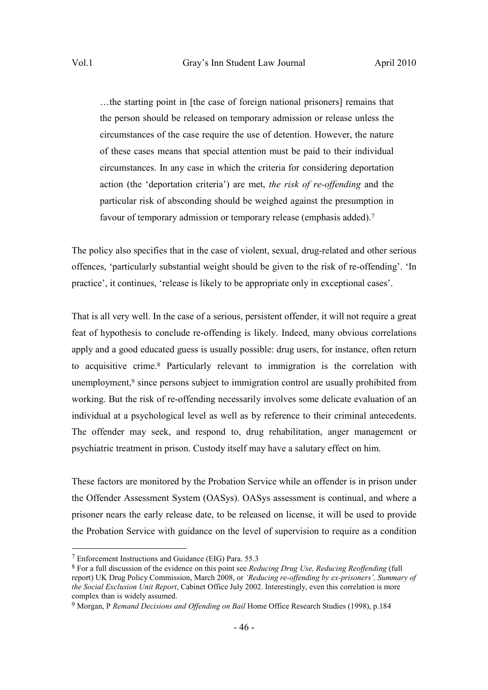…the starting point in [the case of foreign national prisoners] remains that the person should be released on temporary admission or release unless the circumstances of the case require the use of detention. However, the nature of these cases means that special attention must be paid to their individual circumstances. In any case in which the criteria for considering deportation action (the 'deportation criteria') are met, *the risk of re-offending* and the particular risk of absconding should be weighed against the presumption in favour of temporary admission or temporary release (emphasis added).<sup>7</sup>

The policy also specifies that in the case of violent, sexual, drug-related and other serious offences, 'particularly substantial weight should be given to the risk of re-offending'. 'In practice', it continues, 'release is likely to be appropriate only in exceptional cases'.

That is all very well. In the case of a serious, persistent offender, it will not require a great feat of hypothesis to conclude re-offending is likely. Indeed, many obvious correlations apply and a good educated guess is usually possible: drug users, for instance, often return to acquisitive crime.<sup>8</sup> Particularly relevant to immigration is the correlation with unemployment,<sup>9</sup> since persons subject to immigration control are usually prohibited from working. But the risk of re-offending necessarily involves some delicate evaluation of an individual at a psychological level as well as by reference to their criminal antecedents. The offender may seek, and respond to, drug rehabilitation, anger management or psychiatric treatment in prison. Custody itself may have a salutary effect on him.

These factors are monitored by the Probation Service while an offender is in prison under the Offender Assessment System (OASys). OASys assessment is continual, and where a prisoner nears the early release date, to be released on license, it will be used to provide the Probation Service with guidance on the level of supervision to require as a condition

<sup>7</sup> Enforcement Instructions and Guidance (EIG) Para. 55.3

<sup>8</sup> For a full discussion of the evidence on this point see *Reducing Drug Use, Reducing Reoffending* (full report) UK Drug Policy Commission, March 2008, or *'Reducing re-offending by ex-prisoners', Summary of the Social Exclusion Unit Report*, Cabinet Office July 2002. Interestingly, even this correlation is more complex than is widely assumed.

<sup>9</sup> Morgan, P *Remand Decisions and Offending on Bail* Home Office Research Studies (1998), p.184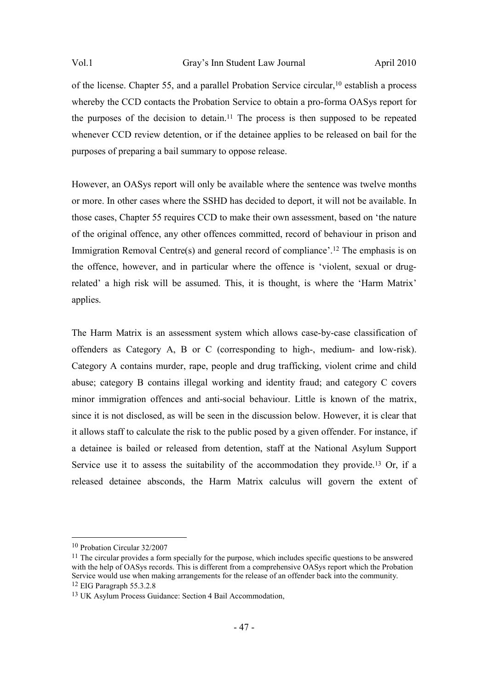of the license. Chapter 55, and a parallel Probation Service circular,<sup>10</sup> establish a process whereby the CCD contacts the Probation Service to obtain a pro-forma OASys report for the purposes of the decision to detain.<sup>11</sup> The process is then supposed to be repeated whenever CCD review detention, or if the detainee applies to be released on bail for the purposes of preparing a bail summary to oppose release.

However, an OASys report will only be available where the sentence was twelve months or more. In other cases where the SSHD has decided to deport, it will not be available. In those cases, Chapter 55 requires CCD to make their own assessment, based on 'the nature of the original offence, any other offences committed, record of behaviour in prison and Immigration Removal Centre(s) and general record of compliance'.<sup>12</sup> The emphasis is on the offence, however, and in particular where the offence is 'violent, sexual or drugrelated' a high risk will be assumed. This, it is thought, is where the 'Harm Matrix' applies.

The Harm Matrix is an assessment system which allows case-by-case classification of offenders as Category A, B or C (corresponding to high-, medium- and low-risk). Category A contains murder, rape, people and drug trafficking, violent crime and child abuse; category B contains illegal working and identity fraud; and category C covers minor immigration offences and anti-social behaviour. Little is known of the matrix, since it is not disclosed, as will be seen in the discussion below. However, it is clear that it allows staff to calculate the risk to the public posed by a given offender. For instance, if a detainee is bailed or released from detention, staff at the National Asylum Support Service use it to assess the suitability of the accommodation they provide.<sup>13</sup> Or, if a released detainee absconds, the Harm Matrix calculus will govern the extent of

<sup>10</sup> Probation Circular 32/2007

<sup>&</sup>lt;sup>11</sup> The circular provides a form specially for the purpose, which includes specific questions to be answered with the help of OASys records. This is different from a comprehensive OASys report which the Probation Service would use when making arrangements for the release of an offender back into the community. 12 EIG Paragraph 55.3.2.8

<sup>13</sup> UK Asylum Process Guidance: Section 4 Bail Accommodation,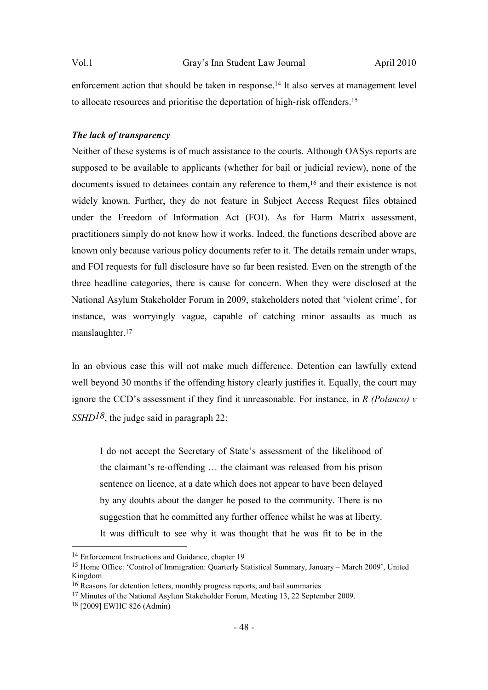enforcement action that should be taken in response. <sup>14</sup> It also serves at management level to allocate resources and prioritise the deportation of high-risk offenders.<sup>15</sup>

# *The lack of transparency*

Neither of these systems is of much assistance to the courts. Although OASys reports are supposed to be available to applicants (whether for bail or judicial review), none of the documents issued to detainees contain any reference to them,<sup>16</sup> and their existence is not widely known. Further, they do not feature in Subject Access Request files obtained under the Freedom of Information Act (FOI). As for Harm Matrix assessment, practitioners simply do not know how it works. Indeed, the functions described above are known only because various policy documents refer to it. The details remain under wraps, and FOI requests for full disclosure have so far been resisted. Even on the strength of the three headline categories, there is cause for concern. When they were disclosed at the National Asylum Stakeholder Forum in 2009, stakeholders noted that 'violent crime', for instance, was worryingly vague, capable of catching minor assaults as much as manslaughter.<sup>17</sup>

In an obvious case this will not make much difference. Detention can lawfully extend well beyond 30 months if the offending history clearly justifies it. Equally, the court may ignore the CCD's assessment if they find it unreasonable. For instance, in *R (Polanco) v SSHD<sup>18*</sup>, the judge said in paragraph 22:

I do not accept the Secretary of State's assessment of the likelihood of the claimant's re-offending … the claimant was released from his prison sentence on licence, at a date which does not appear to have been delayed by any doubts about the danger he posed to the community. There is no suggestion that he committed any further offence whilst he was at liberty. It was difficult to see why it was thought that he was fit to be in the

<sup>14</sup> Enforcement Instructions and Guidance, chapter 19

<sup>15</sup> Home Office: 'Control of Immigration: Quarterly Statistical Summary, January – March 2009', United Kingdom

<sup>16</sup> Reasons for detention letters, monthly progress reports, and bail summaries

<sup>17</sup> Minutes of the National Asylum Stakeholder Forum, Meeting 13, 22 September 2009.

<sup>18</sup> [2009] EWHC 826 (Admin)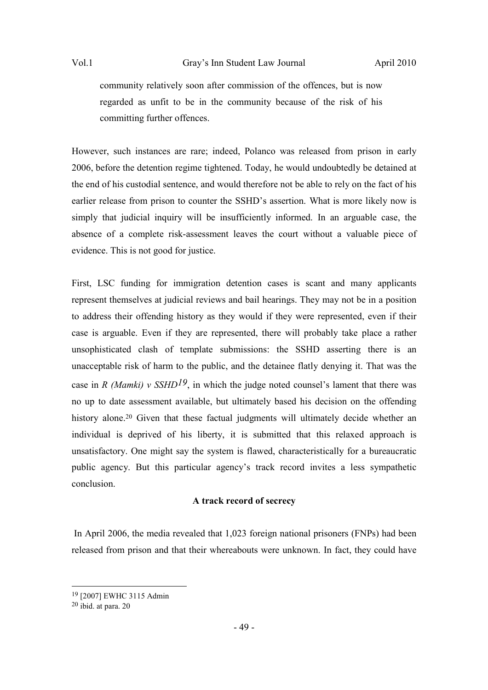community relatively soon after commission of the offences, but is now regarded as unfit to be in the community because of the risk of his committing further offences.

However, such instances are rare; indeed, Polanco was released from prison in early 2006, before the detention regime tightened. Today, he would undoubtedly be detained at the end of his custodial sentence, and would therefore not be able to rely on the fact of his earlier release from prison to counter the SSHD's assertion. What is more likely now is simply that judicial inquiry will be insufficiently informed. In an arguable case, the absence of a complete risk-assessment leaves the court without a valuable piece of evidence. This is not good for justice.

First, LSC funding for immigration detention cases is scant and many applicants represent themselves at judicial reviews and bail hearings. They may not be in a position to address their offending history as they would if they were represented, even if their case is arguable. Even if they are represented, there will probably take place a rather unsophisticated clash of template submissions: the SSHD asserting there is an unacceptable risk of harm to the public, and the detainee flatly denying it. That was the case in *R (Mamki)* v  $\frac{SSHD^{19}}{}$  in which the judge noted counsel's lament that there was no up to date assessment available, but ultimately based his decision on the offending history alone.<sup>20</sup> Given that these factual judgments will ultimately decide whether an individual is deprived of his liberty, it is submitted that this relaxed approach is unsatisfactory. One might say the system is flawed, characteristically for a bureaucratic public agency. But this particular agency's track record invites a less sympathetic conclusion.

# **A track record of secrecy**

 In April 2006, the media revealed that 1,023 foreign national prisoners (FNPs) had been released from prison and that their whereabouts were unknown. In fact, they could have

<sup>19</sup> [2007] EWHC 3115 Admin

 $20$  ibid. at para. 20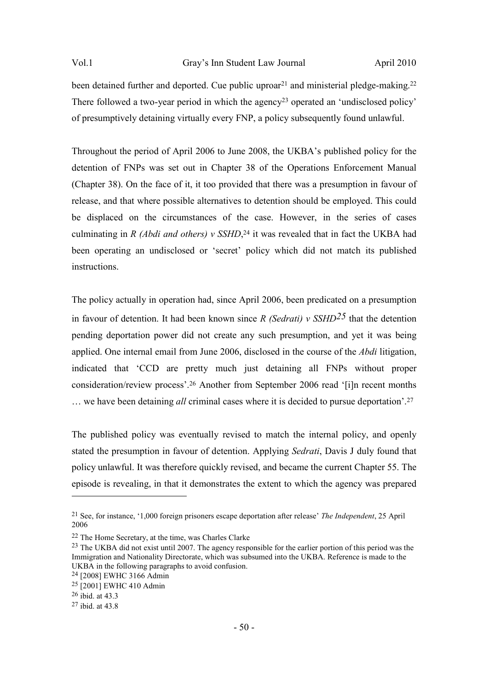been detained further and deported. Cue public uproar<sup>21</sup> and ministerial pledge-making.<sup>22</sup> There followed a two-year period in which the agency<sup>23</sup> operated an 'undisclosed policy' of presumptively detaining virtually every FNP, a policy subsequently found unlawful.

Throughout the period of April 2006 to June 2008, the UKBA's published policy for the detention of FNPs was set out in Chapter 38 of the Operations Enforcement Manual (Chapter 38). On the face of it, it too provided that there was a presumption in favour of release, and that where possible alternatives to detention should be employed. This could be displaced on the circumstances of the case. However, in the series of cases culminating in *R (Abdi and others) v SSHD*, <sup>24</sup> it was revealed that in fact the UKBA had been operating an undisclosed or 'secret' policy which did not match its published instructions.

The policy actually in operation had, since April 2006, been predicated on a presumption in favour of detention. It had been known since *R (Sedrati)* v  $SSHD<sup>25</sup>$  that the detention pending deportation power did not create any such presumption, and yet it was being applied. One internal email from June 2006, disclosed in the course of the *Abdi* litigation, indicated that 'CCD are pretty much just detaining all FNPs without proper consideration/review process'.26 Another from September 2006 read '[i]n recent months … we have been detaining *all* criminal cases where it is decided to pursue deportation'.<sup>27</sup>

The published policy was eventually revised to match the internal policy, and openly stated the presumption in favour of detention. Applying *Sedrati*, Davis J duly found that policy unlawful. It was therefore quickly revised, and became the current Chapter 55. The episode is revealing, in that it demonstrates the extent to which the agency was prepared

<sup>-</sup>

<sup>21</sup> See, for instance, '1,000 foreign prisoners escape deportation after release' *The Independent*, 25 April 2006

<sup>22</sup> The Home Secretary, at the time, was Charles Clarke

<sup>&</sup>lt;sup>23</sup> The UKBA did not exist until 2007. The agency responsible for the earlier portion of this period was the Immigration and Nationality Directorate, which was subsumed into the UKBA. Reference is made to the UKBA in the following paragraphs to avoid confusion.

<sup>24</sup> [2008] EWHC 3166 Admin

<sup>25</sup> [2001] EWHC 410 Admin

<sup>26</sup> ibid. at 43.3

<sup>27</sup> ibid. at 43.8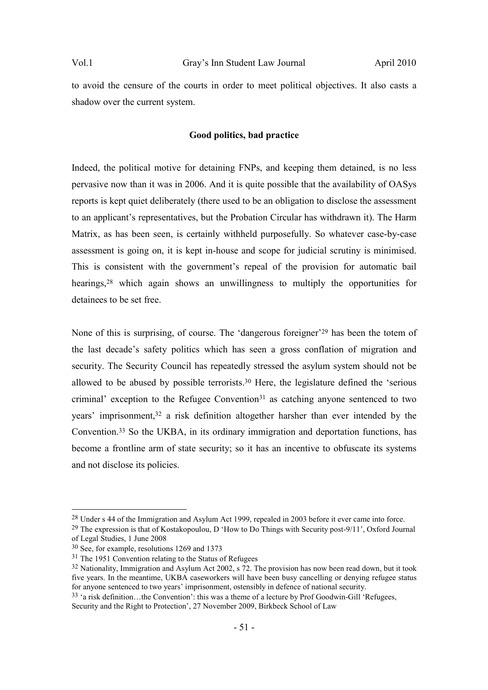to avoid the censure of the courts in order to meet political objectives. It also casts a shadow over the current system.

# **Good politics, bad practice**

Indeed, the political motive for detaining FNPs, and keeping them detained, is no less pervasive now than it was in 2006. And it is quite possible that the availability of OASys reports is kept quiet deliberately (there used to be an obligation to disclose the assessment to an applicant's representatives, but the Probation Circular has withdrawn it). The Harm Matrix, as has been seen, is certainly withheld purposefully. So whatever case-by-case assessment is going on, it is kept in-house and scope for judicial scrutiny is minimised. This is consistent with the government's repeal of the provision for automatic bail hearings,<sup>28</sup> which again shows an unwillingness to multiply the opportunities for detainees to be set free.

None of this is surprising, of course. The 'dangerous foreigner'<sup>29</sup> has been the totem of the last decade's safety politics which has seen a gross conflation of migration and security. The Security Council has repeatedly stressed the asylum system should not be allowed to be abused by possible terrorists.30 Here, the legislature defined the 'serious criminal' exception to the Refugee Convention<sup>31</sup> as catching anyone sentenced to two years' imprisonment,<sup>32</sup> a risk definition altogether harsher than ever intended by the Convention.33 So the UKBA, in its ordinary immigration and deportation functions, has become a frontline arm of state security; so it has an incentive to obfuscate its systems and not disclose its policies.

<sup>28</sup> Under s 44 of the Immigration and Asylum Act 1999, repealed in 2003 before it ever came into force.

<sup>29</sup> The expression is that of Kostakopoulou, D 'How to Do Things with Security post-9/11', Oxford Journal of Legal Studies, 1 June 2008

<sup>30</sup> See, for example, resolutions 1269 and 1373

<sup>31</sup> The 1951 Convention relating to the Status of Refugees

<sup>32</sup> Nationality, Immigration and Asylum Act 2002, s 72. The provision has now been read down, but it took five years. In the meantime, UKBA caseworkers will have been busy cancelling or denying refugee status for anyone sentenced to two years' imprisonment, ostensibly in defence of national security.

 $33$  'a risk definition...the Convention': this was a theme of a lecture by Prof Goodwin-Gill 'Refugees, Security and the Right to Protection', 27 November 2009, Birkbeck School of Law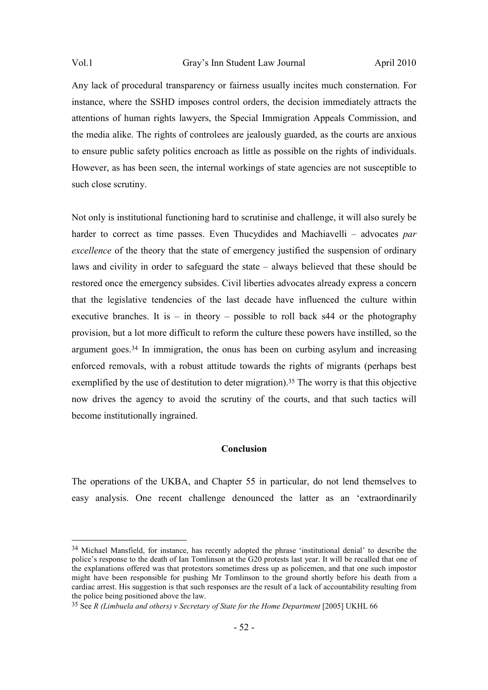Any lack of procedural transparency or fairness usually incites much consternation. For instance, where the SSHD imposes control orders, the decision immediately attracts the attentions of human rights lawyers, the Special Immigration Appeals Commission, and the media alike. The rights of controlees are jealously guarded, as the courts are anxious to ensure public safety politics encroach as little as possible on the rights of individuals. However, as has been seen, the internal workings of state agencies are not susceptible to such close scrutiny.

Not only is institutional functioning hard to scrutinise and challenge, it will also surely be harder to correct as time passes. Even Thucydides and Machiavelli – advocates *par excellence* of the theory that the state of emergency justified the suspension of ordinary laws and civility in order to safeguard the state – always believed that these should be restored once the emergency subsides. Civil liberties advocates already express a concern that the legislative tendencies of the last decade have influenced the culture within executive branches. It is  $-$  in theory  $-$  possible to roll back s44 or the photography provision, but a lot more difficult to reform the culture these powers have instilled, so the argument goes.34 In immigration, the onus has been on curbing asylum and increasing enforced removals, with a robust attitude towards the rights of migrants (perhaps best exemplified by the use of destitution to deter migration).<sup>35</sup> The worry is that this objective now drives the agency to avoid the scrutiny of the courts, and that such tactics will become institutionally ingrained.

### **Conclusion**

The operations of the UKBA, and Chapter 55 in particular, do not lend themselves to easy analysis. One recent challenge denounced the latter as an 'extraordinarily

<sup>34</sup> Michael Mansfield, for instance, has recently adopted the phrase 'institutional denial' to describe the police's response to the death of Ian Tomlinson at the G20 protests last year. It will be recalled that one of the explanations offered was that protestors sometimes dress up as policemen, and that one such impostor might have been responsible for pushing Mr Tomlinson to the ground shortly before his death from a cardiac arrest. His suggestion is that such responses are the result of a lack of accountability resulting from the police being positioned above the law.

<sup>35</sup> See *R (Limbuela and others) v Secretary of State for the Home Department* [2005] UKHL 66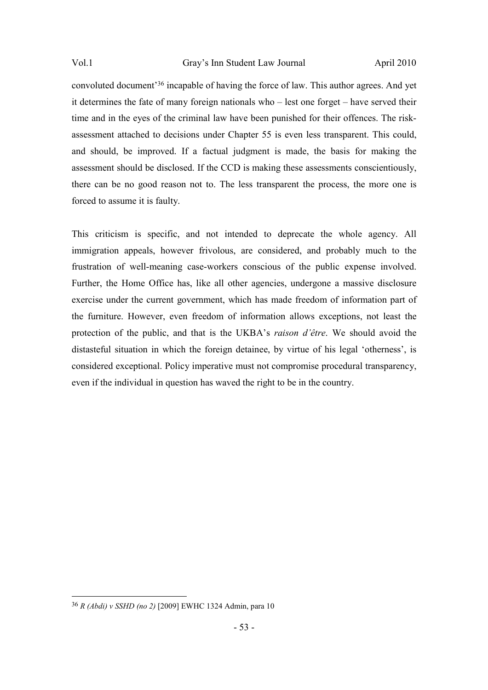convoluted document'<sup>36</sup> incapable of having the force of law. This author agrees. And yet it determines the fate of many foreign nationals who – lest one forget – have served their time and in the eyes of the criminal law have been punished for their offences. The riskassessment attached to decisions under Chapter 55 is even less transparent. This could, and should, be improved. If a factual judgment is made, the basis for making the assessment should be disclosed. If the CCD is making these assessments conscientiously, there can be no good reason not to. The less transparent the process, the more one is forced to assume it is faulty.

This criticism is specific, and not intended to deprecate the whole agency. All immigration appeals, however frivolous, are considered, and probably much to the frustration of well-meaning case-workers conscious of the public expense involved. Further, the Home Office has, like all other agencies, undergone a massive disclosure exercise under the current government, which has made freedom of information part of the furniture. However, even freedom of information allows exceptions, not least the protection of the public, and that is the UKBA's *raison d'être*. We should avoid the distasteful situation in which the foreign detainee, by virtue of his legal 'otherness', is considered exceptional. Policy imperative must not compromise procedural transparency, even if the individual in question has waved the right to be in the country.

<sup>36</sup> *R (Abdi) v SSHD (no 2)* [2009] EWHC 1324 Admin, para 10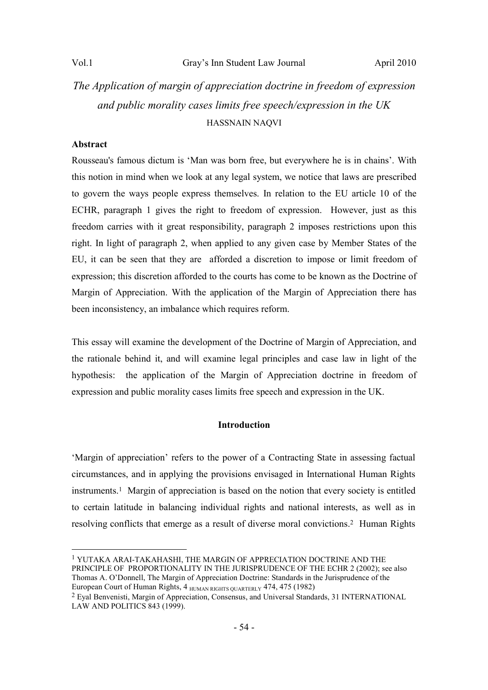# *The Application of margin of appreciation doctrine in freedom of expression and public morality cases limits free speech/expression in the UK*  HASSNAIN NAQVI

# **Abstract**

 $\overline{a}$ 

Rousseau's famous dictum is 'Man was born free, but everywhere he is in chains'. With this notion in mind when we look at any legal system, we notice that laws are prescribed to govern the ways people express themselves. In relation to the EU article 10 of the ECHR, paragraph 1 gives the right to freedom of expression. However, just as this freedom carries with it great responsibility, paragraph 2 imposes restrictions upon this right. In light of paragraph 2, when applied to any given case by Member States of the EU, it can be seen that they are afforded a discretion to impose or limit freedom of expression; this discretion afforded to the courts has come to be known as the Doctrine of Margin of Appreciation. With the application of the Margin of Appreciation there has been inconsistency, an imbalance which requires reform.

This essay will examine the development of the Doctrine of Margin of Appreciation, and the rationale behind it, and will examine legal principles and case law in light of the hypothesis: the application of the Margin of Appreciation doctrine in freedom of expression and public morality cases limits free speech and expression in the UK.

# **Introduction**

'Margin of appreciation' refers to the power of a Contracting State in assessing factual circumstances, and in applying the provisions envisaged in International Human Rights instruments.<sup>1</sup> Margin of appreciation is based on the notion that every society is entitled to certain latitude in balancing individual rights and national interests, as well as in resolving conflicts that emerge as a result of diverse moral convictions.<sup>2</sup> Human Rights

1 YUTAKA ARAI-TAKAHASHI, THE MARGIN OF APPRECIATION DOCTRINE AND THE PRINCIPLE OF PROPORTIONALITY IN THE JURISPRUDENCE OF THE ECHR 2 (2002); see also Thomas A. O'Donnell, The Margin of Appreciation Doctrine: Standards in the Jurisprudence of the European Court of Human Rights,  $4$  HUMAN RIGHTS QUARTERLY 474, 475 (1982)

<sup>2</sup> Eyal Benvenisti, Margin of Appreciation, Consensus, and Universal Standards, 31 INTERNATIONAL LAW AND POLITICS 843 (1999).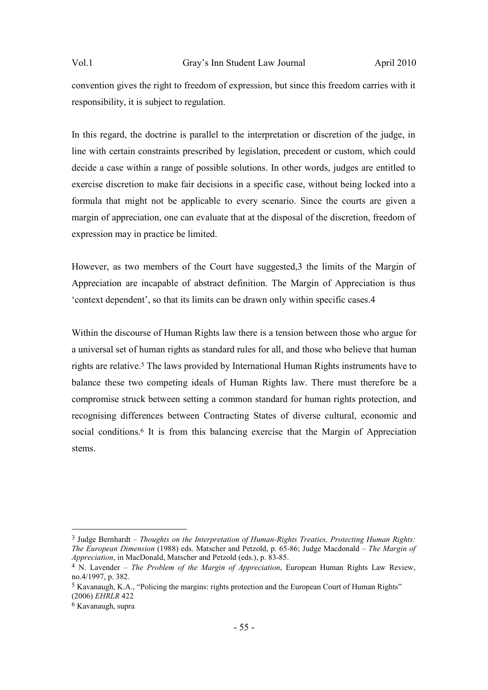convention gives the right to freedom of expression, but since this freedom carries with it responsibility, it is subject to regulation.

In this regard, the doctrine is parallel to the interpretation or discretion of the judge, in line with certain constraints prescribed by legislation, precedent or custom, which could decide a case within a range of possible solutions. In other words, judges are entitled to exercise discretion to make fair decisions in a specific case, without being locked into a formula that might not be applicable to every scenario. Since the courts are given a margin of appreciation, one can evaluate that at the disposal of the discretion, freedom of expression may in practice be limited.

However, as two members of the Court have suggested,3 the limits of the Margin of Appreciation are incapable of abstract definition. The Margin of Appreciation is thus 'context dependent', so that its limits can be drawn only within specific cases.4

Within the discourse of Human Rights law there is a tension between those who argue for a universal set of human rights as standard rules for all, and those who believe that human rights are relative.<sup>5</sup> The laws provided by International Human Rights instruments have to balance these two competing ideals of Human Rights law. There must therefore be a compromise struck between setting a common standard for human rights protection, and recognising differences between Contracting States of diverse cultural, economic and social conditions.<sup>6</sup> It is from this balancing exercise that the Margin of Appreciation stems.

<sup>3</sup> Judge Bernhardt – *Thoughts on the Interpretation of Human-Rights Treaties, Protecting Human Rights: The European Dimension* (1988) eds. Matscher and Petzold, p. 65-86; Judge Macdonald – *The Margin of Appreciation*, in MacDonald, Matscher and Petzold (eds.), p. 83-85.

<sup>4</sup> N. Lavender – *The Problem of the Margin of Appreciation*, European Human Rights Law Review, no.4/1997, p. 382.

<sup>5</sup> Kavanaugh, K.A., "Policing the margins: rights protection and the European Court of Human Rights" (2006) *EHRLR* 422

<sup>6</sup> Kavanaugh, supra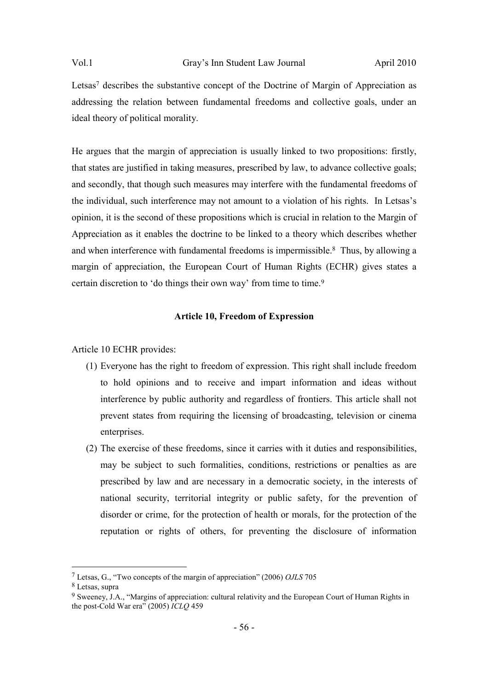Letsas<sup>7</sup> describes the substantive concept of the Doctrine of Margin of Appreciation as addressing the relation between fundamental freedoms and collective goals, under an ideal theory of political morality.

He argues that the margin of appreciation is usually linked to two propositions: firstly, that states are justified in taking measures, prescribed by law, to advance collective goals; and secondly, that though such measures may interfere with the fundamental freedoms of the individual, such interference may not amount to a violation of his rights. In Letsas's opinion, it is the second of these propositions which is crucial in relation to the Margin of Appreciation as it enables the doctrine to be linked to a theory which describes whether and when interference with fundamental freedoms is impermissible.<sup>8</sup> Thus, by allowing a margin of appreciation, the European Court of Human Rights (ECHR) gives states a certain discretion to 'do things their own way' from time to time.<sup>9</sup>

# **Article 10, Freedom of Expression**

Article 10 ECHR provides:

- (1) Everyone has the right to freedom of expression. This right shall include freedom to hold opinions and to receive and impart information and ideas without interference by public authority and regardless of frontiers. This article shall not prevent states from requiring the licensing of broadcasting, television or cinema enterprises.
- (2) The exercise of these freedoms, since it carries with it duties and responsibilities, may be subject to such formalities, conditions, restrictions or penalties as are prescribed by law and are necessary in a democratic society, in the interests of national security, territorial integrity or public safety, for the prevention of disorder or crime, for the protection of health or morals, for the protection of the reputation or rights of others, for preventing the disclosure of information

<sup>7</sup> Letsas, G., "Two concepts of the margin of appreciation" (2006) *OJLS* 705

<sup>8</sup> Letsas, supra

<sup>9</sup> Sweeney, J.A., "Margins of appreciation: cultural relativity and the European Court of Human Rights in the post-Cold War era" (2005) *ICLQ* 459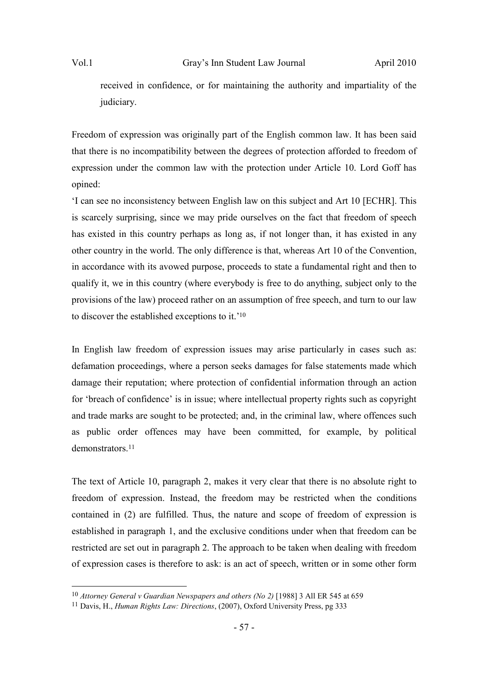$\overline{a}$ 

received in confidence, or for maintaining the authority and impartiality of the judiciary.

Freedom of expression was originally part of the English common law. It has been said that there is no incompatibility between the degrees of protection afforded to freedom of expression under the common law with the protection under Article 10. Lord Goff has opined:

'I can see no inconsistency between English law on this subject and Art 10 [ECHR]. This is scarcely surprising, since we may pride ourselves on the fact that freedom of speech has existed in this country perhaps as long as, if not longer than, it has existed in any other country in the world. The only difference is that, whereas Art 10 of the Convention, in accordance with its avowed purpose, proceeds to state a fundamental right and then to qualify it, we in this country (where everybody is free to do anything, subject only to the provisions of the law) proceed rather on an assumption of free speech, and turn to our law to discover the established exceptions to it.'<sup>10</sup>

In English law freedom of expression issues may arise particularly in cases such as: defamation proceedings, where a person seeks damages for false statements made which damage their reputation; where protection of confidential information through an action for 'breach of confidence' is in issue; where intellectual property rights such as copyright and trade marks are sought to be protected; and, in the criminal law, where offences such as public order offences may have been committed, for example, by political demonstrators.<sup>11</sup>

The text of Article 10, paragraph 2, makes it very clear that there is no absolute right to freedom of expression. Instead, the freedom may be restricted when the conditions contained in (2) are fulfilled. Thus, the nature and scope of freedom of expression is established in paragraph 1, and the exclusive conditions under when that freedom can be restricted are set out in paragraph 2. The approach to be taken when dealing with freedom of expression cases is therefore to ask: is an act of speech, written or in some other form

<sup>10</sup> *Attorney General v Guardian Newspapers and others (No 2)* [1988] 3 All ER 545 at 659

<sup>11</sup> Davis, H., *Human Rights Law: Directions*, (2007), Oxford University Press, pg 333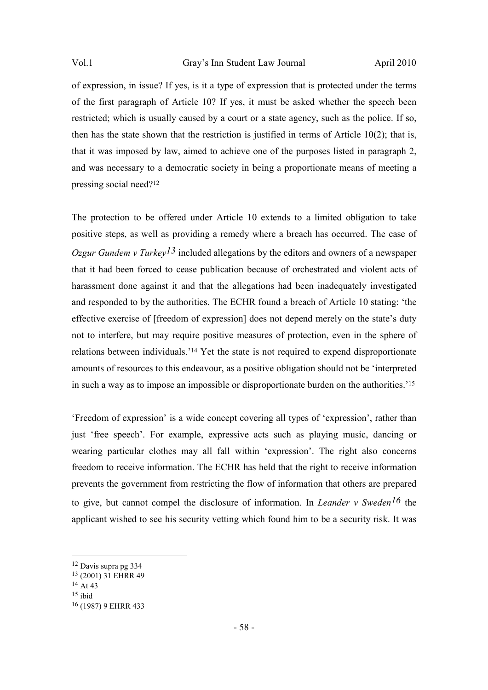of expression, in issue? If yes, is it a type of expression that is protected under the terms of the first paragraph of Article 10? If yes, it must be asked whether the speech been restricted; which is usually caused by a court or a state agency, such as the police. If so, then has the state shown that the restriction is justified in terms of Article 10(2); that is, that it was imposed by law, aimed to achieve one of the purposes listed in paragraph 2, and was necessary to a democratic society in being a proportionate means of meeting a pressing social need?<sup>12</sup>

The protection to be offered under Article 10 extends to a limited obligation to take positive steps, as well as providing a remedy where a breach has occurred. The case of *Ozgur Gundem v Turkey*<sup>13</sup> included allegations by the editors and owners of a newspaper that it had been forced to cease publication because of orchestrated and violent acts of harassment done against it and that the allegations had been inadequately investigated and responded to by the authorities. The ECHR found a breach of Article 10 stating: 'the effective exercise of [freedom of expression] does not depend merely on the state's duty not to interfere, but may require positive measures of protection, even in the sphere of relations between individuals.'<sup>14</sup> Yet the state is not required to expend disproportionate amounts of resources to this endeavour, as a positive obligation should not be 'interpreted in such a way as to impose an impossible or disproportionate burden on the authorities.'<sup>15</sup>

'Freedom of expression' is a wide concept covering all types of 'expression', rather than just 'free speech'. For example, expressive acts such as playing music, dancing or wearing particular clothes may all fall within 'expression'. The right also concerns freedom to receive information. The ECHR has held that the right to receive information prevents the government from restricting the flow of information that others are prepared to give, but cannot compel the disclosure of information. In *Leander v Sweden16* the applicant wished to see his security vetting which found him to be a security risk. It was

<sup>12</sup> Davis supra pg 334

<sup>13</sup> (2001) 31 EHRR 49

<sup>14</sup> At 43

 $15$  ibid

<sup>16</sup> (1987) 9 EHRR 433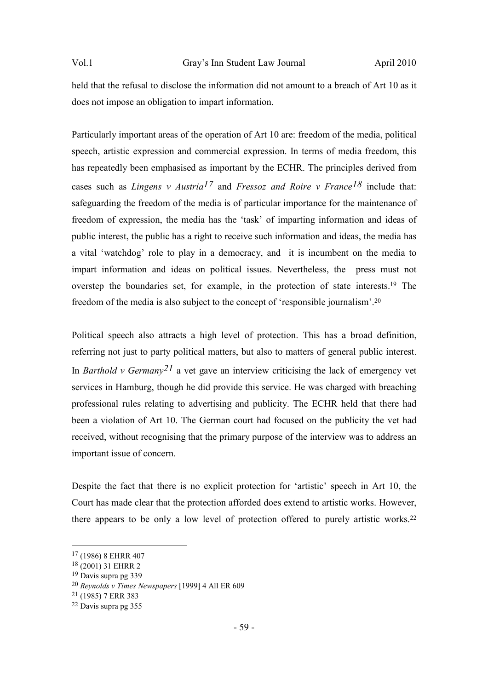held that the refusal to disclose the information did not amount to a breach of Art 10 as it does not impose an obligation to impart information.

Particularly important areas of the operation of Art 10 are: freedom of the media, political speech, artistic expression and commercial expression. In terms of media freedom, this has repeatedly been emphasised as important by the ECHR. The principles derived from cases such as *Lingens v Austria17* and *Fressoz and Roire v France18* include that: safeguarding the freedom of the media is of particular importance for the maintenance of freedom of expression, the media has the 'task' of imparting information and ideas of public interest, the public has a right to receive such information and ideas, the media has a vital 'watchdog' role to play in a democracy, and it is incumbent on the media to impart information and ideas on political issues. Nevertheless, the press must not overstep the boundaries set, for example, in the protection of state interests.19 The freedom of the media is also subject to the concept of 'responsible journalism'.<sup>20</sup>

Political speech also attracts a high level of protection. This has a broad definition, referring not just to party political matters, but also to matters of general public interest. In *Barthold v Germany21* a vet gave an interview criticising the lack of emergency vet services in Hamburg, though he did provide this service. He was charged with breaching professional rules relating to advertising and publicity. The ECHR held that there had been a violation of Art 10. The German court had focused on the publicity the vet had received, without recognising that the primary purpose of the interview was to address an important issue of concern.

Despite the fact that there is no explicit protection for 'artistic' speech in Art 10, the Court has made clear that the protection afforded does extend to artistic works. However, there appears to be only a low level of protection offered to purely artistic works.<sup>22</sup>

<sup>17</sup> (1986) 8 EHRR 407

<sup>18</sup> (2001) 31 EHRR 2

<sup>19</sup> Davis supra pg 339

<sup>20</sup> *Reynolds v Times Newspapers* [1999] 4 All ER 609

<sup>21</sup> (1985) 7 ERR 383

<sup>22</sup> Davis supra pg 355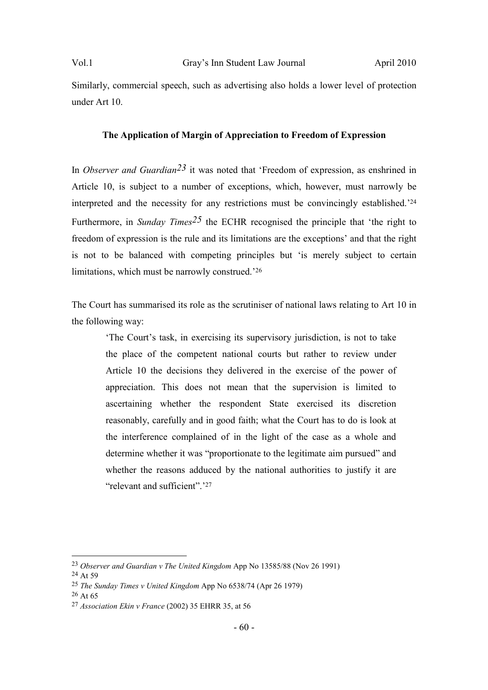Similarly, commercial speech, such as advertising also holds a lower level of protection under Art 10.

# **The Application of Margin of Appreciation to Freedom of Expression**

In *Observer and Guardian23* it was noted that 'Freedom of expression, as enshrined in Article 10, is subject to a number of exceptions, which, however, must narrowly be interpreted and the necessity for any restrictions must be convincingly established.'<sup>24</sup> Furthermore, in *Sunday Times25* the ECHR recognised the principle that 'the right to freedom of expression is the rule and its limitations are the exceptions' and that the right is not to be balanced with competing principles but 'is merely subject to certain limitations, which must be narrowly construed.'<sup>26</sup>

The Court has summarised its role as the scrutiniser of national laws relating to Art 10 in the following way:

'The Court's task, in exercising its supervisory jurisdiction, is not to take the place of the competent national courts but rather to review under Article 10 the decisions they delivered in the exercise of the power of appreciation. This does not mean that the supervision is limited to ascertaining whether the respondent State exercised its discretion reasonably, carefully and in good faith; what the Court has to do is look at the interference complained of in the light of the case as a whole and determine whether it was "proportionate to the legitimate aim pursued" and whether the reasons adduced by the national authorities to justify it are "relevant and sufficient".'<sup>27</sup>

 $\overline{a}$ 

<sup>26</sup> At 65

<sup>23</sup> *Observer and Guardian v The United Kingdom* App No 13585/88 (Nov 26 1991)

<sup>24</sup> At 59

<sup>25</sup> *The Sunday Times v United Kingdom* App No 6538/74 (Apr 26 1979)

<sup>27</sup> *Association Ekin v France* (2002) 35 EHRR 35, at 56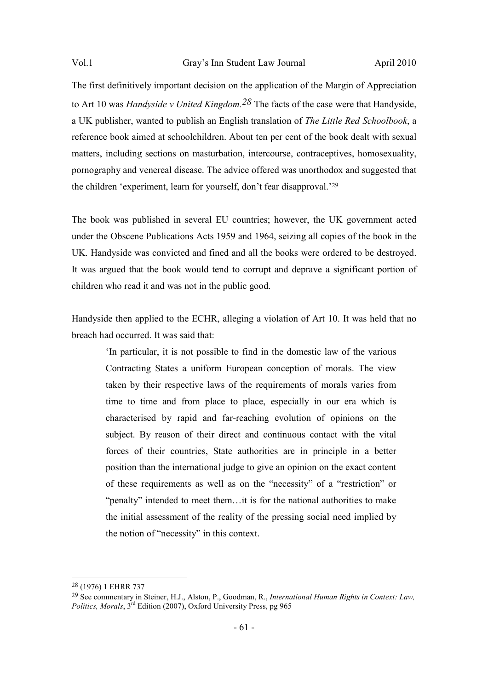The first definitively important decision on the application of the Margin of Appreciation to Art 10 was *Handyside v United Kingdom.28* The facts of the case were that Handyside, a UK publisher, wanted to publish an English translation of *The Little Red Schoolbook*, a reference book aimed at schoolchildren. About ten per cent of the book dealt with sexual matters, including sections on masturbation, intercourse, contraceptives, homosexuality, pornography and venereal disease. The advice offered was unorthodox and suggested that the children 'experiment, learn for yourself, don't fear disapproval.'<sup>29</sup>

The book was published in several EU countries; however, the UK government acted under the Obscene Publications Acts 1959 and 1964, seizing all copies of the book in the UK. Handyside was convicted and fined and all the books were ordered to be destroyed. It was argued that the book would tend to corrupt and deprave a significant portion of children who read it and was not in the public good.

Handyside then applied to the ECHR, alleging a violation of Art 10. It was held that no breach had occurred. It was said that:

'In particular, it is not possible to find in the domestic law of the various Contracting States a uniform European conception of morals. The view taken by their respective laws of the requirements of morals varies from time to time and from place to place, especially in our era which is characterised by rapid and far-reaching evolution of opinions on the subject. By reason of their direct and continuous contact with the vital forces of their countries, State authorities are in principle in a better position than the international judge to give an opinion on the exact content of these requirements as well as on the "necessity" of a "restriction" or "penalty" intended to meet them…it is for the national authorities to make the initial assessment of the reality of the pressing social need implied by the notion of "necessity" in this context.

<sup>28</sup> (1976) 1 EHRR 737

<sup>29</sup> See commentary in Steiner, H.J., Alston, P., Goodman, R., *International Human Rights in Context: Law, Politics, Morals*, 3rd Edition (2007), Oxford University Press, pg 965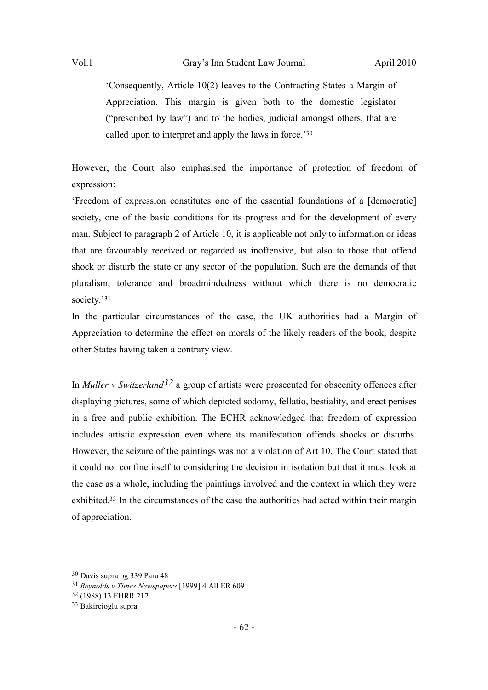'Consequently, Article 10(2) leaves to the Contracting States a Margin of Appreciation. This margin is given both to the domestic legislator ("prescribed by law") and to the bodies, judicial amongst others, that are called upon to interpret and apply the laws in force.'<sup>30</sup>

However, the Court also emphasised the importance of protection of freedom of expression:

'Freedom of expression constitutes one of the essential foundations of a [democratic] society, one of the basic conditions for its progress and for the development of every man. Subject to paragraph 2 of Article 10, it is applicable not only to information or ideas that are favourably received or regarded as inoffensive, but also to those that offend shock or disturb the state or any sector of the population. Such are the demands of that pluralism, tolerance and broadmindedness without which there is no democratic society.'<sup>31</sup>

In the particular circumstances of the case, the UK authorities had a Margin of Appreciation to determine the effect on morals of the likely readers of the book, despite other States having taken a contrary view.

In *Muller v Switzerland32* a group of artists were prosecuted for obscenity offences after displaying pictures, some of which depicted sodomy, fellatio, bestiality, and erect penises in a free and public exhibition. The ECHR acknowledged that freedom of expression includes artistic expression even where its manifestation offends shocks or disturbs. However, the seizure of the paintings was not a violation of Art 10. The Court stated that it could not confine itself to considering the decision in isolation but that it must look at the case as a whole, including the paintings involved and the context in which they were exhibited.33 In the circumstances of the case the authorities had acted within their margin of appreciation.

<sup>30</sup> Davis supra pg 339 Para 48

<sup>31</sup> *Reynolds v Times Newspapers* [1999] 4 All ER 609

<sup>32</sup> (1988) 13 EHRR 212

<sup>33</sup> Bakircioglu supra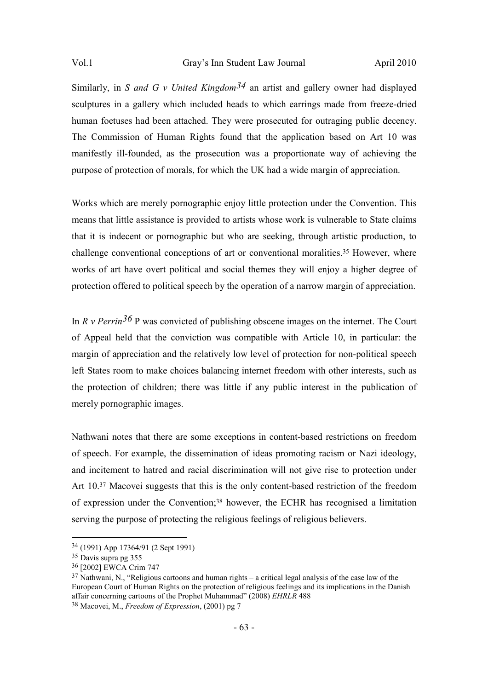Similarly, in *S and G v United Kingdom34* an artist and gallery owner had displayed sculptures in a gallery which included heads to which earrings made from freeze-dried human foetuses had been attached. They were prosecuted for outraging public decency. The Commission of Human Rights found that the application based on Art 10 was manifestly ill-founded, as the prosecution was a proportionate way of achieving the purpose of protection of morals, for which the UK had a wide margin of appreciation.

Works which are merely pornographic enjoy little protection under the Convention. This means that little assistance is provided to artists whose work is vulnerable to State claims that it is indecent or pornographic but who are seeking, through artistic production, to challenge conventional conceptions of art or conventional moralities.<sup>35</sup> However, where works of art have overt political and social themes they will enjoy a higher degree of protection offered to political speech by the operation of a narrow margin of appreciation.

In *R v Perrin*<sup>36</sup> P was convicted of publishing obscene images on the internet. The Court of Appeal held that the conviction was compatible with Article 10, in particular: the margin of appreciation and the relatively low level of protection for non-political speech left States room to make choices balancing internet freedom with other interests, such as the protection of children; there was little if any public interest in the publication of merely pornographic images.

Nathwani notes that there are some exceptions in content-based restrictions on freedom of speech. For example, the dissemination of ideas promoting racism or Nazi ideology, and incitement to hatred and racial discrimination will not give rise to protection under Art 10.37 Macovei suggests that this is the only content-based restriction of the freedom of expression under the Convention;38 however, the ECHR has recognised a limitation serving the purpose of protecting the religious feelings of religious believers.

<sup>34</sup> (1991) App 17364/91 (2 Sept 1991)

<sup>35</sup> Davis supra pg 355

<sup>36</sup> [2002] EWCA Crim 747

 $37$  Nathwani, N., "Religious cartoons and human rights – a critical legal analysis of the case law of the European Court of Human Rights on the protection of religious feelings and its implications in the Danish affair concerning cartoons of the Prophet Muhammad" (2008) *EHRLR* 488

<sup>38</sup> Macovei, M., *Freedom of Expression*, (2001) pg 7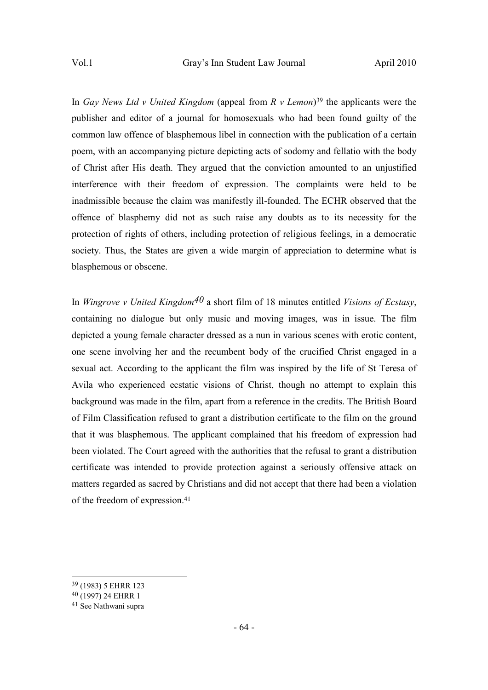In *Gay News Ltd v United Kingdom* (appeal from *R v Lemon*) <sup>39</sup> the applicants were the publisher and editor of a journal for homosexuals who had been found guilty of the common law offence of blasphemous libel in connection with the publication of a certain poem, with an accompanying picture depicting acts of sodomy and fellatio with the body of Christ after His death. They argued that the conviction amounted to an unjustified interference with their freedom of expression. The complaints were held to be inadmissible because the claim was manifestly ill-founded. The ECHR observed that the offence of blasphemy did not as such raise any doubts as to its necessity for the protection of rights of others, including protection of religious feelings, in a democratic society. Thus, the States are given a wide margin of appreciation to determine what is blasphemous or obscene.

In *Wingrove v United Kingdom40* a short film of 18 minutes entitled *Visions of Ecstasy*, containing no dialogue but only music and moving images, was in issue. The film depicted a young female character dressed as a nun in various scenes with erotic content, one scene involving her and the recumbent body of the crucified Christ engaged in a sexual act. According to the applicant the film was inspired by the life of St Teresa of Avila who experienced ecstatic visions of Christ, though no attempt to explain this background was made in the film, apart from a reference in the credits. The British Board of Film Classification refused to grant a distribution certificate to the film on the ground that it was blasphemous. The applicant complained that his freedom of expression had been violated. The Court agreed with the authorities that the refusal to grant a distribution certificate was intended to provide protection against a seriously offensive attack on matters regarded as sacred by Christians and did not accept that there had been a violation of the freedom of expression.<sup>41</sup>

<sup>39</sup> (1983) 5 EHRR 123

<sup>40</sup> (1997) 24 EHRR 1

<sup>41</sup> See Nathwani supra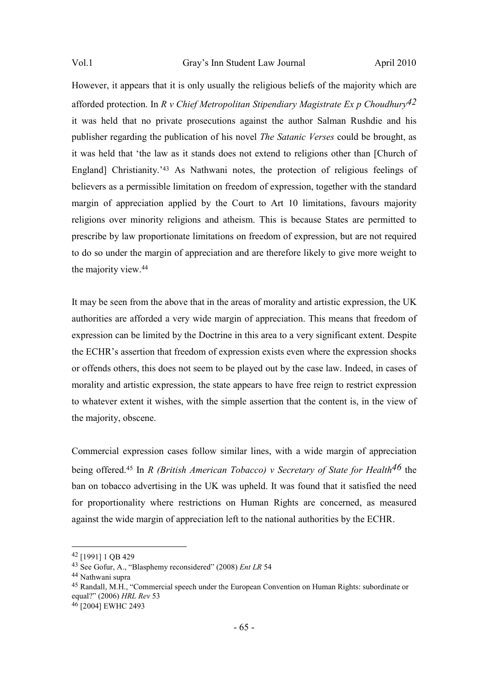However, it appears that it is only usually the religious beliefs of the majority which are afforded protection. In *R v Chief Metropolitan Stipendiary Magistrate Ex p Choudhury42* it was held that no private prosecutions against the author Salman Rushdie and his publisher regarding the publication of his novel *The Satanic Verses* could be brought, as it was held that 'the law as it stands does not extend to religions other than [Church of England] Christianity.'43 As Nathwani notes, the protection of religious feelings of believers as a permissible limitation on freedom of expression, together with the standard margin of appreciation applied by the Court to Art 10 limitations, favours majority religions over minority religions and atheism. This is because States are permitted to prescribe by law proportionate limitations on freedom of expression, but are not required to do so under the margin of appreciation and are therefore likely to give more weight to the majority view.<sup>44</sup>

It may be seen from the above that in the areas of morality and artistic expression, the UK authorities are afforded a very wide margin of appreciation. This means that freedom of expression can be limited by the Doctrine in this area to a very significant extent. Despite the ECHR's assertion that freedom of expression exists even where the expression shocks or offends others, this does not seem to be played out by the case law. Indeed, in cases of morality and artistic expression, the state appears to have free reign to restrict expression to whatever extent it wishes, with the simple assertion that the content is, in the view of the majority, obscene.

Commercial expression cases follow similar lines, with a wide margin of appreciation being offered.<sup>45</sup> In *R (British American Tobacco) v Secretary of State for Health46* the ban on tobacco advertising in the UK was upheld. It was found that it satisfied the need for proportionality where restrictions on Human Rights are concerned, as measured against the wide margin of appreciation left to the national authorities by the ECHR.

<sup>42</sup> [1991] 1 QB 429

<sup>43</sup> See Gofur, A., "Blasphemy reconsidered" (2008) *Ent LR* 54

<sup>44</sup> Nathwani supra

<sup>45</sup> Randall, M.H., "Commercial speech under the European Convention on Human Rights: subordinate or equal?" (2006) *HRL Rev* 53

<sup>46</sup> [2004] EWHC 2493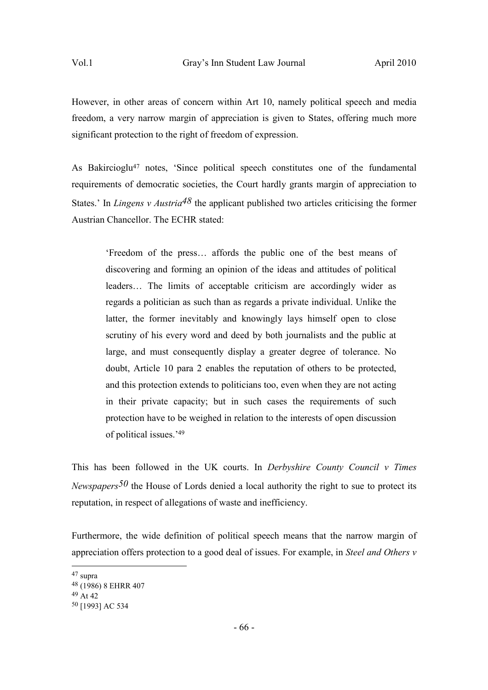However, in other areas of concern within Art 10, namely political speech and media freedom, a very narrow margin of appreciation is given to States, offering much more significant protection to the right of freedom of expression.

As Bakircioglu<sup>47</sup> notes, 'Since political speech constitutes one of the fundamental requirements of democratic societies, the Court hardly grants margin of appreciation to States.' In *Lingens v Austria*<sup>48</sup> the applicant published two articles criticising the former Austrian Chancellor. The ECHR stated:

'Freedom of the press… affords the public one of the best means of discovering and forming an opinion of the ideas and attitudes of political leaders… The limits of acceptable criticism are accordingly wider as regards a politician as such than as regards a private individual. Unlike the latter, the former inevitably and knowingly lays himself open to close scrutiny of his every word and deed by both journalists and the public at large, and must consequently display a greater degree of tolerance. No doubt, Article 10 para 2 enables the reputation of others to be protected, and this protection extends to politicians too, even when they are not acting in their private capacity; but in such cases the requirements of such protection have to be weighed in relation to the interests of open discussion of political issues.'<sup>49</sup>

This has been followed in the UK courts. In *Derbyshire County Council v Times Newspapers50* the House of Lords denied a local authority the right to sue to protect its reputation, in respect of allegations of waste and inefficiency.

Furthermore, the wide definition of political speech means that the narrow margin of appreciation offers protection to a good deal of issues. For example, in *Steel and Others v* 

<sup>47</sup> supra

<sup>48</sup> (1986) 8 EHRR 407

<sup>49</sup> At 42

<sup>50</sup> [1993] AC 534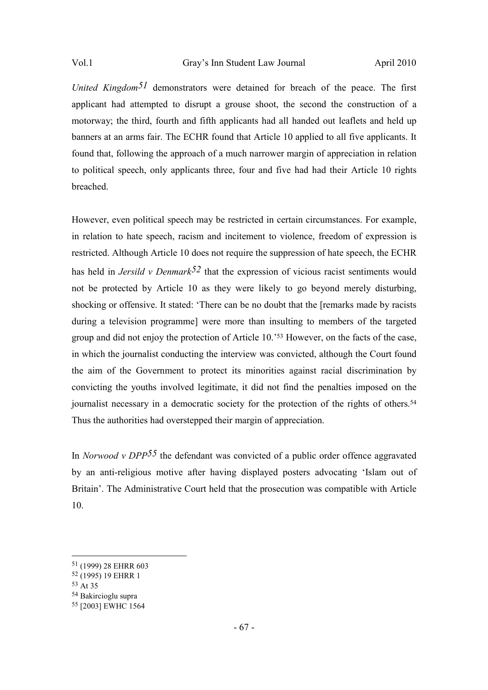*United Kingdom51* demonstrators were detained for breach of the peace. The first applicant had attempted to disrupt a grouse shoot, the second the construction of a motorway; the third, fourth and fifth applicants had all handed out leaflets and held up banners at an arms fair. The ECHR found that Article 10 applied to all five applicants. It found that, following the approach of a much narrower margin of appreciation in relation to political speech, only applicants three, four and five had had their Article 10 rights breached.

However, even political speech may be restricted in certain circumstances. For example, in relation to hate speech, racism and incitement to violence, freedom of expression is restricted. Although Article 10 does not require the suppression of hate speech, the ECHR has held in *Jersild v Denmark52* that the expression of vicious racist sentiments would not be protected by Article 10 as they were likely to go beyond merely disturbing, shocking or offensive. It stated: 'There can be no doubt that the [remarks made by racists during a television programme] were more than insulting to members of the targeted group and did not enjoy the protection of Article 10.'53 However, on the facts of the case, in which the journalist conducting the interview was convicted, although the Court found the aim of the Government to protect its minorities against racial discrimination by convicting the youths involved legitimate, it did not find the penalties imposed on the journalist necessary in a democratic society for the protection of the rights of others.<sup>54</sup> Thus the authorities had overstepped their margin of appreciation.

In *Norwood v DPP55* the defendant was convicted of a public order offence aggravated by an anti-religious motive after having displayed posters advocating 'Islam out of Britain'. The Administrative Court held that the prosecution was compatible with Article 10.

<sup>51</sup> (1999) 28 EHRR 603

<sup>52</sup> (1995) 19 EHRR 1

<sup>53</sup> At 35

<sup>54</sup> Bakircioglu supra

<sup>55</sup> [2003] EWHC 1564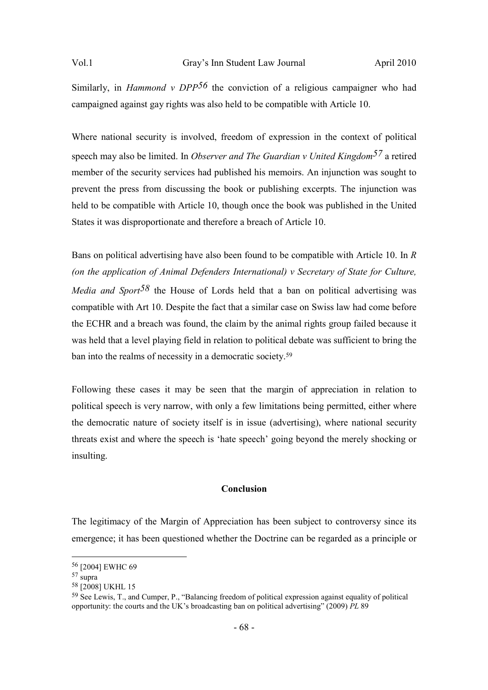Similarly, in *Hammond v DPP56* the conviction of a religious campaigner who had campaigned against gay rights was also held to be compatible with Article 10.

Where national security is involved, freedom of expression in the context of political speech may also be limited. In *Observer and The Guardian v United Kingdom57* a retired member of the security services had published his memoirs. An injunction was sought to prevent the press from discussing the book or publishing excerpts. The injunction was held to be compatible with Article 10, though once the book was published in the United States it was disproportionate and therefore a breach of Article 10.

Bans on political advertising have also been found to be compatible with Article 10. In *R (on the application of Animal Defenders International) v Secretary of State for Culture, Media and Sport*<sup>58</sup> the House of Lords held that a ban on political advertising was compatible with Art 10. Despite the fact that a similar case on Swiss law had come before the ECHR and a breach was found, the claim by the animal rights group failed because it was held that a level playing field in relation to political debate was sufficient to bring the ban into the realms of necessity in a democratic society.<sup>59</sup>

Following these cases it may be seen that the margin of appreciation in relation to political speech is very narrow, with only a few limitations being permitted, either where the democratic nature of society itself is in issue (advertising), where national security threats exist and where the speech is 'hate speech' going beyond the merely shocking or insulting.

# **Conclusion**

The legitimacy of the Margin of Appreciation has been subject to controversy since its emergence; it has been questioned whether the Doctrine can be regarded as a principle or

<sup>56</sup> [2004] EWHC 69

<sup>57</sup> supra

<sup>58</sup> [2008] UKHL 15

<sup>59</sup> See Lewis, T., and Cumper, P., "Balancing freedom of political expression against equality of political opportunity: the courts and the UK's broadcasting ban on political advertising" (2009) *PL* 89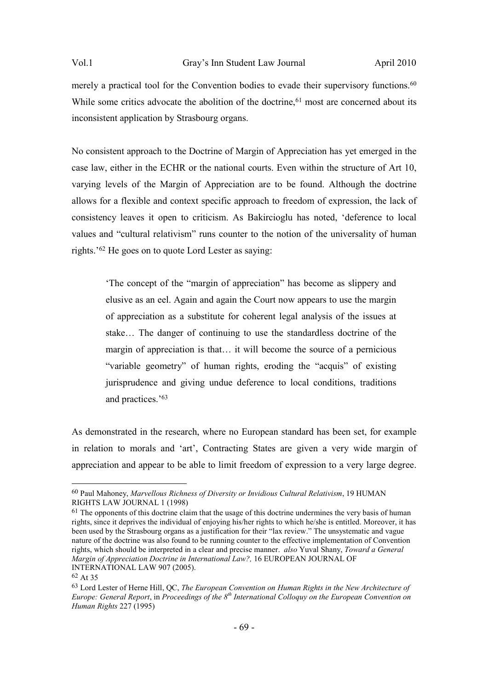merely a practical tool for the Convention bodies to evade their supervisory functions.<sup>60</sup> While some critics advocate the abolition of the doctrine,<sup>61</sup> most are concerned about its inconsistent application by Strasbourg organs.

No consistent approach to the Doctrine of Margin of Appreciation has yet emerged in the case law, either in the ECHR or the national courts. Even within the structure of Art 10, varying levels of the Margin of Appreciation are to be found. Although the doctrine allows for a flexible and context specific approach to freedom of expression, the lack of consistency leaves it open to criticism. As Bakircioglu has noted, 'deference to local values and "cultural relativism" runs counter to the notion of the universality of human rights.'<sup>62</sup> He goes on to quote Lord Lester as saying:

'The concept of the "margin of appreciation" has become as slippery and elusive as an eel. Again and again the Court now appears to use the margin of appreciation as a substitute for coherent legal analysis of the issues at stake… The danger of continuing to use the standardless doctrine of the margin of appreciation is that… it will become the source of a pernicious "variable geometry" of human rights, eroding the "acquis" of existing jurisprudence and giving undue deference to local conditions, traditions and practices.'<sup>63</sup>

As demonstrated in the research, where no European standard has been set, for example in relation to morals and 'art', Contracting States are given a very wide margin of appreciation and appear to be able to limit freedom of expression to a very large degree.

<sup>60</sup> Paul Mahoney, *Marvellous Richness of Diversity or Invidious Cultural Relativism*, 19 HUMAN RIGHTS LAW JOURNAL 1 (1998)

 $61$  The opponents of this doctrine claim that the usage of this doctrine undermines the very basis of human rights, since it deprives the individual of enjoying his/her rights to which he/she is entitled. Moreover, it has been used by the Strasbourg organs as a justification for their "lax review." The unsystematic and vague nature of the doctrine was also found to be running counter to the effective implementation of Convention rights, which should be interpreted in a clear and precise manner. *also* Yuval Shany, *Toward a General Margin of Appreciation Doctrine in International Law?, 16 EUROPEAN JOURNAL OF* INTERNATIONAL LAW 907 (2005).

<sup>62</sup> At 35

<sup>63</sup> Lord Lester of Herne Hill, QC, *The European Convention on Human Rights in the New Architecture of Europe: General Report*, in *Proceedings of the 8th International Colloquy on the European Convention on Human Rights* 227 (1995)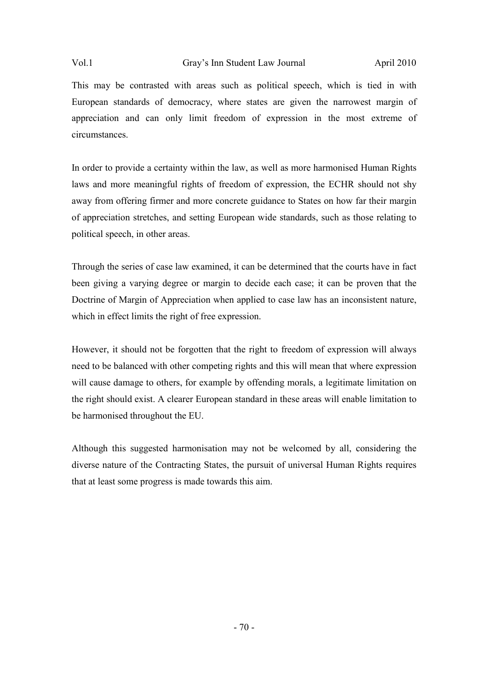This may be contrasted with areas such as political speech, which is tied in with European standards of democracy, where states are given the narrowest margin of appreciation and can only limit freedom of expression in the most extreme of circumstances.

In order to provide a certainty within the law, as well as more harmonised Human Rights laws and more meaningful rights of freedom of expression, the ECHR should not shy away from offering firmer and more concrete guidance to States on how far their margin of appreciation stretches, and setting European wide standards, such as those relating to political speech, in other areas.

Through the series of case law examined, it can be determined that the courts have in fact been giving a varying degree or margin to decide each case; it can be proven that the Doctrine of Margin of Appreciation when applied to case law has an inconsistent nature, which in effect limits the right of free expression.

However, it should not be forgotten that the right to freedom of expression will always need to be balanced with other competing rights and this will mean that where expression will cause damage to others, for example by offending morals, a legitimate limitation on the right should exist. A clearer European standard in these areas will enable limitation to be harmonised throughout the EU.

Although this suggested harmonisation may not be welcomed by all, considering the diverse nature of the Contracting States, the pursuit of universal Human Rights requires that at least some progress is made towards this aim.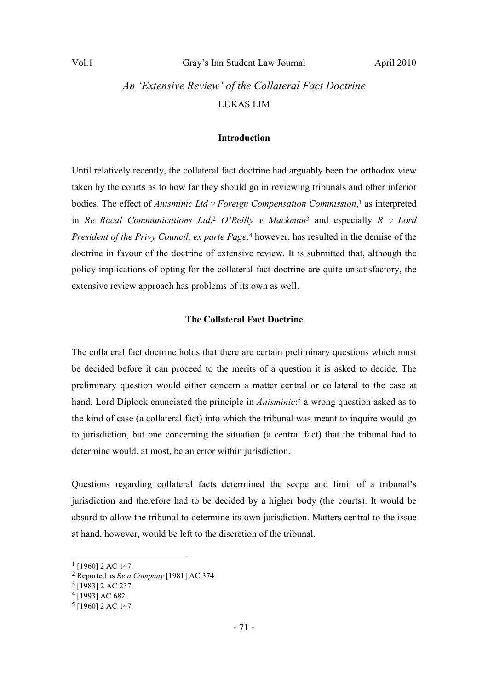# *An 'Extensive Review' of the Collateral Fact Doctrine*  LUKAS LIM

# **Introduction**

Until relatively recently, the collateral fact doctrine had arguably been the orthodox view taken by the courts as to how far they should go in reviewing tribunals and other inferior bodies. The effect of *Anisminic Ltd v Foreign Compensation Commission*,<sup>1</sup> as interpreted in *Re Racal Communications Ltd*, <sup>2</sup> *O'Reilly v Mackman*3 and especially *R v Lord President of the Privy Council, ex parte Page*, 4 however, has resulted in the demise of the doctrine in favour of the doctrine of extensive review. It is submitted that, although the policy implications of opting for the collateral fact doctrine are quite unsatisfactory, the extensive review approach has problems of its own as well.

# **The Collateral Fact Doctrine**

The collateral fact doctrine holds that there are certain preliminary questions which must be decided before it can proceed to the merits of a question it is asked to decide. The preliminary question would either concern a matter central or collateral to the case at hand. Lord Diplock enunciated the principle in *Anisminic*:<sup>5</sup> a wrong question asked as to the kind of case (a collateral fact) into which the tribunal was meant to inquire would go to jurisdiction, but one concerning the situation (a central fact) that the tribunal had to determine would, at most, be an error within jurisdiction.

Questions regarding collateral facts determined the scope and limit of a tribunal's jurisdiction and therefore had to be decided by a higher body (the courts). It would be absurd to allow the tribunal to determine its own jurisdiction. Matters central to the issue at hand, however, would be left to the discretion of the tribunal.

<sup>1</sup> [1960] 2 AC 147.

<sup>2</sup> Reported as *Re a Company* [1981] AC 374.

<sup>3</sup> [1983] 2 AC 237.

<sup>4</sup> [1993] AC 682.

<sup>5</sup> [1960] 2 AC 147.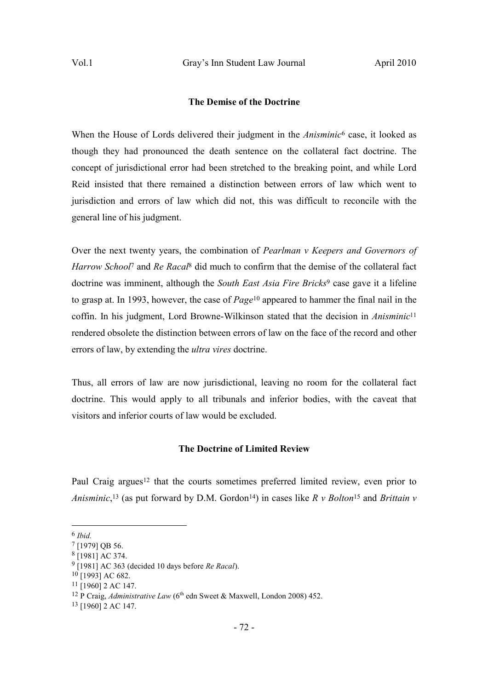#### **The Demise of the Doctrine**

When the House of Lords delivered their judgment in the *Anisminic*<sup>6</sup> case, it looked as though they had pronounced the death sentence on the collateral fact doctrine. The concept of jurisdictional error had been stretched to the breaking point, and while Lord Reid insisted that there remained a distinction between errors of law which went to jurisdiction and errors of law which did not, this was difficult to reconcile with the general line of his judgment.

Over the next twenty years, the combination of *Pearlman v Keepers and Governors of Harrow School*7 and *Re Racal*8 did much to confirm that the demise of the collateral fact doctrine was imminent, although the *South East Asia Fire Bricks*<sup>9</sup> case gave it a lifeline to grasp at. In 1993, however, the case of *Page*<sup>10</sup> appeared to hammer the final nail in the coffin. In his judgment, Lord Browne-Wilkinson stated that the decision in *Anisminic*<sup>11</sup> rendered obsolete the distinction between errors of law on the face of the record and other errors of law, by extending the *ultra vires* doctrine.

Thus, all errors of law are now jurisdictional, leaving no room for the collateral fact doctrine. This would apply to all tribunals and inferior bodies, with the caveat that visitors and inferior courts of law would be excluded.

### **The Doctrine of Limited Review**

Paul Craig argues<sup>12</sup> that the courts sometimes preferred limited review, even prior to *Anisminic*,<sup>13</sup> (as put forward by D.M. Gordon<sup>14</sup>) in cases like *R v Bolton*<sup>15</sup> and *Brittain v* 

<sup>6</sup> *Ibid.*

<sup>7</sup> [1979] QB 56.

<sup>8</sup> [1981] AC 374.

<sup>9</sup> [1981] AC 363 (decided 10 days before *Re Racal*).

<sup>10</sup> [1993] AC 682.

<sup>11</sup> [1960] 2 AC 147.

<sup>&</sup>lt;sup>12</sup> P Craig, *Administrative Law* (6<sup>th</sup> edn Sweet & Maxwell, London 2008) 452.

<sup>13</sup> [1960] 2 AC 147.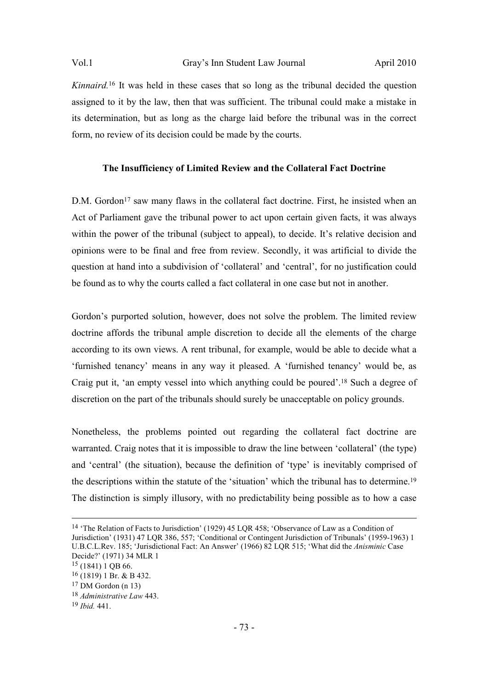*Kinnaird.*<sup>16</sup> It was held in these cases that so long as the tribunal decided the question assigned to it by the law, then that was sufficient. The tribunal could make a mistake in its determination, but as long as the charge laid before the tribunal was in the correct form, no review of its decision could be made by the courts.

#### **The Insufficiency of Limited Review and the Collateral Fact Doctrine**

D.M. Gordon<sup>17</sup> saw many flaws in the collateral fact doctrine. First, he insisted when an Act of Parliament gave the tribunal power to act upon certain given facts, it was always within the power of the tribunal (subject to appeal), to decide. It's relative decision and opinions were to be final and free from review. Secondly, it was artificial to divide the question at hand into a subdivision of 'collateral' and 'central', for no justification could be found as to why the courts called a fact collateral in one case but not in another.

Gordon's purported solution, however, does not solve the problem. The limited review doctrine affords the tribunal ample discretion to decide all the elements of the charge according to its own views. A rent tribunal, for example, would be able to decide what a 'furnished tenancy' means in any way it pleased. A 'furnished tenancy' would be, as Craig put it, 'an empty vessel into which anything could be poured'.18 Such a degree of discretion on the part of the tribunals should surely be unacceptable on policy grounds.

Nonetheless, the problems pointed out regarding the collateral fact doctrine are warranted. Craig notes that it is impossible to draw the line between 'collateral' (the type) and 'central' (the situation), because the definition of 'type' is inevitably comprised of the descriptions within the statute of the 'situation' which the tribunal has to determine.<sup>19</sup> The distinction is simply illusory, with no predictability being possible as to how a case

<sup>14</sup> 'The Relation of Facts to Jurisdiction' (1929) 45 LQR 458; 'Observance of Law as a Condition of Jurisdiction' (1931) 47 LQR 386, 557; 'Conditional or Contingent Jurisdiction of Tribunals' (1959-1963) 1 U.B.C.L.Rev. 185; 'Jurisdictional Fact: An Answer' (1966) 82 LQR 515; 'What did the *Anisminic* Case Decide?' (1971) 34 MLR 1

<sup>15</sup> (1841) 1 QB 66.

<sup>16</sup> (1819) 1 Br. & B 432.

<sup>17</sup> DM Gordon (n 13)

<sup>18</sup> *Administrative Law* 443.

<sup>19</sup> *Ibid.* 441.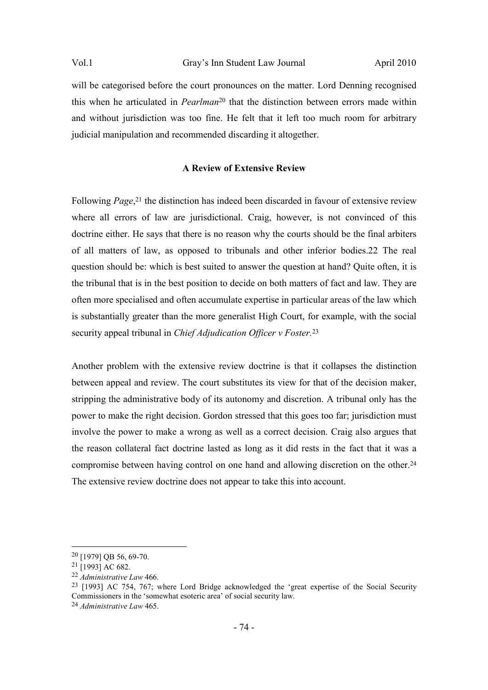will be categorised before the court pronounces on the matter. Lord Denning recognised this when he articulated in *Pearlman*20 that the distinction between errors made within and without jurisdiction was too fine. He felt that it left too much room for arbitrary judicial manipulation and recommended discarding it altogether.

#### **A Review of Extensive Review**

Following *Page*, <sup>21</sup> the distinction has indeed been discarded in favour of extensive review where all errors of law are jurisdictional. Craig, however, is not convinced of this doctrine either. He says that there is no reason why the courts should be the final arbiters of all matters of law, as opposed to tribunals and other inferior bodies.22 The real question should be: which is best suited to answer the question at hand? Quite often, it is the tribunal that is in the best position to decide on both matters of fact and law. They are often more specialised and often accumulate expertise in particular areas of the law which is substantially greater than the more generalist High Court, for example, with the social security appeal tribunal in *Chief Adjudication Officer v Foster.*<sup>23</sup>

Another problem with the extensive review doctrine is that it collapses the distinction between appeal and review. The court substitutes its view for that of the decision maker, stripping the administrative body of its autonomy and discretion. A tribunal only has the power to make the right decision. Gordon stressed that this goes too far; jurisdiction must involve the power to make a wrong as well as a correct decision. Craig also argues that the reason collateral fact doctrine lasted as long as it did rests in the fact that it was a compromise between having control on one hand and allowing discretion on the other.<sup>24</sup> The extensive review doctrine does not appear to take this into account.

<sup>20</sup> [1979] QB 56, 69-70.

<sup>21</sup> [1993] AC 682.

<sup>22</sup> *Administrative Law* 466.

<sup>23</sup> [1993] AC 754, 767; where Lord Bridge acknowledged the 'great expertise of the Social Security Commissioners in the 'somewhat esoteric area' of social security law.

<sup>24</sup> *Administrative Law* 465.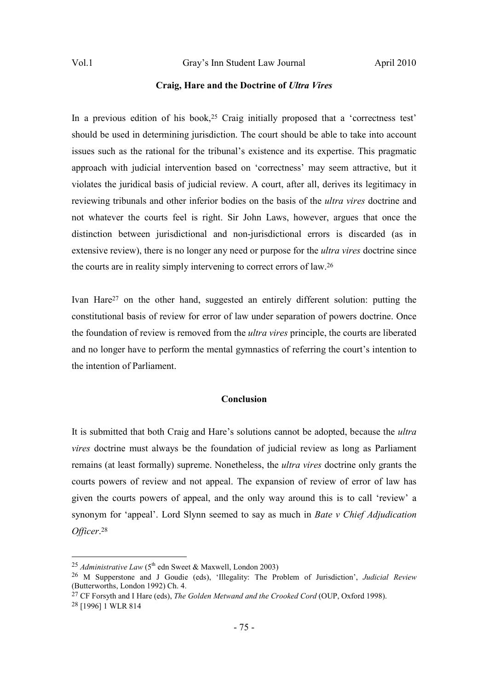#### **Craig, Hare and the Doctrine of** *Ultra Vires*

In a previous edition of his book,<sup>25</sup> Craig initially proposed that a 'correctness test' should be used in determining jurisdiction. The court should be able to take into account issues such as the rational for the tribunal's existence and its expertise. This pragmatic approach with judicial intervention based on 'correctness' may seem attractive, but it violates the juridical basis of judicial review. A court, after all, derives its legitimacy in reviewing tribunals and other inferior bodies on the basis of the *ultra vires* doctrine and not whatever the courts feel is right. Sir John Laws, however, argues that once the distinction between jurisdictional and non-jurisdictional errors is discarded (as in extensive review), there is no longer any need or purpose for the *ultra vires* doctrine since the courts are in reality simply intervening to correct errors of law.<sup>26</sup>

Ivan Hare27 on the other hand, suggested an entirely different solution: putting the constitutional basis of review for error of law under separation of powers doctrine. Once the foundation of review is removed from the *ultra vires* principle, the courts are liberated and no longer have to perform the mental gymnastics of referring the court's intention to the intention of Parliament.

#### **Conclusion**

It is submitted that both Craig and Hare's solutions cannot be adopted, because the *ultra vires* doctrine must always be the foundation of judicial review as long as Parliament remains (at least formally) supreme. Nonetheless, the *ultra vires* doctrine only grants the courts powers of review and not appeal. The expansion of review of error of law has given the courts powers of appeal, and the only way around this is to call 'review' a synonym for 'appeal'. Lord Slynn seemed to say as much in *Bate v Chief Adjudication Officer*. 28

<sup>&</sup>lt;sup>25</sup> *Administrative Law* (5<sup>th</sup> edn Sweet & Maxwell, London 2003)

<sup>26</sup> M Supperstone and J Goudie (eds), 'Illegality: The Problem of Jurisdiction', *Judicial Review*  (Butterworths, London 1992) Ch. 4.

<sup>27</sup> CF Forsyth and I Hare (eds), *The Golden Metwand and the Crooked Cord* (OUP, Oxford 1998). <sup>28</sup> [1996] 1 WLR 814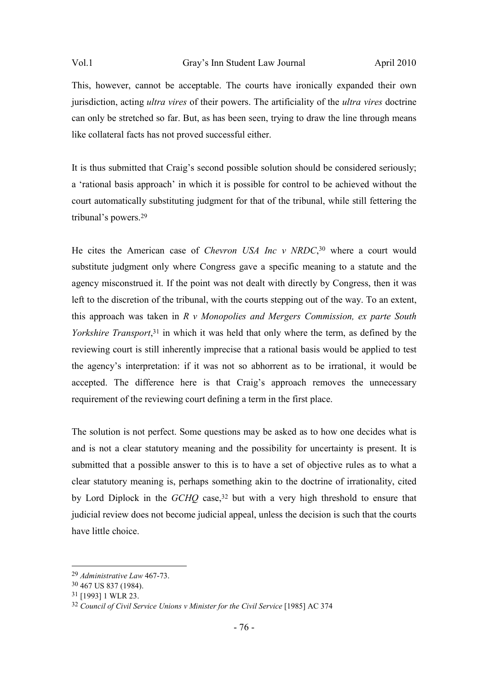This, however, cannot be acceptable. The courts have ironically expanded their own jurisdiction, acting *ultra vires* of their powers. The artificiality of the *ultra vires* doctrine can only be stretched so far. But, as has been seen, trying to draw the line through means like collateral facts has not proved successful either.

It is thus submitted that Craig's second possible solution should be considered seriously; a 'rational basis approach' in which it is possible for control to be achieved without the court automatically substituting judgment for that of the tribunal, while still fettering the tribunal's powers.<sup>29</sup>

He cites the American case of *Chevron USA Inc v NRDC*, <sup>30</sup> where a court would substitute judgment only where Congress gave a specific meaning to a statute and the agency misconstrued it. If the point was not dealt with directly by Congress, then it was left to the discretion of the tribunal, with the courts stepping out of the way. To an extent, this approach was taken in *R v Monopolies and Mergers Commission, ex parte South Yorkshire Transport*, <sup>31</sup> in which it was held that only where the term, as defined by the reviewing court is still inherently imprecise that a rational basis would be applied to test the agency's interpretation: if it was not so abhorrent as to be irrational, it would be accepted. The difference here is that Craig's approach removes the unnecessary requirement of the reviewing court defining a term in the first place.

The solution is not perfect. Some questions may be asked as to how one decides what is and is not a clear statutory meaning and the possibility for uncertainty is present. It is submitted that a possible answer to this is to have a set of objective rules as to what a clear statutory meaning is, perhaps something akin to the doctrine of irrationality, cited by Lord Diplock in the *GCHQ* case,<sup>32</sup> but with a very high threshold to ensure that judicial review does not become judicial appeal, unless the decision is such that the courts have little choice.

<sup>29</sup> *Administrative Law* 467-73.

<sup>30</sup> 467 US 837 (1984).

<sup>31</sup> [1993] 1 WLR 23.

<sup>32</sup> *Council of Civil Service Unions v Minister for the Civil Service* [1985] AC 374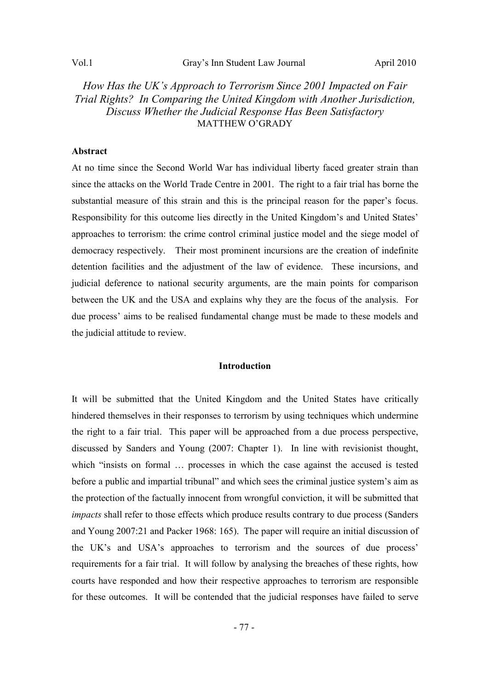## *How Has the UK's Approach to Terrorism Since 2001 Impacted on Fair Trial Rights? In Comparing the United Kingdom with Another Jurisdiction, Discuss Whether the Judicial Response Has Been Satisfactory*  MATTHEW O'GRADY

#### **Abstract**

At no time since the Second World War has individual liberty faced greater strain than since the attacks on the World Trade Centre in 2001. The right to a fair trial has borne the substantial measure of this strain and this is the principal reason for the paper's focus. Responsibility for this outcome lies directly in the United Kingdom's and United States' approaches to terrorism: the crime control criminal justice model and the siege model of democracy respectively. Their most prominent incursions are the creation of indefinite detention facilities and the adjustment of the law of evidence. These incursions, and judicial deference to national security arguments, are the main points for comparison between the UK and the USA and explains why they are the focus of the analysis. For due process' aims to be realised fundamental change must be made to these models and the judicial attitude to review.

#### **Introduction**

It will be submitted that the United Kingdom and the United States have critically hindered themselves in their responses to terrorism by using techniques which undermine the right to a fair trial. This paper will be approached from a due process perspective, discussed by Sanders and Young (2007: Chapter 1). In line with revisionist thought, which "insists on formal ... processes in which the case against the accused is tested before a public and impartial tribunal" and which sees the criminal justice system's aim as the protection of the factually innocent from wrongful conviction, it will be submitted that *impacts* shall refer to those effects which produce results contrary to due process (Sanders and Young 2007:21 and Packer 1968: 165). The paper will require an initial discussion of the UK's and USA's approaches to terrorism and the sources of due process' requirements for a fair trial. It will follow by analysing the breaches of these rights, how courts have responded and how their respective approaches to terrorism are responsible for these outcomes. It will be contended that the judicial responses have failed to serve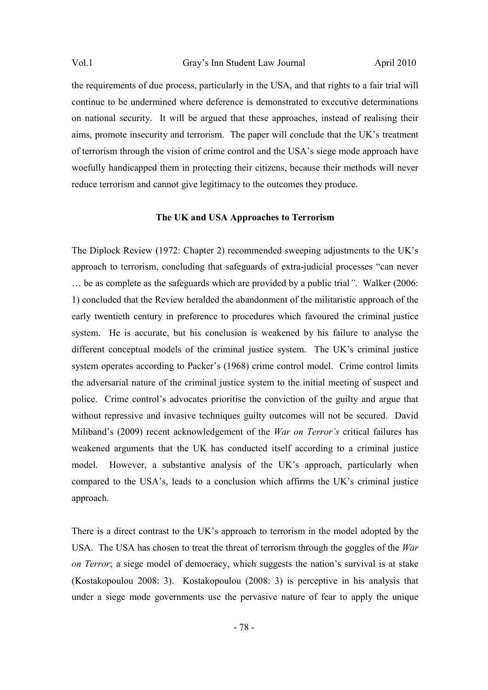the requirements of due process, particularly in the USA, and that rights to a fair trial will continue to be undermined where deference is demonstrated to executive determinations on national security. It will be argued that these approaches, instead of realising their aims, promote insecurity and terrorism. The paper will conclude that the UK's treatment of terrorism through the vision of crime control and the USA's siege mode approach have woefully handicapped them in protecting their citizens, because their methods will never reduce terrorism and cannot give legitimacy to the outcomes they produce.

#### **The UK and USA Approaches to Terrorism**

The Diplock Review (1972: Chapter 2) recommended sweeping adjustments to the UK's approach to terrorism, concluding that safeguards of extra-judicial processes "can never … be as complete as the safeguards which are provided by a public trial*"*. Walker (2006: 1) concluded that the Review heralded the abandonment of the militaristic approach of the early twentieth century in preference to procedures which favoured the criminal justice system. He is accurate, but his conclusion is weakened by his failure to analyse the different conceptual models of the criminal justice system. The UK's criminal justice system operates according to Packer's (1968) crime control model. Crime control limits the adversarial nature of the criminal justice system to the initial meeting of suspect and police. Crime control's advocates prioritise the conviction of the guilty and argue that without repressive and invasive techniques guilty outcomes will not be secured. David Miliband's (2009) recent acknowledgement of the *War on Terror's* critical failures has weakened arguments that the UK has conducted itself according to a criminal justice model. However, a substantive analysis of the UK's approach, particularly when compared to the USA's, leads to a conclusion which affirms the UK's criminal justice approach.

There is a direct contrast to the UK's approach to terrorism in the model adopted by the USA. The USA has chosen to treat the threat of terrorism through the goggles of the *War on Terror*; a siege model of democracy, which suggests the nation's survival is at stake (Kostakopoulou 2008: 3). Kostakopoulou (2008: 3) is perceptive in his analysis that under a siege mode governments use the pervasive nature of fear to apply the unique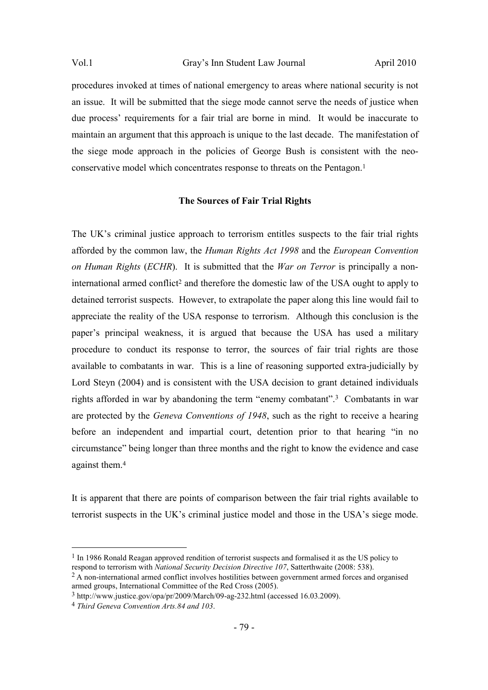procedures invoked at times of national emergency to areas where national security is not an issue. It will be submitted that the siege mode cannot serve the needs of justice when due process' requirements for a fair trial are borne in mind. It would be inaccurate to maintain an argument that this approach is unique to the last decade. The manifestation of the siege mode approach in the policies of George Bush is consistent with the neoconservative model which concentrates response to threats on the Pentagon.<sup>1</sup>

#### **The Sources of Fair Trial Rights**

The UK's criminal justice approach to terrorism entitles suspects to the fair trial rights afforded by the common law, the *Human Rights Act 1998* and the *European Convention on Human Rights* (*ECHR*). It is submitted that the *War on Terror* is principally a noninternational armed conflict<sup>2</sup> and therefore the domestic law of the USA ought to apply to detained terrorist suspects. However, to extrapolate the paper along this line would fail to appreciate the reality of the USA response to terrorism. Although this conclusion is the paper's principal weakness, it is argued that because the USA has used a military procedure to conduct its response to terror, the sources of fair trial rights are those available to combatants in war. This is a line of reasoning supported extra-judicially by Lord Steyn (2004) and is consistent with the USA decision to grant detained individuals rights afforded in war by abandoning the term "enemy combatant".3 Combatants in war are protected by the *Geneva Conventions of 1948*, such as the right to receive a hearing before an independent and impartial court, detention prior to that hearing "in no circumstance" being longer than three months and the right to know the evidence and case against them.<sup>4</sup>

It is apparent that there are points of comparison between the fair trial rights available to terrorist suspects in the UK's criminal justice model and those in the USA's siege mode.

armed groups, International Committee of the Red Cross (2005).

<sup>&</sup>lt;sup>1</sup> In 1986 Ronald Reagan approved rendition of terrorist suspects and formalised it as the US policy to respond to terrorism with *National Security Decision Directive 107*, Satterthwaite (2008: 538). <sup>2</sup> A non-international armed conflict involves hostilities between government armed forces and organised

<sup>3</sup> http://www.justice.gov/opa/pr/2009/March/09-ag-232.html (accessed 16.03.2009).

<sup>4</sup> *Third Geneva Convention Arts.84 and 103*.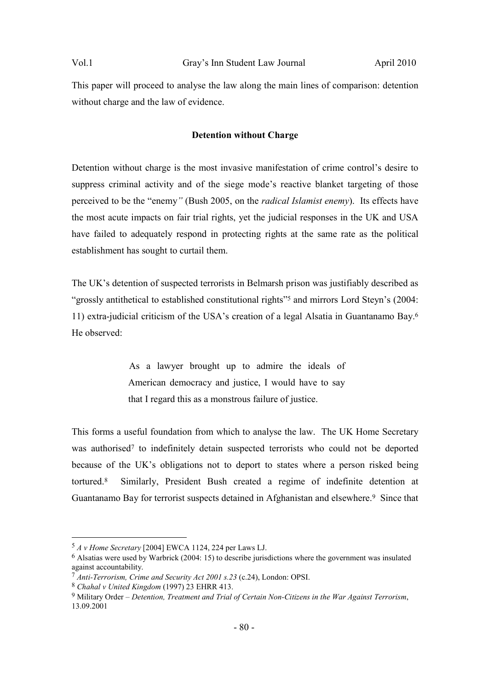This paper will proceed to analyse the law along the main lines of comparison: detention without charge and the law of evidence.

#### **Detention without Charge**

Detention without charge is the most invasive manifestation of crime control's desire to suppress criminal activity and of the siege mode's reactive blanket targeting of those perceived to be the "enemy*"* (Bush 2005, on the *radical Islamist enemy*). Its effects have the most acute impacts on fair trial rights, yet the judicial responses in the UK and USA have failed to adequately respond in protecting rights at the same rate as the political establishment has sought to curtail them.

The UK's detention of suspected terrorists in Belmarsh prison was justifiably described as "grossly antithetical to established constitutional rights"5 and mirrors Lord Steyn's (2004: 11) extra-judicial criticism of the USA's creation of a legal Alsatia in Guantanamo Bay.<sup>6</sup> He observed:

> As a lawyer brought up to admire the ideals of American democracy and justice, I would have to say that I regard this as a monstrous failure of justice.

This forms a useful foundation from which to analyse the law. The UK Home Secretary was authorised<sup>7</sup> to indefinitely detain suspected terrorists who could not be deported because of the UK's obligations not to deport to states where a person risked being tortured.8 Similarly, President Bush created a regime of indefinite detention at Guantanamo Bay for terrorist suspects detained in Afghanistan and elsewhere.<sup>9</sup> Since that

<sup>5</sup> *A v Home Secretary* [2004] EWCA 1124, 224 per Laws LJ.

<sup>6</sup> Alsatias were used by Warbrick (2004: 15) to describe jurisdictions where the government was insulated against accountability.

<sup>7</sup> *Anti-Terrorism, Crime and Security Act 2001 s.23* (c.24), London: OPSI.

<sup>8</sup> *Chahal v United Kingdom* (1997) 23 EHRR 413.

<sup>9</sup> Military Order *– Detention, Treatment and Trial of Certain Non-Citizens in the War Against Terrorism*, 13.09.2001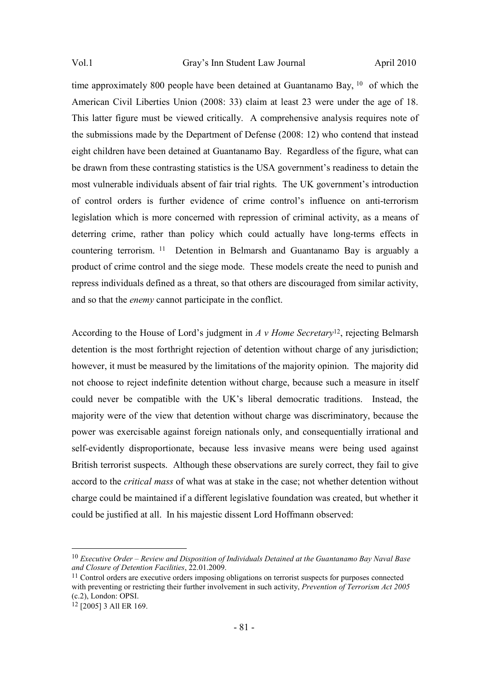time approximately 800 people have been detained at Guantanamo Bay, <sup>10</sup> of which the American Civil Liberties Union (2008: 33) claim at least 23 were under the age of 18. This latter figure must be viewed critically. A comprehensive analysis requires note of the submissions made by the Department of Defense (2008: 12) who contend that instead eight children have been detained at Guantanamo Bay. Regardless of the figure, what can be drawn from these contrasting statistics is the USA government's readiness to detain the most vulnerable individuals absent of fair trial rights. The UK government's introduction of control orders is further evidence of crime control's influence on anti-terrorism legislation which is more concerned with repression of criminal activity, as a means of deterring crime, rather than policy which could actually have long-terms effects in countering terrorism.<sup>11</sup> Detention in Belmarsh and Guantanamo Bay is arguably a product of crime control and the siege mode. These models create the need to punish and repress individuals defined as a threat, so that others are discouraged from similar activity, and so that the *enemy* cannot participate in the conflict.

According to the House of Lord's judgment in *A v Home Secretary*<sup>12</sup>, rejecting Belmarsh detention is the most forthright rejection of detention without charge of any jurisdiction; however, it must be measured by the limitations of the majority opinion. The majority did not choose to reject indefinite detention without charge, because such a measure in itself could never be compatible with the UK's liberal democratic traditions. Instead, the majority were of the view that detention without charge was discriminatory, because the power was exercisable against foreign nationals only, and consequentially irrational and self-evidently disproportionate, because less invasive means were being used against British terrorist suspects. Although these observations are surely correct, they fail to give accord to the *critical mass* of what was at stake in the case; not whether detention without charge could be maintained if a different legislative foundation was created, but whether it could be justified at all. In his majestic dissent Lord Hoffmann observed:

<sup>10</sup> *Executive Order – Review and Disposition of Individuals Detained at the Guantanamo Bay Naval Base and Closure of Detention Facilities*, 22.01.2009.

<sup>&</sup>lt;sup>11</sup> Control orders are executive orders imposing obligations on terrorist suspects for purposes connected with preventing or restricting their further involvement in such activity, *Prevention of Terrorism Act 2005* (c.2), London: OPSI.

<sup>12</sup> [2005] 3 All ER 169.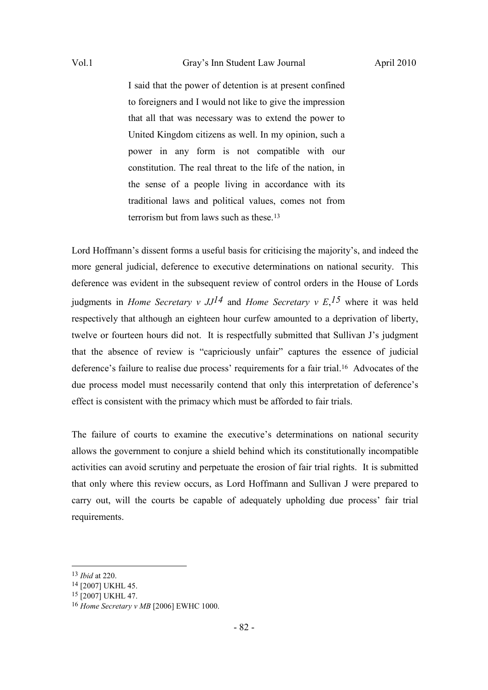I said that the power of detention is at present confined to foreigners and I would not like to give the impression that all that was necessary was to extend the power to United Kingdom citizens as well. In my opinion, such a power in any form is not compatible with our constitution. The real threat to the life of the nation, in the sense of a people living in accordance with its traditional laws and political values, comes not from terrorism but from laws such as these.<sup>13</sup>

Lord Hoffmann's dissent forms a useful basis for criticising the majority's, and indeed the more general judicial, deference to executive determinations on national security. This deference was evident in the subsequent review of control orders in the House of Lords judgments in *Home Secretary v*  $JJ^2$  and *Home Secretary v E<sub>,</sub><sup>15</sup> where it was held* respectively that although an eighteen hour curfew amounted to a deprivation of liberty, twelve or fourteen hours did not. It is respectfully submitted that Sullivan J's judgment that the absence of review is "capriciously unfair" captures the essence of judicial deference's failure to realise due process' requirements for a fair trial.16 Advocates of the due process model must necessarily contend that only this interpretation of deference's effect is consistent with the primacy which must be afforded to fair trials.

The failure of courts to examine the executive's determinations on national security allows the government to conjure a shield behind which its constitutionally incompatible activities can avoid scrutiny and perpetuate the erosion of fair trial rights. It is submitted that only where this review occurs, as Lord Hoffmann and Sullivan J were prepared to carry out, will the courts be capable of adequately upholding due process' fair trial requirements.

<sup>13</sup> *Ibid* at 220.

<sup>14</sup> [2007] UKHL 45.

<sup>15</sup> [2007] UKHL 47.

<sup>16</sup> *Home Secretary v MB* [2006] EWHC 1000.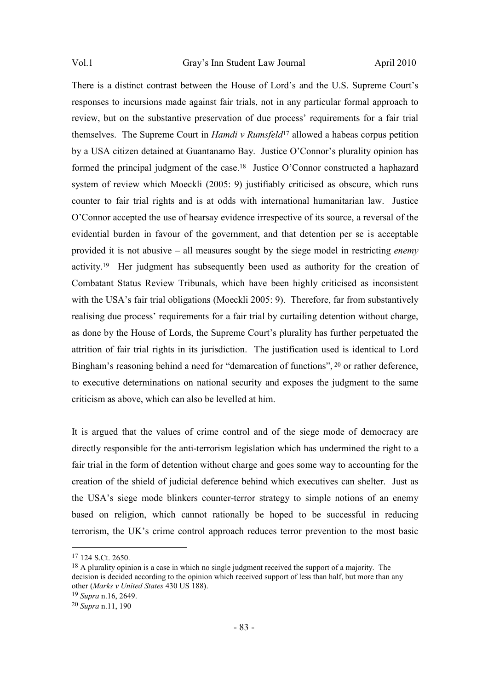There is a distinct contrast between the House of Lord's and the U.S. Supreme Court's responses to incursions made against fair trials, not in any particular formal approach to review, but on the substantive preservation of due process' requirements for a fair trial themselves. The Supreme Court in *Hamdi v Rumsfeld*17 allowed a habeas corpus petition by a USA citizen detained at Guantanamo Bay. Justice O'Connor's plurality opinion has formed the principal judgment of the case.<sup>18</sup> Justice O'Connor constructed a haphazard system of review which Moeckli (2005: 9) justifiably criticised as obscure, which runs counter to fair trial rights and is at odds with international humanitarian law. Justice O'Connor accepted the use of hearsay evidence irrespective of its source, a reversal of the evidential burden in favour of the government, and that detention per se is acceptable provided it is not abusive – all measures sought by the siege model in restricting *enemy* activity.19 Her judgment has subsequently been used as authority for the creation of Combatant Status Review Tribunals, which have been highly criticised as inconsistent with the USA's fair trial obligations (Moeckli 2005: 9). Therefore, far from substantively realising due process' requirements for a fair trial by curtailing detention without charge, as done by the House of Lords, the Supreme Court's plurality has further perpetuated the attrition of fair trial rights in its jurisdiction. The justification used is identical to Lord Bingham's reasoning behind a need for "demarcation of functions", <sup>20</sup> or rather deference, to executive determinations on national security and exposes the judgment to the same criticism as above, which can also be levelled at him.

It is argued that the values of crime control and of the siege mode of democracy are directly responsible for the anti-terrorism legislation which has undermined the right to a fair trial in the form of detention without charge and goes some way to accounting for the creation of the shield of judicial deference behind which executives can shelter. Just as the USA's siege mode blinkers counter-terror strategy to simple notions of an enemy based on religion, which cannot rationally be hoped to be successful in reducing terrorism, the UK's crime control approach reduces terror prevention to the most basic

<sup>17</sup> 124 S.Ct. 2650.

<sup>&</sup>lt;sup>18</sup> A plurality opinion is a case in which no single judgment received the support of a majority. The decision is decided according to the opinion which received support of less than half, but more than any other (*Marks v United States* 430 US 188).

<sup>19</sup> *Supra* n.16, 2649.

<sup>20</sup> *Supra* n.11, 190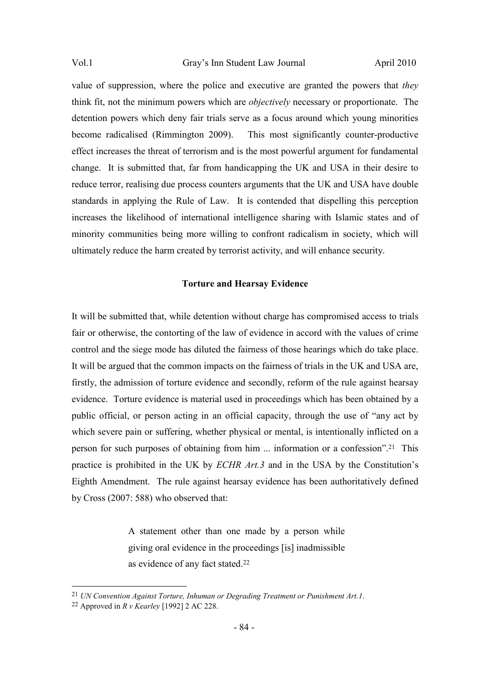value of suppression, where the police and executive are granted the powers that *they* think fit, not the minimum powers which are *objectively* necessary or proportionate. The detention powers which deny fair trials serve as a focus around which young minorities become radicalised (Rimmington 2009). This most significantly counter-productive effect increases the threat of terrorism and is the most powerful argument for fundamental change. It is submitted that, far from handicapping the UK and USA in their desire to reduce terror, realising due process counters arguments that the UK and USA have double standards in applying the Rule of Law. It is contended that dispelling this perception increases the likelihood of international intelligence sharing with Islamic states and of minority communities being more willing to confront radicalism in society, which will ultimately reduce the harm created by terrorist activity, and will enhance security.

#### **Torture and Hearsay Evidence**

It will be submitted that, while detention without charge has compromised access to trials fair or otherwise, the contorting of the law of evidence in accord with the values of crime control and the siege mode has diluted the fairness of those hearings which do take place. It will be argued that the common impacts on the fairness of trials in the UK and USA are, firstly, the admission of torture evidence and secondly, reform of the rule against hearsay evidence. Torture evidence is material used in proceedings which has been obtained by a public official, or person acting in an official capacity, through the use of "any act by which severe pain or suffering, whether physical or mental, is intentionally inflicted on a person for such purposes of obtaining from him ... information or a confession".<sup>21</sup> This practice is prohibited in the UK by *ECHR Art.3* and in the USA by the Constitution's Eighth Amendment. The rule against hearsay evidence has been authoritatively defined by Cross (2007: 588) who observed that:

> A statement other than one made by a person while giving oral evidence in the proceedings [is] inadmissible as evidence of any fact stated.<sup>22</sup>

<sup>21</sup> *UN Convention Against Torture, Inhuman or Degrading Treatment or Punishment Art.1*.

<sup>22</sup> Approved in *R v Kearley* [1992] 2 AC 228.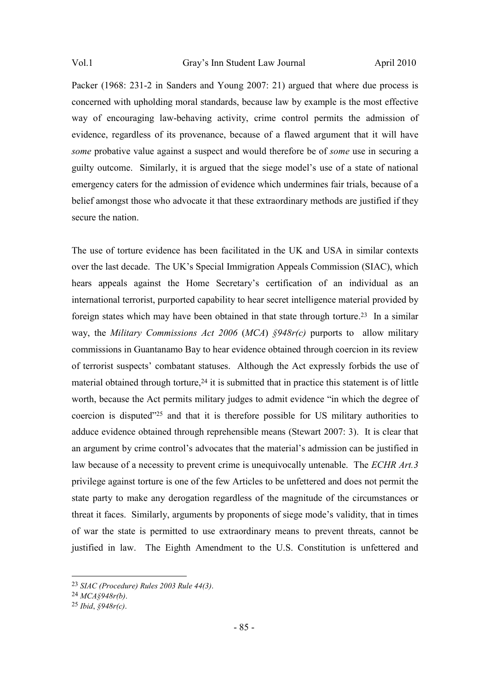Packer (1968: 231-2 in Sanders and Young 2007: 21) argued that where due process is concerned with upholding moral standards, because law by example is the most effective way of encouraging law-behaving activity, crime control permits the admission of evidence, regardless of its provenance, because of a flawed argument that it will have *some* probative value against a suspect and would therefore be of *some* use in securing a guilty outcome. Similarly, it is argued that the siege model's use of a state of national emergency caters for the admission of evidence which undermines fair trials, because of a belief amongst those who advocate it that these extraordinary methods are justified if they secure the nation.

The use of torture evidence has been facilitated in the UK and USA in similar contexts over the last decade. The UK's Special Immigration Appeals Commission (SIAC), which hears appeals against the Home Secretary's certification of an individual as an international terrorist, purported capability to hear secret intelligence material provided by foreign states which may have been obtained in that state through torture.23 In a similar way, the *Military Commissions Act 2006* (*MCA*) *§948r(c)* purports to allow military commissions in Guantanamo Bay to hear evidence obtained through coercion in its review of terrorist suspects' combatant statuses. Although the Act expressly forbids the use of material obtained through torture,<sup>24</sup> it is submitted that in practice this statement is of little worth, because the Act permits military judges to admit evidence "in which the degree of coercion is disputed"<sup>25</sup> and that it is therefore possible for US military authorities to adduce evidence obtained through reprehensible means (Stewart 2007: 3). It is clear that an argument by crime control's advocates that the material's admission can be justified in law because of a necessity to prevent crime is unequivocally untenable. The *ECHR Art.3* privilege against torture is one of the few Articles to be unfettered and does not permit the state party to make any derogation regardless of the magnitude of the circumstances or threat it faces. Similarly, arguments by proponents of siege mode's validity, that in times of war the state is permitted to use extraordinary means to prevent threats, cannot be justified in law. The Eighth Amendment to the U.S. Constitution is unfettered and

<sup>23</sup> *SIAC (Procedure) Rules 2003 Rule 44(3)*.

<sup>24</sup> *MCA§948r(b)*.

<sup>25</sup> *Ibid*, *§948r(c)*.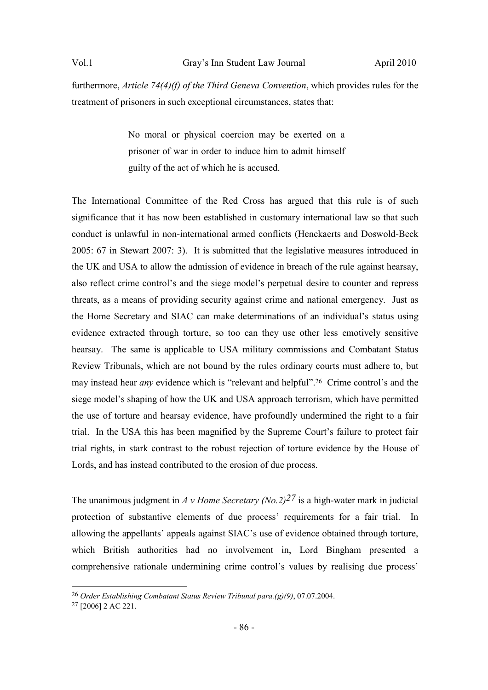furthermore, *Article 74(4)(f) of the Third Geneva Convention*, which provides rules for the treatment of prisoners in such exceptional circumstances, states that:

> No moral or physical coercion may be exerted on a prisoner of war in order to induce him to admit himself guilty of the act of which he is accused.

The International Committee of the Red Cross has argued that this rule is of such significance that it has now been established in customary international law so that such conduct is unlawful in non-international armed conflicts (Henckaerts and Doswold-Beck 2005: 67 in Stewart 2007: 3). It is submitted that the legislative measures introduced in the UK and USA to allow the admission of evidence in breach of the rule against hearsay, also reflect crime control's and the siege model's perpetual desire to counter and repress threats, as a means of providing security against crime and national emergency. Just as the Home Secretary and SIAC can make determinations of an individual's status using evidence extracted through torture, so too can they use other less emotively sensitive hearsay. The same is applicable to USA military commissions and Combatant Status Review Tribunals, which are not bound by the rules ordinary courts must adhere to, but may instead hear *any* evidence which is "relevant and helpful".26 Crime control's and the siege model's shaping of how the UK and USA approach terrorism, which have permitted the use of torture and hearsay evidence, have profoundly undermined the right to a fair trial. In the USA this has been magnified by the Supreme Court's failure to protect fair trial rights, in stark contrast to the robust rejection of torture evidence by the House of Lords, and has instead contributed to the erosion of due process.

The unanimous judgment in *A v Home Secretary (No.2)*<sup>27</sup> is a high-water mark in judicial protection of substantive elements of due process' requirements for a fair trial. In allowing the appellants' appeals against SIAC's use of evidence obtained through torture, which British authorities had no involvement in, Lord Bingham presented a comprehensive rationale undermining crime control's values by realising due process'

<sup>26</sup> *Order Establishing Combatant Status Review Tribunal para.(g)(9)*, 07.07.2004.

<sup>27</sup> [2006] 2 AC 221.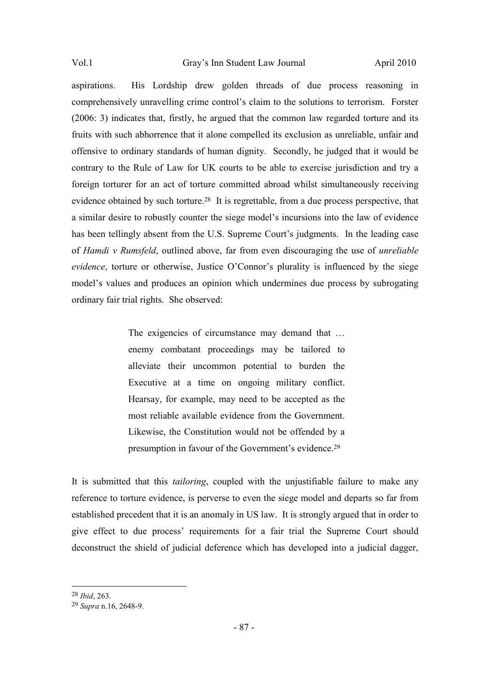aspirations. His Lordship drew golden threads of due process reasoning in comprehensively unravelling crime control's claim to the solutions to terrorism. Forster (2006: 3) indicates that, firstly, he argued that the common law regarded torture and its fruits with such abhorrence that it alone compelled its exclusion as unreliable, unfair and offensive to ordinary standards of human dignity. Secondly, he judged that it would be contrary to the Rule of Law for UK courts to be able to exercise jurisdiction and try a foreign torturer for an act of torture committed abroad whilst simultaneously receiving evidence obtained by such torture.<sup>28</sup> It is regrettable, from a due process perspective, that a similar desire to robustly counter the siege model's incursions into the law of evidence has been tellingly absent from the U.S. Supreme Court's judgments. In the leading case of *Hamdi v Rumsfeld*, outlined above, far from even discouraging the use of *unreliable evidence*, torture or otherwise, Justice O'Connor's plurality is influenced by the siege model's values and produces an opinion which undermines due process by subrogating ordinary fair trial rights. She observed:

> The exigencies of circumstance may demand that ... enemy combatant proceedings may be tailored to alleviate their uncommon potential to burden the Executive at a time on ongoing military conflict. Hearsay, for example, may need to be accepted as the most reliable available evidence from the Government. Likewise, the Constitution would not be offended by a presumption in favour of the Government's evidence.<sup>29</sup>

It is submitted that this *tailoring*, coupled with the unjustifiable failure to make any reference to torture evidence, is perverse to even the siege model and departs so far from established precedent that it is an anomaly in US law. It is strongly argued that in order to give effect to due process' requirements for a fair trial the Supreme Court should deconstruct the shield of judicial deference which has developed into a judicial dagger,

<sup>28</sup> *Ibid*, 263.

<sup>29</sup> *Supra* n.16, 2648-9.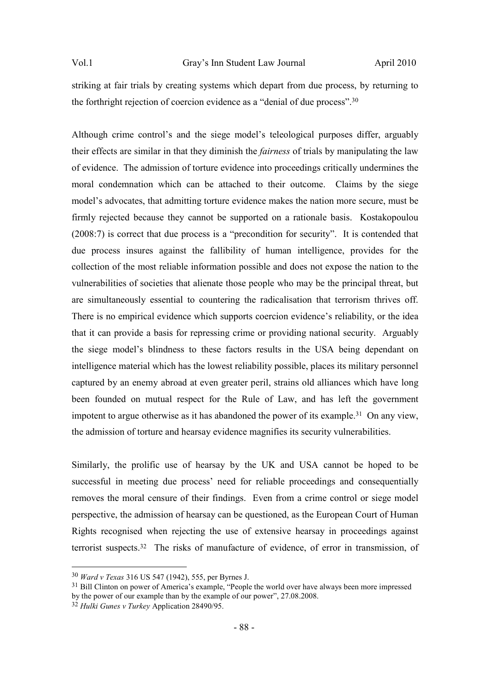striking at fair trials by creating systems which depart from due process, by returning to the forthright rejection of coercion evidence as a "denial of due process".<sup>30</sup>

Although crime control's and the siege model's teleological purposes differ, arguably their effects are similar in that they diminish the *fairness* of trials by manipulating the law of evidence. The admission of torture evidence into proceedings critically undermines the moral condemnation which can be attached to their outcome. Claims by the siege model's advocates, that admitting torture evidence makes the nation more secure, must be firmly rejected because they cannot be supported on a rationale basis. Kostakopoulou (2008:7) is correct that due process is a "precondition for security". It is contended that due process insures against the fallibility of human intelligence, provides for the collection of the most reliable information possible and does not expose the nation to the vulnerabilities of societies that alienate those people who may be the principal threat, but are simultaneously essential to countering the radicalisation that terrorism thrives off. There is no empirical evidence which supports coercion evidence's reliability, or the idea that it can provide a basis for repressing crime or providing national security. Arguably the siege model's blindness to these factors results in the USA being dependant on intelligence material which has the lowest reliability possible, places its military personnel captured by an enemy abroad at even greater peril, strains old alliances which have long been founded on mutual respect for the Rule of Law, and has left the government impotent to argue otherwise as it has abandoned the power of its example.<sup>31</sup> On any view, the admission of torture and hearsay evidence magnifies its security vulnerabilities.

Similarly, the prolific use of hearsay by the UK and USA cannot be hoped to be successful in meeting due process' need for reliable proceedings and consequentially removes the moral censure of their findings. Even from a crime control or siege model perspective, the admission of hearsay can be questioned, as the European Court of Human Rights recognised when rejecting the use of extensive hearsay in proceedings against terrorist suspects.32 The risks of manufacture of evidence, of error in transmission, of

<sup>30</sup> *Ward v Texas* 316 US 547 (1942), 555, per Byrnes J.

<sup>&</sup>lt;sup>31</sup> Bill Clinton on power of America's example, "People the world over have always been more impressed by the power of our example than by the example of our power", 27.08.2008.

<sup>32</sup> *Hulki Gunes v Turkey* Application 28490/95.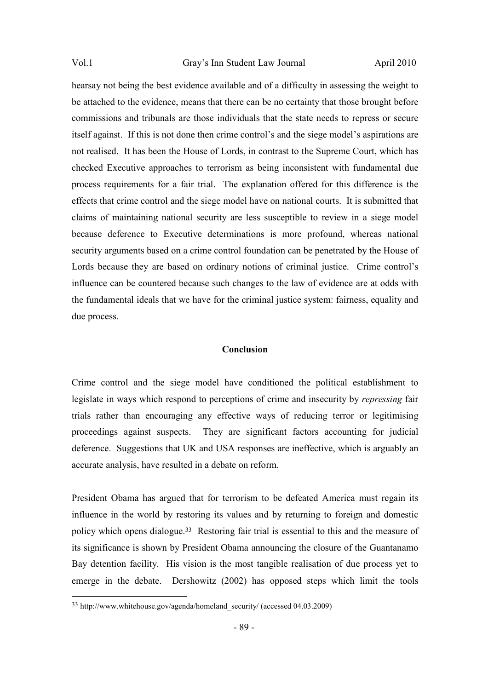hearsay not being the best evidence available and of a difficulty in assessing the weight to be attached to the evidence, means that there can be no certainty that those brought before commissions and tribunals are those individuals that the state needs to repress or secure itself against. If this is not done then crime control's and the siege model's aspirations are not realised. It has been the House of Lords, in contrast to the Supreme Court, which has checked Executive approaches to terrorism as being inconsistent with fundamental due process requirements for a fair trial. The explanation offered for this difference is the effects that crime control and the siege model have on national courts. It is submitted that claims of maintaining national security are less susceptible to review in a siege model because deference to Executive determinations is more profound, whereas national security arguments based on a crime control foundation can be penetrated by the House of Lords because they are based on ordinary notions of criminal justice. Crime control's influence can be countered because such changes to the law of evidence are at odds with the fundamental ideals that we have for the criminal justice system: fairness, equality and due process.

#### **Conclusion**

Crime control and the siege model have conditioned the political establishment to legislate in ways which respond to perceptions of crime and insecurity by *repressing* fair trials rather than encouraging any effective ways of reducing terror or legitimising proceedings against suspects. They are significant factors accounting for judicial deference. Suggestions that UK and USA responses are ineffective, which is arguably an accurate analysis, have resulted in a debate on reform.

President Obama has argued that for terrorism to be defeated America must regain its influence in the world by restoring its values and by returning to foreign and domestic policy which opens dialogue.<sup>33</sup> Restoring fair trial is essential to this and the measure of its significance is shown by President Obama announcing the closure of the Guantanamo Bay detention facility. His vision is the most tangible realisation of due process yet to emerge in the debate. Dershowitz (2002) has opposed steps which limit the tools

<sup>33</sup> http://www.whitehouse.gov/agenda/homeland\_security/ (accessed 04.03.2009)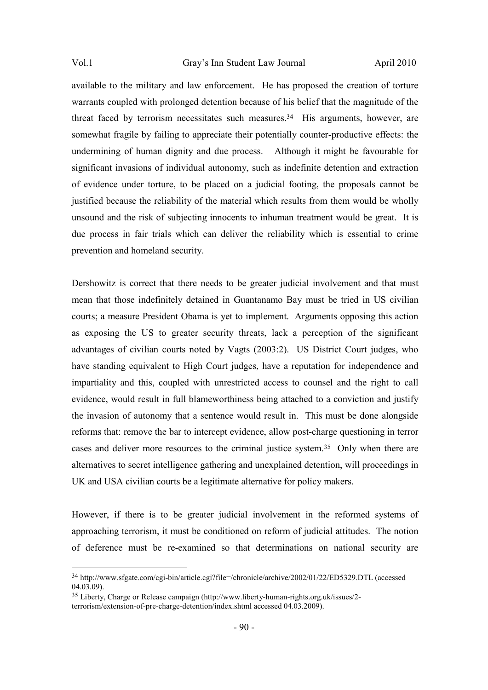available to the military and law enforcement. He has proposed the creation of torture warrants coupled with prolonged detention because of his belief that the magnitude of the threat faced by terrorism necessitates such measures.<sup>34</sup> His arguments, however, are somewhat fragile by failing to appreciate their potentially counter-productive effects: the undermining of human dignity and due process. Although it might be favourable for significant invasions of individual autonomy, such as indefinite detention and extraction of evidence under torture, to be placed on a judicial footing, the proposals cannot be justified because the reliability of the material which results from them would be wholly unsound and the risk of subjecting innocents to inhuman treatment would be great. It is due process in fair trials which can deliver the reliability which is essential to crime prevention and homeland security.

Dershowitz is correct that there needs to be greater judicial involvement and that must mean that those indefinitely detained in Guantanamo Bay must be tried in US civilian courts; a measure President Obama is yet to implement. Arguments opposing this action as exposing the US to greater security threats, lack a perception of the significant advantages of civilian courts noted by Vagts (2003:2). US District Court judges, who have standing equivalent to High Court judges, have a reputation for independence and impartiality and this, coupled with unrestricted access to counsel and the right to call evidence, would result in full blameworthiness being attached to a conviction and justify the invasion of autonomy that a sentence would result in. This must be done alongside reforms that: remove the bar to intercept evidence, allow post-charge questioning in terror cases and deliver more resources to the criminal justice system.<sup>35</sup> Only when there are alternatives to secret intelligence gathering and unexplained detention, will proceedings in UK and USA civilian courts be a legitimate alternative for policy makers.

However, if there is to be greater judicial involvement in the reformed systems of approaching terrorism, it must be conditioned on reform of judicial attitudes. The notion of deference must be re-examined so that determinations on national security are

<sup>34</sup> http://www.sfgate.com/cgi-bin/article.cgi?file=/chronicle/archive/2002/01/22/ED5329.DTL (accessed 04.03.09).

<sup>35</sup> Liberty, Charge or Release campaign (http://www.liberty-human-rights.org.uk/issues/2 terrorism/extension-of-pre-charge-detention/index.shtml accessed 04.03.2009).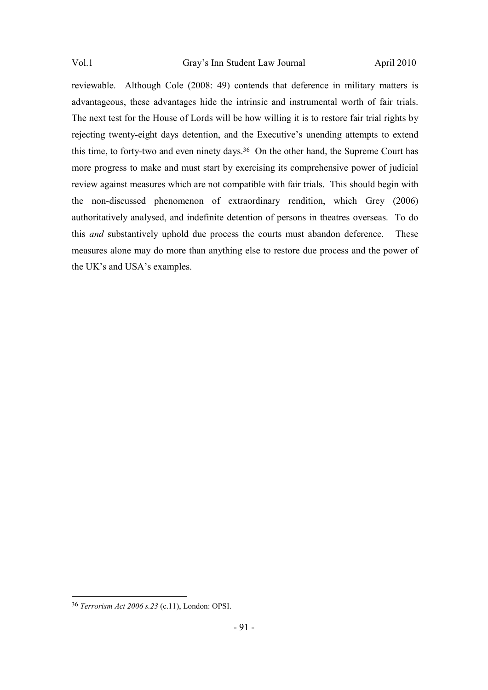reviewable. Although Cole (2008: 49) contends that deference in military matters is advantageous, these advantages hide the intrinsic and instrumental worth of fair trials. The next test for the House of Lords will be how willing it is to restore fair trial rights by rejecting twenty-eight days detention, and the Executive's unending attempts to extend this time, to forty-two and even ninety days.36 On the other hand, the Supreme Court has more progress to make and must start by exercising its comprehensive power of judicial review against measures which are not compatible with fair trials. This should begin with the non-discussed phenomenon of extraordinary rendition, which Grey (2006) authoritatively analysed, and indefinite detention of persons in theatres overseas. To do this *and* substantively uphold due process the courts must abandon deference. These measures alone may do more than anything else to restore due process and the power of the UK's and USA's examples.

<sup>36</sup> *Terrorism Act 2006 s.23* (c.11), London: OPSI.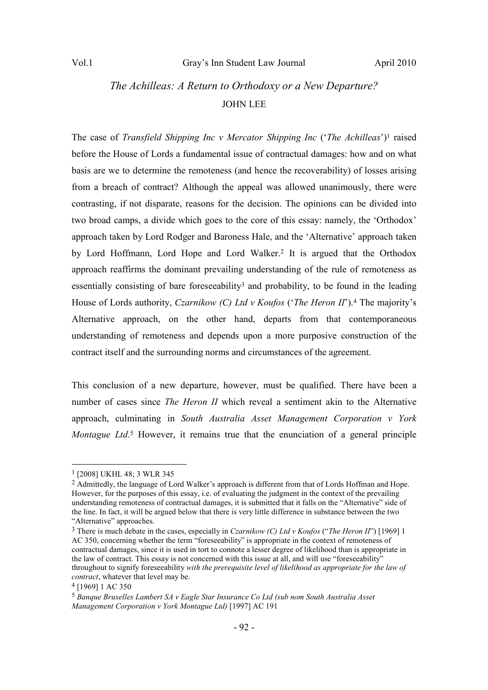# *The Achilleas: A Return to Orthodoxy or a New Departure?*  JOHN LEE

The case of *Transfield Shipping Inc v Mercator Shipping Inc* ('*The Achilleas*')1 raised before the House of Lords a fundamental issue of contractual damages: how and on what basis are we to determine the remoteness (and hence the recoverability) of losses arising from a breach of contract? Although the appeal was allowed unanimously, there were contrasting, if not disparate, reasons for the decision. The opinions can be divided into two broad camps, a divide which goes to the core of this essay: namely, the 'Orthodox' approach taken by Lord Rodger and Baroness Hale, and the 'Alternative' approach taken by Lord Hoffmann, Lord Hope and Lord Walker.2 It is argued that the Orthodox approach reaffirms the dominant prevailing understanding of the rule of remoteness as essentially consisting of bare foreseeability<sup>3</sup> and probability, to be found in the leading House of Lords authority, *Czarnikow (C) Ltd v Koufos* ('*The Heron II*').4 The majority's Alternative approach, on the other hand, departs from that contemporaneous understanding of remoteness and depends upon a more purposive construction of the contract itself and the surrounding norms and circumstances of the agreement.

This conclusion of a new departure, however, must be qualified. There have been a number of cases since *The Heron II* which reveal a sentiment akin to the Alternative approach, culminating in *South Australia Asset Management Corporation v York Montague Ltd*. <sup>5</sup> However, it remains true that the enunciation of a general principle

<sup>1</sup> [2008] UKHL 48; 3 WLR 345

<sup>&</sup>lt;sup>2</sup> Admittedly, the language of Lord Walker's approach is different from that of Lords Hoffman and Hope. However, for the purposes of this essay, i.e. of evaluating the judgment in the context of the prevailing understanding remoteness of contractual damages, it is submitted that it falls on the "Alternative" side of the line. In fact, it will be argued below that there is very little difference in substance between the two "Alternative" approaches.

<sup>3</sup> There is much debate in the cases, especially in *Czarnikow (C) Ltd v Koufos* ("*The Heron II*") [1969] 1 AC 350, concerning whether the term "foreseeability" is appropriate in the context of remoteness of contractual damages, since it is used in tort to connote a lesser degree of likelihood than is appropriate in the law of contract. This essay is not concerned with this issue at all, and will use "foreseeability" throughout to signify foreseeability *with the prerequisite level of likelihood as appropriate for the law of contract*, whatever that level may be.

<sup>4</sup> [1969] 1 AC 350

<sup>5</sup> *Banque Bruxelles Lambert SA v Eagle Star Insurance Co Ltd (sub nom South Australia Asset Management Corporation v York Montague Ltd)* [1997] AC 191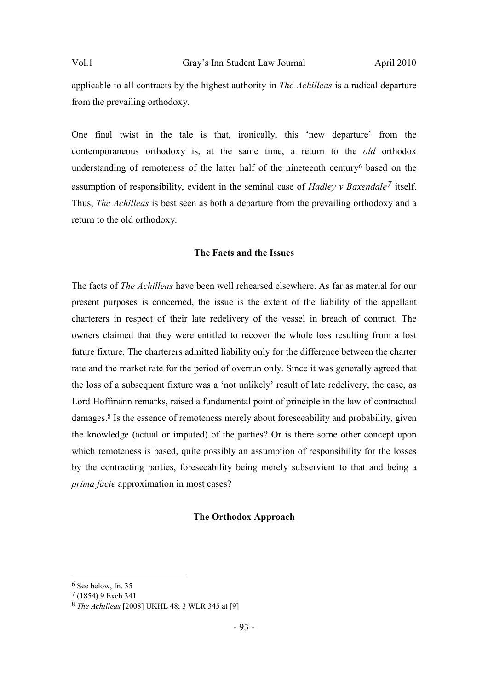applicable to all contracts by the highest authority in *The Achilleas* is a radical departure from the prevailing orthodoxy.

One final twist in the tale is that, ironically, this 'new departure' from the contemporaneous orthodoxy is, at the same time, a return to the *old* orthodox understanding of remoteness of the latter half of the nineteenth century<sup>6</sup> based on the assumption of responsibility, evident in the seminal case of *Hadley v Baxendale7* itself. Thus, *The Achilleas* is best seen as both a departure from the prevailing orthodoxy and a return to the old orthodoxy.

#### **The Facts and the Issues**

The facts of *The Achilleas* have been well rehearsed elsewhere. As far as material for our present purposes is concerned, the issue is the extent of the liability of the appellant charterers in respect of their late redelivery of the vessel in breach of contract. The owners claimed that they were entitled to recover the whole loss resulting from a lost future fixture. The charterers admitted liability only for the difference between the charter rate and the market rate for the period of overrun only. Since it was generally agreed that the loss of a subsequent fixture was a 'not unlikely' result of late redelivery, the case, as Lord Hoffmann remarks, raised a fundamental point of principle in the law of contractual damages.8 Is the essence of remoteness merely about foreseeability and probability, given the knowledge (actual or imputed) of the parties? Or is there some other concept upon which remoteness is based, quite possibly an assumption of responsibility for the losses by the contracting parties, foreseeability being merely subservient to that and being a *prima facie* approximation in most cases?

#### **The Orthodox Approach**

<sup>6</sup> See below, fn. 35

<sup>7</sup> (1854) 9 Exch 341

<sup>8</sup> *The Achilleas* [2008] UKHL 48; 3 WLR 345 at [9]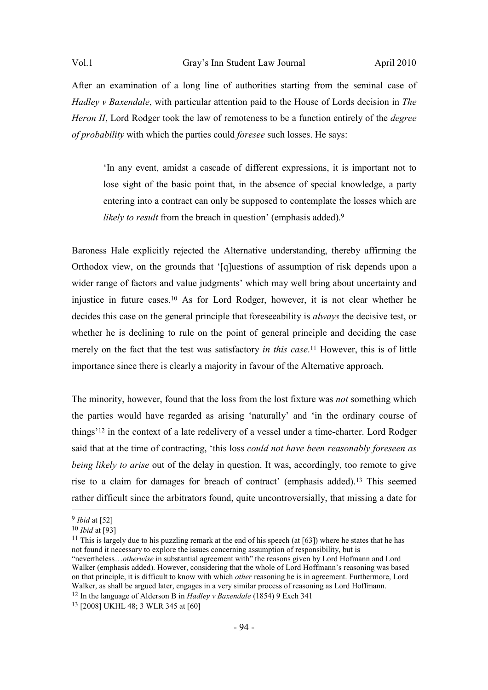After an examination of a long line of authorities starting from the seminal case of *Hadley v Baxendale*, with particular attention paid to the House of Lords decision in *The Heron II*, Lord Rodger took the law of remoteness to be a function entirely of the *degree of probability* with which the parties could *foresee* such losses. He says:

'In any event, amidst a cascade of different expressions, it is important not to lose sight of the basic point that, in the absence of special knowledge, a party entering into a contract can only be supposed to contemplate the losses which are *likely to result* from the breach in question' (emphasis added).<sup>9</sup>

Baroness Hale explicitly rejected the Alternative understanding, thereby affirming the Orthodox view, on the grounds that '[q]uestions of assumption of risk depends upon a wider range of factors and value judgments' which may well bring about uncertainty and injustice in future cases.10 As for Lord Rodger, however, it is not clear whether he decides this case on the general principle that foreseeability is *always* the decisive test, or whether he is declining to rule on the point of general principle and deciding the case merely on the fact that the test was satisfactory *in this case*. <sup>11</sup> However, this is of little importance since there is clearly a majority in favour of the Alternative approach.

The minority, however, found that the loss from the lost fixture was *not* something which the parties would have regarded as arising 'naturally' and 'in the ordinary course of things'12 in the context of a late redelivery of a vessel under a time-charter. Lord Rodger said that at the time of contracting, 'this loss *could not have been reasonably foreseen as being likely to arise* out of the delay in question. It was, accordingly, too remote to give rise to a claim for damages for breach of contract' (emphasis added).13 This seemed rather difficult since the arbitrators found, quite uncontroversially, that missing a date for

 $\overline{a}$ 9 *Ibid* at [52]

<sup>10</sup> *Ibid* at [93]

<sup>&</sup>lt;sup>11</sup> This is largely due to his puzzling remark at the end of his speech (at  $[63]$ ) where he states that he has not found it necessary to explore the issues concerning assumption of responsibility, but is "nevertheless…*otherwise* in substantial agreement with" the reasons given by Lord Hofmann and Lord

Walker (emphasis added). However, considering that the whole of Lord Hoffmann's reasoning was based on that principle, it is difficult to know with which *other* reasoning he is in agreement. Furthermore, Lord Walker, as shall be argued later, engages in a very similar process of reasoning as Lord Hoffmann.

<sup>12</sup> In the language of Alderson B in *Hadley v Baxendale* (1854) 9 Exch 341

<sup>13</sup> [2008] UKHL 48; 3 WLR 345 at [60]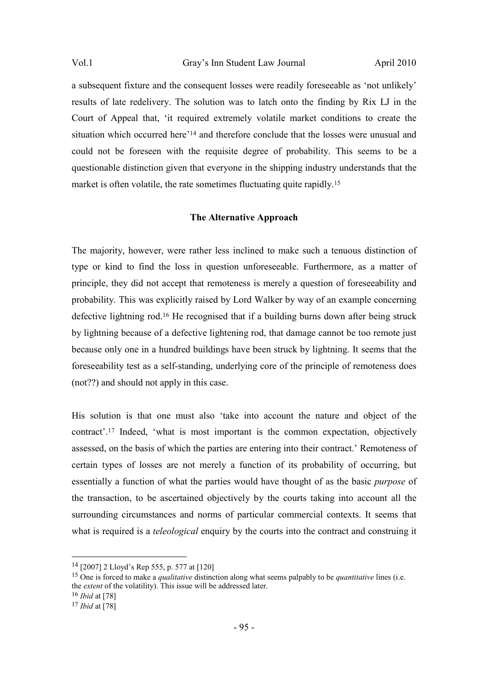a subsequent fixture and the consequent losses were readily foreseeable as 'not unlikely' results of late redelivery. The solution was to latch onto the finding by Rix LJ in the Court of Appeal that, 'it required extremely volatile market conditions to create the situation which occurred here'14 and therefore conclude that the losses were unusual and could not be foreseen with the requisite degree of probability. This seems to be a questionable distinction given that everyone in the shipping industry understands that the market is often volatile, the rate sometimes fluctuating quite rapidly.<sup>15</sup>

#### **The Alternative Approach**

The majority, however, were rather less inclined to make such a tenuous distinction of type or kind to find the loss in question unforeseeable. Furthermore, as a matter of principle, they did not accept that remoteness is merely a question of foreseeability and probability. This was explicitly raised by Lord Walker by way of an example concerning defective lightning rod.16 He recognised that if a building burns down after being struck by lightning because of a defective lightening rod, that damage cannot be too remote just because only one in a hundred buildings have been struck by lightning. It seems that the foreseeability test as a self-standing, underlying core of the principle of remoteness does (not??) and should not apply in this case.

His solution is that one must also 'take into account the nature and object of the contract'.17 Indeed, 'what is most important is the common expectation, objectively assessed, on the basis of which the parties are entering into their contract.' Remoteness of certain types of losses are not merely a function of its probability of occurring, but essentially a function of what the parties would have thought of as the basic *purpose* of the transaction, to be ascertained objectively by the courts taking into account all the surrounding circumstances and norms of particular commercial contexts. It seems that what is required is a *teleological* enquiry by the courts into the contract and construing it

<sup>14</sup> [2007] 2 Lloyd's Rep 555, p. 577 at [120]

<sup>15</sup> One is forced to make a *qualitative* distinction along what seems palpably to be *quantitative* lines (i.e. the *extent* of the volatility). This issue will be addressed later.

<sup>16</sup> *Ibid* at [78]

<sup>17</sup> *Ibid* at [78]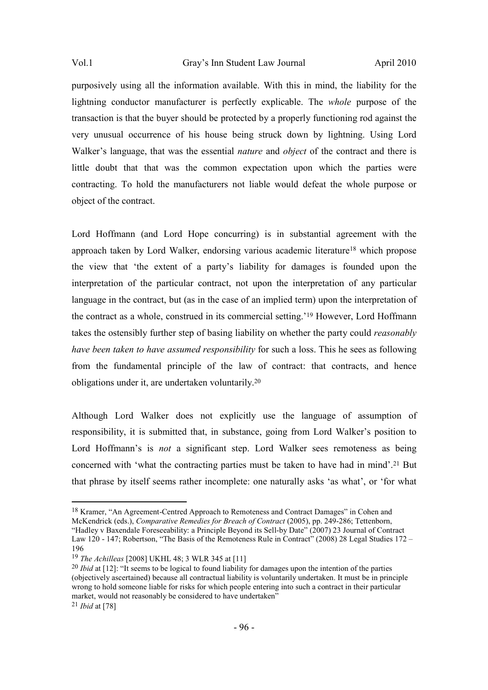purposively using all the information available. With this in mind, the liability for the lightning conductor manufacturer is perfectly explicable. The *whole* purpose of the transaction is that the buyer should be protected by a properly functioning rod against the very unusual occurrence of his house being struck down by lightning. Using Lord Walker's language, that was the essential *nature* and *object* of the contract and there is little doubt that that was the common expectation upon which the parties were contracting. To hold the manufacturers not liable would defeat the whole purpose or object of the contract.

Lord Hoffmann (and Lord Hope concurring) is in substantial agreement with the approach taken by Lord Walker, endorsing various academic literature<sup>18</sup> which propose the view that 'the extent of a party's liability for damages is founded upon the interpretation of the particular contract, not upon the interpretation of any particular language in the contract, but (as in the case of an implied term) upon the interpretation of the contract as a whole, construed in its commercial setting.'19 However, Lord Hoffmann takes the ostensibly further step of basing liability on whether the party could *reasonably have been taken to have assumed responsibility* for such a loss. This he sees as following from the fundamental principle of the law of contract: that contracts, and hence obligations under it, are undertaken voluntarily.<sup>20</sup>

Although Lord Walker does not explicitly use the language of assumption of responsibility, it is submitted that, in substance, going from Lord Walker's position to Lord Hoffmann's is *not* a significant step. Lord Walker sees remoteness as being concerned with 'what the contracting parties must be taken to have had in mind'.21 But that phrase by itself seems rather incomplete: one naturally asks 'as what', or 'for what

<sup>18</sup> Kramer, "An Agreement-Centred Approach to Remoteness and Contract Damages" in Cohen and McKendrick (eds.), *Comparative Remedies for Breach of Contract* (2005), pp. 249-286; Tettenborn, "Hadley v Baxendale Foreseeability: a Principle Beyond its Sell-by Date" (2007) 23 Journal of Contract Law 120 - 147; Robertson, "The Basis of the Remoteness Rule in Contract" (2008) 28 Legal Studies 172 –

<sup>196</sup> 

<sup>19</sup> *The Achilleas* [2008] UKHL 48; 3 WLR 345 at [11]

<sup>20</sup> *Ibid* at [12]: "It seems to be logical to found liability for damages upon the intention of the parties (objectively ascertained) because all contractual liability is voluntarily undertaken. It must be in principle wrong to hold someone liable for risks for which people entering into such a contract in their particular market, would not reasonably be considered to have undertaken"

<sup>21</sup> *Ibid* at [78]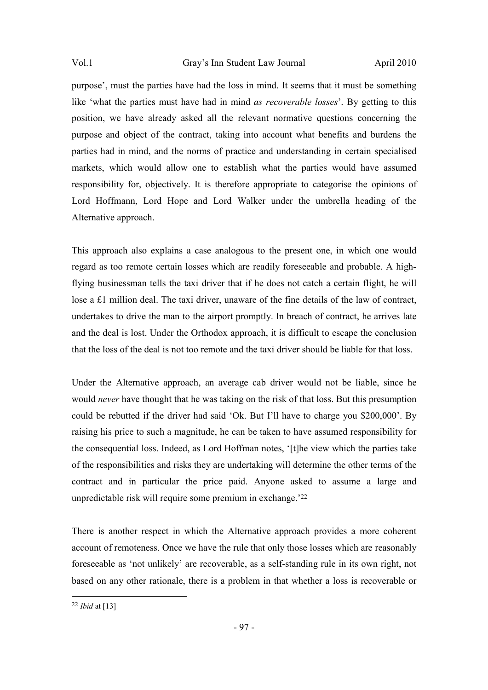purpose', must the parties have had the loss in mind. It seems that it must be something like 'what the parties must have had in mind *as recoverable losses*'. By getting to this position, we have already asked all the relevant normative questions concerning the purpose and object of the contract, taking into account what benefits and burdens the parties had in mind, and the norms of practice and understanding in certain specialised markets, which would allow one to establish what the parties would have assumed responsibility for, objectively. It is therefore appropriate to categorise the opinions of Lord Hoffmann, Lord Hope and Lord Walker under the umbrella heading of the Alternative approach.

This approach also explains a case analogous to the present one, in which one would regard as too remote certain losses which are readily foreseeable and probable. A highflying businessman tells the taxi driver that if he does not catch a certain flight, he will lose a £1 million deal. The taxi driver, unaware of the fine details of the law of contract, undertakes to drive the man to the airport promptly. In breach of contract, he arrives late and the deal is lost. Under the Orthodox approach, it is difficult to escape the conclusion that the loss of the deal is not too remote and the taxi driver should be liable for that loss.

Under the Alternative approach, an average cab driver would not be liable, since he would *never* have thought that he was taking on the risk of that loss. But this presumption could be rebutted if the driver had said 'Ok. But I'll have to charge you \$200,000'. By raising his price to such a magnitude, he can be taken to have assumed responsibility for the consequential loss. Indeed, as Lord Hoffman notes, '[t]he view which the parties take of the responsibilities and risks they are undertaking will determine the other terms of the contract and in particular the price paid. Anyone asked to assume a large and unpredictable risk will require some premium in exchange.'<sup>22</sup>

There is another respect in which the Alternative approach provides a more coherent account of remoteness. Once we have the rule that only those losses which are reasonably foreseeable as 'not unlikely' are recoverable, as a self-standing rule in its own right, not based on any other rationale, there is a problem in that whether a loss is recoverable or

<sup>22</sup> *Ibid* at [13]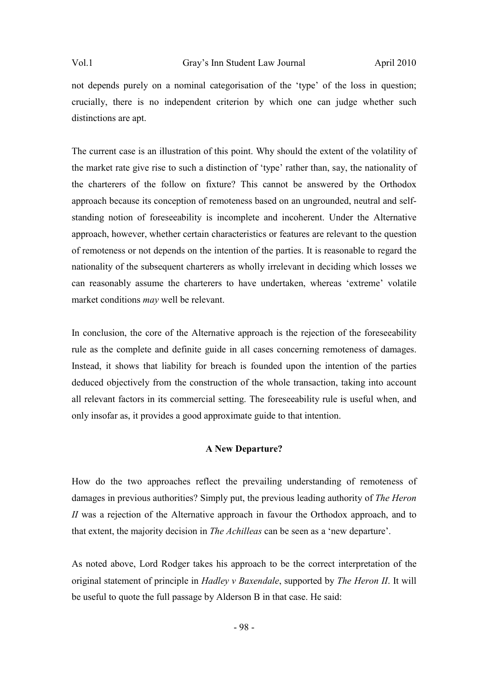not depends purely on a nominal categorisation of the 'type' of the loss in question; crucially, there is no independent criterion by which one can judge whether such distinctions are apt.

The current case is an illustration of this point. Why should the extent of the volatility of the market rate give rise to such a distinction of 'type' rather than, say, the nationality of the charterers of the follow on fixture? This cannot be answered by the Orthodox approach because its conception of remoteness based on an ungrounded, neutral and selfstanding notion of foreseeability is incomplete and incoherent. Under the Alternative approach, however, whether certain characteristics or features are relevant to the question of remoteness or not depends on the intention of the parties. It is reasonable to regard the nationality of the subsequent charterers as wholly irrelevant in deciding which losses we can reasonably assume the charterers to have undertaken, whereas 'extreme' volatile market conditions *may* well be relevant.

In conclusion, the core of the Alternative approach is the rejection of the foreseeability rule as the complete and definite guide in all cases concerning remoteness of damages. Instead, it shows that liability for breach is founded upon the intention of the parties deduced objectively from the construction of the whole transaction, taking into account all relevant factors in its commercial setting. The foreseeability rule is useful when, and only insofar as, it provides a good approximate guide to that intention.

#### **A New Departure?**

How do the two approaches reflect the prevailing understanding of remoteness of damages in previous authorities? Simply put, the previous leading authority of *The Heron II* was a rejection of the Alternative approach in favour the Orthodox approach, and to that extent, the majority decision in *The Achilleas* can be seen as a 'new departure'.

As noted above, Lord Rodger takes his approach to be the correct interpretation of the original statement of principle in *Hadley v Baxendale*, supported by *The Heron II*. It will be useful to quote the full passage by Alderson B in that case. He said: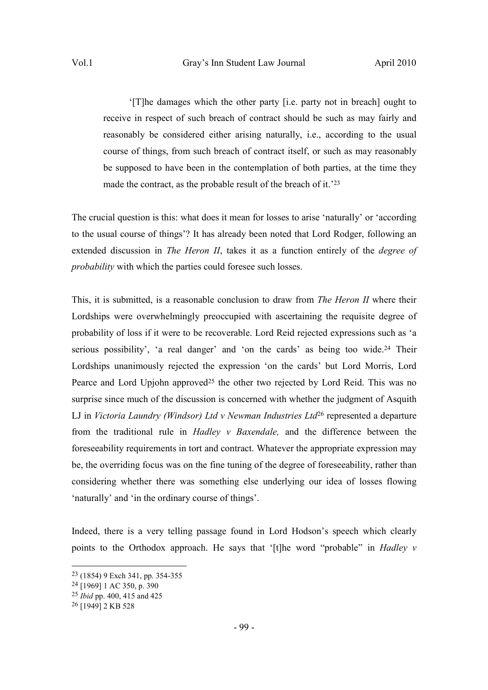'[T]he damages which the other party [i.e. party not in breach] ought to receive in respect of such breach of contract should be such as may fairly and reasonably be considered either arising naturally, i.e., according to the usual course of things, from such breach of contract itself, or such as may reasonably be supposed to have been in the contemplation of both parties, at the time they made the contract, as the probable result of the breach of it.'<sup>23</sup>

The crucial question is this: what does it mean for losses to arise 'naturally' or 'according to the usual course of things'? It has already been noted that Lord Rodger, following an extended discussion in *The Heron II*, takes it as a function entirely of the *degree of probability* with which the parties could foresee such losses.

This, it is submitted, is a reasonable conclusion to draw from *The Heron II* where their Lordships were overwhelmingly preoccupied with ascertaining the requisite degree of probability of loss if it were to be recoverable. Lord Reid rejected expressions such as 'a serious possibility', 'a real danger' and 'on the cards' as being too wide.<sup>24</sup> Their Lordships unanimously rejected the expression 'on the cards' but Lord Morris, Lord Pearce and Lord Upjohn approved<sup>25</sup> the other two rejected by Lord Reid. This was no surprise since much of the discussion is concerned with whether the judgment of Asquith LJ in *Victoria Laundry (Windsor) Ltd v Newman Industries Ltd*<sup>26</sup> represented a departure from the traditional rule in *Hadley v Baxendale,* and the difference between the foreseeability requirements in tort and contract. Whatever the appropriate expression may be, the overriding focus was on the fine tuning of the degree of foreseeability, rather than considering whether there was something else underlying our idea of losses flowing 'naturally' and 'in the ordinary course of things'.

Indeed, there is a very telling passage found in Lord Hodson's speech which clearly points to the Orthodox approach. He says that '[t]he word "probable" in *Hadley v* 

<sup>23</sup> (1854) 9 Exch 341, pp. 354-355

<sup>24</sup> [1969] 1 AC 350, p. 390

<sup>25</sup> *Ibid* pp. 400, 415 and 425

<sup>26</sup> [1949] 2 KB 528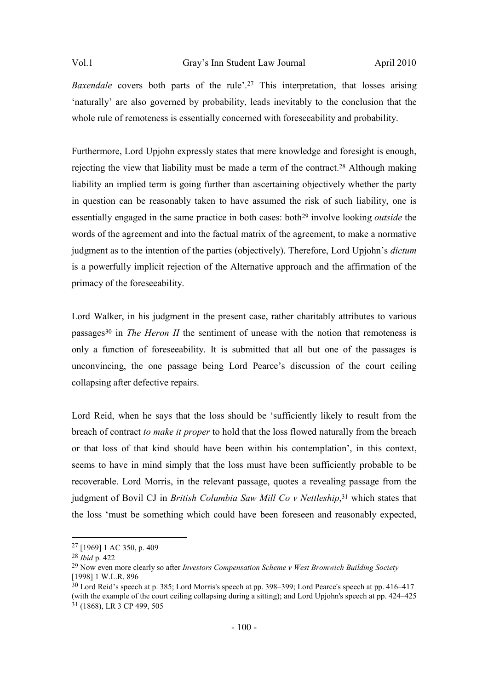*Baxendale* covers both parts of the rule<sup>27</sup>.<sup>27</sup> This interpretation, that losses arising 'naturally' are also governed by probability, leads inevitably to the conclusion that the whole rule of remoteness is essentially concerned with foreseeability and probability.

Furthermore, Lord Upjohn expressly states that mere knowledge and foresight is enough, rejecting the view that liability must be made a term of the contract.<sup>28</sup> Although making liability an implied term is going further than ascertaining objectively whether the party in question can be reasonably taken to have assumed the risk of such liability, one is essentially engaged in the same practice in both cases: both29 involve looking *outside* the words of the agreement and into the factual matrix of the agreement, to make a normative judgment as to the intention of the parties (objectively). Therefore, Lord Upjohn's *dictum*  is a powerfully implicit rejection of the Alternative approach and the affirmation of the primacy of the foreseeability.

Lord Walker, in his judgment in the present case, rather charitably attributes to various passages<sup>30</sup> in *The Heron II* the sentiment of unease with the notion that remoteness is only a function of foreseeability. It is submitted that all but one of the passages is unconvincing, the one passage being Lord Pearce's discussion of the court ceiling collapsing after defective repairs.

Lord Reid, when he says that the loss should be 'sufficiently likely to result from the breach of contract *to make it proper* to hold that the loss flowed naturally from the breach or that loss of that kind should have been within his contemplation', in this context, seems to have in mind simply that the loss must have been sufficiently probable to be recoverable. Lord Morris, in the relevant passage, quotes a revealing passage from the judgment of Bovil CJ in *British Columbia Saw Mill Co v Nettleship*, <sup>31</sup> which states that the loss 'must be something which could have been foreseen and reasonably expected,

<sup>27</sup> [1969] 1 AC 350, p. 409

<sup>28</sup> *Ibid* p. 422

<sup>29</sup> Now even more clearly so after *Investors Compensation Scheme v West Bromwich Building Society* [1998] 1 W.L.R. 896

<sup>30</sup> Lord Reid's speech at p. 385; Lord Morris's speech at pp. 398–399; Lord Pearce's speech at pp. 416–417 (with the example of the court ceiling collapsing during a sitting); and Lord Upjohn's speech at pp. 424–425 <sup>31</sup> (1868), LR 3 CP 499, 505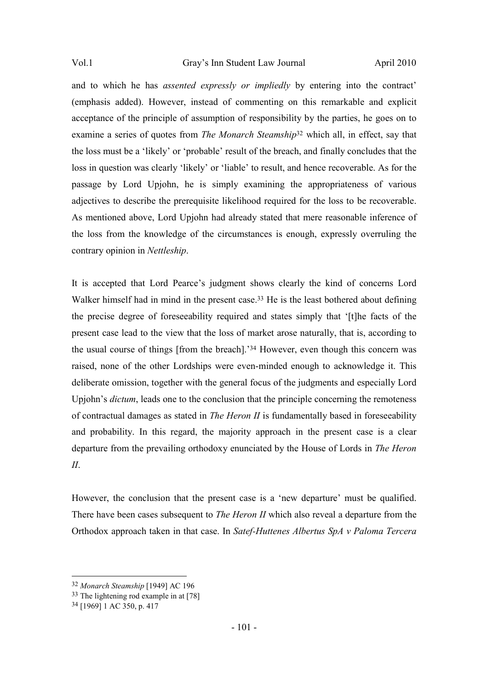and to which he has *assented expressly or impliedly* by entering into the contract' (emphasis added). However, instead of commenting on this remarkable and explicit acceptance of the principle of assumption of responsibility by the parties, he goes on to examine a series of quotes from *The Monarch Steamship*<sup>32</sup> which all, in effect, say that the loss must be a 'likely' or 'probable' result of the breach, and finally concludes that the loss in question was clearly 'likely' or 'liable' to result, and hence recoverable. As for the passage by Lord Upjohn, he is simply examining the appropriateness of various adjectives to describe the prerequisite likelihood required for the loss to be recoverable. As mentioned above, Lord Upjohn had already stated that mere reasonable inference of the loss from the knowledge of the circumstances is enough, expressly overruling the contrary opinion in *Nettleship*.

It is accepted that Lord Pearce's judgment shows clearly the kind of concerns Lord Walker himself had in mind in the present case.<sup>33</sup> He is the least bothered about defining the precise degree of foreseeability required and states simply that '[t]he facts of the present case lead to the view that the loss of market arose naturally, that is, according to the usual course of things [from the breach].'34 However, even though this concern was raised, none of the other Lordships were even-minded enough to acknowledge it. This deliberate omission, together with the general focus of the judgments and especially Lord Upjohn's *dictum*, leads one to the conclusion that the principle concerning the remoteness of contractual damages as stated in *The Heron II* is fundamentally based in foreseeability and probability. In this regard, the majority approach in the present case is a clear departure from the prevailing orthodoxy enunciated by the House of Lords in *The Heron II*.

However, the conclusion that the present case is a 'new departure' must be qualified. There have been cases subsequent to *The Heron II* which also reveal a departure from the Orthodox approach taken in that case. In *Satef-Huttenes Albertus SpA v Paloma Tercera* 

<sup>32</sup> *Monarch Steamship* [1949] AC 196

<sup>33</sup> The lightening rod example in at [78]

<sup>34</sup> [1969] 1 AC 350, p. 417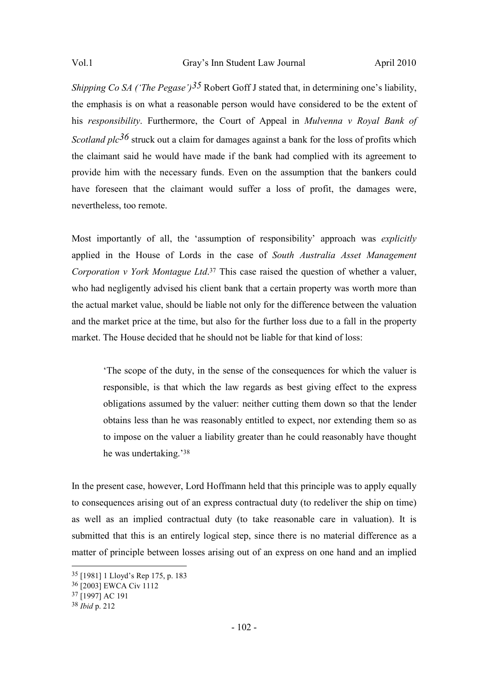*Shipping Co SA ('The Pegase')*<sup>35</sup> Robert Goff J stated that, in determining one's liability, the emphasis is on what a reasonable person would have considered to be the extent of his *responsibility*. Furthermore, the Court of Appeal in *Mulvenna v Royal Bank of Scotland plc36* struck out a claim for damages against a bank for the loss of profits which the claimant said he would have made if the bank had complied with its agreement to provide him with the necessary funds. Even on the assumption that the bankers could have foreseen that the claimant would suffer a loss of profit, the damages were, nevertheless, too remote.

Most importantly of all, the 'assumption of responsibility' approach was *explicitly*  applied in the House of Lords in the case of *South Australia Asset Management Corporation v York Montague Ltd*. <sup>37</sup> This case raised the question of whether a valuer, who had negligently advised his client bank that a certain property was worth more than the actual market value, should be liable not only for the difference between the valuation and the market price at the time, but also for the further loss due to a fall in the property market. The House decided that he should not be liable for that kind of loss:

'The scope of the duty, in the sense of the consequences for which the valuer is responsible, is that which the law regards as best giving effect to the express obligations assumed by the valuer: neither cutting them down so that the lender obtains less than he was reasonably entitled to expect, nor extending them so as to impose on the valuer a liability greater than he could reasonably have thought he was undertaking.'<sup>38</sup>

In the present case, however, Lord Hoffmann held that this principle was to apply equally to consequences arising out of an express contractual duty (to redeliver the ship on time) as well as an implied contractual duty (to take reasonable care in valuation). It is submitted that this is an entirely logical step, since there is no material difference as a matter of principle between losses arising out of an express on one hand and an implied

<sup>35</sup> [1981] 1 Lloyd's Rep 175, p. 183

<sup>36</sup> [2003] EWCA Civ 1112

<sup>37</sup> [1997] AC 191

<sup>38</sup> *Ibid* p. 212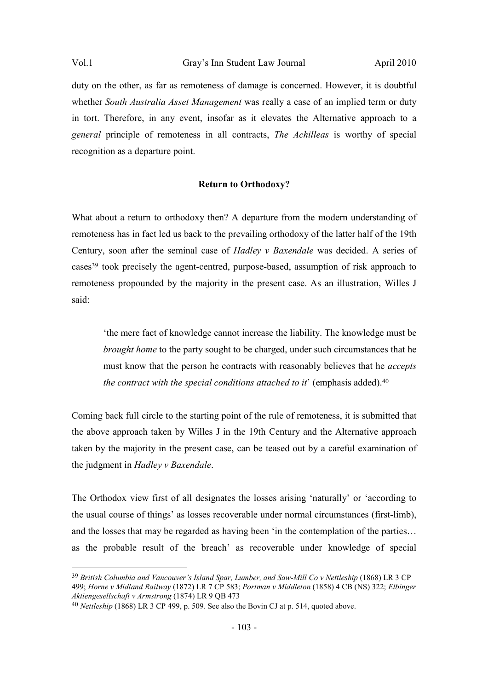duty on the other, as far as remoteness of damage is concerned. However, it is doubtful whether *South Australia Asset Management* was really a case of an implied term or duty in tort. Therefore, in any event, insofar as it elevates the Alternative approach to a *general* principle of remoteness in all contracts, *The Achilleas* is worthy of special recognition as a departure point.

#### **Return to Orthodoxy?**

What about a return to orthodoxy then? A departure from the modern understanding of remoteness has in fact led us back to the prevailing orthodoxy of the latter half of the 19th Century, soon after the seminal case of *Hadley v Baxendale* was decided. A series of cases39 took precisely the agent-centred, purpose-based, assumption of risk approach to remoteness propounded by the majority in the present case. As an illustration, Willes J said:

'the mere fact of knowledge cannot increase the liability. The knowledge must be *brought home* to the party sought to be charged, under such circumstances that he must know that the person he contracts with reasonably believes that he *accepts the contract with the special conditions attached to it'* (emphasis added).<sup>40</sup>

Coming back full circle to the starting point of the rule of remoteness, it is submitted that the above approach taken by Willes J in the 19th Century and the Alternative approach taken by the majority in the present case, can be teased out by a careful examination of the judgment in *Hadley v Baxendale*.

The Orthodox view first of all designates the losses arising 'naturally' or 'according to the usual course of things' as losses recoverable under normal circumstances (first-limb), and the losses that may be regarded as having been 'in the contemplation of the parties… as the probable result of the breach' as recoverable under knowledge of special

<sup>39</sup> *British Columbia and Vancouver's Island Spar, Lumber, and Saw-Mill Co v Nettleship* (1868) LR 3 CP 499; *Horne v Midland Railway* (1872) LR 7 CP 583; *Portman v Middleton* (1858) 4 CB (NS) 322; *Elbinger Aktiengesellschaft v Armstrong* (1874) LR 9 QB 473

<sup>40</sup> *Nettleship* (1868) LR 3 CP 499, p. 509. See also the Bovin CJ at p. 514, quoted above.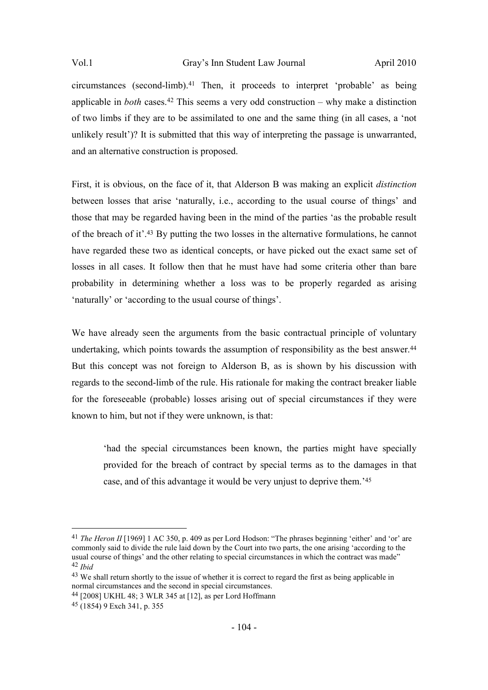circumstances (second-limb).<sup>41</sup> Then, it proceeds to interpret 'probable' as being applicable in *both* cases.42 This seems a very odd construction – why make a distinction of two limbs if they are to be assimilated to one and the same thing (in all cases, a 'not unlikely result')? It is submitted that this way of interpreting the passage is unwarranted, and an alternative construction is proposed.

First, it is obvious, on the face of it, that Alderson B was making an explicit *distinction* between losses that arise 'naturally, i.e., according to the usual course of things' and those that may be regarded having been in the mind of the parties 'as the probable result of the breach of it'.43 By putting the two losses in the alternative formulations, he cannot have regarded these two as identical concepts, or have picked out the exact same set of losses in all cases. It follow then that he must have had some criteria other than bare probability in determining whether a loss was to be properly regarded as arising 'naturally' or 'according to the usual course of things'.

We have already seen the arguments from the basic contractual principle of voluntary undertaking, which points towards the assumption of responsibility as the best answer.<sup>44</sup> But this concept was not foreign to Alderson B, as is shown by his discussion with regards to the second-limb of the rule. His rationale for making the contract breaker liable for the foreseeable (probable) losses arising out of special circumstances if they were known to him, but not if they were unknown, is that:

'had the special circumstances been known, the parties might have specially provided for the breach of contract by special terms as to the damages in that case, and of this advantage it would be very unjust to deprive them.'<sup>45</sup>

<sup>41</sup> *The Heron II* [1969] 1 AC 350, p. 409 as per Lord Hodson: "The phrases beginning 'either' and 'or' are commonly said to divide the rule laid down by the Court into two parts, the one arising 'according to the usual course of things' and the other relating to special circumstances in which the contract was made" <sup>42</sup> *Ibid*

<sup>&</sup>lt;sup>43</sup> We shall return shortly to the issue of whether it is correct to regard the first as being applicable in normal circumstances and the second in special circumstances.

<sup>44</sup> [2008] UKHL 48; 3 WLR 345 at [12], as per Lord Hoffmann

<sup>45</sup> (1854) 9 Exch 341, p. 355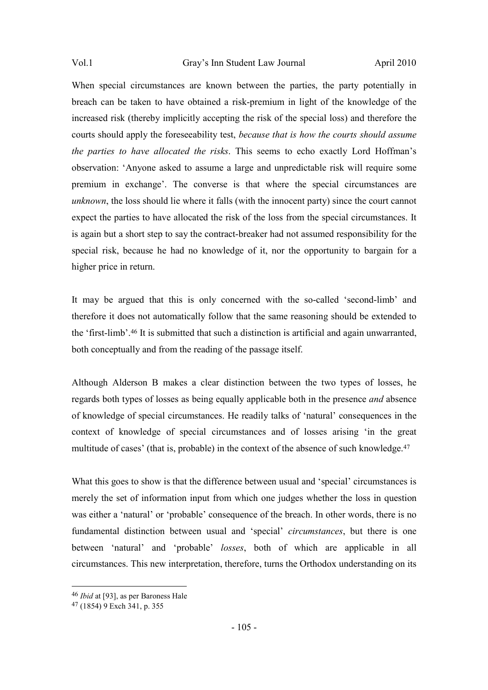When special circumstances are known between the parties, the party potentially in breach can be taken to have obtained a risk-premium in light of the knowledge of the increased risk (thereby implicitly accepting the risk of the special loss) and therefore the courts should apply the foreseeability test, *because that is how the courts should assume the parties to have allocated the risks*. This seems to echo exactly Lord Hoffman's observation: 'Anyone asked to assume a large and unpredictable risk will require some premium in exchange'. The converse is that where the special circumstances are *unknown*, the loss should lie where it falls (with the innocent party) since the court cannot expect the parties to have allocated the risk of the loss from the special circumstances. It is again but a short step to say the contract-breaker had not assumed responsibility for the special risk, because he had no knowledge of it, nor the opportunity to bargain for a higher price in return.

It may be argued that this is only concerned with the so-called 'second-limb' and therefore it does not automatically follow that the same reasoning should be extended to the 'first-limb'.<sup>46</sup> It is submitted that such a distinction is artificial and again unwarranted, both conceptually and from the reading of the passage itself.

Although Alderson B makes a clear distinction between the two types of losses, he regards both types of losses as being equally applicable both in the presence *and* absence of knowledge of special circumstances. He readily talks of 'natural' consequences in the context of knowledge of special circumstances and of losses arising 'in the great multitude of cases' (that is, probable) in the context of the absence of such knowledge.<sup>47</sup>

What this goes to show is that the difference between usual and 'special' circumstances is merely the set of information input from which one judges whether the loss in question was either a 'natural' or 'probable' consequence of the breach. In other words, there is no fundamental distinction between usual and 'special' *circumstances*, but there is one between 'natural' and 'probable' *losses*, both of which are applicable in all circumstances. This new interpretation, therefore, turns the Orthodox understanding on its

<sup>46</sup> *Ibid* at [93], as per Baroness Hale

<sup>47</sup> (1854) 9 Exch 341, p. 355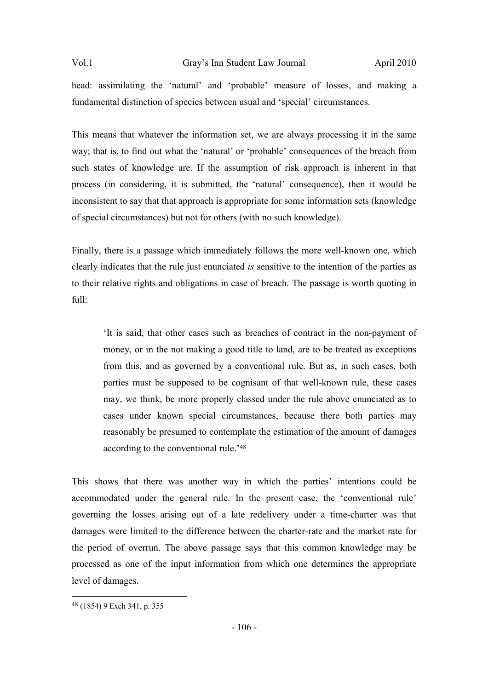head: assimilating the 'natural' and 'probable' measure of losses, and making a fundamental distinction of species between usual and 'special' circumstances.

This means that whatever the information set, we are always processing it in the same way; that is, to find out what the 'natural' or 'probable' consequences of the breach from such states of knowledge are. If the assumption of risk approach is inherent in that process (in considering, it is submitted, the 'natural' consequence), then it would be inconsistent to say that that approach is appropriate for some information sets (knowledge of special circumstances) but not for others (with no such knowledge).

Finally, there is a passage which immediately follows the more well-known one, which clearly indicates that the rule just enunciated *is* sensitive to the intention of the parties as to their relative rights and obligations in case of breach. The passage is worth quoting in full:

'It is said, that other cases such as breaches of contract in the non-payment of money, or in the not making a good title to land, are to be treated as exceptions from this, and as governed by a conventional rule. But as, in such cases, both parties must be supposed to be cognisant of that well-known rule, these cases may, we think, be more properly classed under the rule above enunciated as to cases under known special circumstances, because there both parties may reasonably be presumed to contemplate the estimation of the amount of damages according to the conventional rule.'<sup>48</sup>

This shows that there was another way in which the parties' intentions could be accommodated under the general rule. In the present case, the 'conventional rule' governing the losses arising out of a late redelivery under a time-charter was that damages were limited to the difference between the charter-rate and the market rate for the period of overrun. The above passage says that this common knowledge may be processed as one of the input information from which one determines the appropriate level of damages.

<sup>48</sup> (1854) 9 Exch 341, p. 355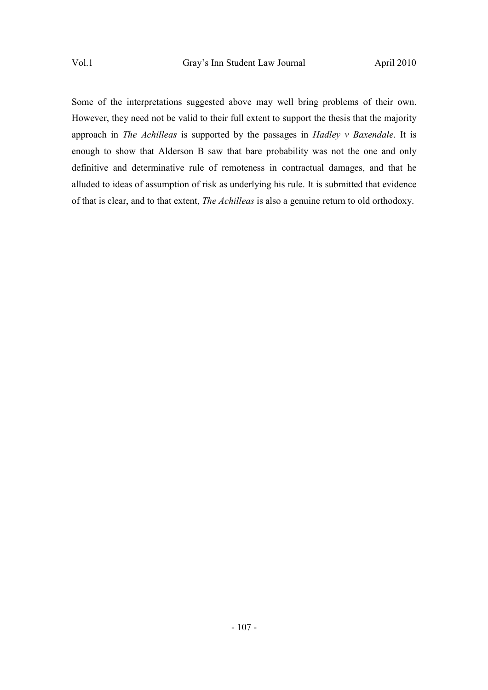Some of the interpretations suggested above may well bring problems of their own. However, they need not be valid to their full extent to support the thesis that the majority approach in *The Achilleas* is supported by the passages in *Hadley v Baxendale*. It is enough to show that Alderson B saw that bare probability was not the one and only definitive and determinative rule of remoteness in contractual damages, and that he alluded to ideas of assumption of risk as underlying his rule. It is submitted that evidence of that is clear, and to that extent, *The Achilleas* is also a genuine return to old orthodoxy.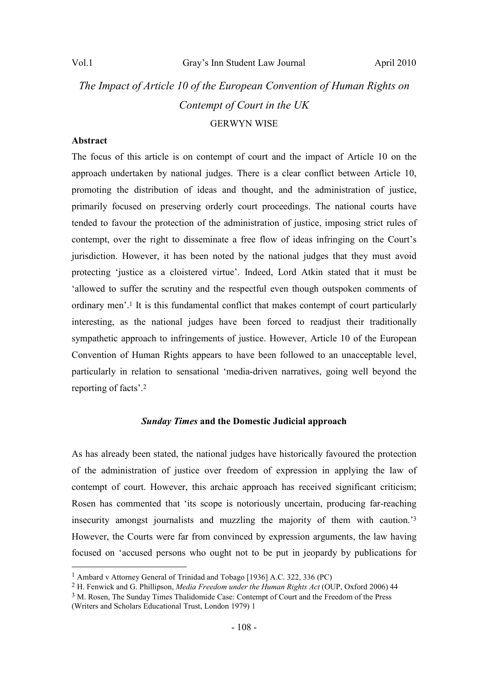# *The Impact of Article 10 of the European Convention of Human Rights on Contempt of Court in the UK*  GERWYN WISE

#### **Abstract**

 $\overline{a}$ 

The focus of this article is on contempt of court and the impact of Article 10 on the approach undertaken by national judges. There is a clear conflict between Article 10, promoting the distribution of ideas and thought, and the administration of justice, primarily focused on preserving orderly court proceedings. The national courts have tended to favour the protection of the administration of justice, imposing strict rules of contempt, over the right to disseminate a free flow of ideas infringing on the Court's jurisdiction. However, it has been noted by the national judges that they must avoid protecting 'justice as a cloistered virtue'. Indeed, Lord Atkin stated that it must be 'allowed to suffer the scrutiny and the respectful even though outspoken comments of ordinary men'.1 It is this fundamental conflict that makes contempt of court particularly interesting, as the national judges have been forced to readjust their traditionally sympathetic approach to infringements of justice. However, Article 10 of the European Convention of Human Rights appears to have been followed to an unacceptable level, particularly in relation to sensational 'media-driven narratives, going well beyond the reporting of facts'.<sup>2</sup>

#### *Sunday Times* **and the Domestic Judicial approach**

As has already been stated, the national judges have historically favoured the protection of the administration of justice over freedom of expression in applying the law of contempt of court. However, this archaic approach has received significant criticism; Rosen has commented that 'its scope is notoriously uncertain, producing far-reaching insecurity amongst journalists and muzzling the majority of them with caution.'<sup>3</sup> However, the Courts were far from convinced by expression arguments, the law having focused on 'accused persons who ought not to be put in jeopardy by publications for

<sup>1</sup> Ambard v Attorney General of Trinidad and Tobago [1936] A.C. 322, 336 (PC)

<sup>2</sup> H. Fenwick and G. Phillipson, *Media Freedom under the Human Rights Act* (OUP, Oxford 2006) 44

<sup>3</sup> M. Rosen, The Sunday Times Thalidomide Case: Contempt of Court and the Freedom of the Press (Writers and Scholars Educational Trust, London 1979) 1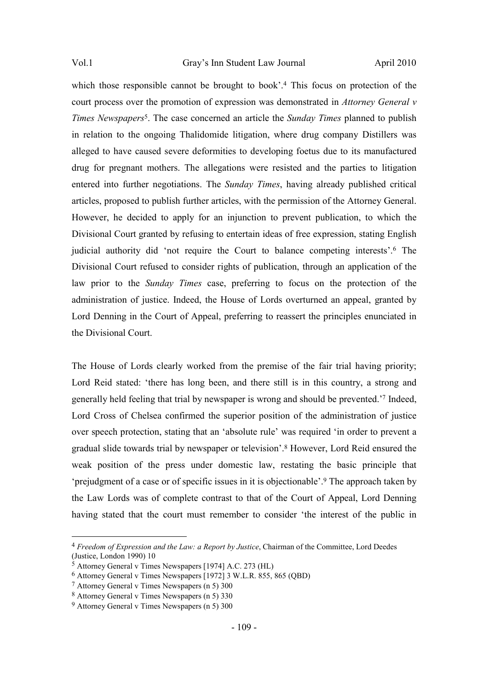which those responsible cannot be brought to book'.<sup>4</sup> This focus on protection of the court process over the promotion of expression was demonstrated in *Attorney General v Times Newspapers*<sup>5</sup> . The case concerned an article the *Sunday Times* planned to publish in relation to the ongoing Thalidomide litigation, where drug company Distillers was alleged to have caused severe deformities to developing foetus due to its manufactured drug for pregnant mothers. The allegations were resisted and the parties to litigation entered into further negotiations. The *Sunday Times*, having already published critical articles, proposed to publish further articles, with the permission of the Attorney General. However, he decided to apply for an injunction to prevent publication, to which the Divisional Court granted by refusing to entertain ideas of free expression, stating English judicial authority did 'not require the Court to balance competing interests'.<sup>6</sup> The Divisional Court refused to consider rights of publication, through an application of the law prior to the *Sunday Times* case, preferring to focus on the protection of the administration of justice. Indeed, the House of Lords overturned an appeal, granted by Lord Denning in the Court of Appeal, preferring to reassert the principles enunciated in the Divisional Court.

The House of Lords clearly worked from the premise of the fair trial having priority; Lord Reid stated: 'there has long been, and there still is in this country, a strong and generally held feeling that trial by newspaper is wrong and should be prevented.'7 Indeed, Lord Cross of Chelsea confirmed the superior position of the administration of justice over speech protection, stating that an 'absolute rule' was required 'in order to prevent a gradual slide towards trial by newspaper or television'.<sup>8</sup> However, Lord Reid ensured the weak position of the press under domestic law, restating the basic principle that 'prejudgment of a case or of specific issues in it is objectionable'.9 The approach taken by the Law Lords was of complete contrast to that of the Court of Appeal, Lord Denning having stated that the court must remember to consider 'the interest of the public in

<sup>4</sup> *Freedom of Expression and the Law: a Report by Justice*, Chairman of the Committee, Lord Deedes (Justice, London 1990) 10

<sup>5</sup> Attorney General v Times Newspapers [1974] A.C. 273 (HL)

<sup>6</sup> Attorney General v Times Newspapers [1972] 3 W.L.R. 855, 865 (QBD)

<sup>7</sup> Attorney General v Times Newspapers (n 5) 300

<sup>8</sup> Attorney General v Times Newspapers (n 5) 330

<sup>9</sup> Attorney General v Times Newspapers (n 5) 300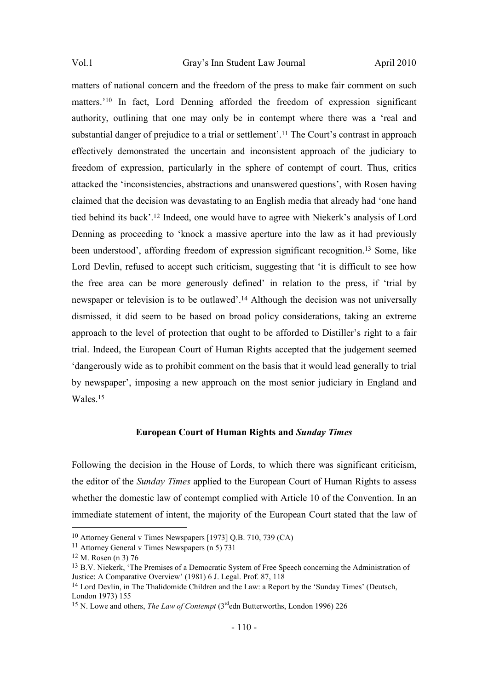matters of national concern and the freedom of the press to make fair comment on such matters.'10 In fact, Lord Denning afforded the freedom of expression significant authority, outlining that one may only be in contempt where there was a 'real and substantial danger of prejudice to a trial or settlement'.<sup>11</sup> The Court's contrast in approach effectively demonstrated the uncertain and inconsistent approach of the judiciary to freedom of expression, particularly in the sphere of contempt of court. Thus, critics attacked the 'inconsistencies, abstractions and unanswered questions', with Rosen having claimed that the decision was devastating to an English media that already had 'one hand tied behind its back'.12 Indeed, one would have to agree with Niekerk's analysis of Lord Denning as proceeding to 'knock a massive aperture into the law as it had previously been understood', affording freedom of expression significant recognition.<sup>13</sup> Some, like Lord Devlin, refused to accept such criticism, suggesting that 'it is difficult to see how the free area can be more generously defined' in relation to the press, if 'trial by newspaper or television is to be outlawed'.14 Although the decision was not universally dismissed, it did seem to be based on broad policy considerations, taking an extreme approach to the level of protection that ought to be afforded to Distiller's right to a fair trial. Indeed, the European Court of Human Rights accepted that the judgement seemed 'dangerously wide as to prohibit comment on the basis that it would lead generally to trial by newspaper', imposing a new approach on the most senior judiciary in England and Wales<sup>15</sup>

# **European Court of Human Rights and** *Sunday Times*

Following the decision in the House of Lords, to which there was significant criticism, the editor of the *Sunday Times* applied to the European Court of Human Rights to assess whether the domestic law of contempt complied with Article 10 of the Convention. In an immediate statement of intent, the majority of the European Court stated that the law of

<sup>10</sup> Attorney General v Times Newspapers [1973] Q.B. 710, 739 (CA)

<sup>11</sup> Attorney General v Times Newspapers (n 5) 731

<sup>12</sup> M. Rosen (n 3) 76

<sup>&</sup>lt;sup>13</sup> B.V. Niekerk, 'The Premises of a Democratic System of Free Speech concerning the Administration of Justice: A Comparative Overview' (1981) 6 J. Legal. Prof. 87, 118

<sup>14</sup> Lord Devlin, in The Thalidomide Children and the Law: a Report by the 'Sunday Times' (Deutsch, London 1973) 155

<sup>&</sup>lt;sup>15</sup> N. Lowe and others, *The Law of Contempt* (3<sup>rd</sup>edn Butterworths, London 1996) 226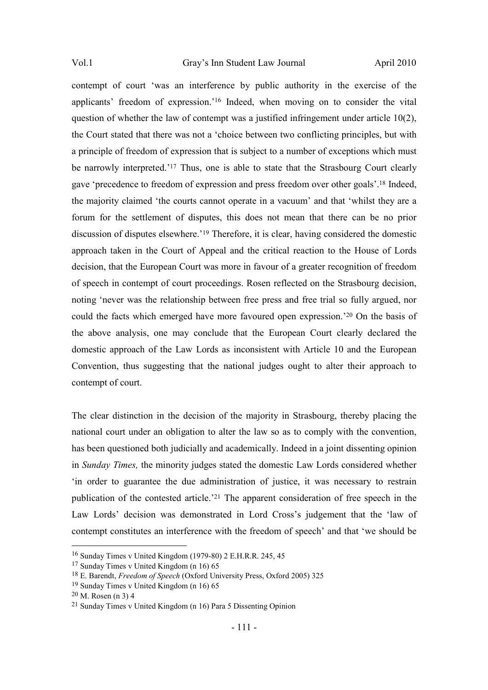contempt of court 'was an interference by public authority in the exercise of the applicants' freedom of expression.'16 Indeed, when moving on to consider the vital question of whether the law of contempt was a justified infringement under article 10(2), the Court stated that there was not a 'choice between two conflicting principles, but with a principle of freedom of expression that is subject to a number of exceptions which must be narrowly interpreted.<sup>'17</sup> Thus, one is able to state that the Strasbourg Court clearly gave 'precedence to freedom of expression and press freedom over other goals'.18 Indeed, the majority claimed 'the courts cannot operate in a vacuum' and that 'whilst they are a forum for the settlement of disputes, this does not mean that there can be no prior discussion of disputes elsewhere.'19 Therefore, it is clear, having considered the domestic approach taken in the Court of Appeal and the critical reaction to the House of Lords decision, that the European Court was more in favour of a greater recognition of freedom of speech in contempt of court proceedings. Rosen reflected on the Strasbourg decision, noting 'never was the relationship between free press and free trial so fully argued, nor could the facts which emerged have more favoured open expression.'20 On the basis of the above analysis, one may conclude that the European Court clearly declared the domestic approach of the Law Lords as inconsistent with Article 10 and the European Convention, thus suggesting that the national judges ought to alter their approach to contempt of court.

The clear distinction in the decision of the majority in Strasbourg, thereby placing the national court under an obligation to alter the law so as to comply with the convention, has been questioned both judicially and academically. Indeed in a joint dissenting opinion in *Sunday Times,* the minority judges stated the domestic Law Lords considered whether 'in order to guarantee the due administration of justice, it was necessary to restrain publication of the contested article.'<sup>21</sup> The apparent consideration of free speech in the Law Lords' decision was demonstrated in Lord Cross's judgement that the 'law of contempt constitutes an interference with the freedom of speech' and that 'we should be

<sup>16</sup> Sunday Times v United Kingdom (1979-80) 2 E.H.R.R. 245, 45

<sup>17</sup> Sunday Times v United Kingdom (n 16) 65

<sup>18</sup> E. Barendt, *Freedom of Speech* (Oxford University Press, Oxford 2005) 325

<sup>19</sup> Sunday Times v United Kingdom (n 16) 65

<sup>20</sup> M. Rosen (n 3) 4

<sup>21</sup> Sunday Times v United Kingdom (n 16) Para 5 Dissenting Opinion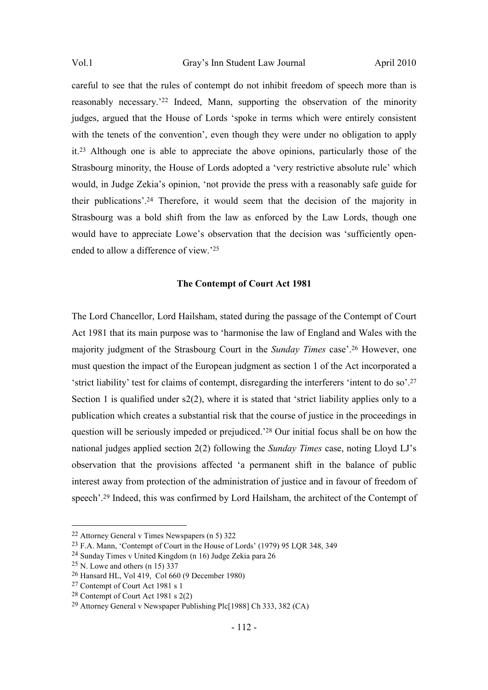careful to see that the rules of contempt do not inhibit freedom of speech more than is reasonably necessary.'22 Indeed, Mann, supporting the observation of the minority judges, argued that the House of Lords 'spoke in terms which were entirely consistent with the tenets of the convention', even though they were under no obligation to apply it.23 Although one is able to appreciate the above opinions, particularly those of the Strasbourg minority, the House of Lords adopted a 'very restrictive absolute rule' which would, in Judge Zekia's opinion, 'not provide the press with a reasonably safe guide for their publications'.<sup>24</sup> Therefore, it would seem that the decision of the majority in Strasbourg was a bold shift from the law as enforced by the Law Lords, though one would have to appreciate Lowe's observation that the decision was 'sufficiently openended to allow a difference of view.'<sup>25</sup>

# **The Contempt of Court Act 1981**

The Lord Chancellor, Lord Hailsham, stated during the passage of the Contempt of Court Act 1981 that its main purpose was to 'harmonise the law of England and Wales with the majority judgment of the Strasbourg Court in the *Sunday Times* case'.26 However, one must question the impact of the European judgment as section 1 of the Act incorporated a 'strict liability' test for claims of contempt, disregarding the interferers 'intent to do so'.<sup>27</sup> Section 1 is qualified under s2(2), where it is stated that 'strict liability applies only to a publication which creates a substantial risk that the course of justice in the proceedings in question will be seriously impeded or prejudiced.'28 Our initial focus shall be on how the national judges applied section 2(2) following the *Sunday Times* case, noting Lloyd LJ's observation that the provisions affected 'a permanent shift in the balance of public interest away from protection of the administration of justice and in favour of freedom of speech'.<sup>29</sup> Indeed, this was confirmed by Lord Hailsham, the architect of the Contempt of

<sup>22</sup> Attorney General v Times Newspapers (n 5) 322

<sup>23</sup> F.A. Mann, 'Contempt of Court in the House of Lords' (1979) 95 LQR 348, 349

<sup>24</sup> Sunday Times v United Kingdom (n 16) Judge Zekia para 26

 $25$  N. Lowe and others (n 15) 337

<sup>26</sup> Hansard HL, Vol 419, Col 660 (9 December 1980)

<sup>27</sup> Contempt of Court Act 1981 s 1

<sup>28</sup> Contempt of Court Act 1981 s 2(2)

<sup>29</sup> Attorney General v Newspaper Publishing Plc[1988] Ch 333, 382 (CA)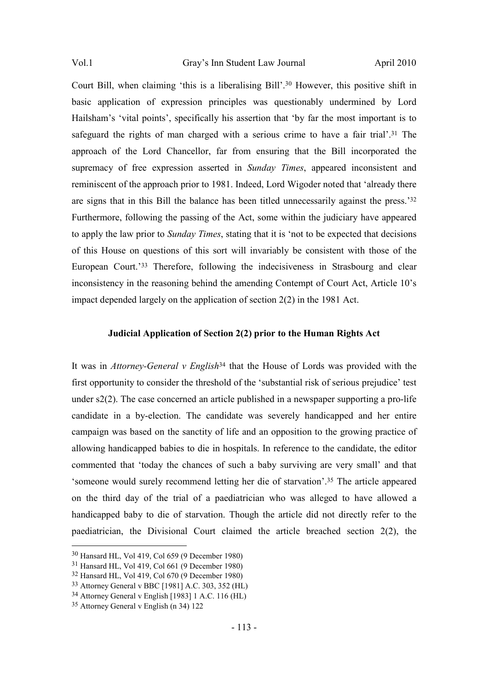Court Bill, when claiming 'this is a liberalising Bill'.<sup>30</sup> However, this positive shift in basic application of expression principles was questionably undermined by Lord Hailsham's 'vital points', specifically his assertion that 'by far the most important is to safeguard the rights of man charged with a serious crime to have a fair trial'.<sup>31</sup> The approach of the Lord Chancellor, far from ensuring that the Bill incorporated the supremacy of free expression asserted in *Sunday Times*, appeared inconsistent and reminiscent of the approach prior to 1981. Indeed, Lord Wigoder noted that 'already there are signs that in this Bill the balance has been titled unnecessarily against the press.'<sup>32</sup> Furthermore, following the passing of the Act, some within the judiciary have appeared to apply the law prior to *Sunday Times*, stating that it is 'not to be expected that decisions of this House on questions of this sort will invariably be consistent with those of the European Court.'33 Therefore, following the indecisiveness in Strasbourg and clear inconsistency in the reasoning behind the amending Contempt of Court Act, Article 10's impact depended largely on the application of section 2(2) in the 1981 Act.

#### **Judicial Application of Section 2(2) prior to the Human Rights Act**

It was in *Attorney-General v English*<sup>34</sup> that the House of Lords was provided with the first opportunity to consider the threshold of the 'substantial risk of serious prejudice' test under s2(2). The case concerned an article published in a newspaper supporting a pro-life candidate in a by-election. The candidate was severely handicapped and her entire campaign was based on the sanctity of life and an opposition to the growing practice of allowing handicapped babies to die in hospitals. In reference to the candidate, the editor commented that 'today the chances of such a baby surviving are very small' and that 'someone would surely recommend letting her die of starvation'.35 The article appeared on the third day of the trial of a paediatrician who was alleged to have allowed a handicapped baby to die of starvation. Though the article did not directly refer to the paediatrician, the Divisional Court claimed the article breached section 2(2), the

<sup>30</sup> Hansard HL, Vol 419, Col 659 (9 December 1980)

<sup>31</sup> Hansard HL, Vol 419, Col 661 (9 December 1980)

<sup>32</sup> Hansard HL, Vol 419, Col 670 (9 December 1980)

<sup>33</sup> Attorney General v BBC [1981] A.C. 303, 352 (HL)

<sup>34</sup> Attorney General v English [1983] 1 A.C. 116 (HL)

<sup>35</sup> Attorney General v English (n 34) 122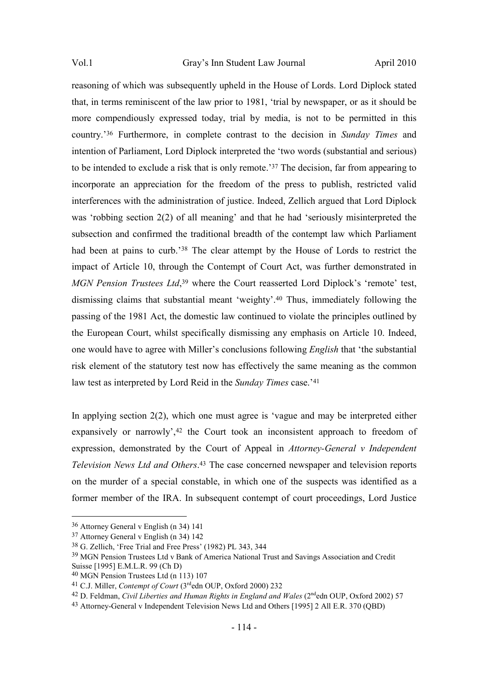reasoning of which was subsequently upheld in the House of Lords. Lord Diplock stated that, in terms reminiscent of the law prior to 1981, 'trial by newspaper, or as it should be more compendiously expressed today, trial by media, is not to be permitted in this country.'36 Furthermore, in complete contrast to the decision in *Sunday Times* and intention of Parliament, Lord Diplock interpreted the 'two words (substantial and serious) to be intended to exclude a risk that is only remote.'<sup>37</sup> The decision, far from appearing to incorporate an appreciation for the freedom of the press to publish, restricted valid interferences with the administration of justice. Indeed, Zellich argued that Lord Diplock was 'robbing section 2(2) of all meaning' and that he had 'seriously misinterpreted the subsection and confirmed the traditional breadth of the contempt law which Parliament had been at pains to curb.'<sup>38</sup> The clear attempt by the House of Lords to restrict the impact of Article 10, through the Contempt of Court Act, was further demonstrated in *MGN Pension Trustees Ltd*, <sup>39</sup> where the Court reasserted Lord Diplock's 'remote' test, dismissing claims that substantial meant 'weighty'.40 Thus, immediately following the passing of the 1981 Act, the domestic law continued to violate the principles outlined by the European Court, whilst specifically dismissing any emphasis on Article 10. Indeed, one would have to agree with Miller's conclusions following *English* that 'the substantial risk element of the statutory test now has effectively the same meaning as the common law test as interpreted by Lord Reid in the *Sunday Times* case.'<sup>41</sup>

In applying section 2(2), which one must agree is 'vague and may be interpreted either expansively or narrowly',<sup>42</sup> the Court took an inconsistent approach to freedom of expression, demonstrated by the Court of Appeal in *Attorney-General v Independent Television News Ltd and Others*. <sup>43</sup> The case concerned newspaper and television reports on the murder of a special constable, in which one of the suspects was identified as a former member of the IRA. In subsequent contempt of court proceedings, Lord Justice

<sup>36</sup> Attorney General v English (n 34) 141

<sup>37</sup> Attorney General v English (n 34) 142

<sup>38</sup> G. Zellich, 'Free Trial and Free Press' (1982) PL 343, 344

<sup>39</sup> MGN Pension Trustees Ltd v Bank of America National Trust and Savings Association and Credit Suisse [1995] E.M.L.R. 99 (Ch D)

<sup>40</sup> MGN Pension Trustees Ltd (n 113) 107

<sup>41</sup> C.J. Miller, *Contempt of Court* (3rdedn OUP, Oxford 2000) 232

<sup>&</sup>lt;sup>42</sup> D. Feldman, *Civil Liberties and Human Rights in England and Wales* (2<sup>nd</sup>edn OUP, Oxford 2002) 57

<sup>43</sup> Attorney-General v Independent Television News Ltd and Others [1995] 2 All E.R. 370 (QBD)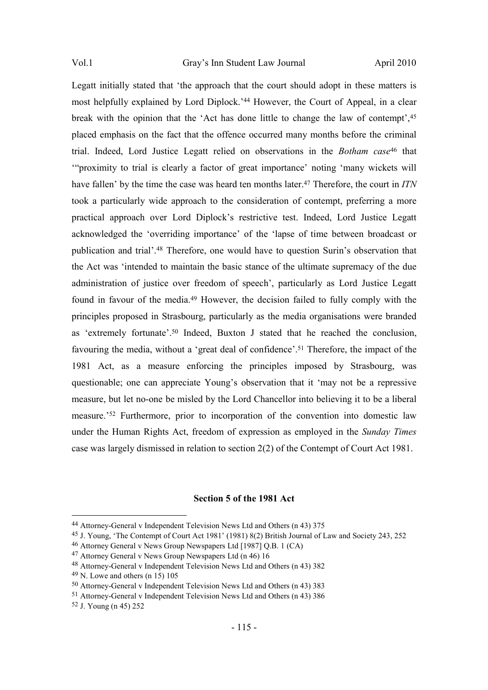Legatt initially stated that 'the approach that the court should adopt in these matters is most helpfully explained by Lord Diplock.'44 However, the Court of Appeal, in a clear break with the opinion that the 'Act has done little to change the law of contempt',<sup>45</sup> placed emphasis on the fact that the offence occurred many months before the criminal trial. Indeed, Lord Justice Legatt relied on observations in the *Botham case*46 that '"proximity to trial is clearly a factor of great importance' noting 'many wickets will have fallen' by the time the case was heard ten months later.47 Therefore, the court in *ITN* took a particularly wide approach to the consideration of contempt, preferring a more practical approach over Lord Diplock's restrictive test. Indeed, Lord Justice Legatt acknowledged the 'overriding importance' of the 'lapse of time between broadcast or publication and trial'.<sup>48</sup> Therefore, one would have to question Surin's observation that the Act was 'intended to maintain the basic stance of the ultimate supremacy of the due administration of justice over freedom of speech', particularly as Lord Justice Legatt found in favour of the media.49 However, the decision failed to fully comply with the principles proposed in Strasbourg, particularly as the media organisations were branded as 'extremely fortunate'.<sup>50</sup> Indeed, Buxton J stated that he reached the conclusion, favouring the media, without a 'great deal of confidence'.51 Therefore, the impact of the 1981 Act, as a measure enforcing the principles imposed by Strasbourg, was questionable; one can appreciate Young's observation that it 'may not be a repressive measure, but let no-one be misled by the Lord Chancellor into believing it to be a liberal measure.'<sup>52</sup> Furthermore, prior to incorporation of the convention into domestic law under the Human Rights Act, freedom of expression as employed in the *Sunday Times* case was largely dismissed in relation to section 2(2) of the Contempt of Court Act 1981.

# **Section 5 of the 1981 Act**

<sup>44</sup> Attorney-General v Independent Television News Ltd and Others (n 43) 375

<sup>45</sup> J. Young, 'The Contempt of Court Act 1981' (1981) 8(2) British Journal of Law and Society 243, 252

<sup>46</sup> Attorney General v News Group Newspapers Ltd [1987] Q.B. 1 (CA)

<sup>47</sup> Attorney General v News Group Newspapers Ltd (n 46) 16

<sup>48</sup> Attorney-General v Independent Television News Ltd and Others (n 43) 382

 $49$  N. Lowe and others (n 15) 105

<sup>50</sup> Attorney-General v Independent Television News Ltd and Others (n 43) 383

<sup>51</sup> Attorney-General v Independent Television News Ltd and Others (n 43) 386 <sup>52</sup> J. Young (n 45) 252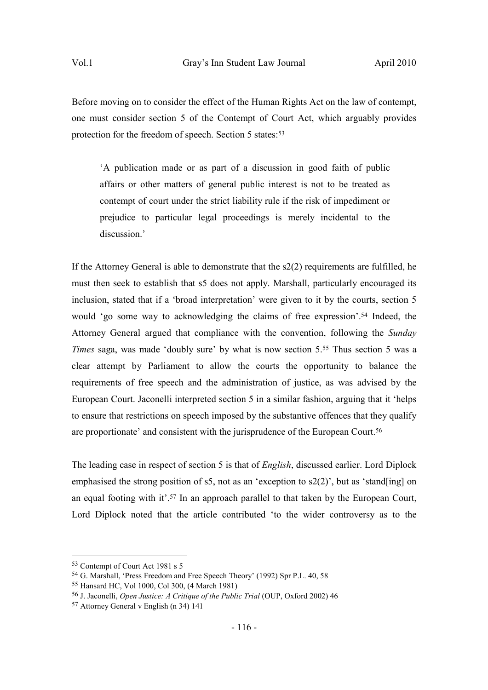Before moving on to consider the effect of the Human Rights Act on the law of contempt, one must consider section 5 of the Contempt of Court Act, which arguably provides protection for the freedom of speech. Section 5 states:<sup>53</sup>

'A publication made or as part of a discussion in good faith of public affairs or other matters of general public interest is not to be treated as contempt of court under the strict liability rule if the risk of impediment or prejudice to particular legal proceedings is merely incidental to the discussion.'

If the Attorney General is able to demonstrate that the s2(2) requirements are fulfilled, he must then seek to establish that s5 does not apply. Marshall, particularly encouraged its inclusion, stated that if a 'broad interpretation' were given to it by the courts, section 5 would 'go some way to acknowledging the claims of free expression'.54 Indeed, the Attorney General argued that compliance with the convention, following the *Sunday Times* saga, was made 'doubly sure' by what is now section 5.55 Thus section 5 was a clear attempt by Parliament to allow the courts the opportunity to balance the requirements of free speech and the administration of justice, as was advised by the European Court. Jaconelli interpreted section 5 in a similar fashion, arguing that it 'helps to ensure that restrictions on speech imposed by the substantive offences that they qualify are proportionate' and consistent with the jurisprudence of the European Court.<sup>56</sup>

The leading case in respect of section 5 is that of *English*, discussed earlier. Lord Diplock emphasised the strong position of s5, not as an 'exception to s2(2)', but as 'stand[ing] on an equal footing with it'.<sup>57</sup> In an approach parallel to that taken by the European Court, Lord Diplock noted that the article contributed 'to the wider controversy as to the

<sup>53</sup> Contempt of Court Act 1981 s 5

<sup>54</sup> G. Marshall, 'Press Freedom and Free Speech Theory' (1992) Spr P.L. 40, 58

<sup>55</sup> Hansard HC, Vol 1000, Col 300, (4 March 1981)

<sup>56</sup> J. Jaconelli, *Open Justice: A Critique of the Public Trial* (OUP, Oxford 2002) 46

<sup>57</sup> Attorney General v English (n 34) 141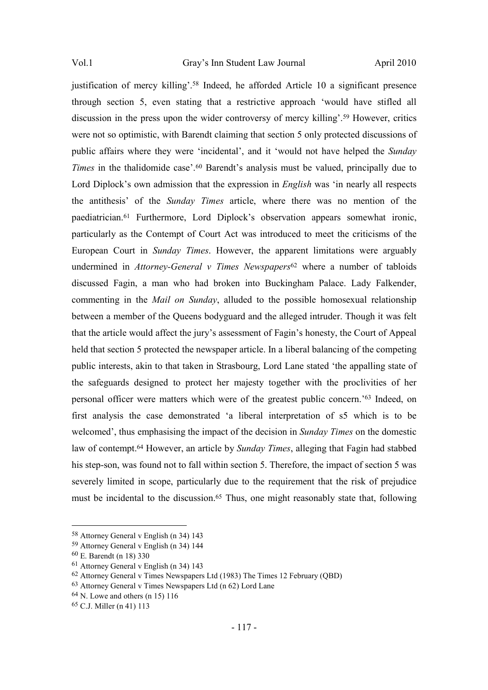justification of mercy killing'.<sup>58</sup> Indeed, he afforded Article 10 a significant presence through section 5, even stating that a restrictive approach 'would have stifled all discussion in the press upon the wider controversy of mercy killing'.<sup>59</sup> However, critics were not so optimistic, with Barendt claiming that section 5 only protected discussions of public affairs where they were 'incidental', and it 'would not have helped the *Sunday Times* in the thalidomide case'.<sup>60</sup> Barendt's analysis must be valued, principally due to Lord Diplock's own admission that the expression in *English* was 'in nearly all respects the antithesis' of the *Sunday Times* article, where there was no mention of the paediatrician.<sup>61</sup> Furthermore, Lord Diplock's observation appears somewhat ironic, particularly as the Contempt of Court Act was introduced to meet the criticisms of the European Court in *Sunday Times*. However, the apparent limitations were arguably undermined in *Attorney-General v Times Newspapers*62 where a number of tabloids discussed Fagin, a man who had broken into Buckingham Palace. Lady Falkender, commenting in the *Mail on Sunday*, alluded to the possible homosexual relationship between a member of the Queens bodyguard and the alleged intruder. Though it was felt that the article would affect the jury's assessment of Fagin's honesty, the Court of Appeal held that section 5 protected the newspaper article. In a liberal balancing of the competing public interests, akin to that taken in Strasbourg, Lord Lane stated 'the appalling state of the safeguards designed to protect her majesty together with the proclivities of her personal officer were matters which were of the greatest public concern.'63 Indeed, on first analysis the case demonstrated 'a liberal interpretation of s5 which is to be welcomed', thus emphasising the impact of the decision in *Sunday Times* on the domestic law of contempt.<sup>64</sup> However, an article by *Sunday Times*, alleging that Fagin had stabbed his step-son, was found not to fall within section 5. Therefore, the impact of section 5 was severely limited in scope, particularly due to the requirement that the risk of prejudice must be incidental to the discussion.<sup>65</sup> Thus, one might reasonably state that, following

<sup>58</sup> Attorney General v English (n 34) 143

<sup>59</sup> Attorney General v English (n 34) 144

<sup>60</sup> E. Barendt (n 18) 330

<sup>61</sup> Attorney General v English (n 34) 143

<sup>62</sup> Attorney General v Times Newspapers Ltd (1983) The Times 12 February (QBD)

<sup>63</sup> Attorney General v Times Newspapers Ltd (n 62) Lord Lane

 $64$  N. Lowe and others (n 15) 116

<sup>65</sup> C.J. Miller (n 41) 113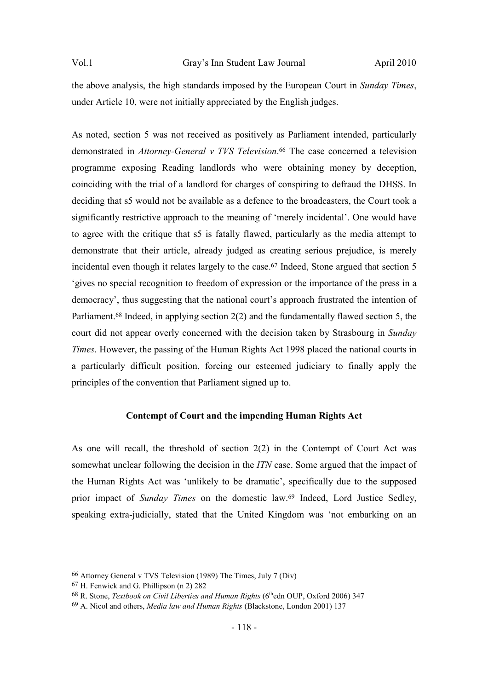the above analysis, the high standards imposed by the European Court in *Sunday Times*, under Article 10, were not initially appreciated by the English judges.

As noted, section 5 was not received as positively as Parliament intended, particularly demonstrated in *Attorney-General v TVS Television*. <sup>66</sup> The case concerned a television programme exposing Reading landlords who were obtaining money by deception, coinciding with the trial of a landlord for charges of conspiring to defraud the DHSS. In deciding that s5 would not be available as a defence to the broadcasters, the Court took a significantly restrictive approach to the meaning of 'merely incidental'. One would have to agree with the critique that s5 is fatally flawed, particularly as the media attempt to demonstrate that their article, already judged as creating serious prejudice, is merely incidental even though it relates largely to the case.<sup>67</sup> Indeed, Stone argued that section 5 'gives no special recognition to freedom of expression or the importance of the press in a democracy', thus suggesting that the national court's approach frustrated the intention of Parliament.<sup>68</sup> Indeed, in applying section 2(2) and the fundamentally flawed section 5, the court did not appear overly concerned with the decision taken by Strasbourg in *Sunday Times*. However, the passing of the Human Rights Act 1998 placed the national courts in a particularly difficult position, forcing our esteemed judiciary to finally apply the principles of the convention that Parliament signed up to.

### **Contempt of Court and the impending Human Rights Act**

As one will recall, the threshold of section 2(2) in the Contempt of Court Act was somewhat unclear following the decision in the *ITN* case. Some argued that the impact of the Human Rights Act was 'unlikely to be dramatic', specifically due to the supposed prior impact of *Sunday Times* on the domestic law.<sup>69</sup> Indeed, Lord Justice Sedley, speaking extra-judicially, stated that the United Kingdom was 'not embarking on an

<sup>66</sup> Attorney General v TVS Television (1989) The Times, July 7 (Div)

<sup>67</sup> H. Fenwick and G. Phillipson (n 2) 282

<sup>&</sup>lt;sup>68</sup> R. Stone, *Textbook on Civil Liberties and Human Rights* (6<sup>th</sup>edn OUP, Oxford 2006) 347

<sup>69</sup> A. Nicol and others, *Media law and Human Rights* (Blackstone, London 2001) 137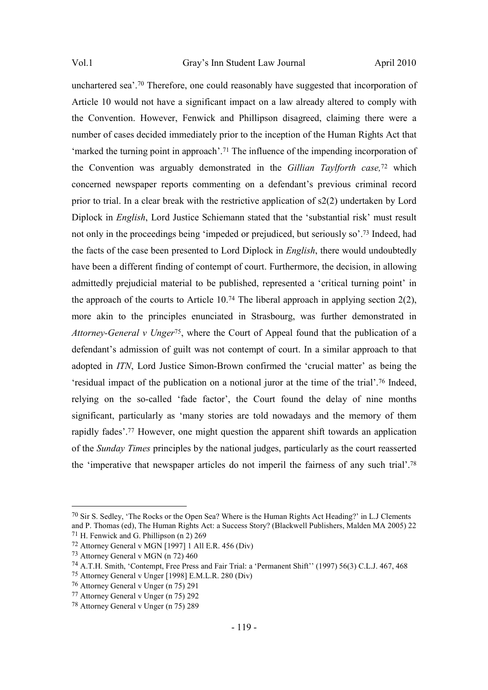unchartered sea'.<sup>70</sup> Therefore, one could reasonably have suggested that incorporation of Article 10 would not have a significant impact on a law already altered to comply with the Convention. However, Fenwick and Phillipson disagreed, claiming there were a number of cases decided immediately prior to the inception of the Human Rights Act that 'marked the turning point in approach'.71 The influence of the impending incorporation of the Convention was arguably demonstrated in the *Gillian Taylforth case,*<sup>72</sup> which concerned newspaper reports commenting on a defendant's previous criminal record prior to trial. In a clear break with the restrictive application of s2(2) undertaken by Lord Diplock in *English*, Lord Justice Schiemann stated that the 'substantial risk' must result not only in the proceedings being 'impeded or prejudiced, but seriously so'.73 Indeed, had the facts of the case been presented to Lord Diplock in *English*, there would undoubtedly have been a different finding of contempt of court. Furthermore, the decision, in allowing admittedly prejudicial material to be published, represented a 'critical turning point' in the approach of the courts to Article  $10^{74}$  The liberal approach in applying section  $2(2)$ , more akin to the principles enunciated in Strasbourg, was further demonstrated in *Attorney-General v Unger*<sup>75</sup>, where the Court of Appeal found that the publication of a defendant's admission of guilt was not contempt of court. In a similar approach to that adopted in *ITN*, Lord Justice Simon-Brown confirmed the 'crucial matter' as being the 'residual impact of the publication on a notional juror at the time of the trial'.76 Indeed, relying on the so-called 'fade factor', the Court found the delay of nine months significant, particularly as 'many stories are told nowadays and the memory of them rapidly fades'.77 However, one might question the apparent shift towards an application of the *Sunday Times* principles by the national judges, particularly as the court reasserted the 'imperative that newspaper articles do not imperil the fairness of any such trial'.<sup>78</sup>

 $70$  Sir S. Sedley, 'The Rocks or the Open Sea? Where is the Human Rights Act Heading?' in L.J Clements and P. Thomas (ed), The Human Rights Act: a Success Story? (Blackwell Publishers, Malden MA 2005) 22 71 H. Fenwick and G. Phillipson (n 2) 269

<sup>72</sup> Attorney General v MGN [1997] 1 All E.R. 456 (Div)

<sup>73</sup> Attorney General v MGN (n 72) 460

<sup>74</sup> A.T.H. Smith, 'Contempt, Free Press and Fair Trial: a 'Permanent Shift'' (1997) 56(3) C.L.J. 467, 468

<sup>75</sup> Attorney General v Unger [1998] E.M.L.R. 280 (Div)

<sup>76</sup> Attorney General v Unger (n 75) 291

<sup>77</sup> Attorney General v Unger (n 75) 292

<sup>78</sup> Attorney General v Unger (n 75) 289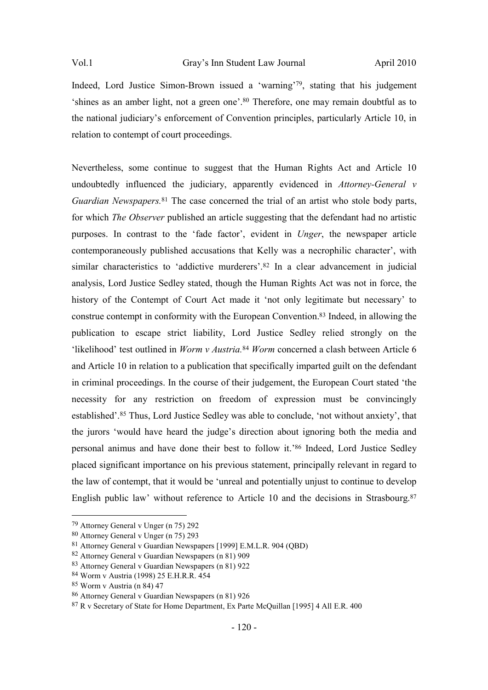Indeed, Lord Justice Simon-Brown issued a 'warning'<sup>79</sup>, stating that his judgement 'shines as an amber light, not a green one'.80 Therefore, one may remain doubtful as to the national judiciary's enforcement of Convention principles, particularly Article 10, in relation to contempt of court proceedings.

Nevertheless, some continue to suggest that the Human Rights Act and Article 10 undoubtedly influenced the judiciary, apparently evidenced in *Attorney-General v Guardian Newspapers.*<sup>81</sup> The case concerned the trial of an artist who stole body parts, for which *The Observer* published an article suggesting that the defendant had no artistic purposes. In contrast to the 'fade factor', evident in *Unger*, the newspaper article contemporaneously published accusations that Kelly was a necrophilic character', with similar characteristics to 'addictive murderers'.82 In a clear advancement in judicial analysis, Lord Justice Sedley stated, though the Human Rights Act was not in force, the history of the Contempt of Court Act made it 'not only legitimate but necessary' to construe contempt in conformity with the European Convention.<sup>83</sup> Indeed, in allowing the publication to escape strict liability, Lord Justice Sedley relied strongly on the 'likelihood' test outlined in *Worm v Austria.*<sup>84</sup> *Worm* concerned a clash between Article 6 and Article 10 in relation to a publication that specifically imparted guilt on the defendant in criminal proceedings. In the course of their judgement, the European Court stated 'the necessity for any restriction on freedom of expression must be convincingly established'.<sup>85</sup> Thus, Lord Justice Sedley was able to conclude, 'not without anxiety', that the jurors 'would have heard the judge's direction about ignoring both the media and personal animus and have done their best to follow it.'<sup>86</sup> Indeed, Lord Justice Sedley placed significant importance on his previous statement, principally relevant in regard to the law of contempt, that it would be 'unreal and potentially unjust to continue to develop English public law' without reference to Article 10 and the decisions in Strasbourg.<sup>87</sup>

<sup>79</sup> Attorney General v Unger (n 75) 292

<sup>80</sup> Attorney General v Unger (n 75) 293

<sup>81</sup> Attorney General v Guardian Newspapers [1999] E.M.L.R. 904 (QBD)

<sup>82</sup> Attorney General v Guardian Newspapers (n 81) 909

<sup>83</sup> Attorney General v Guardian Newspapers (n 81) 922

<sup>84</sup> Worm v Austria (1998) 25 E.H.R.R. 454

<sup>85</sup> Worm v Austria (n 84) 47

<sup>86</sup> Attorney General v Guardian Newspapers (n 81) 926

<sup>87</sup> R v Secretary of State for Home Department, Ex Parte McQuillan [1995] 4 All E.R. 400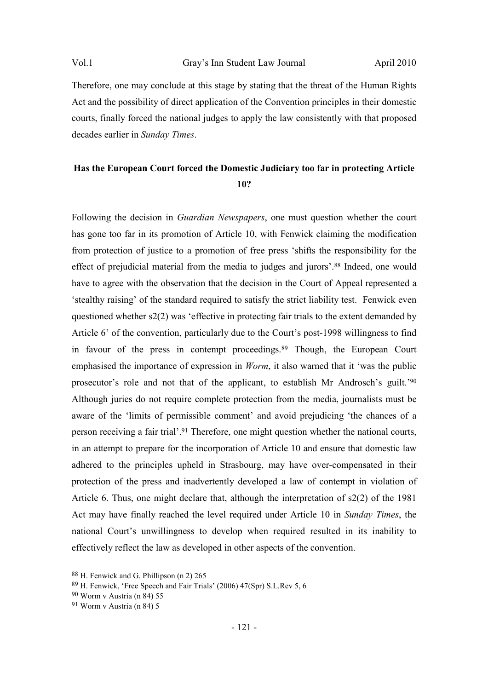Therefore, one may conclude at this stage by stating that the threat of the Human Rights Act and the possibility of direct application of the Convention principles in their domestic courts, finally forced the national judges to apply the law consistently with that proposed decades earlier in *Sunday Times*.

# **Has the European Court forced the Domestic Judiciary too far in protecting Article 10?**

Following the decision in *Guardian Newspapers*, one must question whether the court has gone too far in its promotion of Article 10, with Fenwick claiming the modification from protection of justice to a promotion of free press 'shifts the responsibility for the effect of prejudicial material from the media to judges and jurors'.88 Indeed, one would have to agree with the observation that the decision in the Court of Appeal represented a 'stealthy raising' of the standard required to satisfy the strict liability test. Fenwick even questioned whether s2(2) was 'effective in protecting fair trials to the extent demanded by Article 6' of the convention, particularly due to the Court's post-1998 willingness to find in favour of the press in contempt proceedings.89 Though, the European Court emphasised the importance of expression in *Worm*, it also warned that it 'was the public prosecutor's role and not that of the applicant, to establish Mr Androsch's guilt.'<sup>90</sup> Although juries do not require complete protection from the media, journalists must be aware of the 'limits of permissible comment' and avoid prejudicing 'the chances of a person receiving a fair trial'.91 Therefore, one might question whether the national courts, in an attempt to prepare for the incorporation of Article 10 and ensure that domestic law adhered to the principles upheld in Strasbourg, may have over-compensated in their protection of the press and inadvertently developed a law of contempt in violation of Article 6. Thus, one might declare that, although the interpretation of s2(2) of the 1981 Act may have finally reached the level required under Article 10 in *Sunday Times*, the national Court's unwillingness to develop when required resulted in its inability to effectively reflect the law as developed in other aspects of the convention.

<sup>88</sup> H. Fenwick and G. Phillipson (n 2) 265

<sup>89</sup> H. Fenwick, 'Free Speech and Fair Trials' (2006) 47(Spr) S.L.Rev 5, 6

<sup>90</sup> Worm v Austria (n 84) 55

<sup>91</sup> Worm v Austria (n 84) 5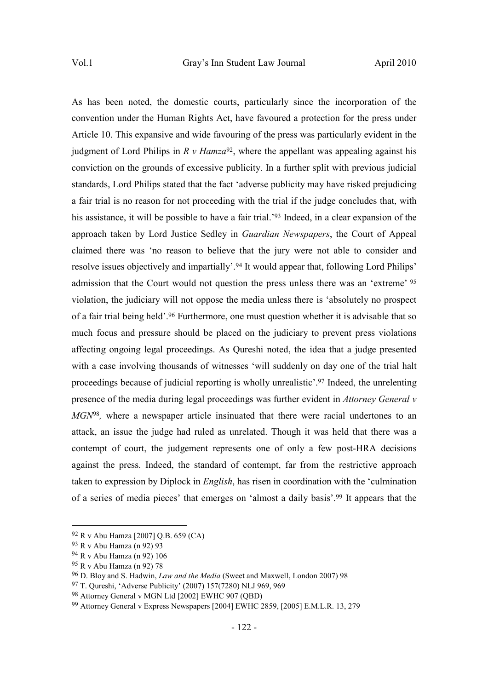As has been noted, the domestic courts, particularly since the incorporation of the convention under the Human Rights Act, have favoured a protection for the press under Article 10. This expansive and wide favouring of the press was particularly evident in the judgment of Lord Philips in *R v Hamza*92, where the appellant was appealing against his conviction on the grounds of excessive publicity. In a further split with previous judicial standards, Lord Philips stated that the fact 'adverse publicity may have risked prejudicing a fair trial is no reason for not proceeding with the trial if the judge concludes that, with his assistance, it will be possible to have a fair trial.<sup>'93</sup> Indeed, in a clear expansion of the approach taken by Lord Justice Sedley in *Guardian Newspapers*, the Court of Appeal claimed there was 'no reason to believe that the jury were not able to consider and resolve issues objectively and impartially'.94 It would appear that, following Lord Philips' admission that the Court would not question the press unless there was an 'extreme'<sup>95</sup> violation, the judiciary will not oppose the media unless there is 'absolutely no prospect of a fair trial being held'.96 Furthermore, one must question whether it is advisable that so much focus and pressure should be placed on the judiciary to prevent press violations affecting ongoing legal proceedings. As Qureshi noted, the idea that a judge presented with a case involving thousands of witnesses 'will suddenly on day one of the trial halt proceedings because of judicial reporting is wholly unrealistic'.97 Indeed, the unrelenting presence of the media during legal proceedings was further evident in *Attorney General v*  MGN<sup>98</sup>, where a newspaper article insinuated that there were racial undertones to an attack, an issue the judge had ruled as unrelated. Though it was held that there was a contempt of court, the judgement represents one of only a few post-HRA decisions against the press. Indeed, the standard of contempt, far from the restrictive approach taken to expression by Diplock in *English*, has risen in coordination with the 'culmination of a series of media pieces' that emerges on 'almost a daily basis'.<sup>99</sup> It appears that the

<sup>92</sup> R v Abu Hamza [2007] Q.B. 659 (CA)

<sup>93</sup> R v Abu Hamza (n 92) 93

<sup>94</sup> R v Abu Hamza (n 92) 106

<sup>95</sup> R v Abu Hamza (n 92) 78

<sup>96</sup> D. Bloy and S. Hadwin, *Law and the Media* (Sweet and Maxwell, London 2007) 98

<sup>97</sup> T. Qureshi, 'Adverse Publicity' (2007) 157(7280) NLJ 969, 969

<sup>98</sup> Attorney General v MGN Ltd [2002] EWHC 907 (QBD)

<sup>99</sup> Attorney General v Express Newspapers [2004] EWHC 2859, [2005] E.M.L.R. 13, 279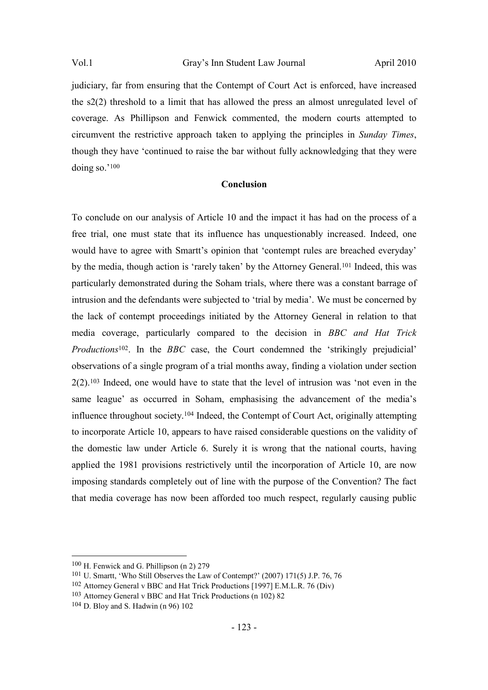judiciary, far from ensuring that the Contempt of Court Act is enforced, have increased the s2(2) threshold to a limit that has allowed the press an almost unregulated level of coverage. As Phillipson and Fenwick commented, the modern courts attempted to circumvent the restrictive approach taken to applying the principles in *Sunday Times*, though they have 'continued to raise the bar without fully acknowledging that they were doing so.'100

#### **Conclusion**

To conclude on our analysis of Article 10 and the impact it has had on the process of a free trial, one must state that its influence has unquestionably increased. Indeed, one would have to agree with Smartt's opinion that 'contempt rules are breached everyday' by the media, though action is 'rarely taken' by the Attorney General.101 Indeed, this was particularly demonstrated during the Soham trials, where there was a constant barrage of intrusion and the defendants were subjected to 'trial by media'. We must be concerned by the lack of contempt proceedings initiated by the Attorney General in relation to that media coverage, particularly compared to the decision in *BBC and Hat Trick Productions*102. In the *BBC* case, the Court condemned the 'strikingly prejudicial' observations of a single program of a trial months away, finding a violation under section 2(2).103 Indeed, one would have to state that the level of intrusion was 'not even in the same league' as occurred in Soham, emphasising the advancement of the media's influence throughout society.<sup>104</sup> Indeed, the Contempt of Court Act, originally attempting to incorporate Article 10, appears to have raised considerable questions on the validity of the domestic law under Article 6. Surely it is wrong that the national courts, having applied the 1981 provisions restrictively until the incorporation of Article 10, are now imposing standards completely out of line with the purpose of the Convention? The fact that media coverage has now been afforded too much respect, regularly causing public

<sup>100</sup> H. Fenwick and G. Phillipson (n 2) 279

<sup>101</sup> U. Smartt, 'Who Still Observes the Law of Contempt?' (2007) 171(5) J.P. 76, 76

<sup>102</sup> Attorney General v BBC and Hat Trick Productions [1997] E.M.L.R. 76 (Div)

<sup>103</sup> Attorney General v BBC and Hat Trick Productions (n 102) 82

<sup>104</sup> D. Bloy and S. Hadwin (n 96) 102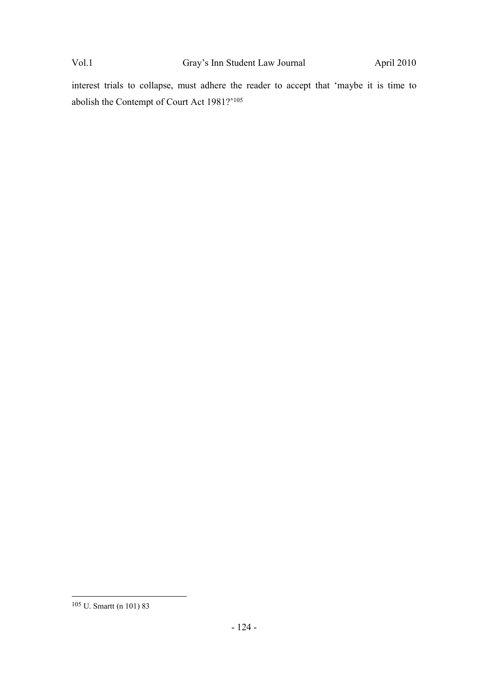interest trials to collapse, must adhere the reader to accept that 'maybe it is time to abolish the Contempt of Court Act 1981?'<sup>105</sup>

<sup>105</sup> U. Smartt (n 101) 83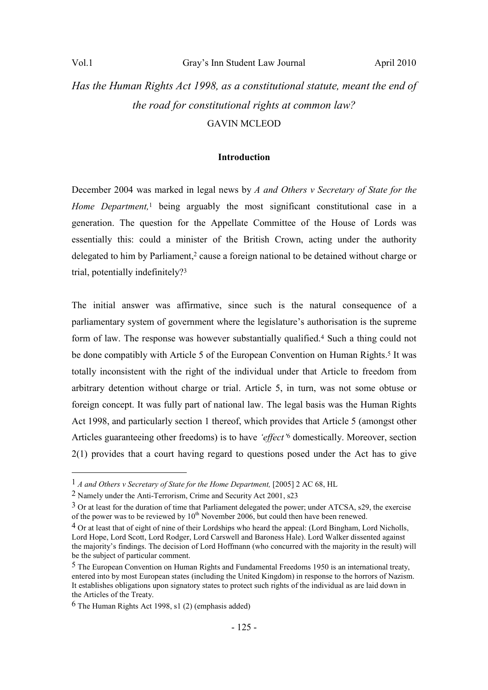$\overline{a}$ 

# *Has the Human Rights Act 1998, as a constitutional statute, meant the end of the road for constitutional rights at common law?*  GAVIN MCLEOD

### **Introduction**

December 2004 was marked in legal news by *A and Others v Secretary of State for the Home Department*,<sup>1</sup> being arguably the most significant constitutional case in a generation. The question for the Appellate Committee of the House of Lords was essentially this: could a minister of the British Crown, acting under the authority delegated to him by Parliament,<sup>2</sup> cause a foreign national to be detained without charge or trial, potentially indefinitely?<sup>3</sup>

The initial answer was affirmative, since such is the natural consequence of a parliamentary system of government where the legislature's authorisation is the supreme form of law. The response was however substantially qualified.4 Such a thing could not be done compatibly with Article 5 of the European Convention on Human Rights.<sup>5</sup> It was totally inconsistent with the right of the individual under that Article to freedom from arbitrary detention without charge or trial. Article 5, in turn, was not some obtuse or foreign concept. It was fully part of national law. The legal basis was the Human Rights Act 1998, and particularly section 1 thereof, which provides that Article 5 (amongst other Articles guaranteeing other freedoms) is to have *'effect'*<sup>6</sup> domestically. Moreover, section 2(1) provides that a court having regard to questions posed under the Act has to give

<sup>&</sup>lt;sup>1</sup> *A and Others v Secretary of State for the Home Department,* [2005] 2 AC 68, HL

<sup>2</sup> Namely under the Anti-Terrorism, Crime and Security Act 2001, s23

<sup>&</sup>lt;sup>3</sup> Or at least for the duration of time that Parliament delegated the power; under ATCSA, s29, the exercise of the power was to be reviewed by  $10^{th}$  November 2006, but could then have been renewed.

<sup>&</sup>lt;sup>4</sup> Or at least that of eight of nine of their Lordships who heard the appeal: (Lord Bingham, Lord Nicholls, Lord Hope, Lord Scott, Lord Rodger, Lord Carswell and Baroness Hale). Lord Walker dissented against the majority's findings. The decision of Lord Hoffmann (who concurred with the majority in the result) will be the subject of particular comment.

<sup>5</sup> The European Convention on Human Rights and Fundamental Freedoms 1950 is an international treaty, entered into by most European states (including the United Kingdom) in response to the horrors of Nazism. It establishes obligations upon signatory states to protect such rights of the individual as are laid down in the Articles of the Treaty.

<sup>6</sup> The Human Rights Act 1998, s1 (2) (emphasis added)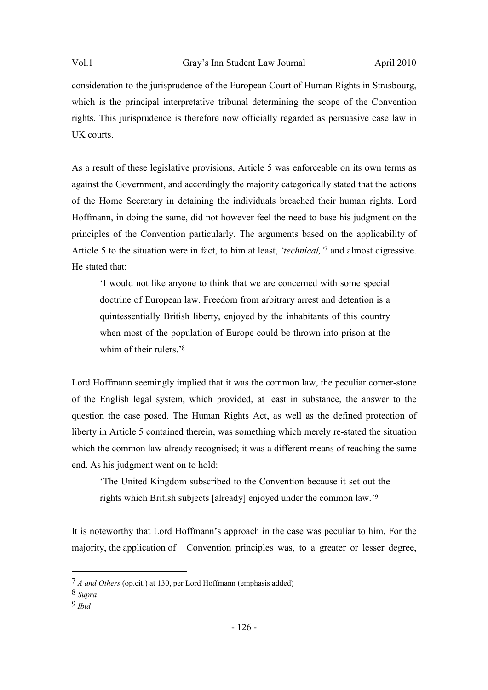consideration to the jurisprudence of the European Court of Human Rights in Strasbourg, which is the principal interpretative tribunal determining the scope of the Convention rights. This jurisprudence is therefore now officially regarded as persuasive case law in UK courts.

As a result of these legislative provisions, Article 5 was enforceable on its own terms as against the Government, and accordingly the majority categorically stated that the actions of the Home Secretary in detaining the individuals breached their human rights. Lord Hoffmann, in doing the same, did not however feel the need to base his judgment on the principles of the Convention particularly. The arguments based on the applicability of Article 5 to the situation were in fact, to him at least, *'technical,'*<sup>7</sup> and almost digressive. He stated that:

'I would not like anyone to think that we are concerned with some special doctrine of European law. Freedom from arbitrary arrest and detention is a quintessentially British liberty, enjoyed by the inhabitants of this country when most of the population of Europe could be thrown into prison at the whim of their rulers.'<sup>8</sup>

Lord Hoffmann seemingly implied that it was the common law, the peculiar corner-stone of the English legal system, which provided, at least in substance, the answer to the question the case posed. The Human Rights Act, as well as the defined protection of liberty in Article 5 contained therein, was something which merely re-stated the situation which the common law already recognised; it was a different means of reaching the same end. As his judgment went on to hold:

'The United Kingdom subscribed to the Convention because it set out the rights which British subjects [already] enjoyed under the common law.'<sup>9</sup>

It is noteworthy that Lord Hoffmann's approach in the case was peculiar to him. For the majority, the application of Convention principles was, to a greater or lesser degree,

<sup>7</sup> *A and Others* (op.cit.) at 130, per Lord Hoffmann (emphasis added)

<sup>8</sup> *Supra* 

<sup>9</sup> *Ibid*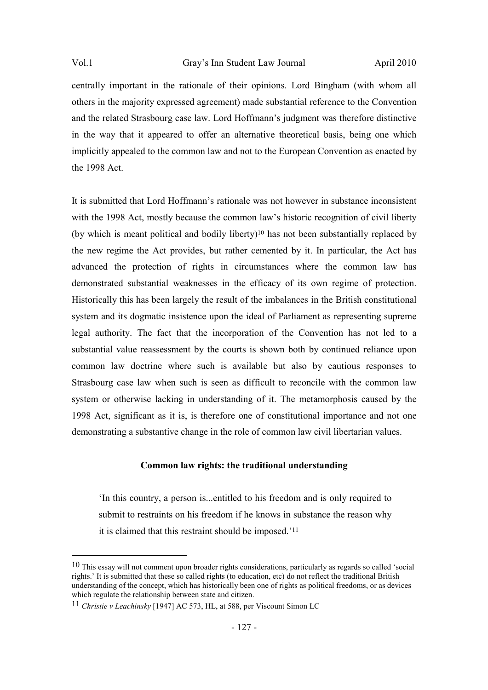centrally important in the rationale of their opinions. Lord Bingham (with whom all others in the majority expressed agreement) made substantial reference to the Convention and the related Strasbourg case law. Lord Hoffmann's judgment was therefore distinctive in the way that it appeared to offer an alternative theoretical basis, being one which implicitly appealed to the common law and not to the European Convention as enacted by the 1998 Act.

It is submitted that Lord Hoffmann's rationale was not however in substance inconsistent with the 1998 Act, mostly because the common law's historic recognition of civil liberty (by which is meant political and bodily liberty)10 has not been substantially replaced by the new regime the Act provides, but rather cemented by it. In particular, the Act has advanced the protection of rights in circumstances where the common law has demonstrated substantial weaknesses in the efficacy of its own regime of protection. Historically this has been largely the result of the imbalances in the British constitutional system and its dogmatic insistence upon the ideal of Parliament as representing supreme legal authority. The fact that the incorporation of the Convention has not led to a substantial value reassessment by the courts is shown both by continued reliance upon common law doctrine where such is available but also by cautious responses to Strasbourg case law when such is seen as difficult to reconcile with the common law system or otherwise lacking in understanding of it. The metamorphosis caused by the 1998 Act, significant as it is, is therefore one of constitutional importance and not one demonstrating a substantive change in the role of common law civil libertarian values.

#### **Common law rights: the traditional understanding**

'In this country, a person is...entitled to his freedom and is only required to submit to restraints on his freedom if he knows in substance the reason why it is claimed that this restraint should be imposed.'<sup>11</sup>

<sup>10</sup> This essay will not comment upon broader rights considerations, particularly as regards so called 'social rights.' It is submitted that these so called rights (to education, etc) do not reflect the traditional British understanding of the concept, which has historically been one of rights as political freedoms, or as devices which regulate the relationship between state and citizen.

<sup>11</sup> *Christie v Leachinsky* [1947] AC 573, HL, at 588, per Viscount Simon LC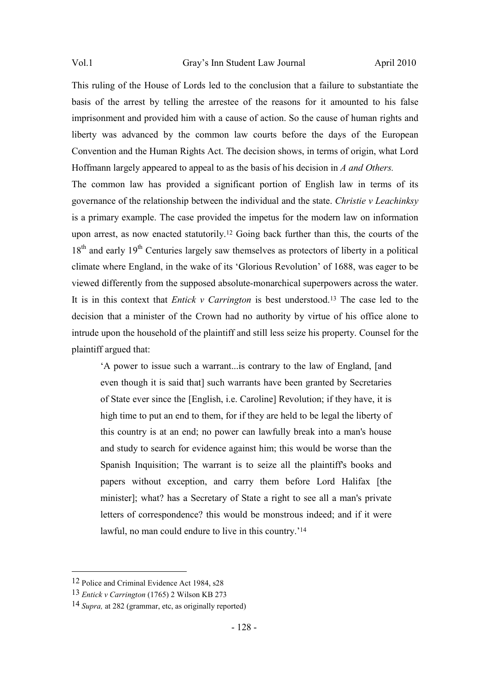This ruling of the House of Lords led to the conclusion that a failure to substantiate the basis of the arrest by telling the arrestee of the reasons for it amounted to his false imprisonment and provided him with a cause of action. So the cause of human rights and liberty was advanced by the common law courts before the days of the European Convention and the Human Rights Act. The decision shows, in terms of origin, what Lord Hoffmann largely appeared to appeal to as the basis of his decision in *A and Others.* 

The common law has provided a significant portion of English law in terms of its governance of the relationship between the individual and the state. *Christie v Leachinksy*  is a primary example. The case provided the impetus for the modern law on information upon arrest, as now enacted statutorily.12 Going back further than this, the courts of the 18<sup>th</sup> and early 19<sup>th</sup> Centuries largely saw themselves as protectors of liberty in a political climate where England, in the wake of its 'Glorious Revolution' of 1688, was eager to be viewed differently from the supposed absolute-monarchical superpowers across the water. It is in this context that *Entick v Carrington* is best understood.13 The case led to the decision that a minister of the Crown had no authority by virtue of his office alone to intrude upon the household of the plaintiff and still less seize his property. Counsel for the plaintiff argued that:

'A power to issue such a warrant...is contrary to the law of England, [and even though it is said that] such warrants have been granted by Secretaries of State ever since the [English, i.e. Caroline] Revolution; if they have, it is high time to put an end to them, for if they are held to be legal the liberty of this country is at an end; no power can lawfully break into a man's house and study to search for evidence against him; this would be worse than the Spanish Inquisition; The warrant is to seize all the plaintiff's books and papers without exception, and carry them before Lord Halifax [the minister]; what? has a Secretary of State a right to see all a man's private letters of correspondence? this would be monstrous indeed; and if it were lawful, no man could endure to live in this country.<sup>'14</sup>

<sup>12</sup> Police and Criminal Evidence Act 1984, s28

<sup>13</sup> *Entick v Carrington* (1765) 2 Wilson KB 273

<sup>14</sup> *Supra,* at 282 (grammar, etc, as originally reported)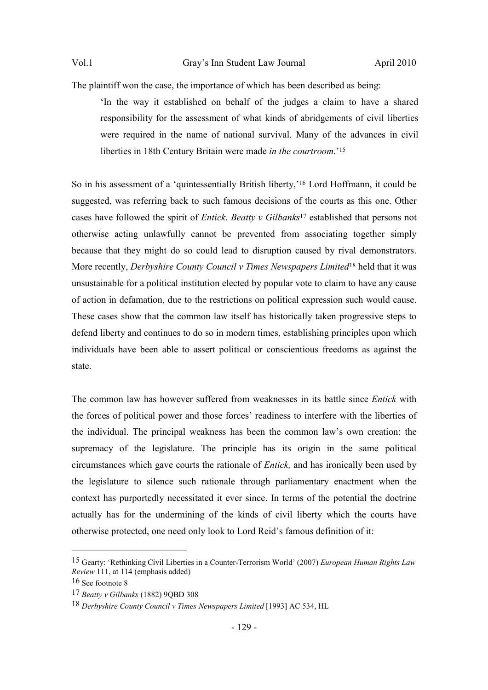The plaintiff won the case, the importance of which has been described as being:

'In the way it established on behalf of the judges a claim to have a shared responsibility for the assessment of what kinds of abridgements of civil liberties were required in the name of national survival. Many of the advances in civil liberties in 18th Century Britain were made *in the courtroom*.'<sup>15</sup>

So in his assessment of a 'quintessentially British liberty,'16 Lord Hoffmann, it could be suggested, was referring back to such famous decisions of the courts as this one. Other cases have followed the spirit of *Entick*. *Beatty v Gilbanks*<sup>17</sup> established that persons not otherwise acting unlawfully cannot be prevented from associating together simply because that they might do so could lead to disruption caused by rival demonstrators. More recently, *Derbyshire County Council v Times Newspapers Limited*18 held that it was unsustainable for a political institution elected by popular vote to claim to have any cause of action in defamation, due to the restrictions on political expression such would cause. These cases show that the common law itself has historically taken progressive steps to defend liberty and continues to do so in modern times, establishing principles upon which individuals have been able to assert political or conscientious freedoms as against the state.

The common law has however suffered from weaknesses in its battle since *Entick* with the forces of political power and those forces' readiness to interfere with the liberties of the individual. The principal weakness has been the common law's own creation: the supremacy of the legislature. The principle has its origin in the same political circumstances which gave courts the rationale of *Entick,* and has ironically been used by the legislature to silence such rationale through parliamentary enactment when the context has purportedly necessitated it ever since. In terms of the potential the doctrine actually has for the undermining of the kinds of civil liberty which the courts have otherwise protected, one need only look to Lord Reid's famous definition of it:

<sup>15</sup> Gearty: 'Rethinking Civil Liberties in a Counter-Terrorism World' (2007) *European Human Rights Law Review* 111, at 114 (emphasis added)

<sup>16</sup> See footnote 8

<sup>17</sup> *Beatty v Gilbanks* (1882) 9QBD 308

<sup>18</sup> *Derbyshire County Council v Times Newspapers Limited* [1993] AC 534, HL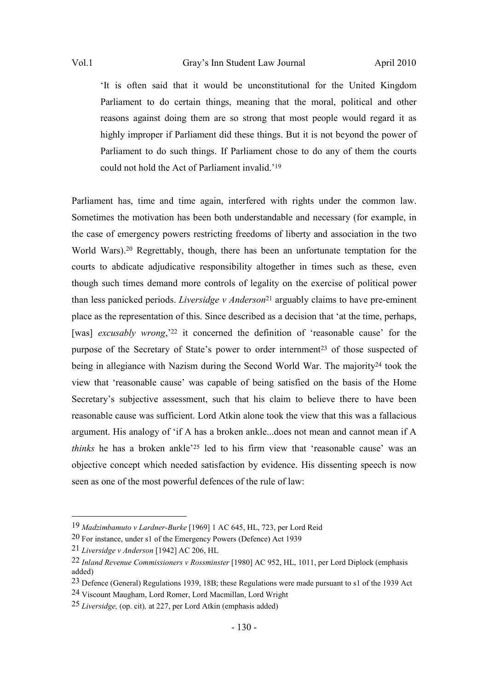'It is often said that it would be unconstitutional for the United Kingdom Parliament to do certain things, meaning that the moral, political and other reasons against doing them are so strong that most people would regard it as highly improper if Parliament did these things. But it is not beyond the power of Parliament to do such things. If Parliament chose to do any of them the courts could not hold the Act of Parliament invalid.'<sup>19</sup>

Parliament has, time and time again, interfered with rights under the common law. Sometimes the motivation has been both understandable and necessary (for example, in the case of emergency powers restricting freedoms of liberty and association in the two World Wars).<sup>20</sup> Regrettably, though, there has been an unfortunate temptation for the courts to abdicate adjudicative responsibility altogether in times such as these, even though such times demand more controls of legality on the exercise of political power than less panicked periods. *Liversidge v Anderson*<sup>21</sup> arguably claims to have pre-eminent place as the representation of this. Since described as a decision that 'at the time, perhaps, [was] *excusably wrong*,'<sup>22</sup> it concerned the definition of 'reasonable cause' for the purpose of the Secretary of State's power to order internment<sup>23</sup> of those suspected of being in allegiance with Nazism during the Second World War. The majority<sup>24</sup> took the view that 'reasonable cause' was capable of being satisfied on the basis of the Home Secretary's subjective assessment, such that his claim to believe there to have been reasonable cause was sufficient. Lord Atkin alone took the view that this was a fallacious argument. His analogy of 'if A has a broken ankle...does not mean and cannot mean if A *thinks* he has a broken ankle<sup>'25</sup> led to his firm view that 'reasonable cause' was an objective concept which needed satisfaction by evidence. His dissenting speech is now seen as one of the most powerful defences of the rule of law:

<sup>19</sup> *Madzimbamuto v Lardner-Burke* [1969] 1 AC 645, HL, 723, per Lord Reid

<sup>20</sup> For instance, under s1 of the Emergency Powers (Defence) Act 1939

<sup>21</sup> *Liversidge v Anderson* [1942] AC 206, HL

<sup>22</sup> *Inland Revenue Commissioners v Rossminster* [1980] AC 952, HL, 1011, per Lord Diplock (emphasis added)

<sup>23</sup> Defence (General) Regulations 1939, 18B; these Regulations were made pursuant to s1 of the 1939 Act

<sup>24</sup> Viscount Maugham, Lord Romer, Lord Macmillan, Lord Wright

<sup>25</sup> *Liversidge,* (op. cit)*,* at 227, per Lord Atkin (emphasis added)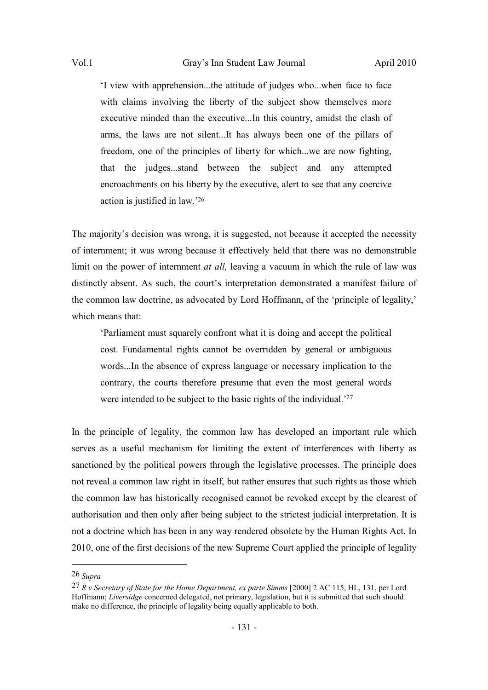'I view with apprehension...the attitude of judges who...when face to face with claims involving the liberty of the subject show themselves more executive minded than the executive...In this country, amidst the clash of arms, the laws are not silent...It has always been one of the pillars of freedom, one of the principles of liberty for which...we are now fighting, that the judges...stand between the subject and any attempted encroachments on his liberty by the executive, alert to see that any coercive action is justified in law.'<sup>26</sup>

The majority's decision was wrong, it is suggested, not because it accepted the necessity of internment; it was wrong because it effectively held that there was no demonstrable limit on the power of internment *at all*, leaving a vacuum in which the rule of law was distinctly absent. As such, the court's interpretation demonstrated a manifest failure of the common law doctrine, as advocated by Lord Hoffmann, of the 'principle of legality,' which means that:

'Parliament must squarely confront what it is doing and accept the political cost. Fundamental rights cannot be overridden by general or ambiguous words...In the absence of express language or necessary implication to the contrary, the courts therefore presume that even the most general words were intended to be subject to the basic rights of the individual.<sup>'27</sup>

In the principle of legality, the common law has developed an important rule which serves as a useful mechanism for limiting the extent of interferences with liberty as sanctioned by the political powers through the legislative processes. The principle does not reveal a common law right in itself, but rather ensures that such rights as those which the common law has historically recognised cannot be revoked except by the clearest of authorisation and then only after being subject to the strictest judicial interpretation. It is not a doctrine which has been in any way rendered obsolete by the Human Rights Act. In 2010, one of the first decisions of the new Supreme Court applied the principle of legality

<sup>26</sup> *Supra* 

<sup>27</sup> *R v Secretary of State for the Home Department, ex parte Simms* [2000] 2 AC 115, HL, 131, per Lord Hoffmann; *Liversidge* concerned delegated, not primary, legislation, but it is submitted that such should make no difference, the principle of legality being equally applicable to both.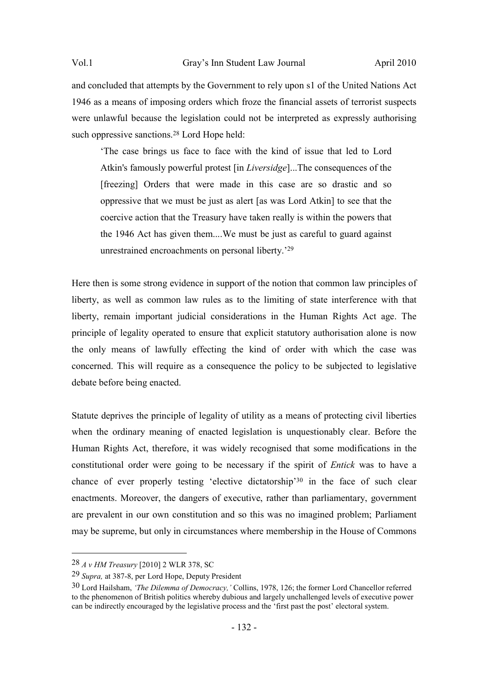and concluded that attempts by the Government to rely upon s1 of the United Nations Act 1946 as a means of imposing orders which froze the financial assets of terrorist suspects were unlawful because the legislation could not be interpreted as expressly authorising such oppressive sanctions.<sup>28</sup> Lord Hope held:

'The case brings us face to face with the kind of issue that led to Lord Atkin's famously powerful protest [in *Liversidge*]...The consequences of the [freezing] Orders that were made in this case are so drastic and so oppressive that we must be just as alert [as was Lord Atkin] to see that the coercive action that the Treasury have taken really is within the powers that the 1946 Act has given them....We must be just as careful to guard against unrestrained encroachments on personal liberty.'<sup>29</sup>

Here then is some strong evidence in support of the notion that common law principles of liberty, as well as common law rules as to the limiting of state interference with that liberty, remain important judicial considerations in the Human Rights Act age. The principle of legality operated to ensure that explicit statutory authorisation alone is now the only means of lawfully effecting the kind of order with which the case was concerned. This will require as a consequence the policy to be subjected to legislative debate before being enacted.

Statute deprives the principle of legality of utility as a means of protecting civil liberties when the ordinary meaning of enacted legislation is unquestionably clear. Before the Human Rights Act, therefore, it was widely recognised that some modifications in the constitutional order were going to be necessary if the spirit of *Entick* was to have a chance of ever properly testing 'elective dictatorship'30 in the face of such clear enactments. Moreover, the dangers of executive, rather than parliamentary, government are prevalent in our own constitution and so this was no imagined problem; Parliament may be supreme, but only in circumstances where membership in the House of Commons

<sup>28</sup> *A v HM Treasury* [2010] 2 WLR 378, SC

<sup>29</sup> *Supra,* at 387-8, per Lord Hope, Deputy President

<sup>30</sup> Lord Hailsham, *'The Dilemma of Democracy,'* Collins, 1978, 126; the former Lord Chancellor referred to the phenomenon of British politics whereby dubious and largely unchallenged levels of executive power can be indirectly encouraged by the legislative process and the 'first past the post' electoral system.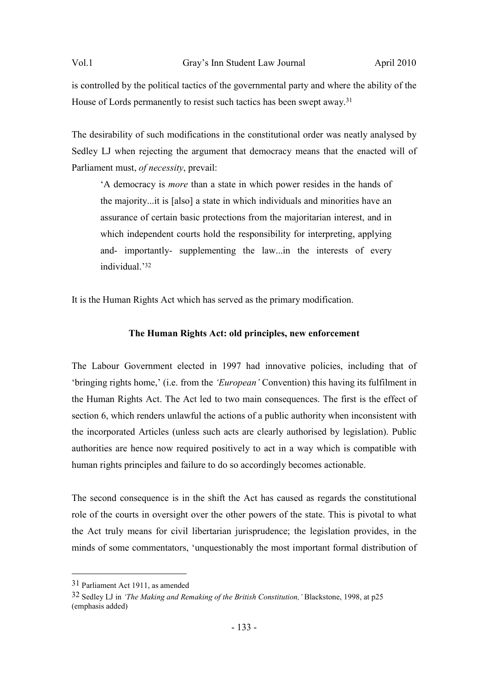is controlled by the political tactics of the governmental party and where the ability of the House of Lords permanently to resist such tactics has been swept away.<sup>31</sup>

The desirability of such modifications in the constitutional order was neatly analysed by Sedley LJ when rejecting the argument that democracy means that the enacted will of Parliament must, *of necessity*, prevail:

'A democracy is *more* than a state in which power resides in the hands of the majority...it is [also] a state in which individuals and minorities have an assurance of certain basic protections from the majoritarian interest, and in which independent courts hold the responsibility for interpreting, applying and- importantly- supplementing the law...in the interests of every individual<sup>32</sup>

It is the Human Rights Act which has served as the primary modification.

# **The Human Rights Act: old principles, new enforcement**

The Labour Government elected in 1997 had innovative policies, including that of 'bringing rights home,' (i.e. from the *'European'* Convention) this having its fulfilment in the Human Rights Act. The Act led to two main consequences. The first is the effect of section 6, which renders unlawful the actions of a public authority when inconsistent with the incorporated Articles (unless such acts are clearly authorised by legislation). Public authorities are hence now required positively to act in a way which is compatible with human rights principles and failure to do so accordingly becomes actionable.

The second consequence is in the shift the Act has caused as regards the constitutional role of the courts in oversight over the other powers of the state. This is pivotal to what the Act truly means for civil libertarian jurisprudence; the legislation provides, in the minds of some commentators, 'unquestionably the most important formal distribution of

<sup>31</sup> Parliament Act 1911, as amended

<sup>32</sup> Sedley LJ in *'The Making and Remaking of the British Constitution,'* Blackstone, 1998, at p25 (emphasis added)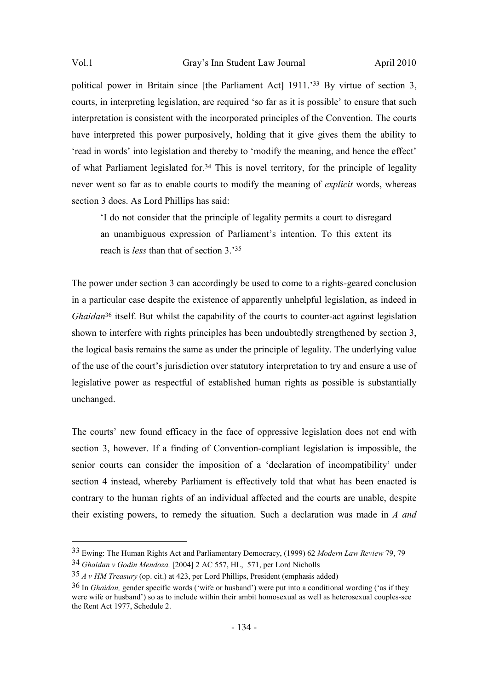political power in Britain since [the Parliament Act] 1911.<sup>'33</sup> By virtue of section 3, courts, in interpreting legislation, are required 'so far as it is possible' to ensure that such interpretation is consistent with the incorporated principles of the Convention. The courts have interpreted this power purposively, holding that it give gives them the ability to 'read in words' into legislation and thereby to 'modify the meaning, and hence the effect' of what Parliament legislated for.<sup>34</sup> This is novel territory, for the principle of legality never went so far as to enable courts to modify the meaning of *explicit* words, whereas section 3 does. As Lord Phillips has said:

'I do not consider that the principle of legality permits a court to disregard an unambiguous expression of Parliament's intention. To this extent its reach is *less* than that of section 3.'<sup>35</sup>

The power under section 3 can accordingly be used to come to a rights-geared conclusion in a particular case despite the existence of apparently unhelpful legislation, as indeed in *Ghaidan*<sup>36</sup> itself. But whilst the capability of the courts to counter-act against legislation shown to interfere with rights principles has been undoubtedly strengthened by section 3, the logical basis remains the same as under the principle of legality. The underlying value of the use of the court's jurisdiction over statutory interpretation to try and ensure a use of legislative power as respectful of established human rights as possible is substantially unchanged.

The courts' new found efficacy in the face of oppressive legislation does not end with section 3, however. If a finding of Convention-compliant legislation is impossible, the senior courts can consider the imposition of a 'declaration of incompatibility' under section 4 instead, whereby Parliament is effectively told that what has been enacted is contrary to the human rights of an individual affected and the courts are unable, despite their existing powers, to remedy the situation. Such a declaration was made in *A and* 

<sup>33</sup> Ewing: The Human Rights Act and Parliamentary Democracy, (1999) 62 *Modern Law Review* 79, 79

<sup>34</sup> *Ghaidan v Godin Mendoza,* [2004] 2 AC 557, HL, 571, per Lord Nicholls

<sup>35</sup> *A v HM Treasury* (op. cit.) at 423, per Lord Phillips, President (emphasis added)

<sup>36</sup> In *Ghaidan,* gender specific words ('wife or husband') were put into a conditional wording ('as if they were wife or husband') so as to include within their ambit homosexual as well as heterosexual couples-see the Rent Act 1977, Schedule 2.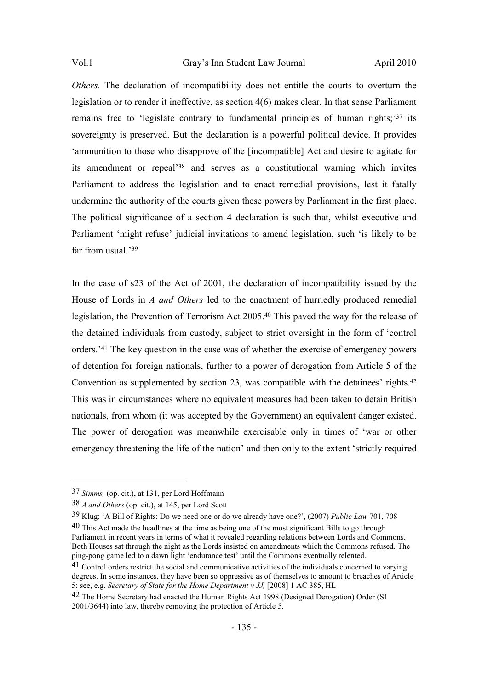*Others*. The declaration of incompatibility does not entitle the courts to overturn the legislation or to render it ineffective, as section 4(6) makes clear. In that sense Parliament remains free to 'legislate contrary to fundamental principles of human rights;'<sup>37</sup> its sovereignty is preserved. But the declaration is a powerful political device. It provides 'ammunition to those who disapprove of the [incompatible] Act and desire to agitate for its amendment or repeal'<sup>38</sup> and serves as a constitutional warning which invites Parliament to address the legislation and to enact remedial provisions, lest it fatally undermine the authority of the courts given these powers by Parliament in the first place. The political significance of a section 4 declaration is such that, whilst executive and Parliament 'might refuse' judicial invitations to amend legislation, such 'is likely to be far from usual.'<sup>39</sup>

In the case of s23 of the Act of 2001, the declaration of incompatibility issued by the House of Lords in *A and Others* led to the enactment of hurriedly produced remedial legislation, the Prevention of Terrorism Act 2005.40 This paved the way for the release of the detained individuals from custody, subject to strict oversight in the form of 'control orders.'41 The key question in the case was of whether the exercise of emergency powers of detention for foreign nationals, further to a power of derogation from Article 5 of the Convention as supplemented by section 23, was compatible with the detainees' rights.<sup>42</sup> This was in circumstances where no equivalent measures had been taken to detain British nationals, from whom (it was accepted by the Government) an equivalent danger existed. The power of derogation was meanwhile exercisable only in times of 'war or other emergency threatening the life of the nation' and then only to the extent 'strictly required

<sup>37</sup> *Simms,* (op. cit.), at 131, per Lord Hoffmann

<sup>38</sup> *A and Others* (op. cit.), at 145, per Lord Scott

<sup>39</sup> Klug: 'A Bill of Rights: Do we need one or do we already have one?', (2007) *Public Law* 701, 708

<sup>&</sup>lt;sup>40</sup> This Act made the headlines at the time as being one of the most significant Bills to go through Parliament in recent years in terms of what it revealed regarding relations between Lords and Commons. Both Houses sat through the night as the Lords insisted on amendments which the Commons refused. The ping-pong game led to a dawn light 'endurance test' until the Commons eventually relented.

<sup>41</sup> Control orders restrict the social and communicative activities of the individuals concerned to varying degrees. In some instances, they have been so oppressive as of themselves to amount to breaches of Article 5: see, e.g. *Secretary of State for the Home Department v JJ,* [2008] 1 AC 385, HL

<sup>42</sup> The Home Secretary had enacted the Human Rights Act 1998 (Designed Derogation) Order (SI 2001/3644) into law, thereby removing the protection of Article 5.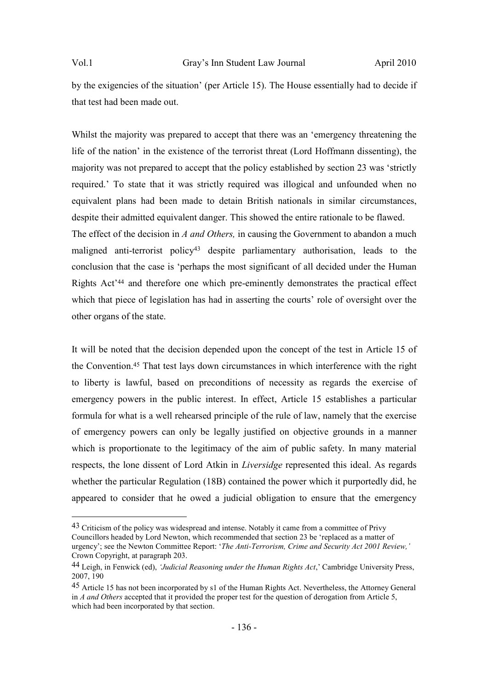$\overline{a}$ 

by the exigencies of the situation' (per Article 15). The House essentially had to decide if that test had been made out.

Whilst the majority was prepared to accept that there was an 'emergency threatening the life of the nation' in the existence of the terrorist threat (Lord Hoffmann dissenting), the majority was not prepared to accept that the policy established by section 23 was 'strictly required.' To state that it was strictly required was illogical and unfounded when no equivalent plans had been made to detain British nationals in similar circumstances, despite their admitted equivalent danger. This showed the entire rationale to be flawed. The effect of the decision in *A and Others,* in causing the Government to abandon a much maligned anti-terrorist policy<sup>43</sup> despite parliamentary authorisation, leads to the conclusion that the case is 'perhaps the most significant of all decided under the Human Rights Act'<sup>44</sup> and therefore one which pre-eminently demonstrates the practical effect which that piece of legislation has had in asserting the courts' role of oversight over the other organs of the state.

It will be noted that the decision depended upon the concept of the test in Article 15 of the Convention.<sup>45</sup> That test lays down circumstances in which interference with the right to liberty is lawful, based on preconditions of necessity as regards the exercise of emergency powers in the public interest. In effect, Article 15 establishes a particular formula for what is a well rehearsed principle of the rule of law, namely that the exercise of emergency powers can only be legally justified on objective grounds in a manner which is proportionate to the legitimacy of the aim of public safety. In many material respects, the lone dissent of Lord Atkin in *Liversidge* represented this ideal. As regards whether the particular Regulation (18B) contained the power which it purportedly did, he appeared to consider that he owed a judicial obligation to ensure that the emergency

<sup>43</sup> Criticism of the policy was widespread and intense. Notably it came from a committee of Privy Councillors headed by Lord Newton, which recommended that section 23 be 'replaced as a matter of urgency'; see the Newton Committee Report: '*The Anti-Terrorism, Crime and Security Act 2001 Review,'*  Crown Copyright, at paragraph 203.

<sup>44</sup> Leigh, in Fenwick (ed), *'Judicial Reasoning under the Human Rights Act*,' Cambridge University Press, 2007, 190

<sup>45</sup> Article 15 has not been incorporated by s1 of the Human Rights Act. Nevertheless, the Attorney General in *A and Others* accepted that it provided the proper test for the question of derogation from Article 5, which had been incorporated by that section.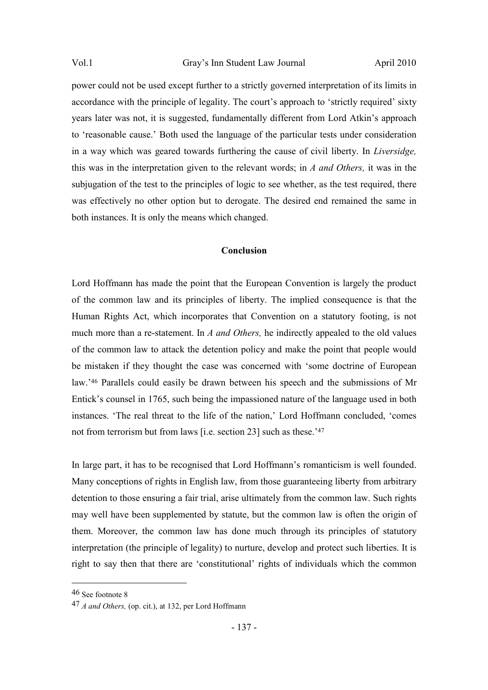power could not be used except further to a strictly governed interpretation of its limits in accordance with the principle of legality. The court's approach to 'strictly required' sixty years later was not, it is suggested, fundamentally different from Lord Atkin's approach to 'reasonable cause.' Both used the language of the particular tests under consideration in a way which was geared towards furthering the cause of civil liberty. In *Liversidge,* this was in the interpretation given to the relevant words; in *A and Others,* it was in the subjugation of the test to the principles of logic to see whether, as the test required, there was effectively no other option but to derogate. The desired end remained the same in both instances. It is only the means which changed.

#### **Conclusion**

Lord Hoffmann has made the point that the European Convention is largely the product of the common law and its principles of liberty. The implied consequence is that the Human Rights Act, which incorporates that Convention on a statutory footing, is not much more than a re-statement. In *A and Others,* he indirectly appealed to the old values of the common law to attack the detention policy and make the point that people would be mistaken if they thought the case was concerned with 'some doctrine of European law.'46 Parallels could easily be drawn between his speech and the submissions of Mr Entick's counsel in 1765, such being the impassioned nature of the language used in both instances. 'The real threat to the life of the nation,' Lord Hoffmann concluded, 'comes not from terrorism but from laws [i.e. section 23] such as these.'<sup>47</sup>

In large part, it has to be recognised that Lord Hoffmann's romanticism is well founded. Many conceptions of rights in English law, from those guaranteeing liberty from arbitrary detention to those ensuring a fair trial, arise ultimately from the common law. Such rights may well have been supplemented by statute, but the common law is often the origin of them. Moreover, the common law has done much through its principles of statutory interpretation (the principle of legality) to nurture, develop and protect such liberties. It is right to say then that there are 'constitutional' rights of individuals which the common

<sup>46</sup> See footnote 8

<sup>47</sup> *A and Others,* (op. cit.), at 132, per Lord Hoffmann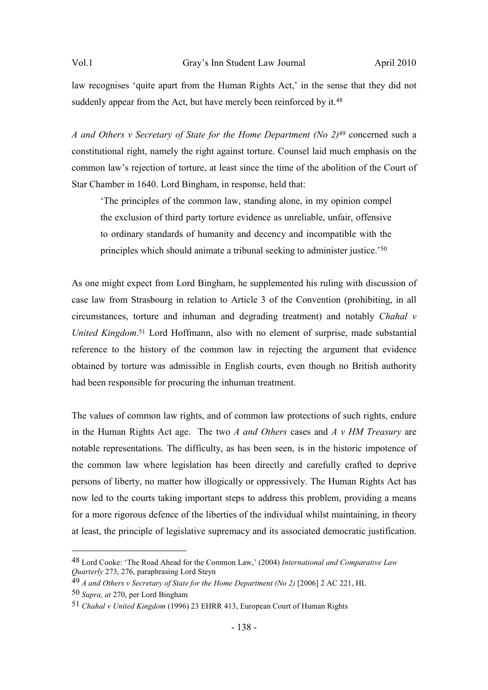law recognises 'quite apart from the Human Rights Act,' in the sense that they did not suddenly appear from the Act, but have merely been reinforced by it.<sup>48</sup>

*A and Others v Secretary of State for the Home Department (No 2)*<sup>49</sup> concerned such a constitutional right, namely the right against torture. Counsel laid much emphasis on the common law's rejection of torture, at least since the time of the abolition of the Court of Star Chamber in 1640. Lord Bingham, in response, held that:

'The principles of the common law, standing alone, in my opinion compel the exclusion of third party torture evidence as unreliable, unfair, offensive to ordinary standards of humanity and decency and incompatible with the principles which should animate a tribunal seeking to administer justice.'<sup>50</sup>

As one might expect from Lord Bingham, he supplemented his ruling with discussion of case law from Strasbourg in relation to Article 3 of the Convention (prohibiting, in all circumstances, torture and inhuman and degrading treatment) and notably *Chahal v United Kingdom*. <sup>51</sup> Lord Hoffmann, also with no element of surprise, made substantial reference to the history of the common law in rejecting the argument that evidence obtained by torture was admissible in English courts, even though no British authority had been responsible for procuring the inhuman treatment.

The values of common law rights, and of common law protections of such rights, endure in the Human Rights Act age. The two *A and Others* cases and *A v HM Treasury* are notable representations. The difficulty, as has been seen, is in the historic impotence of the common law where legislation has been directly and carefully crafted to deprive persons of liberty, no matter how illogically or oppressively. The Human Rights Act has now led to the courts taking important steps to address this problem, providing a means for a more rigorous defence of the liberties of the individual whilst maintaining, in theory at least, the principle of legislative supremacy and its associated democratic justification.

<sup>48</sup> Lord Cooke: 'The Road Ahead for the Common Law,' (2004) *International and Comparative Law Quarterly* 273, 276, paraphrasing Lord Steyn

<sup>49</sup> *A and Others v Secretary of State for the Home Department (No 2)* [2006] 2 AC 221, HL

<sup>50</sup> *Supra, at* 270, per Lord Bingham

<sup>51</sup> *Chahal v United Kingdom* (1996) 23 EHRR 413, European Court of Human Rights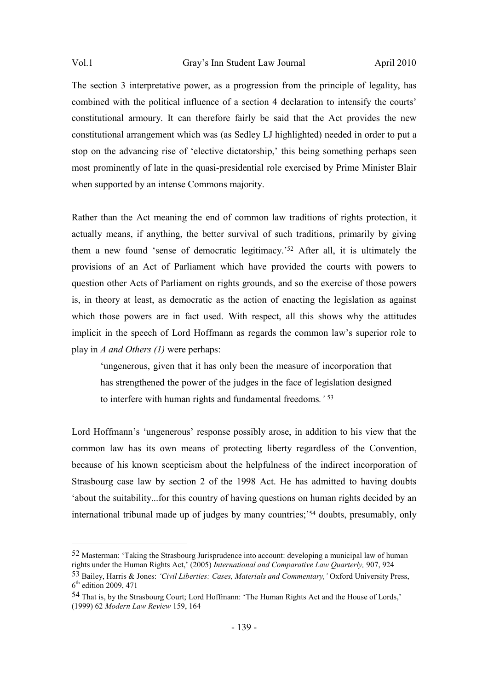The section 3 interpretative power, as a progression from the principle of legality, has combined with the political influence of a section 4 declaration to intensify the courts' constitutional armoury. It can therefore fairly be said that the Act provides the new constitutional arrangement which was (as Sedley LJ highlighted) needed in order to put a stop on the advancing rise of 'elective dictatorship,' this being something perhaps seen most prominently of late in the quasi-presidential role exercised by Prime Minister Blair when supported by an intense Commons majority.

Rather than the Act meaning the end of common law traditions of rights protection, it actually means, if anything, the better survival of such traditions, primarily by giving them a new found 'sense of democratic legitimacy.'<sup>52</sup> After all, it is ultimately the provisions of an Act of Parliament which have provided the courts with powers to question other Acts of Parliament on rights grounds, and so the exercise of those powers is, in theory at least, as democratic as the action of enacting the legislation as against which those powers are in fact used. With respect, all this shows why the attitudes implicit in the speech of Lord Hoffmann as regards the common law's superior role to play in *A and Others (1)* were perhaps:

'ungenerous, given that it has only been the measure of incorporation that has strengthened the power of the judges in the face of legislation designed to interfere with human rights and fundamental freedoms*.'* <sup>53</sup>

Lord Hoffmann's 'ungenerous' response possibly arose, in addition to his view that the common law has its own means of protecting liberty regardless of the Convention, because of his known scepticism about the helpfulness of the indirect incorporation of Strasbourg case law by section 2 of the 1998 Act. He has admitted to having doubts 'about the suitability...for this country of having questions on human rights decided by an international tribunal made up of judges by many countries;'54 doubts, presumably, only

<sup>52</sup> Masterman: 'Taking the Strasbourg Jurisprudence into account: developing a municipal law of human rights under the Human Rights Act,' (2005) *International and Comparative Law Quarterly,* 907, 924

<sup>53</sup> Bailey, Harris & Jones: *'Civil Liberties: Cases, Materials and Commentary,'* Oxford University Press, 6<sup>th</sup> edition 2009, 471

<sup>54</sup> That is, by the Strasbourg Court; Lord Hoffmann: 'The Human Rights Act and the House of Lords,' (1999) 62 *Modern Law Review* 159, 164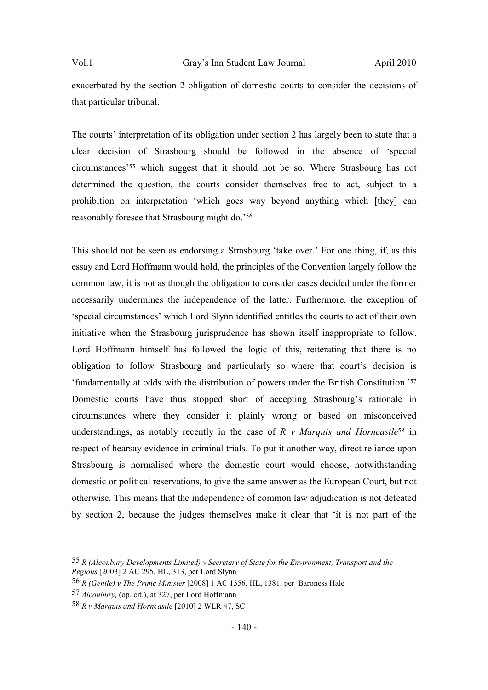exacerbated by the section 2 obligation of domestic courts to consider the decisions of that particular tribunal.

The courts' interpretation of its obligation under section 2 has largely been to state that a clear decision of Strasbourg should be followed in the absence of 'special circumstances'<sup>55</sup> which suggest that it should not be so. Where Strasbourg has not determined the question, the courts consider themselves free to act, subject to a prohibition on interpretation 'which goes way beyond anything which [they] can reasonably foresee that Strasbourg might do.'<sup>56</sup>

This should not be seen as endorsing a Strasbourg 'take over.' For one thing, if, as this essay and Lord Hoffmann would hold, the principles of the Convention largely follow the common law, it is not as though the obligation to consider cases decided under the former necessarily undermines the independence of the latter. Furthermore, the exception of 'special circumstances' which Lord Slynn identified entitles the courts to act of their own initiative when the Strasbourg jurisprudence has shown itself inappropriate to follow. Lord Hoffmann himself has followed the logic of this, reiterating that there is no obligation to follow Strasbourg and particularly so where that court's decision is 'fundamentally at odds with the distribution of powers under the British Constitution.'<sup>57</sup> Domestic courts have thus stopped short of accepting Strasbourg's rationale in circumstances where they consider it plainly wrong or based on misconceived understandings, as notably recently in the case of *R v Marquis and Horncastle*<sup>58</sup> in respect of hearsay evidence in criminal trials*.* To put it another way, direct reliance upon Strasbourg is normalised where the domestic court would choose, notwithstanding domestic or political reservations, to give the same answer as the European Court, but not otherwise. This means that the independence of common law adjudication is not defeated by section 2, because the judges themselves make it clear that 'it is not part of the

<sup>55</sup> *R (Alconbury Developments Limited) v Secretary of State for the Environment, Transport and the Regions* [2003] 2 AC 295, HL, 313, per Lord Slynn

<sup>56</sup> *R (Gentle) v The Prime Minister* [2008] 1 AC 1356, HL, 1381, per Baroness Hale

<sup>57</sup> *Alconbury,* (op. cit.), at 327, per Lord Hoffmann

<sup>58</sup> *R v Marquis and Horncastle* [2010] 2 WLR 47, SC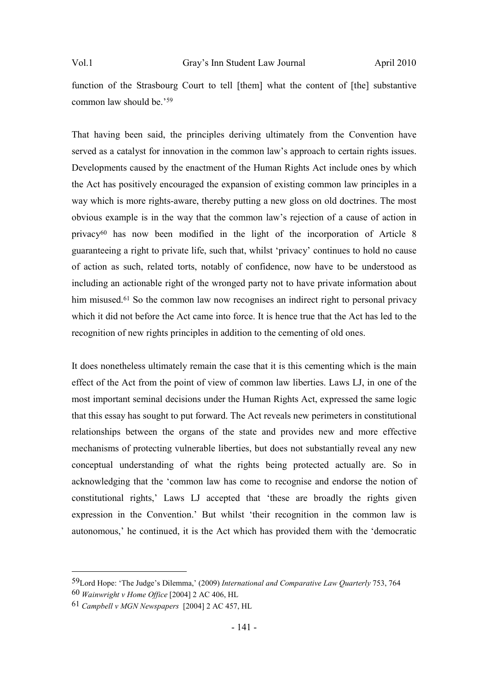function of the Strasbourg Court to tell [them] what the content of [the] substantive common law should be.'<sup>59</sup>

That having been said, the principles deriving ultimately from the Convention have served as a catalyst for innovation in the common law's approach to certain rights issues. Developments caused by the enactment of the Human Rights Act include ones by which the Act has positively encouraged the expansion of existing common law principles in a way which is more rights-aware, thereby putting a new gloss on old doctrines. The most obvious example is in the way that the common law's rejection of a cause of action in privacy60 has now been modified in the light of the incorporation of Article 8 guaranteeing a right to private life, such that, whilst 'privacy' continues to hold no cause of action as such, related torts, notably of confidence, now have to be understood as including an actionable right of the wronged party not to have private information about him misused.<sup>61</sup> So the common law now recognises an indirect right to personal privacy which it did not before the Act came into force. It is hence true that the Act has led to the recognition of new rights principles in addition to the cementing of old ones.

It does nonetheless ultimately remain the case that it is this cementing which is the main effect of the Act from the point of view of common law liberties. Laws LJ, in one of the most important seminal decisions under the Human Rights Act, expressed the same logic that this essay has sought to put forward. The Act reveals new perimeters in constitutional relationships between the organs of the state and provides new and more effective mechanisms of protecting vulnerable liberties, but does not substantially reveal any new conceptual understanding of what the rights being protected actually are. So in acknowledging that the 'common law has come to recognise and endorse the notion of constitutional rights,' Laws LJ accepted that 'these are broadly the rights given expression in the Convention.' But whilst 'their recognition in the common law is autonomous,' he continued, it is the Act which has provided them with the 'democratic

<sup>59</sup>Lord Hope: 'The Judge's Dilemma,' (2009) *International and Comparative Law Quarterly* 753, 764 60 *Wainwright v Home Office* [2004] 2 AC 406, HL

<sup>61</sup> *Campbell v MGN Newspapers* [2004] 2 AC 457, HL